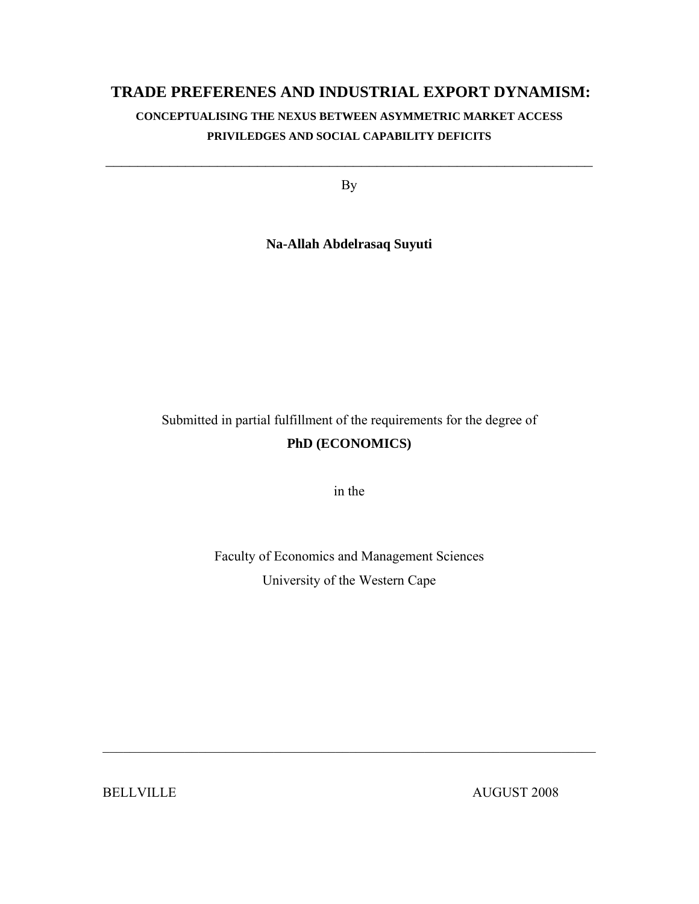### **TRADE PREFERENES AND INDUSTRIAL EXPORT DYNAMISM:**

### **CONCEPTUALISING THE NEXUS BETWEEN ASYMMETRIC MARKET ACCESS PRIVILEDGES AND SOCIAL CAPABILITY DEFICITS**

By

 $\mathcal{L}_\text{max}$  and the contract of the contract of the contract of the contract of the contract of the contract of

**Na-Allah Abdelrasaq Suyuti** 

Submitted in partial fulfillment of the requirements for the degree of **PhD (ECONOMICS)** 

in the

Faculty of Economics and Management Sciences University of the Western Cape

 $\mathcal{L}_\text{max}$  , and the contribution of the contribution of the contribution of the contribution of the contribution of the contribution of the contribution of the contribution of the contribution of the contribution of t

BELLVILLE AUGUST 2008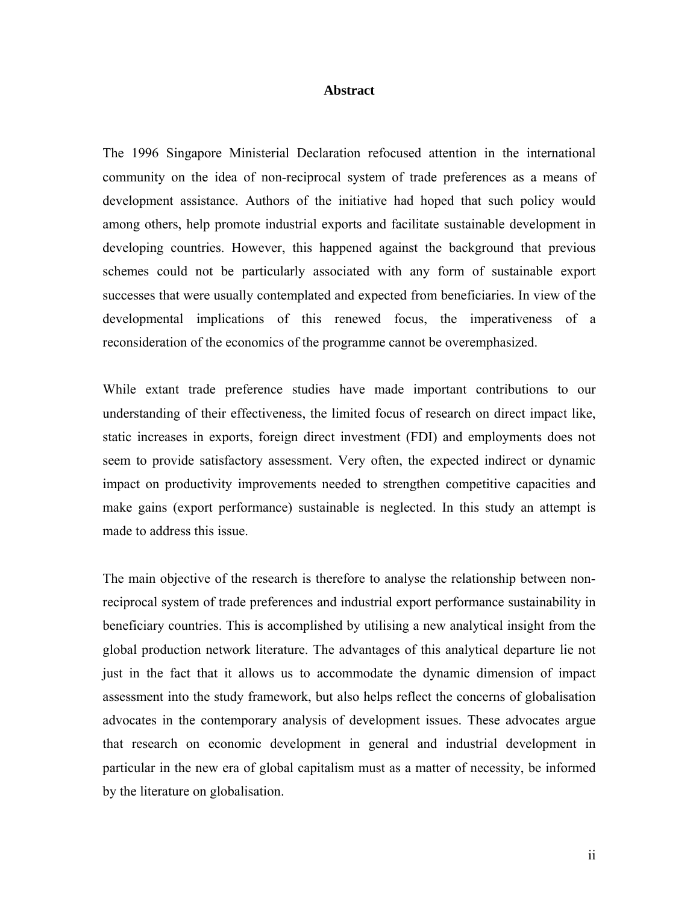#### **Abstract**

The 1996 Singapore Ministerial Declaration refocused attention in the international community on the idea of non-reciprocal system of trade preferences as a means of development assistance. Authors of the initiative had hoped that such policy would among others, help promote industrial exports and facilitate sustainable development in developing countries. However, this happened against the background that previous schemes could not be particularly associated with any form of sustainable export successes that were usually contemplated and expected from beneficiaries. In view of the developmental implications of this renewed focus, the imperativeness of a reconsideration of the economics of the programme cannot be overemphasized.

While extant trade preference studies have made important contributions to our understanding of their effectiveness, the limited focus of research on direct impact like, static increases in exports, foreign direct investment (FDI) and employments does not seem to provide satisfactory assessment. Very often, the expected indirect or dynamic impact on productivity improvements needed to strengthen competitive capacities and make gains (export performance) sustainable is neglected. In this study an attempt is made to address this issue.

The main objective of the research is therefore to analyse the relationship between nonreciprocal system of trade preferences and industrial export performance sustainability in beneficiary countries. This is accomplished by utilising a new analytical insight from the global production network literature. The advantages of this analytical departure lie not just in the fact that it allows us to accommodate the dynamic dimension of impact assessment into the study framework, but also helps reflect the concerns of globalisation advocates in the contemporary analysis of development issues. These advocates argue that research on economic development in general and industrial development in particular in the new era of global capitalism must as a matter of necessity, be informed by the literature on globalisation.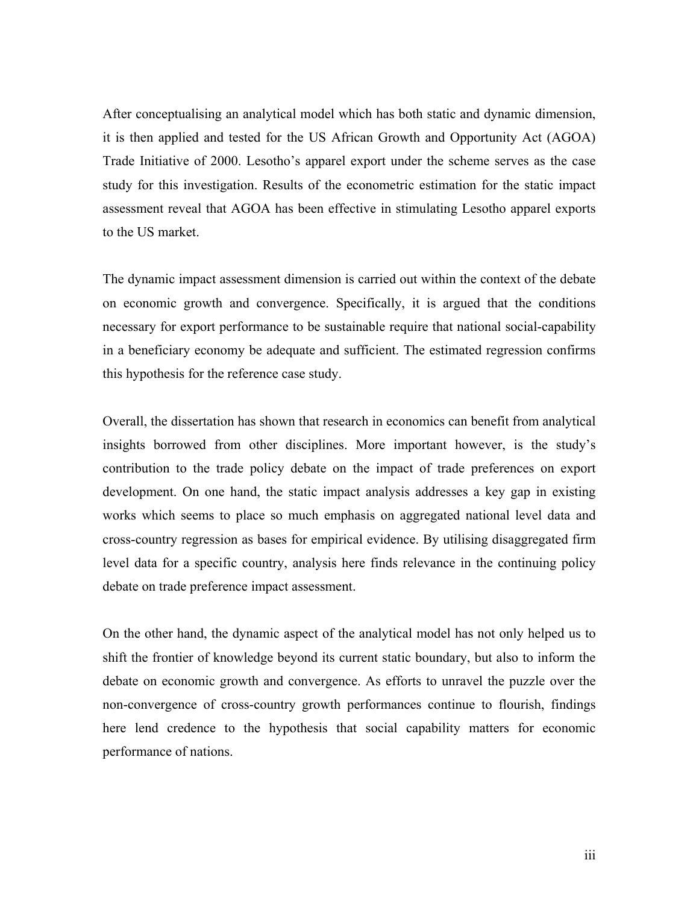After conceptualising an analytical model which has both static and dynamic dimension, it is then applied and tested for the US African Growth and Opportunity Act (AGOA) Trade Initiative of 2000. Lesotho's apparel export under the scheme serves as the case study for this investigation. Results of the econometric estimation for the static impact assessment reveal that AGOA has been effective in stimulating Lesotho apparel exports to the US market.

The dynamic impact assessment dimension is carried out within the context of the debate on economic growth and convergence. Specifically, it is argued that the conditions necessary for export performance to be sustainable require that national social-capability in a beneficiary economy be adequate and sufficient. The estimated regression confirms this hypothesis for the reference case study.

Overall, the dissertation has shown that research in economics can benefit from analytical insights borrowed from other disciplines. More important however, is the study's contribution to the trade policy debate on the impact of trade preferences on export development. On one hand, the static impact analysis addresses a key gap in existing works which seems to place so much emphasis on aggregated national level data and cross-country regression as bases for empirical evidence. By utilising disaggregated firm level data for a specific country, analysis here finds relevance in the continuing policy debate on trade preference impact assessment.

On the other hand, the dynamic aspect of the analytical model has not only helped us to shift the frontier of knowledge beyond its current static boundary, but also to inform the debate on economic growth and convergence. As efforts to unravel the puzzle over the non-convergence of cross-country growth performances continue to flourish, findings here lend credence to the hypothesis that social capability matters for economic performance of nations.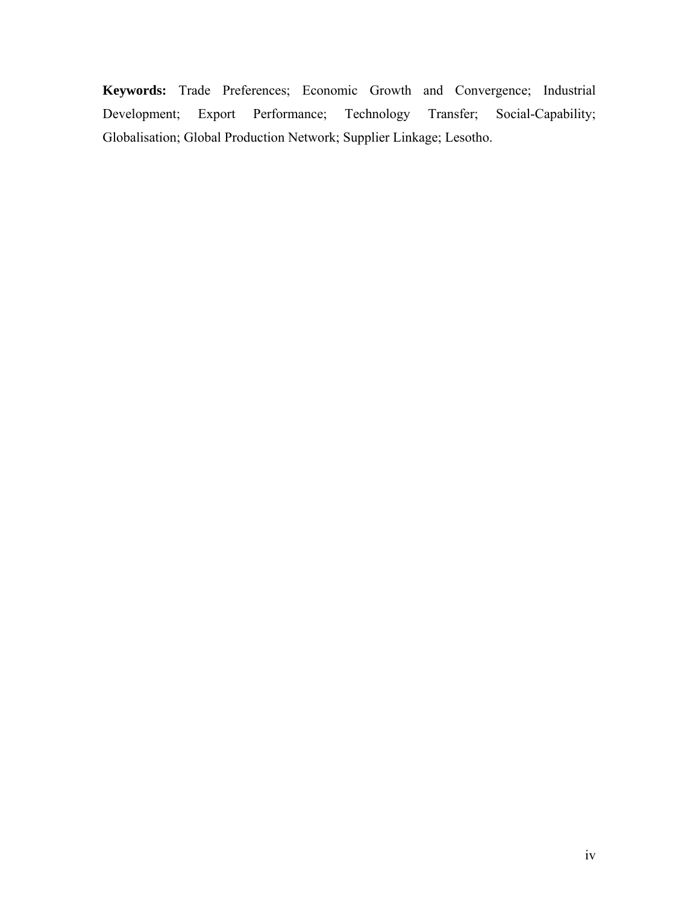**Keywords:** Trade Preferences; Economic Growth and Convergence; Industrial Development; Export Performance; Technology Transfer; Social-Capability; Globalisation; Global Production Network; Supplier Linkage; Lesotho.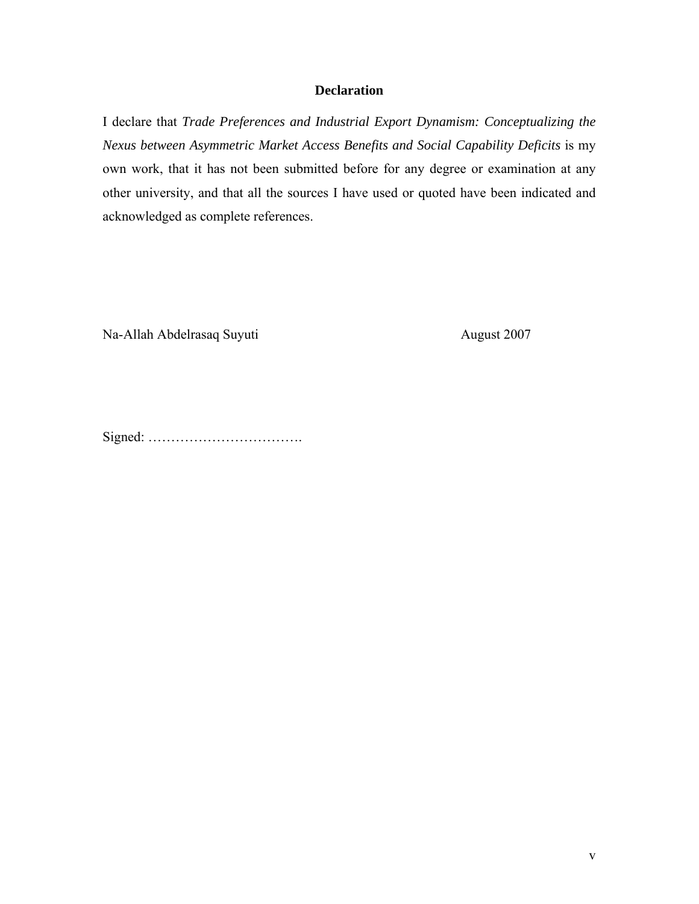### **Declaration**

I declare that *Trade Preferences and Industrial Export Dynamism: Conceptualizing the Nexus between Asymmetric Market Access Benefits and Social Capability Deficits* is my own work, that it has not been submitted before for any degree or examination at any other university, and that all the sources I have used or quoted have been indicated and acknowledged as complete references.

Na-Allah Abdelrasaq Suyuti August 2007

Signed: …………………………….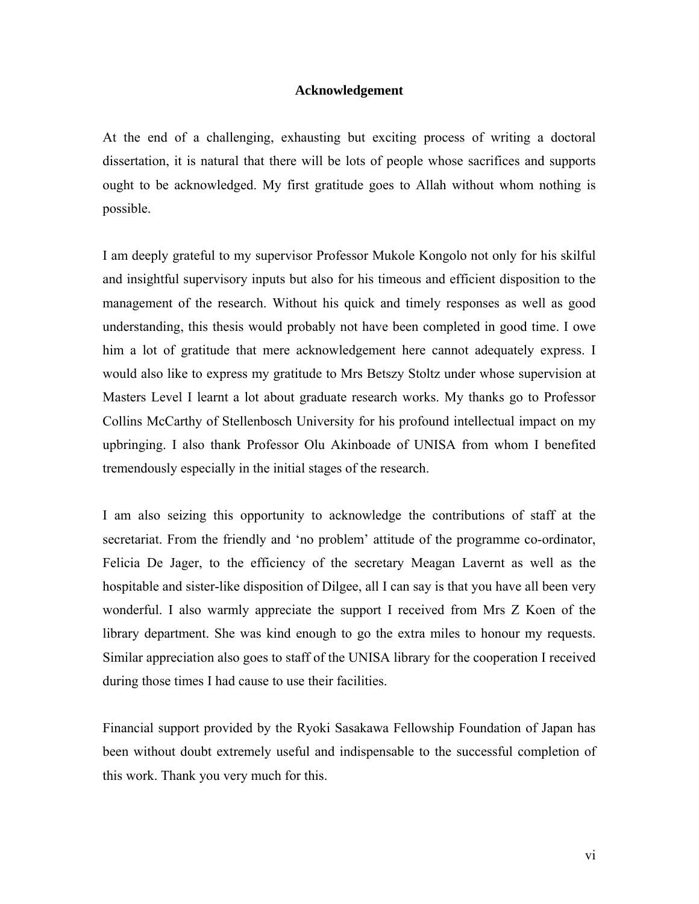#### **Acknowledgement**

At the end of a challenging, exhausting but exciting process of writing a doctoral dissertation, it is natural that there will be lots of people whose sacrifices and supports ought to be acknowledged. My first gratitude goes to Allah without whom nothing is possible.

I am deeply grateful to my supervisor Professor Mukole Kongolo not only for his skilful and insightful supervisory inputs but also for his timeous and efficient disposition to the management of the research. Without his quick and timely responses as well as good understanding, this thesis would probably not have been completed in good time. I owe him a lot of gratitude that mere acknowledgement here cannot adequately express. I would also like to express my gratitude to Mrs Betszy Stoltz under whose supervision at Masters Level I learnt a lot about graduate research works. My thanks go to Professor Collins McCarthy of Stellenbosch University for his profound intellectual impact on my upbringing. I also thank Professor Olu Akinboade of UNISA from whom I benefited tremendously especially in the initial stages of the research.

I am also seizing this opportunity to acknowledge the contributions of staff at the secretariat. From the friendly and 'no problem' attitude of the programme co-ordinator, Felicia De Jager, to the efficiency of the secretary Meagan Lavernt as well as the hospitable and sister-like disposition of Dilgee, all I can say is that you have all been very wonderful. I also warmly appreciate the support I received from Mrs Z Koen of the library department. She was kind enough to go the extra miles to honour my requests. Similar appreciation also goes to staff of the UNISA library for the cooperation I received during those times I had cause to use their facilities.

Financial support provided by the Ryoki Sasakawa Fellowship Foundation of Japan has been without doubt extremely useful and indispensable to the successful completion of this work. Thank you very much for this.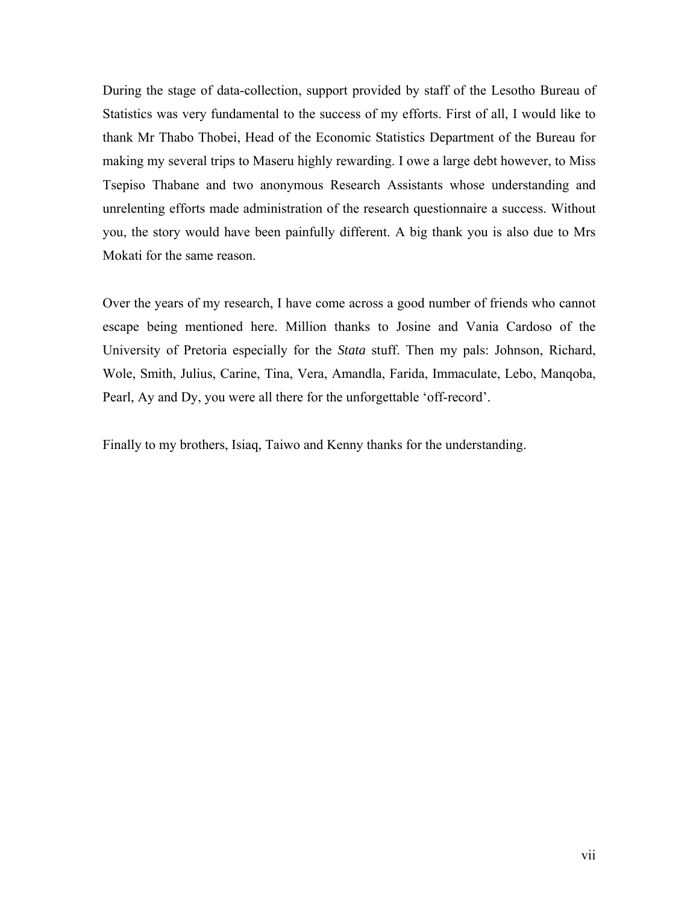During the stage of data-collection, support provided by staff of the Lesotho Bureau of Statistics was very fundamental to the success of my efforts. First of all, I would like to thank Mr Thabo Thobei, Head of the Economic Statistics Department of the Bureau for making my several trips to Maseru highly rewarding. I owe a large debt however, to Miss Tsepiso Thabane and two anonymous Research Assistants whose understanding and unrelenting efforts made administration of the research questionnaire a success. Without you, the story would have been painfully different. A big thank you is also due to Mrs Mokati for the same reason.

Over the years of my research, I have come across a good number of friends who cannot escape being mentioned here. Million thanks to Josine and Vania Cardoso of the University of Pretoria especially for the *Stata* stuff. Then my pals: Johnson, Richard, Wole, Smith, Julius, Carine, Tina, Vera, Amandla, Farida, Immaculate, Lebo, Manqoba, Pearl, Ay and Dy, you were all there for the unforgettable 'off-record'.

Finally to my brothers, Isiaq, Taiwo and Kenny thanks for the understanding.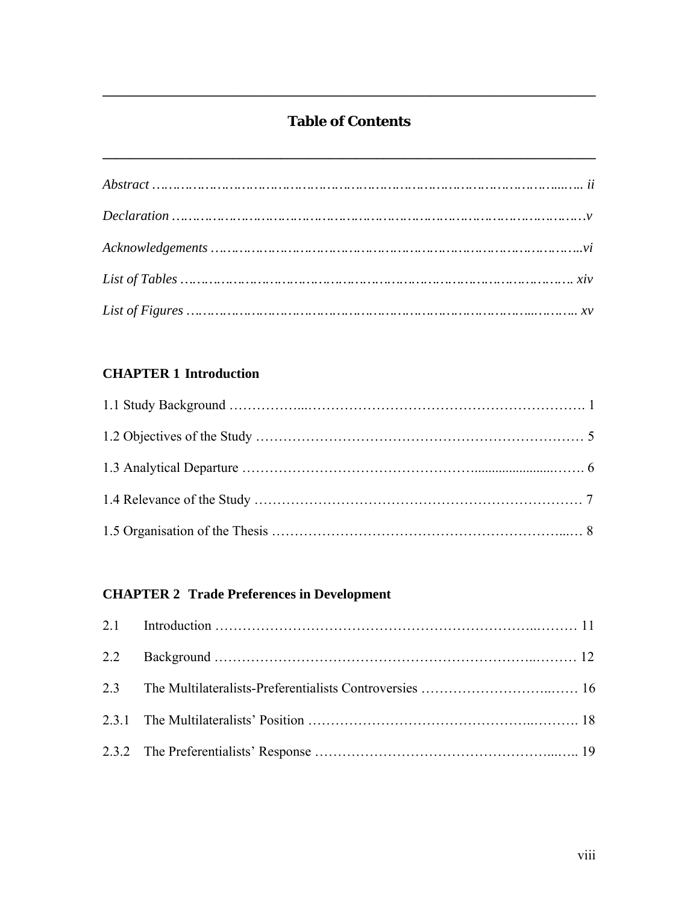### **Table of Contents**

**\_\_\_\_\_\_\_\_\_\_\_\_\_\_\_\_\_\_\_\_\_\_\_\_\_\_\_\_\_\_\_\_\_\_\_\_\_\_\_\_\_\_\_\_\_\_\_\_\_\_\_\_\_\_\_\_\_\_\_\_\_\_\_\_\_\_\_\_\_\_\_\_** 

**\_\_\_\_\_\_\_\_\_\_\_\_\_\_\_\_\_\_\_\_\_\_\_\_\_\_\_\_\_\_\_\_\_\_\_\_\_\_\_\_\_\_\_\_\_\_\_\_\_\_\_\_\_\_\_\_\_\_\_\_\_\_\_\_\_\_\_\_\_\_\_\_** 

### **CHAPTER 1 Introduction**

# **CHAPTER 2 Trade Preferences in Development**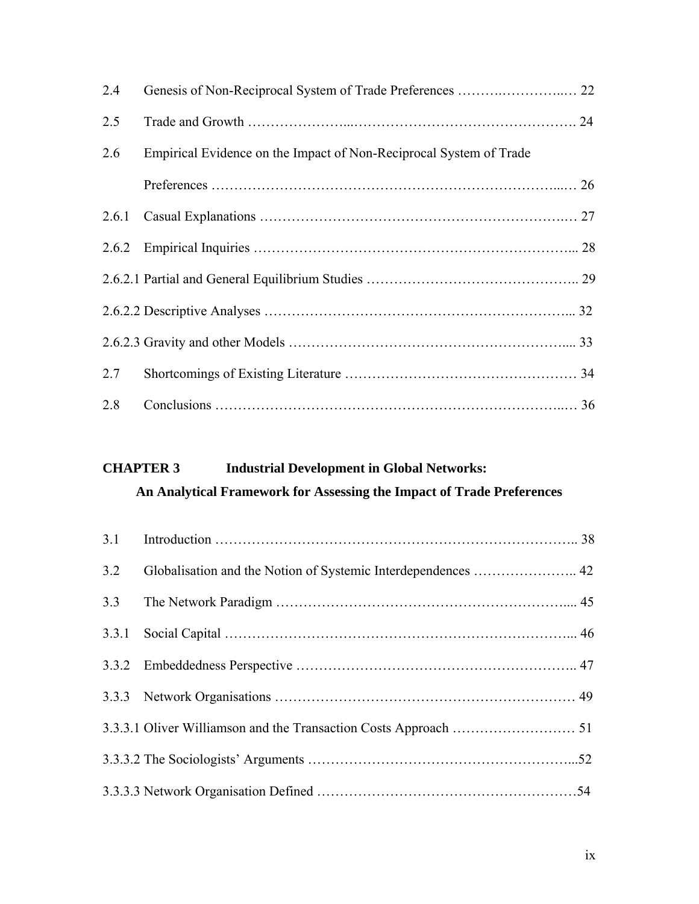| 2.4 |                                                                    |  |
|-----|--------------------------------------------------------------------|--|
| 2.5 |                                                                    |  |
| 2.6 | Empirical Evidence on the Impact of Non-Reciprocal System of Trade |  |
|     |                                                                    |  |
|     |                                                                    |  |
|     |                                                                    |  |
|     |                                                                    |  |
|     |                                                                    |  |
|     |                                                                    |  |
| 2.7 |                                                                    |  |
| 2.8 |                                                                    |  |

# **CHAPTER 3 Industrial Development in Global Networks:**

| An Analytical Framework for Assessing the Impact of Trade Preferences |  |  |
|-----------------------------------------------------------------------|--|--|
|-----------------------------------------------------------------------|--|--|

| 3.2 |  |
|-----|--|
| 3.3 |  |
|     |  |
|     |  |
|     |  |
|     |  |
|     |  |
|     |  |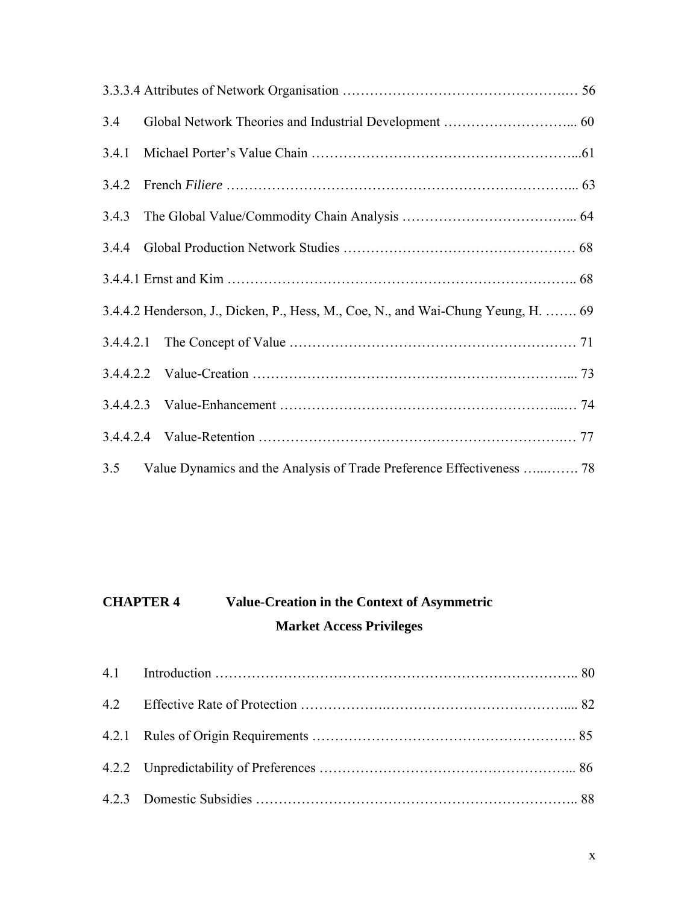| 3.4   |                                                                                   |  |
|-------|-----------------------------------------------------------------------------------|--|
| 3.4.1 |                                                                                   |  |
| 3.4.2 |                                                                                   |  |
| 3.4.3 |                                                                                   |  |
| 3.4.4 |                                                                                   |  |
|       |                                                                                   |  |
|       | 3.4.4.2 Henderson, J., Dicken, P., Hess, M., Coe, N., and Wai-Chung Yeung, H.  69 |  |
|       |                                                                                   |  |
|       |                                                                                   |  |
|       |                                                                                   |  |
|       |                                                                                   |  |
| 3.5   | Value Dynamics and the Analysis of Trade Preference Effectiveness  78             |  |

# **CHAPTER 4 Value-Creation in the Context of Asymmetric Market Access Privileges**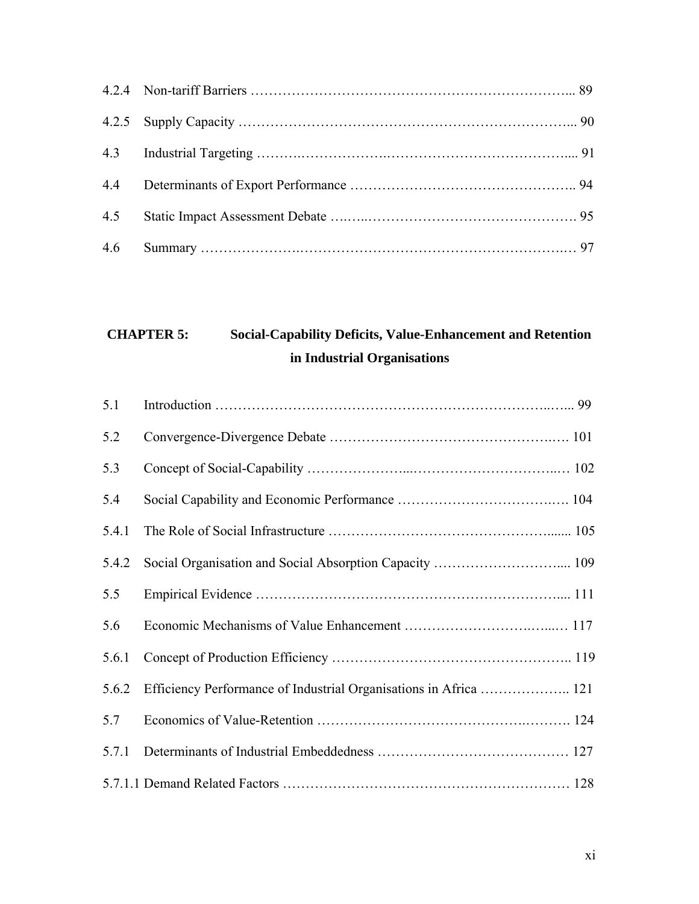# **CHAPTER 5: Social-Capability Deficits, Value-Enhancement and Retention in Industrial Organisations**

| 5.1   |                                                                   |
|-------|-------------------------------------------------------------------|
| 5.2   |                                                                   |
| 5.3   |                                                                   |
| 5.4   |                                                                   |
| 5.4.1 |                                                                   |
| 5.4.2 | Social Organisation and Social Absorption Capacity  109           |
| 5.5   |                                                                   |
| 5.6   |                                                                   |
| 5.6.1 |                                                                   |
| 5.6.2 | Efficiency Performance of Industrial Organisations in Africa  121 |
| 5.7   |                                                                   |
| 5.7.1 |                                                                   |
|       |                                                                   |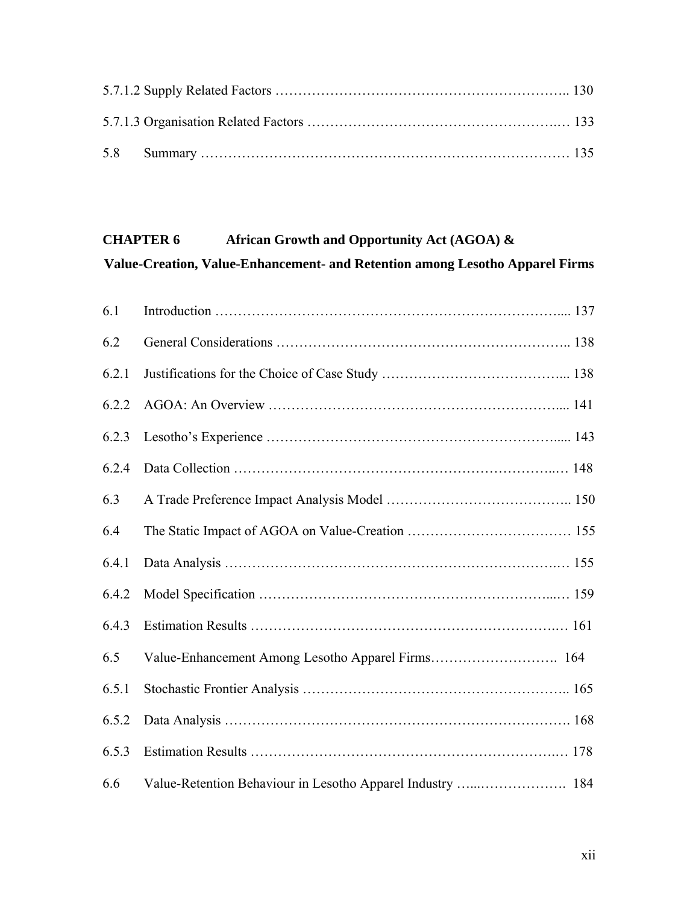### **CHAPTER 6 African Growth and Opportunity Act (AGOA) & Value-Creation, Value-Enhancement- and Retention among Lesotho Apparel Firms**

| 6.1   |                                                            |
|-------|------------------------------------------------------------|
| 6.2   |                                                            |
| 6.2.1 |                                                            |
| 6.2.2 |                                                            |
| 6.2.3 |                                                            |
| 6.2.4 |                                                            |
| 6.3   |                                                            |
| 6.4   |                                                            |
| 6.4.1 |                                                            |
| 6.4.2 |                                                            |
| 6.4.3 |                                                            |
| 6.5   |                                                            |
| 6.5.1 |                                                            |
| 6.5.2 |                                                            |
| 6.5.3 |                                                            |
| 6.6   | Value-Retention Behaviour in Lesotho Apparel Industry  184 |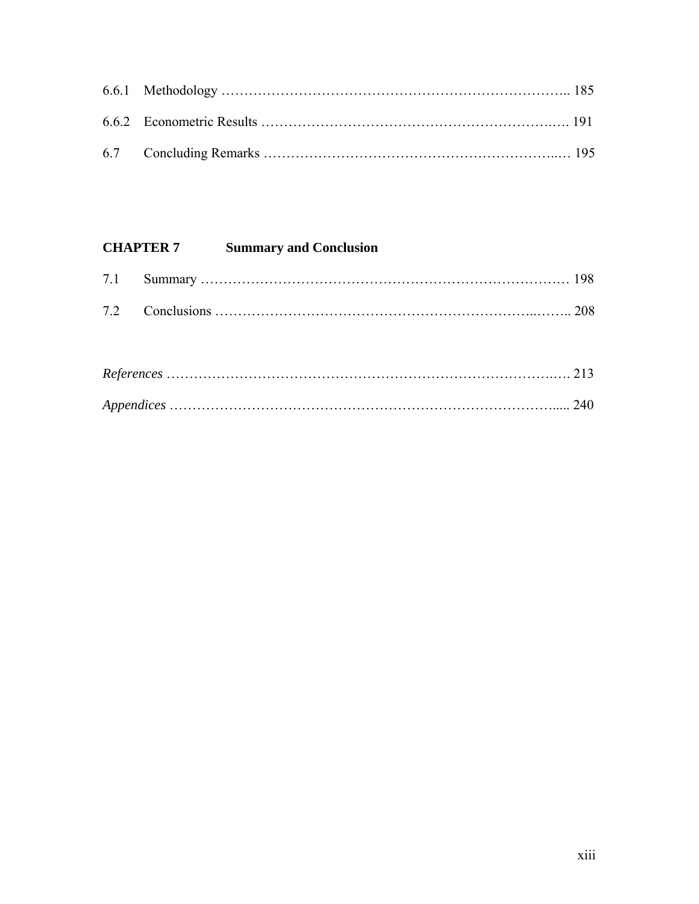# **CHAPTER 7 Summary and Conclusion**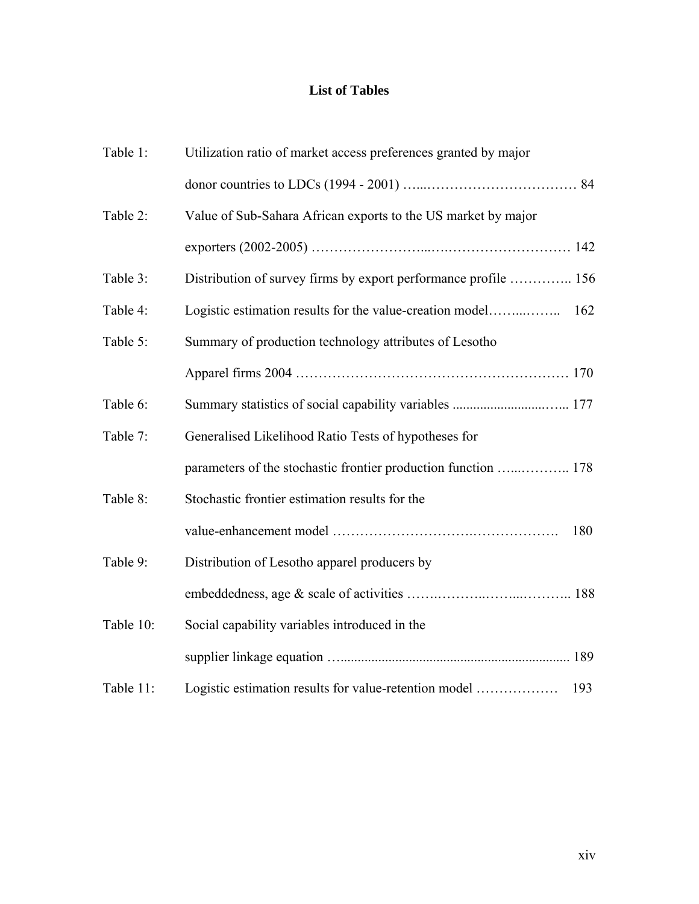### **List of Tables**

| Table 1:  | Utilization ratio of market access preferences granted by major |     |
|-----------|-----------------------------------------------------------------|-----|
|           |                                                                 |     |
| Table 2:  | Value of Sub-Sahara African exports to the US market by major   |     |
|           |                                                                 |     |
| Table 3:  | Distribution of survey firms by export performance profile  156 |     |
| Table 4:  |                                                                 | 162 |
| Table 5:  | Summary of production technology attributes of Lesotho          |     |
|           |                                                                 |     |
| Table 6:  |                                                                 |     |
| Table 7:  | Generalised Likelihood Ratio Tests of hypotheses for            |     |
|           |                                                                 |     |
| Table 8:  | Stochastic frontier estimation results for the                  |     |
|           |                                                                 | 180 |
| Table 9:  | Distribution of Lesotho apparel producers by                    |     |
|           |                                                                 |     |
| Table 10: | Social capability variables introduced in the                   |     |
|           |                                                                 |     |
| Table 11: | Logistic estimation results for value-retention model           | 193 |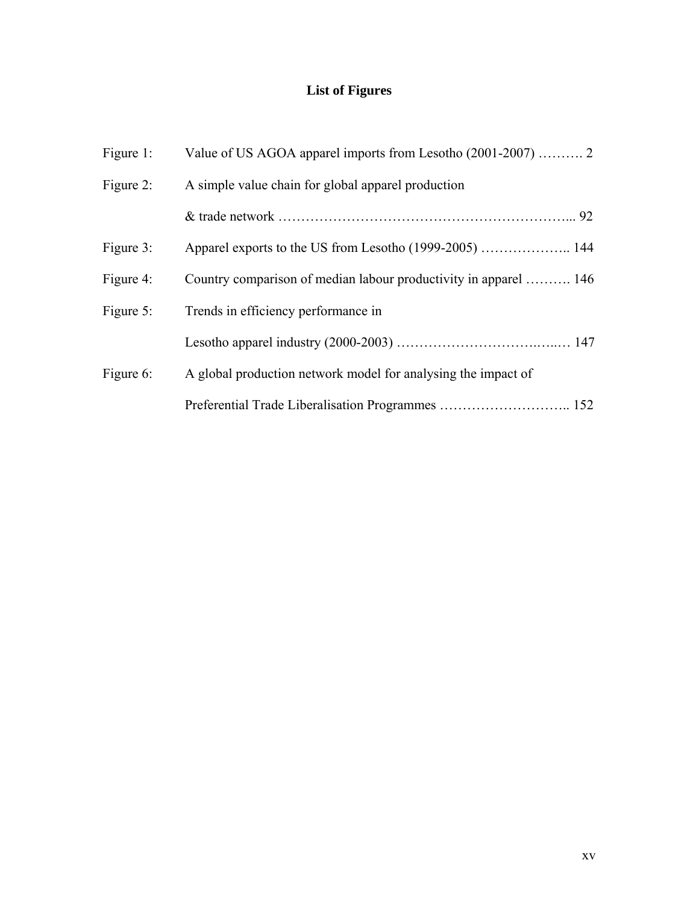# **List of Figures**

| Figure 1: |                                                                  |
|-----------|------------------------------------------------------------------|
| Figure 2: | A simple value chain for global apparel production               |
|           |                                                                  |
| Figure 3: |                                                                  |
| Figure 4: | Country comparison of median labour productivity in apparel  146 |
| Figure 5: | Trends in efficiency performance in                              |
|           |                                                                  |
| Figure 6: | A global production network model for analysing the impact of    |
|           |                                                                  |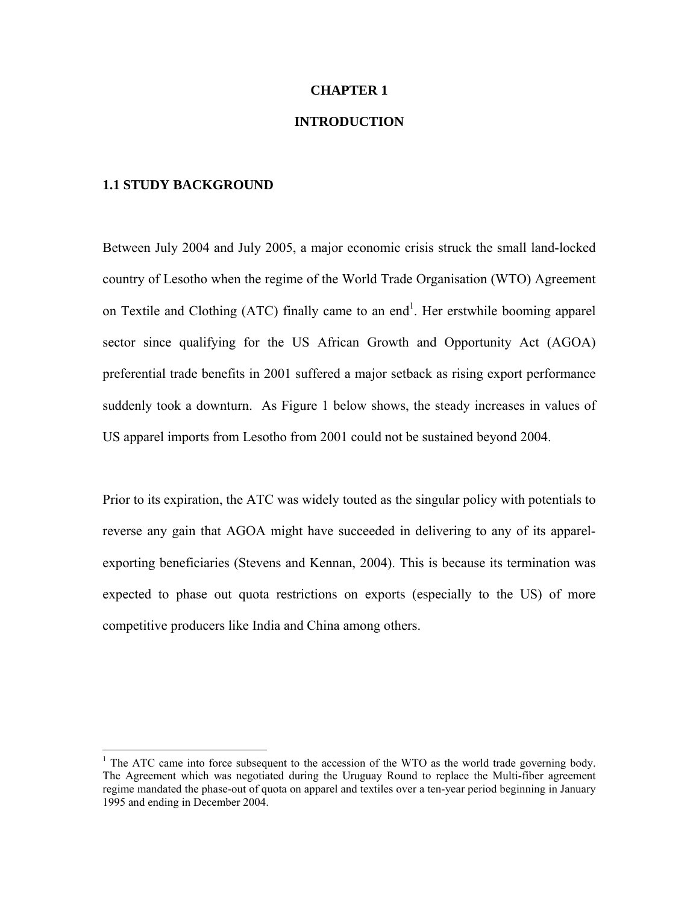#### **CHAPTER 1**

#### **INTRODUCTION**

#### **1.1 STUDY BACKGROUND**

 $\overline{a}$ 

Between July 2004 and July 2005, a major economic crisis struck the small land-locked country of Lesotho when the regime of the World Trade Organisation (WTO) Agreement on Textile and Clothing (ATC) finally came to an end<sup>1</sup>. Her erstwhile booming apparel sector since qualifying for the US African Growth and Opportunity Act (AGOA) preferential trade benefits in 2001 suffered a major setback as rising export performance suddenly took a downturn. As Figure 1 below shows, the steady increases in values of US apparel imports from Lesotho from 2001 could not be sustained beyond 2004.

Prior to its expiration, the ATC was widely touted as the singular policy with potentials to reverse any gain that AGOA might have succeeded in delivering to any of its apparelexporting beneficiaries (Stevens and Kennan, 2004). This is because its termination was expected to phase out quota restrictions on exports (especially to the US) of more competitive producers like India and China among others.

<sup>&</sup>lt;sup>1</sup> The ATC came into force subsequent to the accession of the WTO as the world trade governing body. The Agreement which was negotiated during the Uruguay Round to replace the Multi-fiber agreement regime mandated the phase-out of quota on apparel and textiles over a ten-year period beginning in January 1995 and ending in December 2004.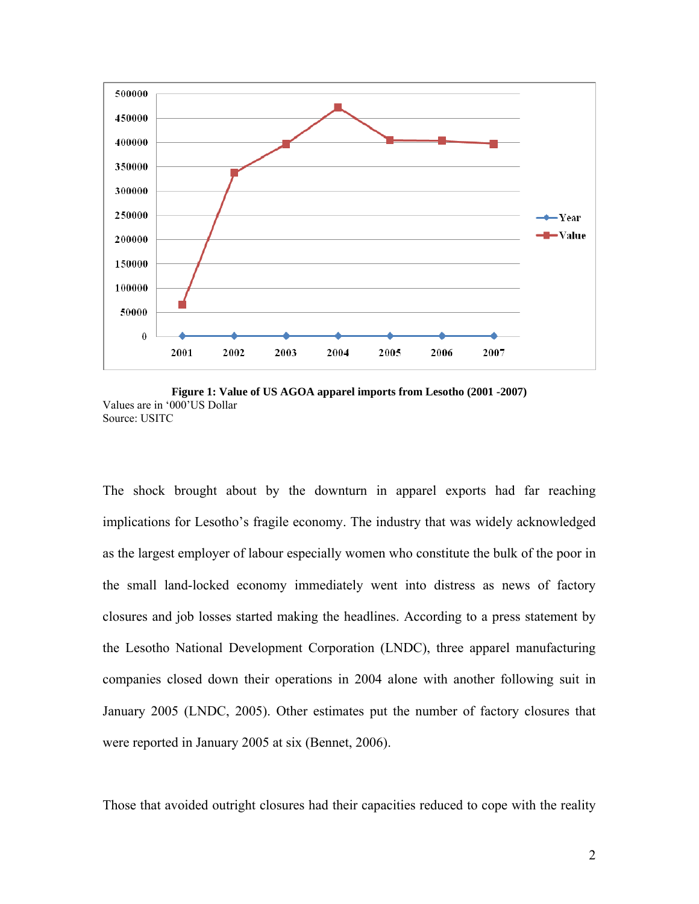

**Figure 1: Value of US AGOA apparel imports from Lesotho (2001 -2007)**  Values are in '000'US Dollar Source: USITC

The shock brought about by the downturn in apparel exports had far reaching implications for Lesotho's fragile economy. The industry that was widely acknowledged as the largest employer of labour especially women who constitute the bulk of the poor in the small land-locked economy immediately went into distress as news of factory closures and job losses started making the headlines. According to a press statement by the Lesotho National Development Corporation (LNDC), three apparel manufacturing companies closed down their operations in 2004 alone with another following suit in January 2005 (LNDC, 2005). Other estimates put the number of factory closures that were reported in January 2005 at six (Bennet, 2006).

Those that avoided outright closures had their capacities reduced to cope with the reality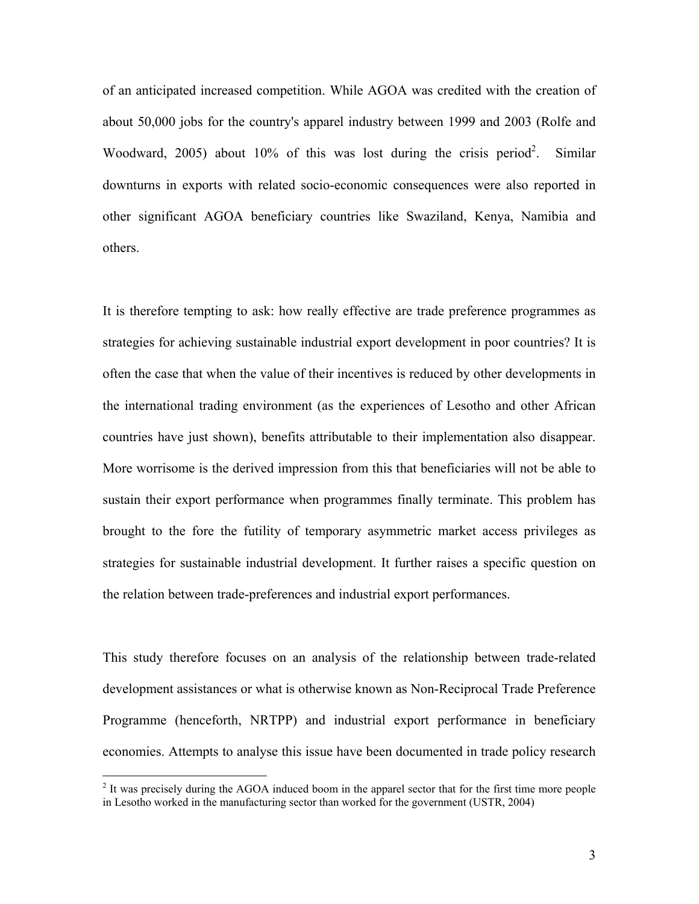of an anticipated increased competition. While AGOA was credited with the creation of about 50,000 jobs for the country's apparel industry between 1999 and 2003 (Rolfe and Woodward, 2005) about 10% of this was lost during the crisis period<sup>2</sup>. . Similar downturns in exports with related socio-economic consequences were also reported in other significant AGOA beneficiary countries like Swaziland, Kenya, Namibia and others.

It is therefore tempting to ask: how really effective are trade preference programmes as strategies for achieving sustainable industrial export development in poor countries? It is often the case that when the value of their incentives is reduced by other developments in the international trading environment (as the experiences of Lesotho and other African countries have just shown), benefits attributable to their implementation also disappear. More worrisome is the derived impression from this that beneficiaries will not be able to sustain their export performance when programmes finally terminate. This problem has brought to the fore the futility of temporary asymmetric market access privileges as strategies for sustainable industrial development. It further raises a specific question on the relation between trade-preferences and industrial export performances.

This study therefore focuses on an analysis of the relationship between trade-related development assistances or what is otherwise known as Non-Reciprocal Trade Preference Programme (henceforth, NRTPP) and industrial export performance in beneficiary economies. Attempts to analyse this issue have been documented in trade policy research

 $\overline{a}$ 

 $2$  It was precisely during the AGOA induced boom in the apparel sector that for the first time more people in Lesotho worked in the manufacturing sector than worked for the government (USTR, 2004)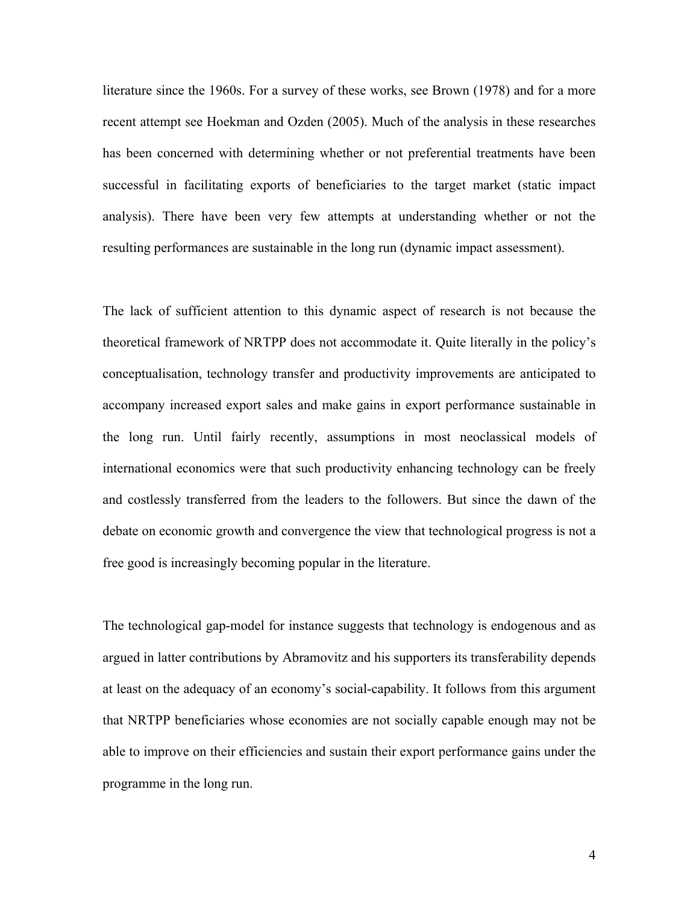literature since the 1960s. For a survey of these works, see Brown (1978) and for a more recent attempt see Hoekman and Ozden (2005). Much of the analysis in these researches has been concerned with determining whether or not preferential treatments have been successful in facilitating exports of beneficiaries to the target market (static impact analysis). There have been very few attempts at understanding whether or not the resulting performances are sustainable in the long run (dynamic impact assessment).

The lack of sufficient attention to this dynamic aspect of research is not because the theoretical framework of NRTPP does not accommodate it. Quite literally in the policy's conceptualisation, technology transfer and productivity improvements are anticipated to accompany increased export sales and make gains in export performance sustainable in the long run. Until fairly recently, assumptions in most neoclassical models of international economics were that such productivity enhancing technology can be freely and costlessly transferred from the leaders to the followers. But since the dawn of the debate on economic growth and convergence the view that technological progress is not a free good is increasingly becoming popular in the literature.

The technological gap-model for instance suggests that technology is endogenous and as argued in latter contributions by Abramovitz and his supporters its transferability depends at least on the adequacy of an economy's social-capability. It follows from this argument that NRTPP beneficiaries whose economies are not socially capable enough may not be able to improve on their efficiencies and sustain their export performance gains under the programme in the long run.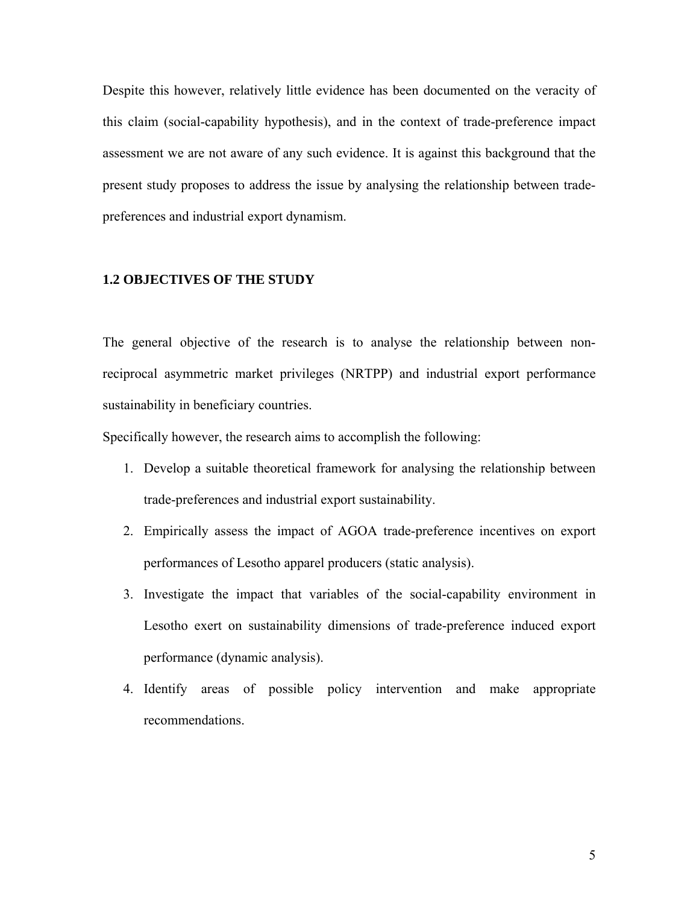Despite this however, relatively little evidence has been documented on the veracity of this claim (social-capability hypothesis), and in the context of trade-preference impact assessment we are not aware of any such evidence. It is against this background that the present study proposes to address the issue by analysing the relationship between tradepreferences and industrial export dynamism.

### **1.2 OBJECTIVES OF THE STUDY**

The general objective of the research is to analyse the relationship between nonreciprocal asymmetric market privileges (NRTPP) and industrial export performance sustainability in beneficiary countries.

Specifically however, the research aims to accomplish the following:

- 1. Develop a suitable theoretical framework for analysing the relationship between trade-preferences and industrial export sustainability.
- 2. Empirically assess the impact of AGOA trade-preference incentives on export performances of Lesotho apparel producers (static analysis).
- 3. Investigate the impact that variables of the social-capability environment in Lesotho exert on sustainability dimensions of trade-preference induced export performance (dynamic analysis).
- 4. Identify areas of possible policy intervention and make appropriate recommendations.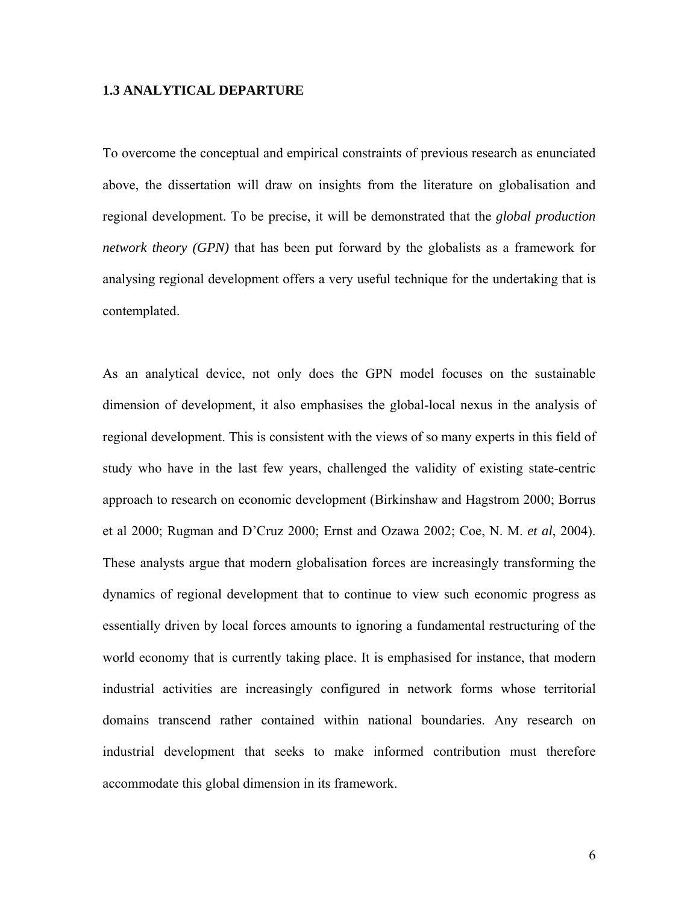#### **1.3 ANALYTICAL DEPARTURE**

To overcome the conceptual and empirical constraints of previous research as enunciated above, the dissertation will draw on insights from the literature on globalisation and regional development. To be precise, it will be demonstrated that the *global production network theory (GPN)* that has been put forward by the globalists as a framework for analysing regional development offers a very useful technique for the undertaking that is contemplated.

As an analytical device, not only does the GPN model focuses on the sustainable dimension of development, it also emphasises the global-local nexus in the analysis of regional development. This is consistent with the views of so many experts in this field of study who have in the last few years, challenged the validity of existing state-centric approach to research on economic development (Birkinshaw and Hagstrom 2000; Borrus et al 2000; Rugman and D'Cruz 2000; Ernst and Ozawa 2002; Coe, N. M. *et al*, 2004). These analysts argue that modern globalisation forces are increasingly transforming the dynamics of regional development that to continue to view such economic progress as essentially driven by local forces amounts to ignoring a fundamental restructuring of the world economy that is currently taking place. It is emphasised for instance, that modern industrial activities are increasingly configured in network forms whose territorial domains transcend rather contained within national boundaries. Any research on industrial development that seeks to make informed contribution must therefore accommodate this global dimension in its framework.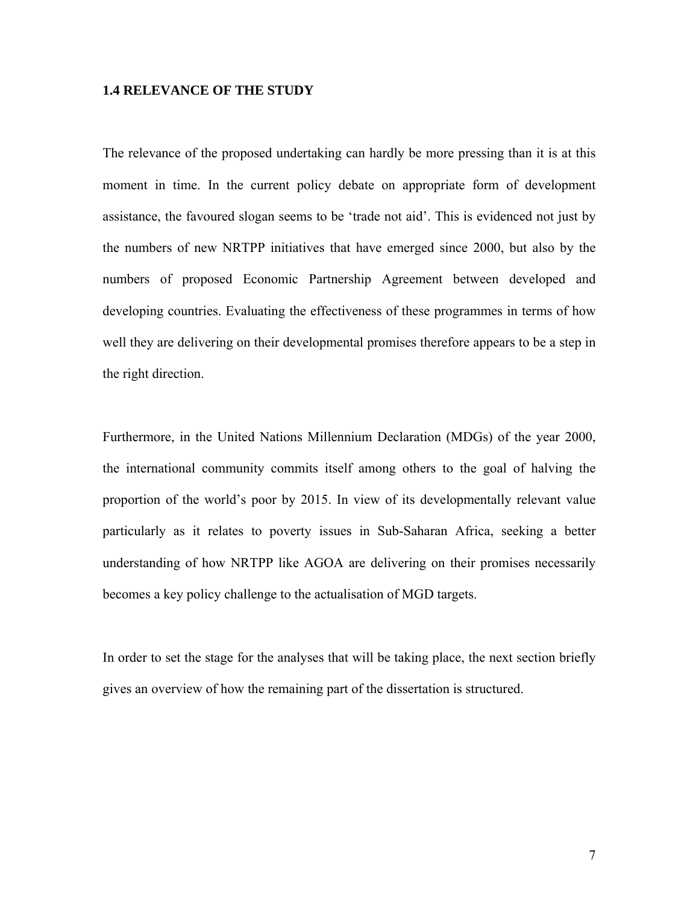#### **1.4 RELEVANCE OF THE STUDY**

The relevance of the proposed undertaking can hardly be more pressing than it is at this moment in time. In the current policy debate on appropriate form of development assistance, the favoured slogan seems to be 'trade not aid'. This is evidenced not just by the numbers of new NRTPP initiatives that have emerged since 2000, but also by the numbers of proposed Economic Partnership Agreement between developed and developing countries. Evaluating the effectiveness of these programmes in terms of how well they are delivering on their developmental promises therefore appears to be a step in the right direction.

Furthermore, in the United Nations Millennium Declaration (MDGs) of the year 2000, the international community commits itself among others to the goal of halving the proportion of the world's poor by 2015. In view of its developmentally relevant value particularly as it relates to poverty issues in Sub-Saharan Africa, seeking a better understanding of how NRTPP like AGOA are delivering on their promises necessarily becomes a key policy challenge to the actualisation of MGD targets.

In order to set the stage for the analyses that will be taking place, the next section briefly gives an overview of how the remaining part of the dissertation is structured.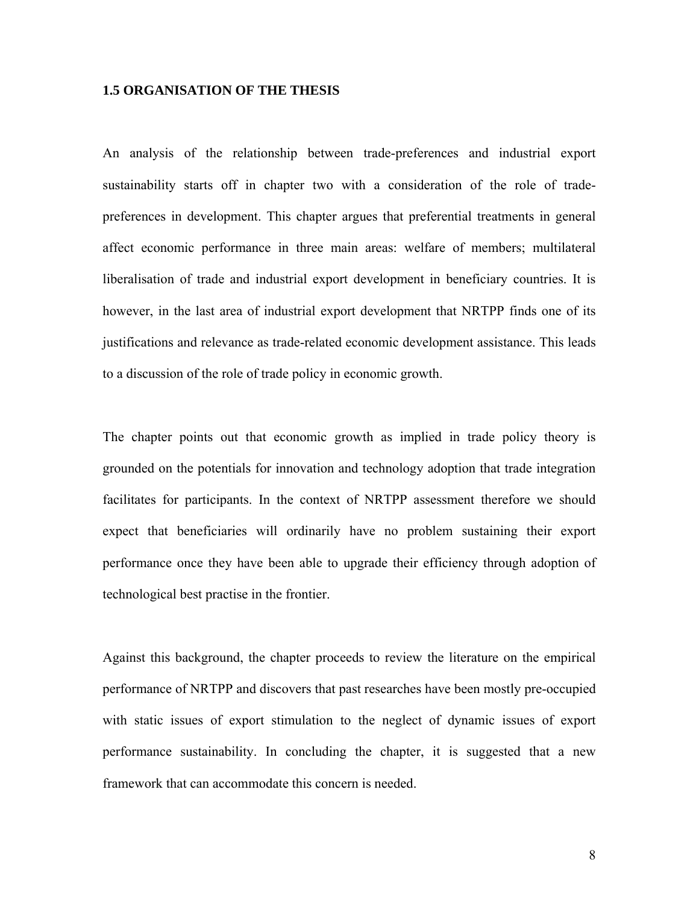#### **1.5 ORGANISATION OF THE THESIS**

An analysis of the relationship between trade-preferences and industrial export sustainability starts off in chapter two with a consideration of the role of tradepreferences in development. This chapter argues that preferential treatments in general affect economic performance in three main areas: welfare of members; multilateral liberalisation of trade and industrial export development in beneficiary countries. It is however, in the last area of industrial export development that NRTPP finds one of its justifications and relevance as trade-related economic development assistance. This leads to a discussion of the role of trade policy in economic growth.

The chapter points out that economic growth as implied in trade policy theory is grounded on the potentials for innovation and technology adoption that trade integration facilitates for participants. In the context of NRTPP assessment therefore we should expect that beneficiaries will ordinarily have no problem sustaining their export performance once they have been able to upgrade their efficiency through adoption of technological best practise in the frontier.

Against this background, the chapter proceeds to review the literature on the empirical performance of NRTPP and discovers that past researches have been mostly pre-occupied with static issues of export stimulation to the neglect of dynamic issues of export performance sustainability. In concluding the chapter, it is suggested that a new framework that can accommodate this concern is needed.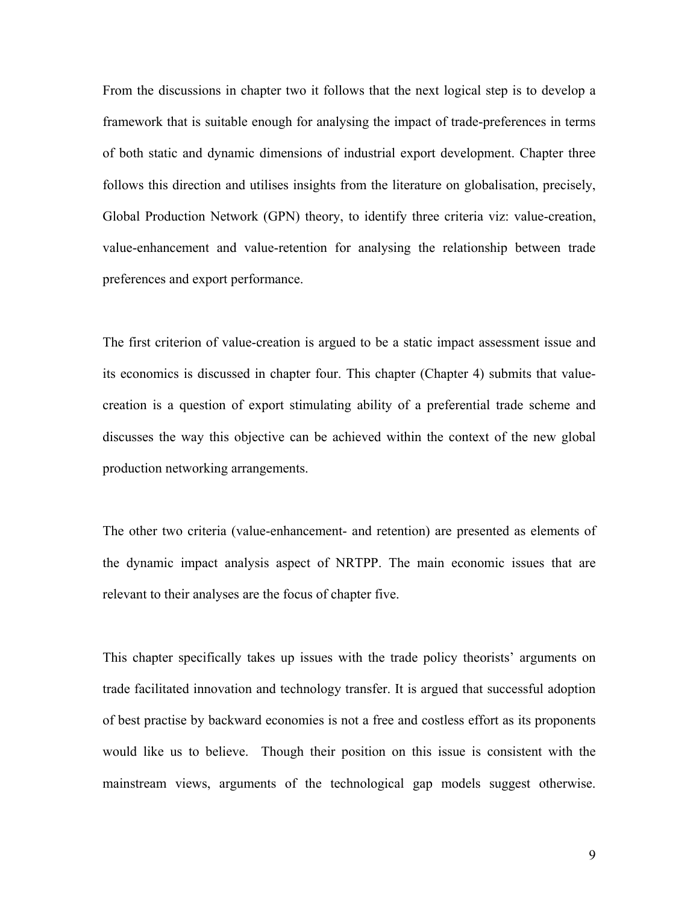From the discussions in chapter two it follows that the next logical step is to develop a framework that is suitable enough for analysing the impact of trade-preferences in terms of both static and dynamic dimensions of industrial export development. Chapter three follows this direction and utilises insights from the literature on globalisation, precisely, Global Production Network (GPN) theory, to identify three criteria viz: value-creation, value-enhancement and value-retention for analysing the relationship between trade preferences and export performance.

The first criterion of value-creation is argued to be a static impact assessment issue and its economics is discussed in chapter four. This chapter (Chapter 4) submits that valuecreation is a question of export stimulating ability of a preferential trade scheme and discusses the way this objective can be achieved within the context of the new global production networking arrangements.

The other two criteria (value-enhancement- and retention) are presented as elements of the dynamic impact analysis aspect of NRTPP. The main economic issues that are relevant to their analyses are the focus of chapter five.

This chapter specifically takes up issues with the trade policy theorists' arguments on trade facilitated innovation and technology transfer. It is argued that successful adoption of best practise by backward economies is not a free and costless effort as its proponents would like us to believe. Though their position on this issue is consistent with the mainstream views, arguments of the technological gap models suggest otherwise.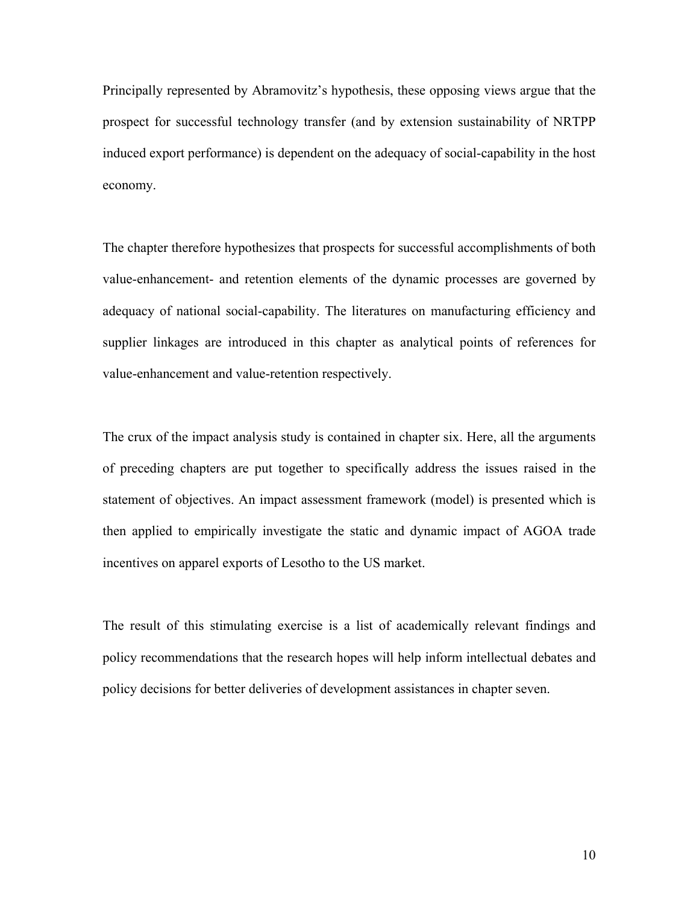Principally represented by Abramovitz's hypothesis, these opposing views argue that the prospect for successful technology transfer (and by extension sustainability of NRTPP induced export performance) is dependent on the adequacy of social-capability in the host economy.

The chapter therefore hypothesizes that prospects for successful accomplishments of both value-enhancement- and retention elements of the dynamic processes are governed by adequacy of national social-capability. The literatures on manufacturing efficiency and supplier linkages are introduced in this chapter as analytical points of references for value-enhancement and value-retention respectively.

The crux of the impact analysis study is contained in chapter six. Here, all the arguments of preceding chapters are put together to specifically address the issues raised in the statement of objectives. An impact assessment framework (model) is presented which is then applied to empirically investigate the static and dynamic impact of AGOA trade incentives on apparel exports of Lesotho to the US market.

The result of this stimulating exercise is a list of academically relevant findings and policy recommendations that the research hopes will help inform intellectual debates and policy decisions for better deliveries of development assistances in chapter seven.

10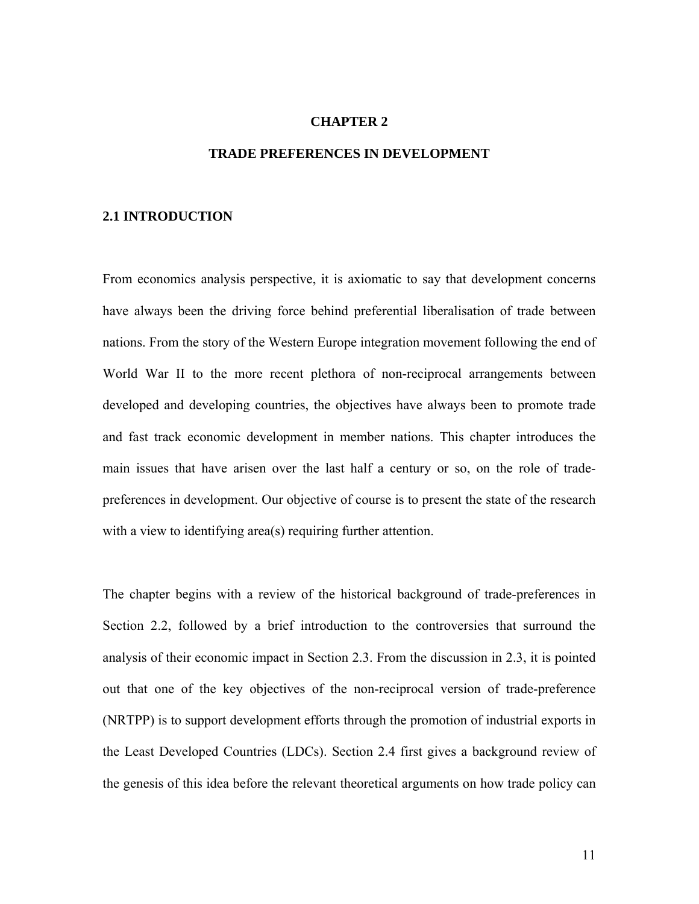### **CHAPTER 2**

#### **TRADE PREFERENCES IN DEVELOPMENT**

#### **2.1 INTRODUCTION**

From economics analysis perspective, it is axiomatic to say that development concerns have always been the driving force behind preferential liberalisation of trade between nations. From the story of the Western Europe integration movement following the end of World War II to the more recent plethora of non-reciprocal arrangements between developed and developing countries, the objectives have always been to promote trade and fast track economic development in member nations. This chapter introduces the main issues that have arisen over the last half a century or so, on the role of tradepreferences in development. Our objective of course is to present the state of the research with a view to identifying area(s) requiring further attention.

The chapter begins with a review of the historical background of trade-preferences in Section 2.2, followed by a brief introduction to the controversies that surround the analysis of their economic impact in Section 2.3. From the discussion in 2.3, it is pointed out that one of the key objectives of the non-reciprocal version of trade-preference (NRTPP) is to support development efforts through the promotion of industrial exports in the Least Developed Countries (LDCs). Section 2.4 first gives a background review of the genesis of this idea before the relevant theoretical arguments on how trade policy can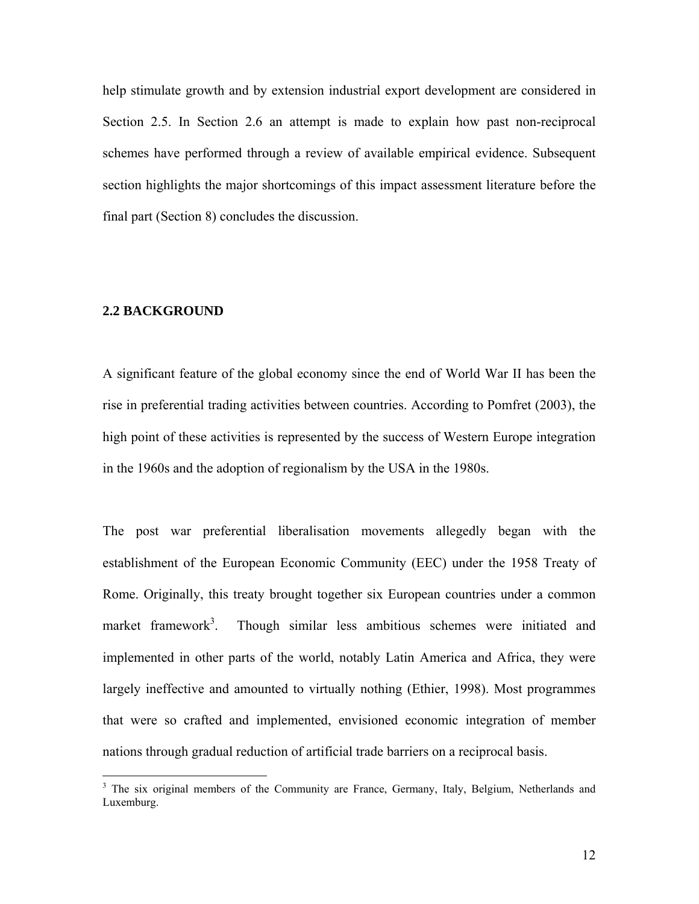help stimulate growth and by extension industrial export development are considered in Section 2.5. In Section 2.6 an attempt is made to explain how past non-reciprocal schemes have performed through a review of available empirical evidence. Subsequent section highlights the major shortcomings of this impact assessment literature before the final part (Section 8) concludes the discussion.

#### **2.2 BACKGROUND**

 $\overline{a}$ 

A significant feature of the global economy since the end of World War II has been the rise in preferential trading activities between countries. According to Pomfret (2003), the high point of these activities is represented by the success of Western Europe integration in the 1960s and the adoption of regionalism by the USA in the 1980s.

The post war preferential liberalisation movements allegedly began with the establishment of the European Economic Community (EEC) under the 1958 Treaty of Rome. Originally, this treaty brought together six European countries under a common market framework<sup>3</sup>. . Though similar less ambitious schemes were initiated and implemented in other parts of the world, notably Latin America and Africa, they were largely ineffective and amounted to virtually nothing (Ethier, 1998). Most programmes that were so crafted and implemented, envisioned economic integration of member nations through gradual reduction of artificial trade barriers on a reciprocal basis.

<sup>&</sup>lt;sup>3</sup> The six original members of the Community are France, Germany, Italy, Belgium, Netherlands and Luxemburg.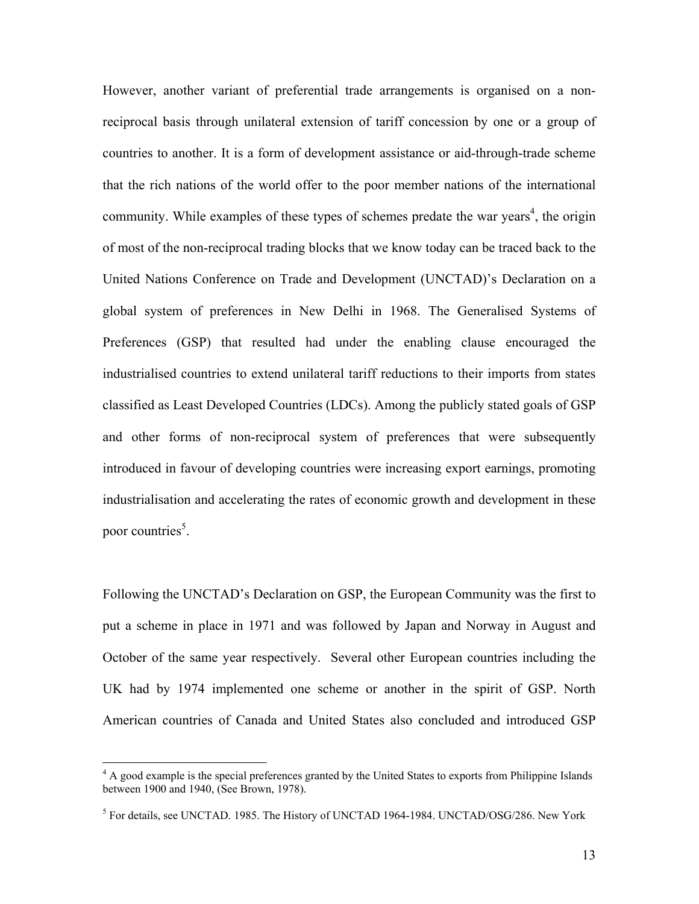However, another variant of preferential trade arrangements is organised on a nonreciprocal basis through unilateral extension of tariff concession by one or a group of countries to another. It is a form of development assistance or aid-through-trade scheme that the rich nations of the world offer to the poor member nations of the international community. While examples of these types of schemes predate the war years<sup>4</sup>, the origin of most of the non-reciprocal trading blocks that we know today can be traced back to the United Nations Conference on Trade and Development (UNCTAD)'s Declaration on a global system of preferences in New Delhi in 1968. The Generalised Systems of Preferences (GSP) that resulted had under the enabling clause encouraged the industrialised countries to extend unilateral tariff reductions to their imports from states classified as Least Developed Countries (LDCs). Among the publicly stated goals of GSP and other forms of non-reciprocal system of preferences that were subsequently introduced in favour of developing countries were increasing export earnings, promoting industrialisation and accelerating the rates of economic growth and development in these poor countries<sup>5</sup>.

Following the UNCTAD's Declaration on GSP, the European Community was the first to put a scheme in place in 1971 and was followed by Japan and Norway in August and October of the same year respectively. Several other European countries including the UK had by 1974 implemented one scheme or another in the spirit of GSP. North American countries of Canada and United States also concluded and introduced GSP

<u>.</u>

<sup>&</sup>lt;sup>4</sup> A good example is the special preferences granted by the United States to exports from Philippine Islands between 1900 and 1940, (See Brown, 1978).

 $<sup>5</sup>$  For details, see UNCTAD. 1985. The History of UNCTAD 1964-1984. UNCTAD/OSG/286. New York</sup>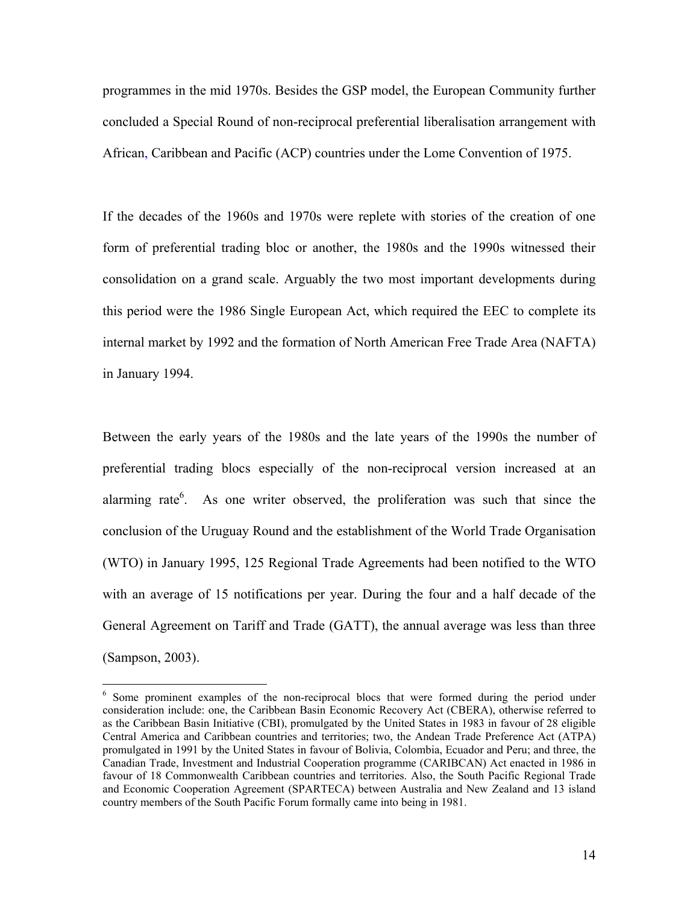programmes in the mid 1970s. Besides the GSP model, the European Community further concluded a Special Round of non-reciprocal preferential liberalisation arrangement with African, Caribbean and Pacific (ACP) countries under the Lome Convention of 1975.

If the decades of the 1960s and 1970s were replete with stories of the creation of one form of preferential trading bloc or another, the 1980s and the 1990s witnessed their consolidation on a grand scale. Arguably the two most important developments during this period were the 1986 Single European Act, which required the EEC to complete its internal market by 1992 and the formation of North American Free Trade Area (NAFTA) in January 1994.

Between the early years of the 1980s and the late years of the 1990s the number of preferential trading blocs especially of the non-reciprocal version increased at an alarming rate $6$ . As one writer observed, the proliferation was such that since the conclusion of the Uruguay Round and the establishment of the World Trade Organisation (WTO) in January 1995, 125 Regional Trade Agreements had been notified to the WTO with an average of 15 notifications per year. During the four and a half decade of the General Agreement on Tariff and Trade (GATT), the annual average was less than three (Sampson, 2003).

 $\overline{a}$ 

<sup>&</sup>lt;sup>6</sup> Some prominent examples of the non-reciprocal blocs that were formed during the period under consideration include: one, the Caribbean Basin Economic Recovery Act (CBERA), otherwise referred to as the Caribbean Basin Initiative (CBI), promulgated by the United States in 1983 in favour of 28 eligible Central America and Caribbean countries and territories; two, the Andean Trade Preference Act (ATPA) promulgated in 1991 by the United States in favour of Bolivia, Colombia, Ecuador and Peru; and three, the Canadian Trade, Investment and Industrial Cooperation programme (CARIBCAN) Act enacted in 1986 in favour of 18 Commonwealth Caribbean countries and territories. Also, the South Pacific Regional Trade and Economic Cooperation Agreement (SPARTECA) between Australia and New Zealand and 13 island country members of the South Pacific Forum formally came into being in 1981.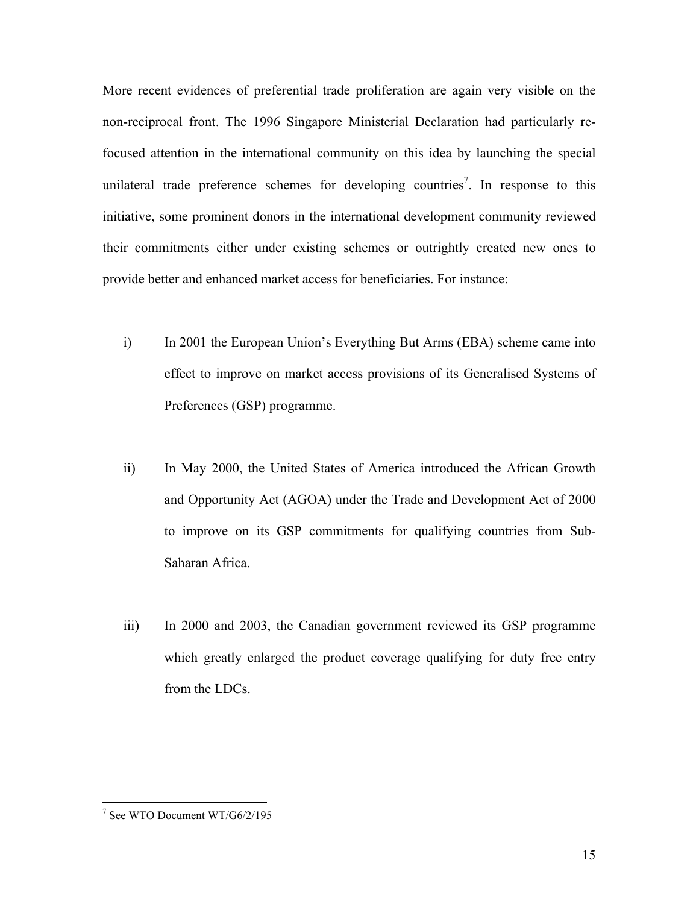More recent evidences of preferential trade proliferation are again very visible on the non-reciprocal front. The 1996 Singapore Ministerial Declaration had particularly refocused attention in the international community on this idea by launching the special unilateral trade preference schemes for developing countries<sup>7</sup>. In response to this initiative, some prominent donors in the international development community reviewed their commitments either under existing schemes or outrightly created new ones to provide better and enhanced market access for beneficiaries. For instance:

- i) In 2001 the European Union's Everything But Arms (EBA) scheme came into effect to improve on market access provisions of its Generalised Systems of Preferences (GSP) programme.
- ii) In May 2000, the United States of America introduced the African Growth and Opportunity Act (AGOA) under the Trade and Development Act of 2000 to improve on its GSP commitments for qualifying countries from Sub-Saharan Africa.
- iii) In 2000 and 2003, the Canadian government reviewed its GSP programme which greatly enlarged the product coverage qualifying for duty free entry from the LDCs.

 7 See WTO Document WT/G6/2/195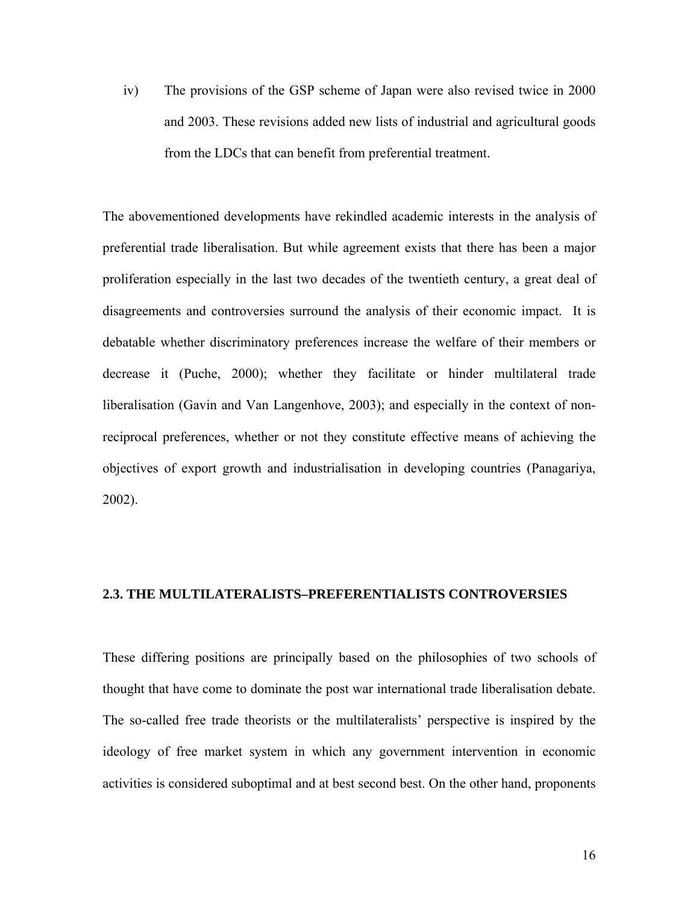iv) The provisions of the GSP scheme of Japan were also revised twice in 2000 and 2003. These revisions added new lists of industrial and agricultural goods from the LDCs that can benefit from preferential treatment.

The abovementioned developments have rekindled academic interests in the analysis of preferential trade liberalisation. But while agreement exists that there has been a major proliferation especially in the last two decades of the twentieth century, a great deal of disagreements and controversies surround the analysis of their economic impact. It is debatable whether discriminatory preferences increase the welfare of their members or decrease it (Puche, 2000); whether they facilitate or hinder multilateral trade liberalisation (Gavin and Van Langenhove, 2003); and especially in the context of nonreciprocal preferences, whether or not they constitute effective means of achieving the objectives of export growth and industrialisation in developing countries (Panagariya, 2002).

#### **2.3. THE MULTILATERALISTS–PREFERENTIALISTS CONTROVERSIES**

These differing positions are principally based on the philosophies of two schools of thought that have come to dominate the post war international trade liberalisation debate. The so-called free trade theorists or the multilateralists' perspective is inspired by the ideology of free market system in which any government intervention in economic activities is considered suboptimal and at best second best. On the other hand, proponents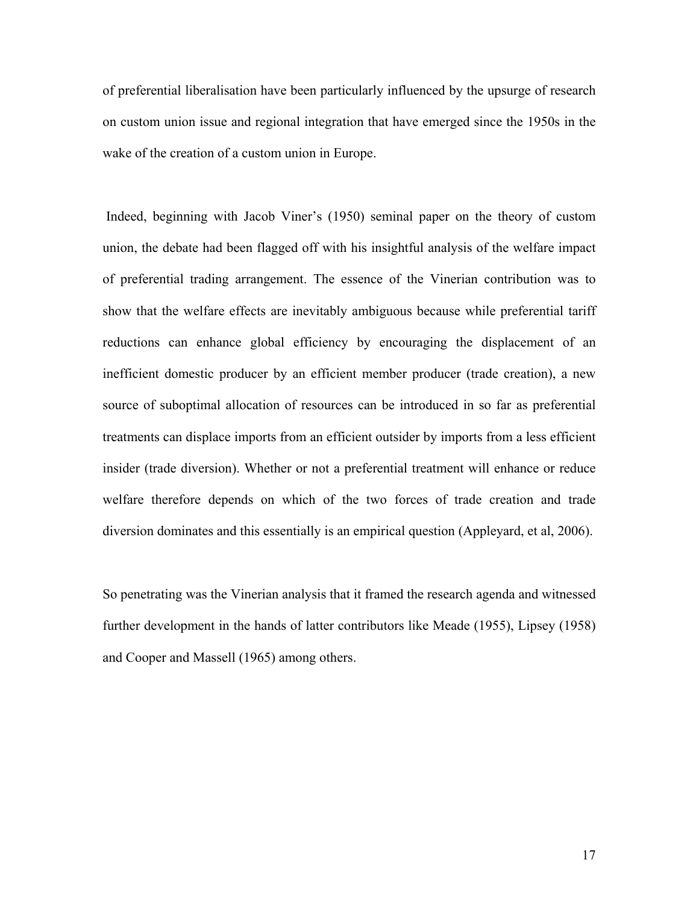of preferential liberalisation have been particularly influenced by the upsurge of research on custom union issue and regional integration that have emerged since the 1950s in the wake of the creation of a custom union in Europe.

 Indeed, beginning with Jacob Viner's (1950) seminal paper on the theory of custom union, the debate had been flagged off with his insightful analysis of the welfare impact of preferential trading arrangement. The essence of the Vinerian contribution was to show that the welfare effects are inevitably ambiguous because while preferential tariff reductions can enhance global efficiency by encouraging the displacement of an inefficient domestic producer by an efficient member producer (trade creation), a new source of suboptimal allocation of resources can be introduced in so far as preferential treatments can displace imports from an efficient outsider by imports from a less efficient insider (trade diversion). Whether or not a preferential treatment will enhance or reduce welfare therefore depends on which of the two forces of trade creation and trade diversion dominates and this essentially is an empirical question (Appleyard, et al, 2006).

So penetrating was the Vinerian analysis that it framed the research agenda and witnessed further development in the hands of latter contributors like Meade (1955), Lipsey (1958) and Cooper and Massell (1965) among others.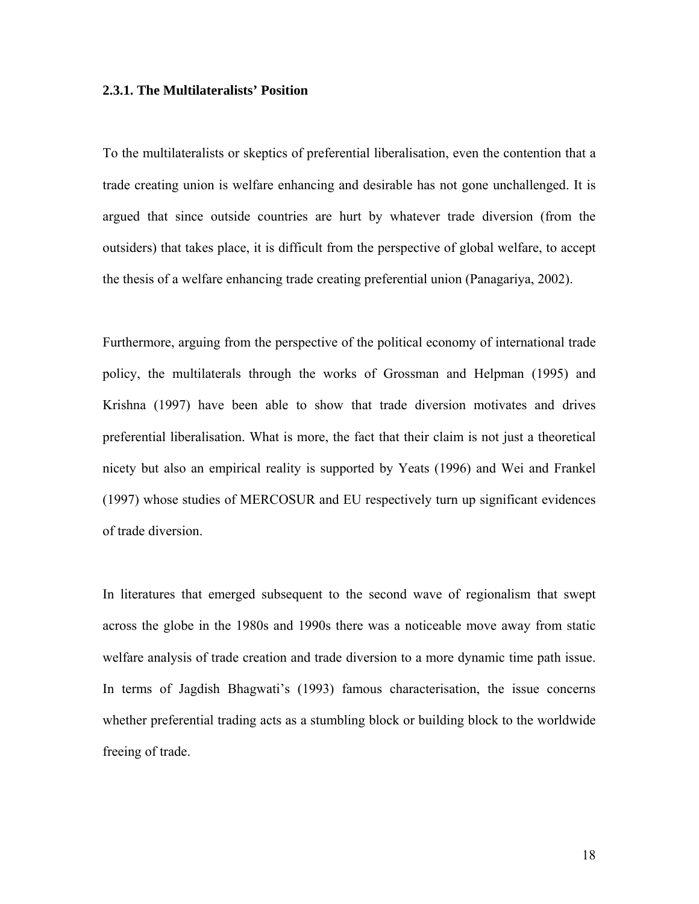#### **2.3.1. The Multilateralists' Position**

To the multilateralists or skeptics of preferential liberalisation, even the contention that a trade creating union is welfare enhancing and desirable has not gone unchallenged. It is argued that since outside countries are hurt by whatever trade diversion (from the outsiders) that takes place, it is difficult from the perspective of global welfare, to accept the thesis of a welfare enhancing trade creating preferential union (Panagariya, 2002).

Furthermore, arguing from the perspective of the political economy of international trade policy, the multilaterals through the works of Grossman and Helpman (1995) and Krishna (1997) have been able to show that trade diversion motivates and drives preferential liberalisation. What is more, the fact that their claim is not just a theoretical nicety but also an empirical reality is supported by Yeats (1996) and Wei and Frankel (1997) whose studies of MERCOSUR and EU respectively turn up significant evidences of trade diversion.

In literatures that emerged subsequent to the second wave of regionalism that swept across the globe in the 1980s and 1990s there was a noticeable move away from static welfare analysis of trade creation and trade diversion to a more dynamic time path issue. In terms of Jagdish Bhagwati's (1993) famous characterisation, the issue concerns whether preferential trading acts as a stumbling block or building block to the worldwide freeing of trade.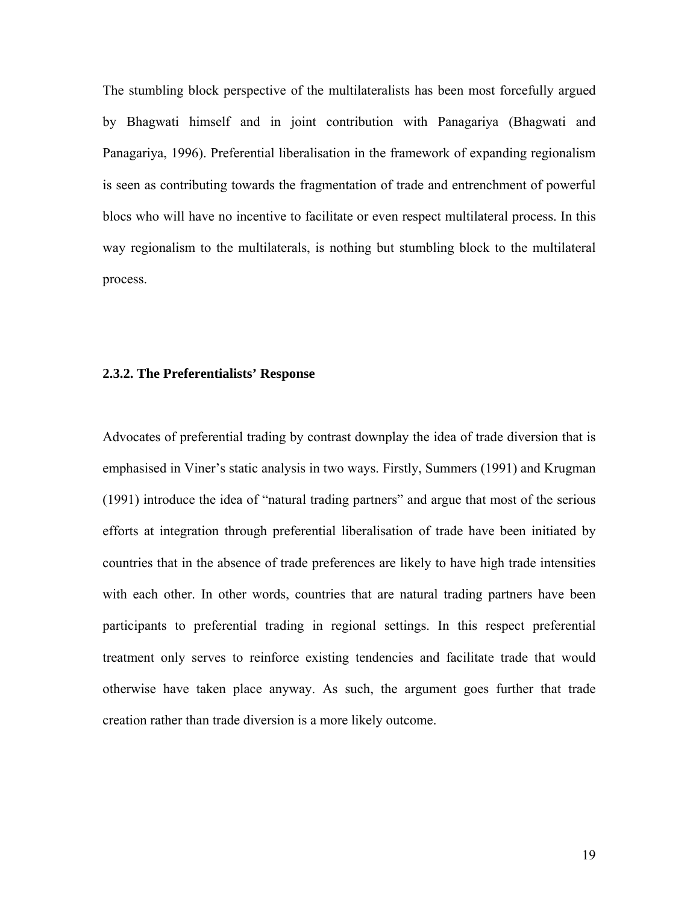The stumbling block perspective of the multilateralists has been most forcefully argued by Bhagwati himself and in joint contribution with Panagariya (Bhagwati and Panagariya, 1996). Preferential liberalisation in the framework of expanding regionalism is seen as contributing towards the fragmentation of trade and entrenchment of powerful blocs who will have no incentive to facilitate or even respect multilateral process. In this way regionalism to the multilaterals, is nothing but stumbling block to the multilateral process.

#### **2.3.2. The Preferentialists' Response**

Advocates of preferential trading by contrast downplay the idea of trade diversion that is emphasised in Viner's static analysis in two ways. Firstly, Summers (1991) and Krugman (1991) introduce the idea of "natural trading partners" and argue that most of the serious efforts at integration through preferential liberalisation of trade have been initiated by countries that in the absence of trade preferences are likely to have high trade intensities with each other. In other words, countries that are natural trading partners have been participants to preferential trading in regional settings. In this respect preferential treatment only serves to reinforce existing tendencies and facilitate trade that would otherwise have taken place anyway. As such, the argument goes further that trade creation rather than trade diversion is a more likely outcome.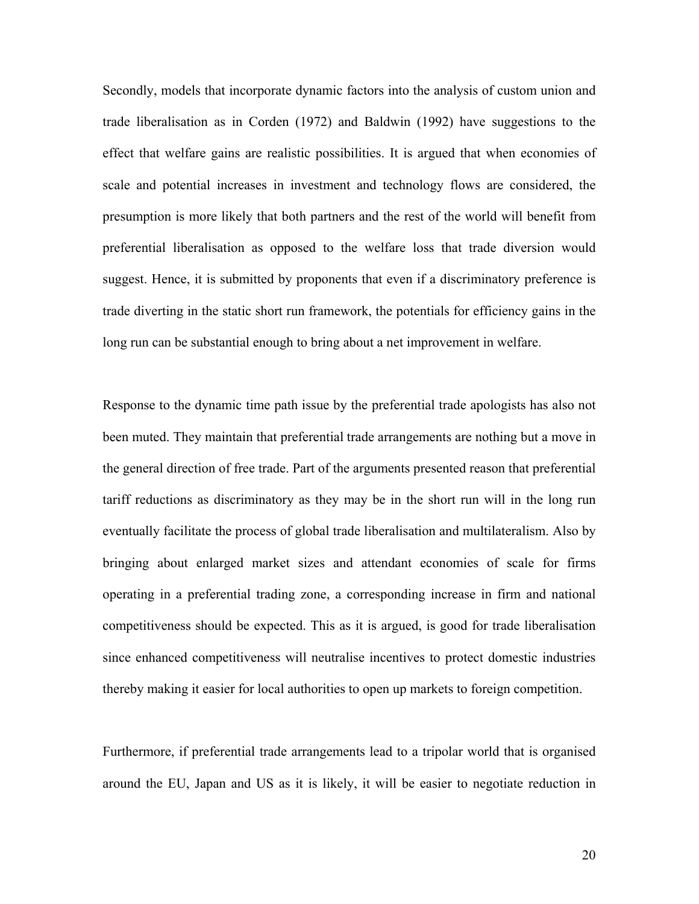Secondly, models that incorporate dynamic factors into the analysis of custom union and trade liberalisation as in Corden (1972) and Baldwin (1992) have suggestions to the effect that welfare gains are realistic possibilities. It is argued that when economies of scale and potential increases in investment and technology flows are considered, the presumption is more likely that both partners and the rest of the world will benefit from preferential liberalisation as opposed to the welfare loss that trade diversion would suggest. Hence, it is submitted by proponents that even if a discriminatory preference is trade diverting in the static short run framework, the potentials for efficiency gains in the long run can be substantial enough to bring about a net improvement in welfare.

Response to the dynamic time path issue by the preferential trade apologists has also not been muted. They maintain that preferential trade arrangements are nothing but a move in the general direction of free trade. Part of the arguments presented reason that preferential tariff reductions as discriminatory as they may be in the short run will in the long run eventually facilitate the process of global trade liberalisation and multilateralism. Also by bringing about enlarged market sizes and attendant economies of scale for firms operating in a preferential trading zone, a corresponding increase in firm and national competitiveness should be expected. This as it is argued, is good for trade liberalisation since enhanced competitiveness will neutralise incentives to protect domestic industries thereby making it easier for local authorities to open up markets to foreign competition.

Furthermore, if preferential trade arrangements lead to a tripolar world that is organised around the EU, Japan and US as it is likely, it will be easier to negotiate reduction in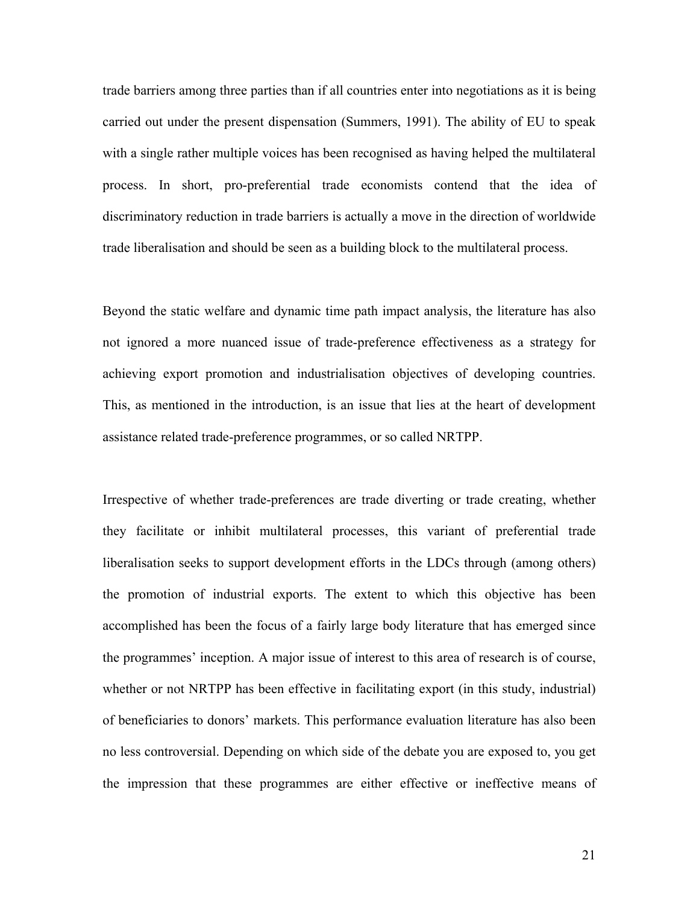trade barriers among three parties than if all countries enter into negotiations as it is being carried out under the present dispensation (Summers, 1991). The ability of EU to speak with a single rather multiple voices has been recognised as having helped the multilateral process. In short, pro-preferential trade economists contend that the idea of discriminatory reduction in trade barriers is actually a move in the direction of worldwide trade liberalisation and should be seen as a building block to the multilateral process.

Beyond the static welfare and dynamic time path impact analysis, the literature has also not ignored a more nuanced issue of trade-preference effectiveness as a strategy for achieving export promotion and industrialisation objectives of developing countries. This, as mentioned in the introduction, is an issue that lies at the heart of development assistance related trade-preference programmes, or so called NRTPP.

Irrespective of whether trade-preferences are trade diverting or trade creating, whether they facilitate or inhibit multilateral processes, this variant of preferential trade liberalisation seeks to support development efforts in the LDCs through (among others) the promotion of industrial exports. The extent to which this objective has been accomplished has been the focus of a fairly large body literature that has emerged since the programmes' inception. A major issue of interest to this area of research is of course, whether or not NRTPP has been effective in facilitating export (in this study, industrial) of beneficiaries to donors' markets. This performance evaluation literature has also been no less controversial. Depending on which side of the debate you are exposed to, you get the impression that these programmes are either effective or ineffective means of

21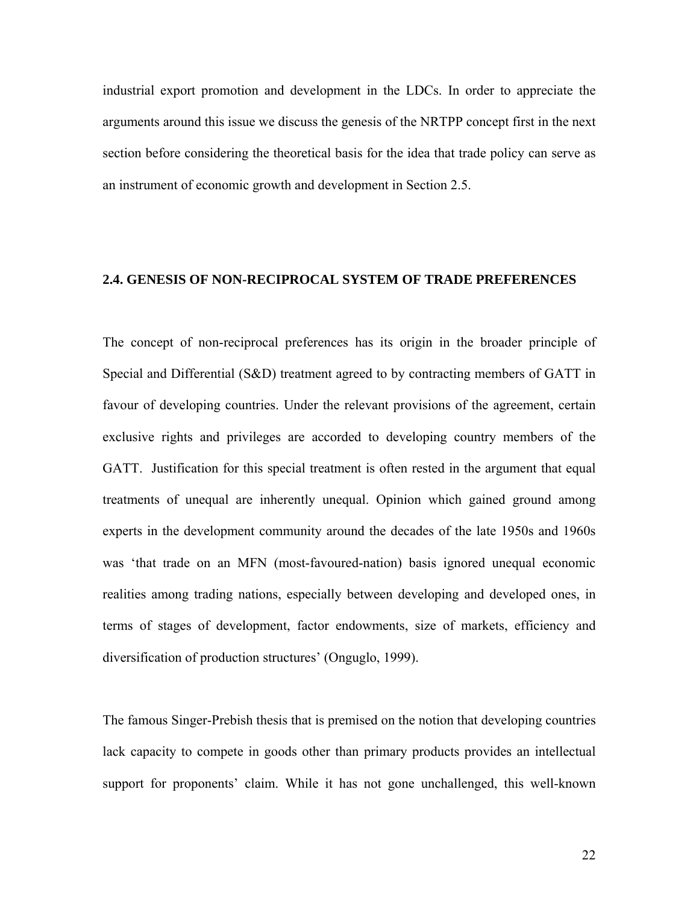industrial export promotion and development in the LDCs. In order to appreciate the arguments around this issue we discuss the genesis of the NRTPP concept first in the next section before considering the theoretical basis for the idea that trade policy can serve as an instrument of economic growth and development in Section 2.5.

## **2.4. GENESIS OF NON-RECIPROCAL SYSTEM OF TRADE PREFERENCES**

The concept of non-reciprocal preferences has its origin in the broader principle of Special and Differential (S&D) treatment agreed to by contracting members of GATT in favour of developing countries. Under the relevant provisions of the agreement, certain exclusive rights and privileges are accorded to developing country members of the GATT. Justification for this special treatment is often rested in the argument that equal treatments of unequal are inherently unequal. Opinion which gained ground among experts in the development community around the decades of the late 1950s and 1960s was 'that trade on an MFN (most-favoured-nation) basis ignored unequal economic realities among trading nations, especially between developing and developed ones, in terms of stages of development, factor endowments, size of markets, efficiency and diversification of production structures' (Onguglo, 1999).

The famous Singer-Prebish thesis that is premised on the notion that developing countries lack capacity to compete in goods other than primary products provides an intellectual support for proponents' claim. While it has not gone unchallenged, this well-known

22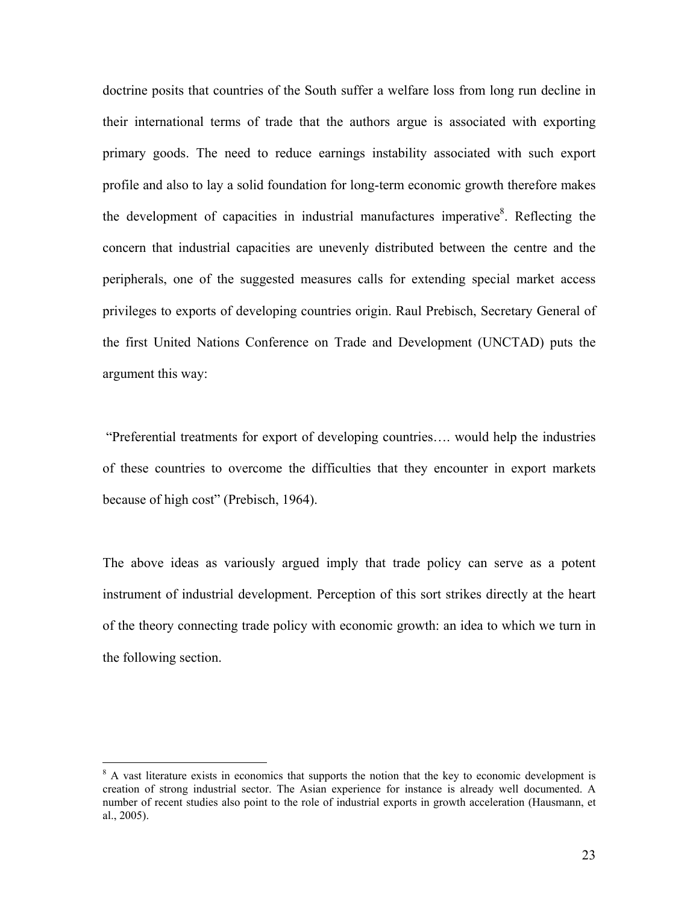doctrine posits that countries of the South suffer a welfare loss from long run decline in their international terms of trade that the authors argue is associated with exporting primary goods. The need to reduce earnings instability associated with such export profile and also to lay a solid foundation for long-term economic growth therefore makes the development of capacities in industrial manufactures imperative<sup>8</sup>. Reflecting the concern that industrial capacities are unevenly distributed between the centre and the peripherals, one of the suggested measures calls for extending special market access privileges to exports of developing countries origin. Raul Prebisch, Secretary General of the first United Nations Conference on Trade and Development (UNCTAD) puts the argument this way:

 "Preferential treatments for export of developing countries…. would help the industries of these countries to overcome the difficulties that they encounter in export markets because of high cost" (Prebisch, 1964).

The above ideas as variously argued imply that trade policy can serve as a potent instrument of industrial development. Perception of this sort strikes directly at the heart of the theory connecting trade policy with economic growth: an idea to which we turn in the following section.

 $\overline{a}$ 

<sup>&</sup>lt;sup>8</sup> A vast literature exists in economics that supports the notion that the key to economic development is creation of strong industrial sector. The Asian experience for instance is already well documented. A number of recent studies also point to the role of industrial exports in growth acceleration (Hausmann, et al., 2005).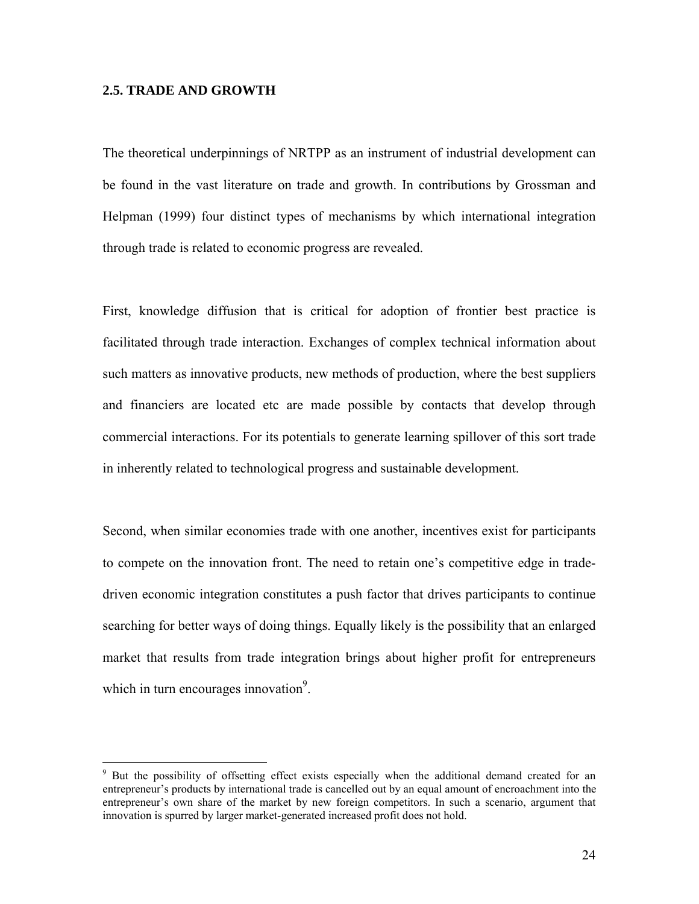## **2.5. TRADE AND GROWTH**

The theoretical underpinnings of NRTPP as an instrument of industrial development can be found in the vast literature on trade and growth. In contributions by Grossman and Helpman (1999) four distinct types of mechanisms by which international integration through trade is related to economic progress are revealed.

First, knowledge diffusion that is critical for adoption of frontier best practice is facilitated through trade interaction. Exchanges of complex technical information about such matters as innovative products, new methods of production, where the best suppliers and financiers are located etc are made possible by contacts that develop through commercial interactions. For its potentials to generate learning spillover of this sort trade in inherently related to technological progress and sustainable development.

Second, when similar economies trade with one another, incentives exist for participants to compete on the innovation front. The need to retain one's competitive edge in tradedriven economic integration constitutes a push factor that drives participants to continue searching for better ways of doing things. Equally likely is the possibility that an enlarged market that results from trade integration brings about higher profit for entrepreneurs which in turn encourages innovation $\degree$ .

<sup>&</sup>lt;sup>9</sup> But the possibility of offsetting effect exists especially when the additional demand created for an entrepreneur's products by international trade is cancelled out by an equal amount of encroachment into the entrepreneur's own share of the market by new foreign competitors. In such a scenario, argument that innovation is spurred by larger market-generated increased profit does not hold.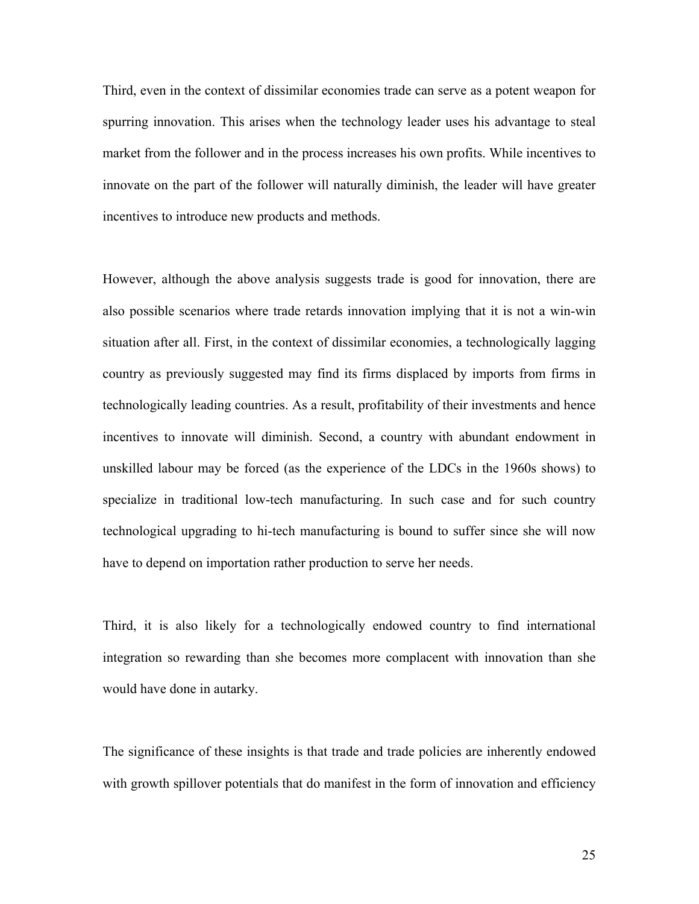Third, even in the context of dissimilar economies trade can serve as a potent weapon for spurring innovation. This arises when the technology leader uses his advantage to steal market from the follower and in the process increases his own profits. While incentives to innovate on the part of the follower will naturally diminish, the leader will have greater incentives to introduce new products and methods.

However, although the above analysis suggests trade is good for innovation, there are also possible scenarios where trade retards innovation implying that it is not a win-win situation after all. First, in the context of dissimilar economies, a technologically lagging country as previously suggested may find its firms displaced by imports from firms in technologically leading countries. As a result, profitability of their investments and hence incentives to innovate will diminish. Second, a country with abundant endowment in unskilled labour may be forced (as the experience of the LDCs in the 1960s shows) to specialize in traditional low-tech manufacturing. In such case and for such country technological upgrading to hi-tech manufacturing is bound to suffer since she will now have to depend on importation rather production to serve her needs.

Third, it is also likely for a technologically endowed country to find international integration so rewarding than she becomes more complacent with innovation than she would have done in autarky.

The significance of these insights is that trade and trade policies are inherently endowed with growth spillover potentials that do manifest in the form of innovation and efficiency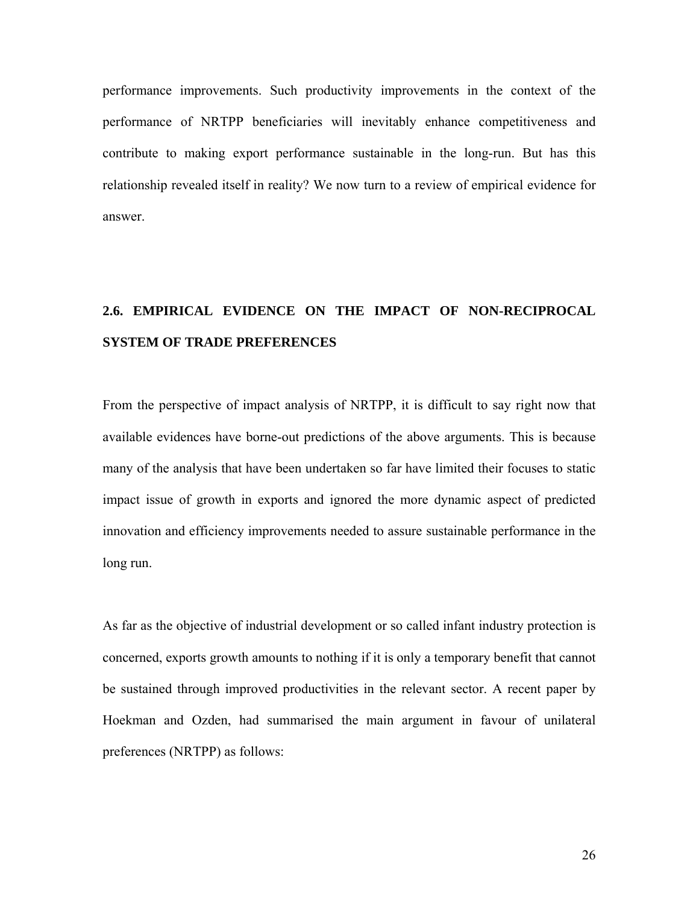performance improvements. Such productivity improvements in the context of the performance of NRTPP beneficiaries will inevitably enhance competitiveness and contribute to making export performance sustainable in the long-run. But has this relationship revealed itself in reality? We now turn to a review of empirical evidence for answer.

# **2.6. EMPIRICAL EVIDENCE ON THE IMPACT OF NON-RECIPROCAL SYSTEM OF TRADE PREFERENCES**

From the perspective of impact analysis of NRTPP, it is difficult to say right now that available evidences have borne-out predictions of the above arguments. This is because many of the analysis that have been undertaken so far have limited their focuses to static impact issue of growth in exports and ignored the more dynamic aspect of predicted innovation and efficiency improvements needed to assure sustainable performance in the long run.

As far as the objective of industrial development or so called infant industry protection is concerned, exports growth amounts to nothing if it is only a temporary benefit that cannot be sustained through improved productivities in the relevant sector. A recent paper by Hoekman and Ozden, had summarised the main argument in favour of unilateral preferences (NRTPP) as follows: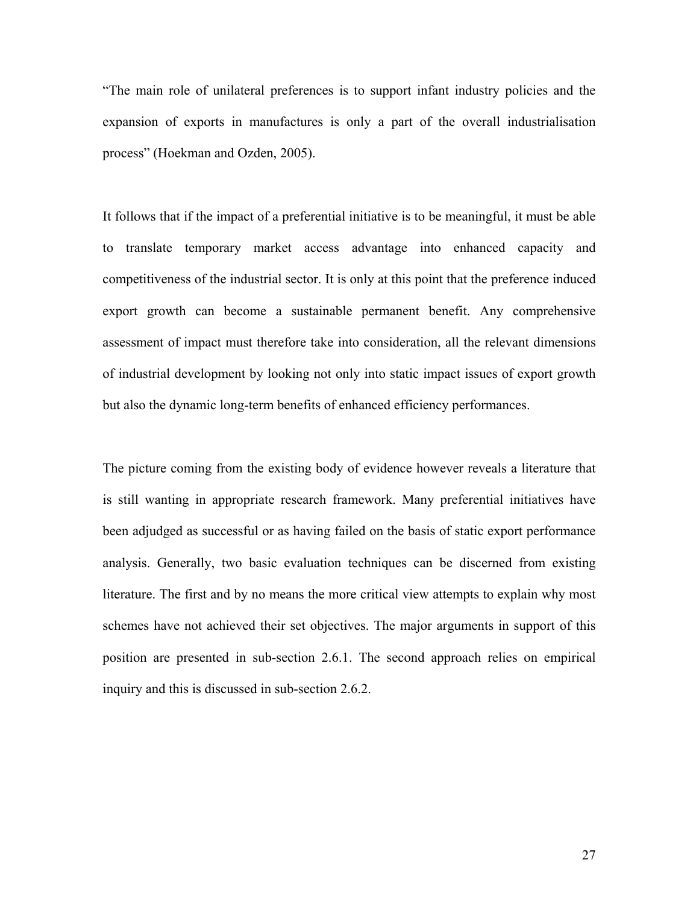"The main role of unilateral preferences is to support infant industry policies and the expansion of exports in manufactures is only a part of the overall industrialisation process" (Hoekman and Ozden, 2005).

It follows that if the impact of a preferential initiative is to be meaningful, it must be able to translate temporary market access advantage into enhanced capacity and competitiveness of the industrial sector. It is only at this point that the preference induced export growth can become a sustainable permanent benefit. Any comprehensive assessment of impact must therefore take into consideration, all the relevant dimensions of industrial development by looking not only into static impact issues of export growth but also the dynamic long-term benefits of enhanced efficiency performances.

The picture coming from the existing body of evidence however reveals a literature that is still wanting in appropriate research framework. Many preferential initiatives have been adjudged as successful or as having failed on the basis of static export performance analysis. Generally, two basic evaluation techniques can be discerned from existing literature. The first and by no means the more critical view attempts to explain why most schemes have not achieved their set objectives. The major arguments in support of this position are presented in sub-section 2.6.1. The second approach relies on empirical inquiry and this is discussed in sub-section 2.6.2.

27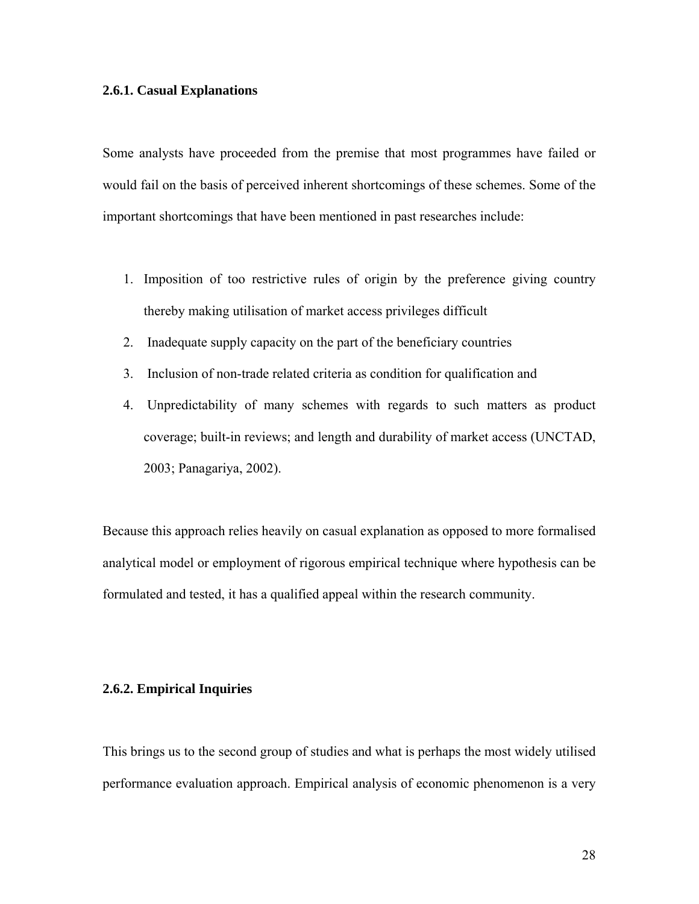## **2.6.1. Casual Explanations**

Some analysts have proceeded from the premise that most programmes have failed or would fail on the basis of perceived inherent shortcomings of these schemes. Some of the important shortcomings that have been mentioned in past researches include:

- 1. Imposition of too restrictive rules of origin by the preference giving country thereby making utilisation of market access privileges difficult
- 2. Inadequate supply capacity on the part of the beneficiary countries
- 3. Inclusion of non-trade related criteria as condition for qualification and
- 4. Unpredictability of many schemes with regards to such matters as product coverage; built-in reviews; and length and durability of market access (UNCTAD, 2003; Panagariya, 2002).

Because this approach relies heavily on casual explanation as opposed to more formalised analytical model or employment of rigorous empirical technique where hypothesis can be formulated and tested, it has a qualified appeal within the research community.

## **2.6.2. Empirical Inquiries**

This brings us to the second group of studies and what is perhaps the most widely utilised performance evaluation approach. Empirical analysis of economic phenomenon is a very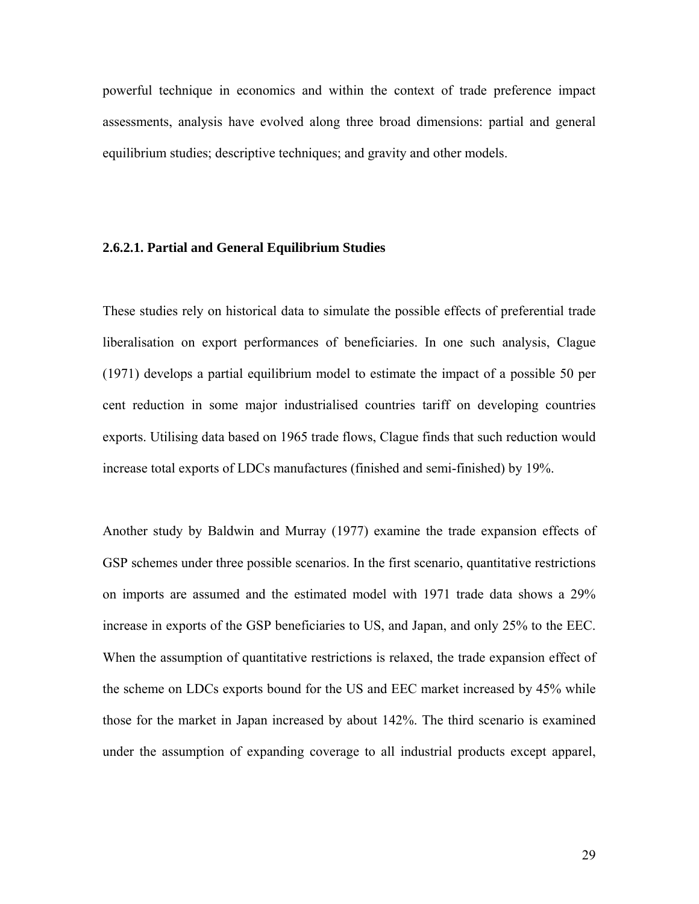powerful technique in economics and within the context of trade preference impact assessments, analysis have evolved along three broad dimensions: partial and general equilibrium studies; descriptive techniques; and gravity and other models.

## **2.6.2.1. Partial and General Equilibrium Studies**

These studies rely on historical data to simulate the possible effects of preferential trade liberalisation on export performances of beneficiaries. In one such analysis, Clague (1971) develops a partial equilibrium model to estimate the impact of a possible 50 per cent reduction in some major industrialised countries tariff on developing countries exports. Utilising data based on 1965 trade flows, Clague finds that such reduction would increase total exports of LDCs manufactures (finished and semi-finished) by 19%.

Another study by Baldwin and Murray (1977) examine the trade expansion effects of GSP schemes under three possible scenarios. In the first scenario, quantitative restrictions on imports are assumed and the estimated model with 1971 trade data shows a 29% increase in exports of the GSP beneficiaries to US, and Japan, and only 25% to the EEC. When the assumption of quantitative restrictions is relaxed, the trade expansion effect of the scheme on LDCs exports bound for the US and EEC market increased by 45% while those for the market in Japan increased by about 142%. The third scenario is examined under the assumption of expanding coverage to all industrial products except apparel,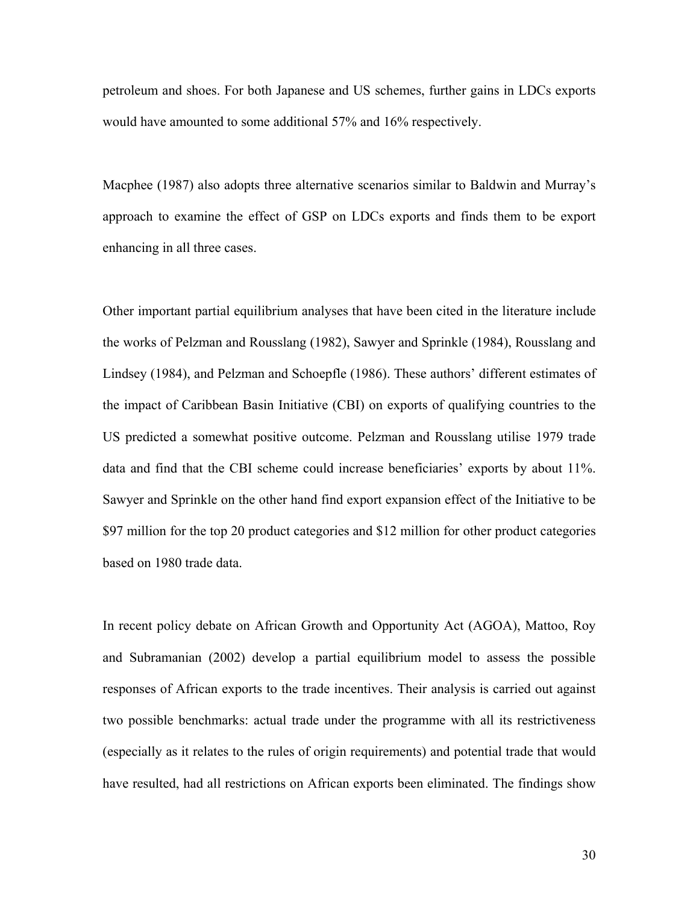petroleum and shoes. For both Japanese and US schemes, further gains in LDCs exports would have amounted to some additional 57% and 16% respectively.

Macphee (1987) also adopts three alternative scenarios similar to Baldwin and Murray's approach to examine the effect of GSP on LDCs exports and finds them to be export enhancing in all three cases.

Other important partial equilibrium analyses that have been cited in the literature include the works of Pelzman and Rousslang (1982), Sawyer and Sprinkle (1984), Rousslang and Lindsey (1984), and Pelzman and Schoepfle (1986). These authors' different estimates of the impact of Caribbean Basin Initiative (CBI) on exports of qualifying countries to the US predicted a somewhat positive outcome. Pelzman and Rousslang utilise 1979 trade data and find that the CBI scheme could increase beneficiaries' exports by about 11%. Sawyer and Sprinkle on the other hand find export expansion effect of the Initiative to be \$97 million for the top 20 product categories and \$12 million for other product categories based on 1980 trade data.

In recent policy debate on African Growth and Opportunity Act (AGOA), Mattoo, Roy and Subramanian (2002) develop a partial equilibrium model to assess the possible responses of African exports to the trade incentives. Their analysis is carried out against two possible benchmarks: actual trade under the programme with all its restrictiveness (especially as it relates to the rules of origin requirements) and potential trade that would have resulted, had all restrictions on African exports been eliminated. The findings show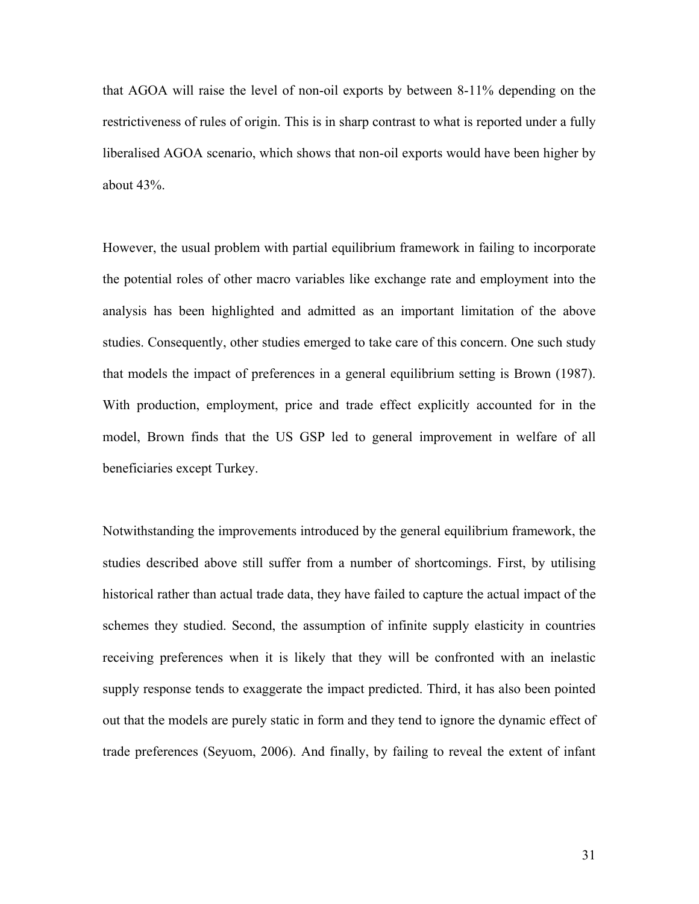that AGOA will raise the level of non-oil exports by between 8-11% depending on the restrictiveness of rules of origin. This is in sharp contrast to what is reported under a fully liberalised AGOA scenario, which shows that non-oil exports would have been higher by about 43%.

However, the usual problem with partial equilibrium framework in failing to incorporate the potential roles of other macro variables like exchange rate and employment into the analysis has been highlighted and admitted as an important limitation of the above studies. Consequently, other studies emerged to take care of this concern. One such study that models the impact of preferences in a general equilibrium setting is Brown (1987). With production, employment, price and trade effect explicitly accounted for in the model, Brown finds that the US GSP led to general improvement in welfare of all beneficiaries except Turkey.

Notwithstanding the improvements introduced by the general equilibrium framework, the studies described above still suffer from a number of shortcomings. First, by utilising historical rather than actual trade data, they have failed to capture the actual impact of the schemes they studied. Second, the assumption of infinite supply elasticity in countries receiving preferences when it is likely that they will be confronted with an inelastic supply response tends to exaggerate the impact predicted. Third, it has also been pointed out that the models are purely static in form and they tend to ignore the dynamic effect of trade preferences (Seyuom, 2006). And finally, by failing to reveal the extent of infant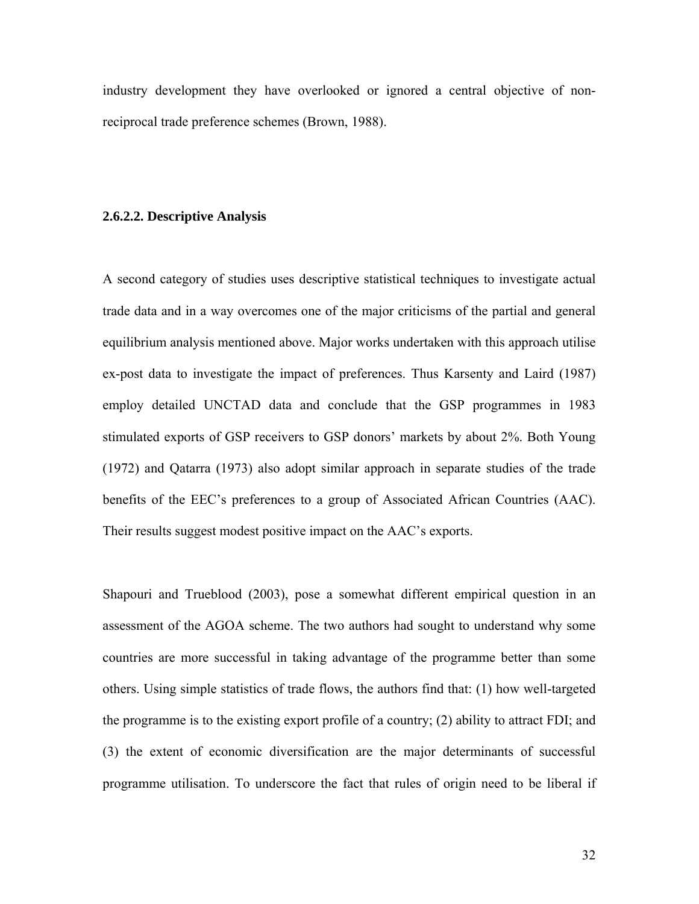industry development they have overlooked or ignored a central objective of nonreciprocal trade preference schemes (Brown, 1988).

#### **2.6.2.2. Descriptive Analysis**

A second category of studies uses descriptive statistical techniques to investigate actual trade data and in a way overcomes one of the major criticisms of the partial and general equilibrium analysis mentioned above. Major works undertaken with this approach utilise ex-post data to investigate the impact of preferences. Thus Karsenty and Laird (1987) employ detailed UNCTAD data and conclude that the GSP programmes in 1983 stimulated exports of GSP receivers to GSP donors' markets by about 2%. Both Young (1972) and Qatarra (1973) also adopt similar approach in separate studies of the trade benefits of the EEC's preferences to a group of Associated African Countries (AAC). Their results suggest modest positive impact on the AAC's exports.

Shapouri and Trueblood (2003), pose a somewhat different empirical question in an assessment of the AGOA scheme. The two authors had sought to understand why some countries are more successful in taking advantage of the programme better than some others. Using simple statistics of trade flows, the authors find that: (1) how well-targeted the programme is to the existing export profile of a country; (2) ability to attract FDI; and (3) the extent of economic diversification are the major determinants of successful programme utilisation. To underscore the fact that rules of origin need to be liberal if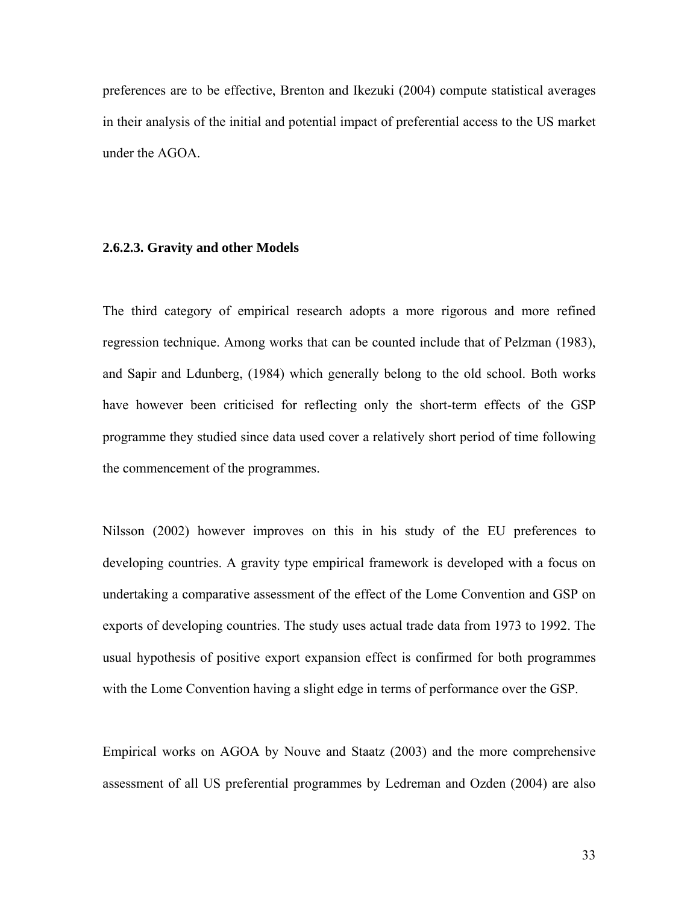preferences are to be effective, Brenton and Ikezuki (2004) compute statistical averages in their analysis of the initial and potential impact of preferential access to the US market under the AGOA.

## **2.6.2.3. Gravity and other Models**

The third category of empirical research adopts a more rigorous and more refined regression technique. Among works that can be counted include that of Pelzman (1983), and Sapir and Ldunberg, (1984) which generally belong to the old school. Both works have however been criticised for reflecting only the short-term effects of the GSP programme they studied since data used cover a relatively short period of time following the commencement of the programmes.

Nilsson (2002) however improves on this in his study of the EU preferences to developing countries. A gravity type empirical framework is developed with a focus on undertaking a comparative assessment of the effect of the Lome Convention and GSP on exports of developing countries. The study uses actual trade data from 1973 to 1992. The usual hypothesis of positive export expansion effect is confirmed for both programmes with the Lome Convention having a slight edge in terms of performance over the GSP.

Empirical works on AGOA by Nouve and Staatz (2003) and the more comprehensive assessment of all US preferential programmes by Ledreman and Ozden (2004) are also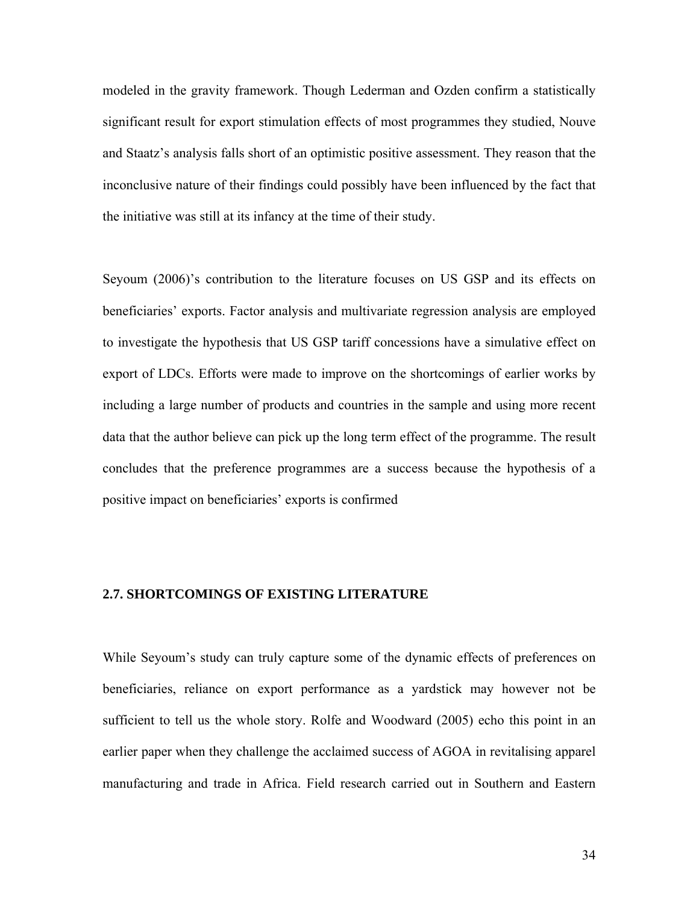modeled in the gravity framework. Though Lederman and Ozden confirm a statistically significant result for export stimulation effects of most programmes they studied, Nouve and Staatz's analysis falls short of an optimistic positive assessment. They reason that the inconclusive nature of their findings could possibly have been influenced by the fact that the initiative was still at its infancy at the time of their study.

Seyoum (2006)'s contribution to the literature focuses on US GSP and its effects on beneficiaries' exports. Factor analysis and multivariate regression analysis are employed to investigate the hypothesis that US GSP tariff concessions have a simulative effect on export of LDCs. Efforts were made to improve on the shortcomings of earlier works by including a large number of products and countries in the sample and using more recent data that the author believe can pick up the long term effect of the programme. The result concludes that the preference programmes are a success because the hypothesis of a positive impact on beneficiaries' exports is confirmed

## **2.7. SHORTCOMINGS OF EXISTING LITERATURE**

While Seyoum's study can truly capture some of the dynamic effects of preferences on beneficiaries, reliance on export performance as a yardstick may however not be sufficient to tell us the whole story. Rolfe and Woodward (2005) echo this point in an earlier paper when they challenge the acclaimed success of AGOA in revitalising apparel manufacturing and trade in Africa. Field research carried out in Southern and Eastern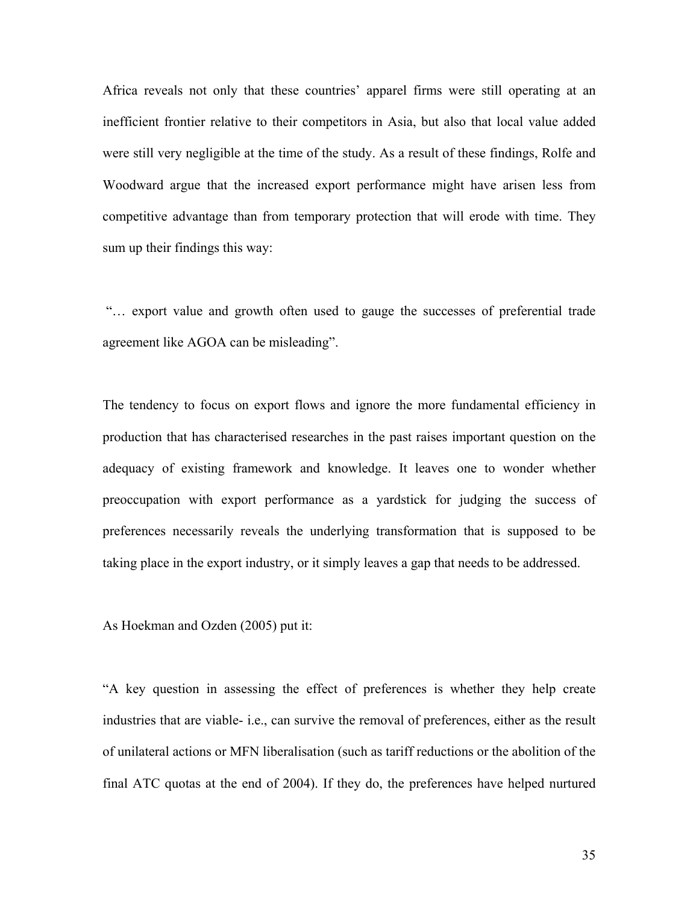Africa reveals not only that these countries' apparel firms were still operating at an inefficient frontier relative to their competitors in Asia, but also that local value added were still very negligible at the time of the study. As a result of these findings, Rolfe and Woodward argue that the increased export performance might have arisen less from competitive advantage than from temporary protection that will erode with time. They sum up their findings this way:

 "… export value and growth often used to gauge the successes of preferential trade agreement like AGOA can be misleading".

The tendency to focus on export flows and ignore the more fundamental efficiency in production that has characterised researches in the past raises important question on the adequacy of existing framework and knowledge. It leaves one to wonder whether preoccupation with export performance as a yardstick for judging the success of preferences necessarily reveals the underlying transformation that is supposed to be taking place in the export industry, or it simply leaves a gap that needs to be addressed.

As Hoekman and Ozden (2005) put it:

"A key question in assessing the effect of preferences is whether they help create industries that are viable- i.e., can survive the removal of preferences, either as the result of unilateral actions or MFN liberalisation (such as tariff reductions or the abolition of the final ATC quotas at the end of 2004). If they do, the preferences have helped nurtured

35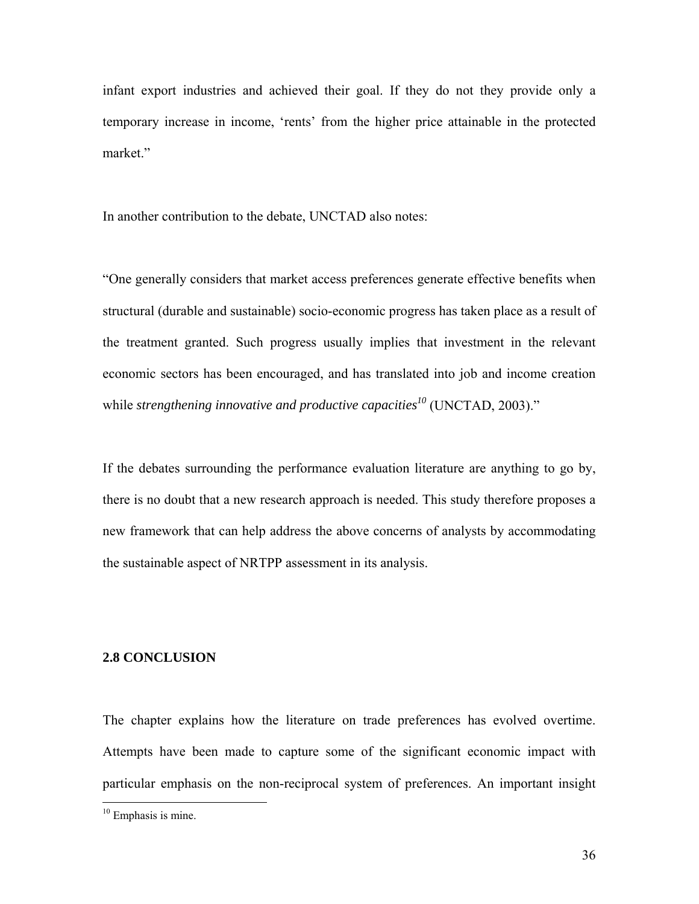infant export industries and achieved their goal. If they do not they provide only a temporary increase in income, 'rents' from the higher price attainable in the protected market."

In another contribution to the debate, UNCTAD also notes:

"One generally considers that market access preferences generate effective benefits when structural (durable and sustainable) socio-economic progress has taken place as a result of the treatment granted. Such progress usually implies that investment in the relevant economic sectors has been encouraged, and has translated into job and income creation while *strengthening innovative and productive capacities<sup>10</sup>* (UNCTAD, 2003)."

If the debates surrounding the performance evaluation literature are anything to go by, there is no doubt that a new research approach is needed. This study therefore proposes a new framework that can help address the above concerns of analysts by accommodating the sustainable aspect of NRTPP assessment in its analysis.

#### **2.8 CONCLUSION**

The chapter explains how the literature on trade preferences has evolved overtime. Attempts have been made to capture some of the significant economic impact with particular emphasis on the non-reciprocal system of preferences. An important insight

 $\overline{a}$ 

<sup>&</sup>lt;sup>10</sup> Emphasis is mine.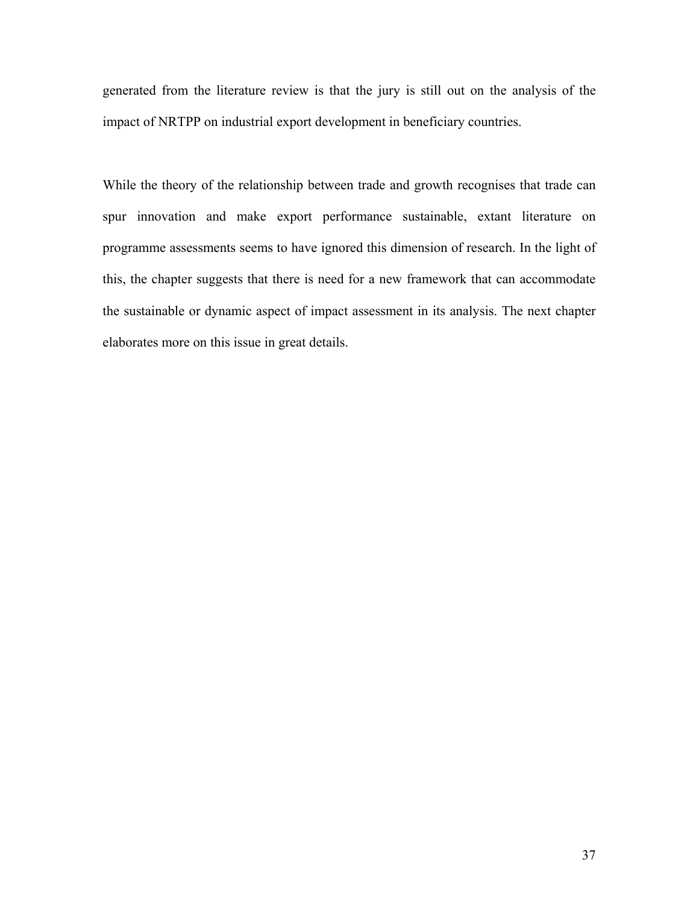generated from the literature review is that the jury is still out on the analysis of the impact of NRTPP on industrial export development in beneficiary countries.

While the theory of the relationship between trade and growth recognises that trade can spur innovation and make export performance sustainable, extant literature on programme assessments seems to have ignored this dimension of research. In the light of this, the chapter suggests that there is need for a new framework that can accommodate the sustainable or dynamic aspect of impact assessment in its analysis. The next chapter elaborates more on this issue in great details.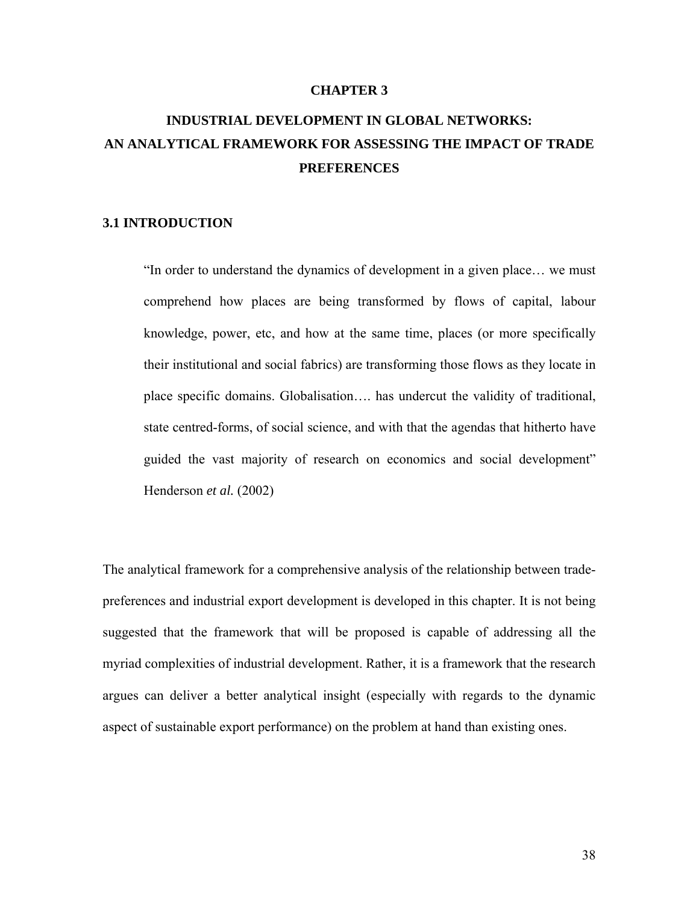#### **CHAPTER 3**

## **INDUSTRIAL DEVELOPMENT IN GLOBAL NETWORKS: AN ANALYTICAL FRAMEWORK FOR ASSESSING THE IMPACT OF TRADE PREFERENCES**

## **3.1 INTRODUCTION**

"In order to understand the dynamics of development in a given place… we must comprehend how places are being transformed by flows of capital, labour knowledge, power, etc, and how at the same time, places (or more specifically their institutional and social fabrics) are transforming those flows as they locate in place specific domains. Globalisation…. has undercut the validity of traditional, state centred-forms, of social science, and with that the agendas that hitherto have guided the vast majority of research on economics and social development" Henderson *et al.* (2002)

The analytical framework for a comprehensive analysis of the relationship between tradepreferences and industrial export development is developed in this chapter. It is not being suggested that the framework that will be proposed is capable of addressing all the myriad complexities of industrial development. Rather, it is a framework that the research argues can deliver a better analytical insight (especially with regards to the dynamic aspect of sustainable export performance) on the problem at hand than existing ones.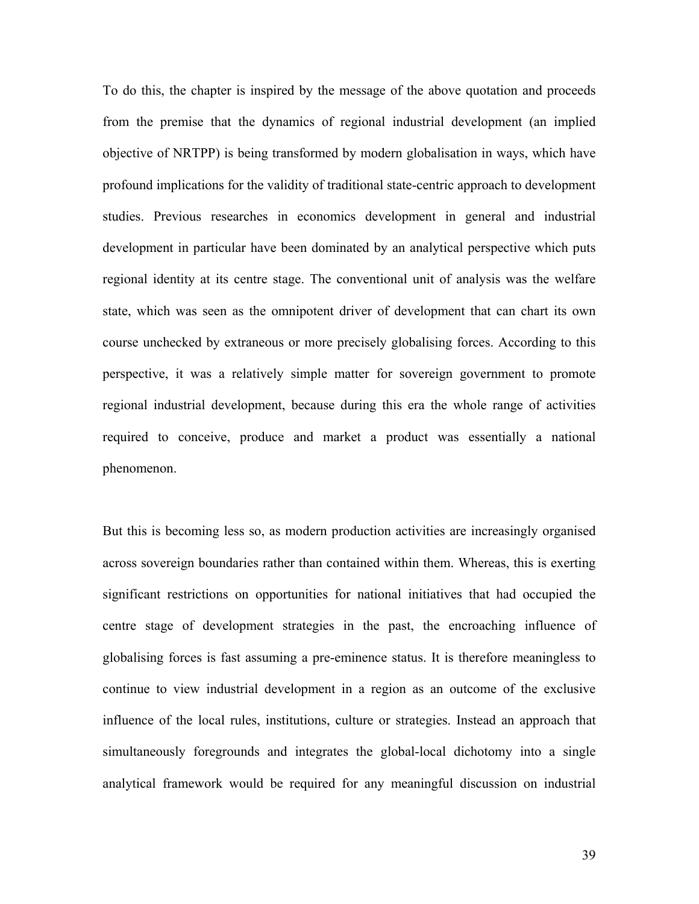To do this, the chapter is inspired by the message of the above quotation and proceeds from the premise that the dynamics of regional industrial development (an implied objective of NRTPP) is being transformed by modern globalisation in ways, which have profound implications for the validity of traditional state-centric approach to development studies. Previous researches in economics development in general and industrial development in particular have been dominated by an analytical perspective which puts regional identity at its centre stage. The conventional unit of analysis was the welfare state, which was seen as the omnipotent driver of development that can chart its own course unchecked by extraneous or more precisely globalising forces. According to this perspective, it was a relatively simple matter for sovereign government to promote regional industrial development, because during this era the whole range of activities required to conceive, produce and market a product was essentially a national phenomenon.

But this is becoming less so, as modern production activities are increasingly organised across sovereign boundaries rather than contained within them. Whereas, this is exerting significant restrictions on opportunities for national initiatives that had occupied the centre stage of development strategies in the past, the encroaching influence of globalising forces is fast assuming a pre-eminence status. It is therefore meaningless to continue to view industrial development in a region as an outcome of the exclusive influence of the local rules, institutions, culture or strategies. Instead an approach that simultaneously foregrounds and integrates the global-local dichotomy into a single analytical framework would be required for any meaningful discussion on industrial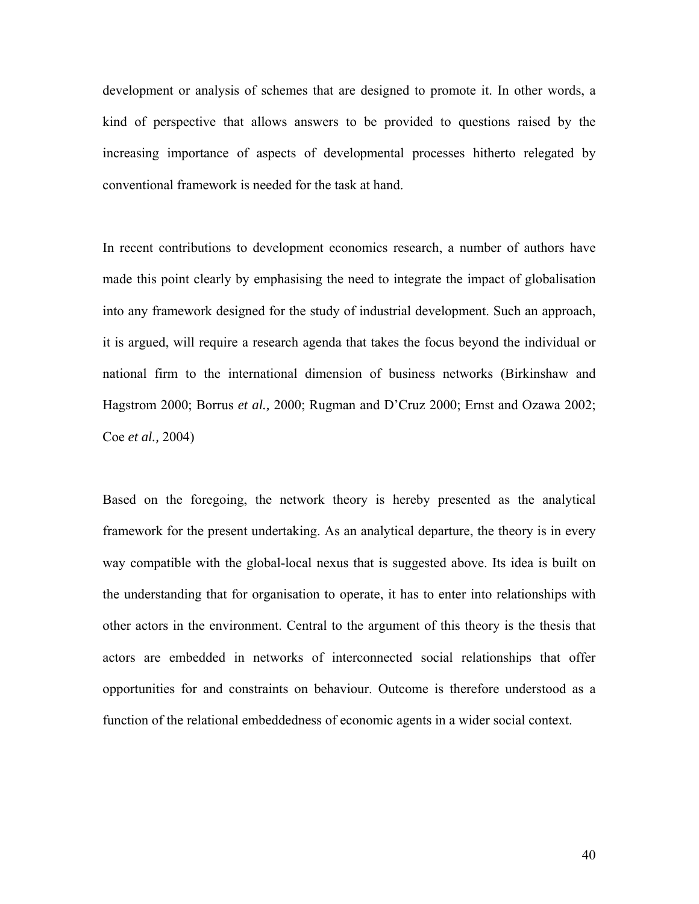development or analysis of schemes that are designed to promote it. In other words, a kind of perspective that allows answers to be provided to questions raised by the increasing importance of aspects of developmental processes hitherto relegated by conventional framework is needed for the task at hand.

In recent contributions to development economics research, a number of authors have made this point clearly by emphasising the need to integrate the impact of globalisation into any framework designed for the study of industrial development. Such an approach, it is argued, will require a research agenda that takes the focus beyond the individual or national firm to the international dimension of business networks (Birkinshaw and Hagstrom 2000; Borrus *et al.,* 2000; Rugman and D'Cruz 2000; Ernst and Ozawa 2002; Coe *et al.,* 2004)

Based on the foregoing, the network theory is hereby presented as the analytical framework for the present undertaking. As an analytical departure, the theory is in every way compatible with the global-local nexus that is suggested above. Its idea is built on the understanding that for organisation to operate, it has to enter into relationships with other actors in the environment. Central to the argument of this theory is the thesis that actors are embedded in networks of interconnected social relationships that offer opportunities for and constraints on behaviour. Outcome is therefore understood as a function of the relational embeddedness of economic agents in a wider social context.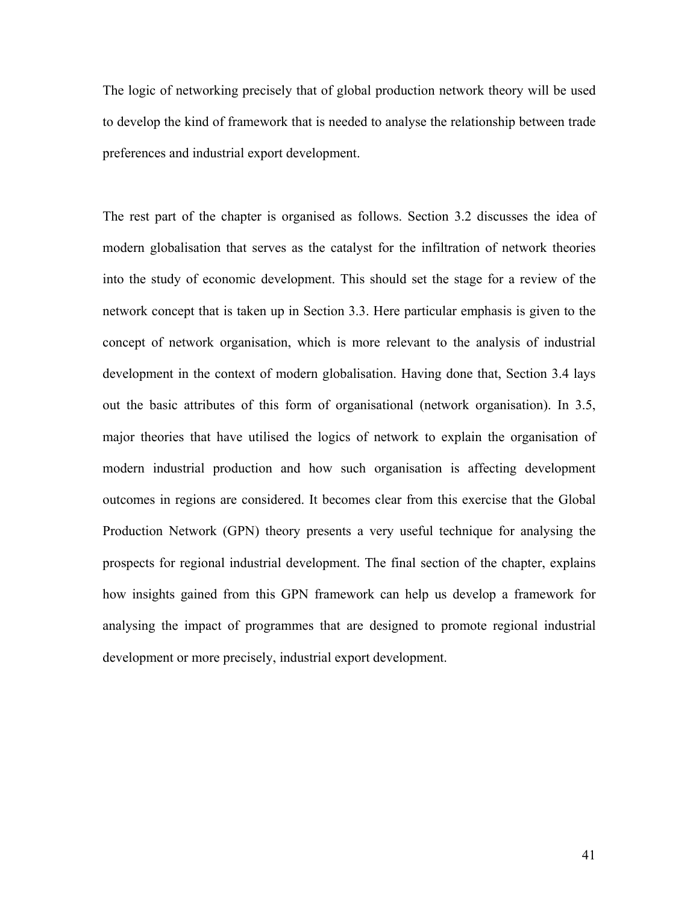The logic of networking precisely that of global production network theory will be used to develop the kind of framework that is needed to analyse the relationship between trade preferences and industrial export development.

The rest part of the chapter is organised as follows. Section 3.2 discusses the idea of modern globalisation that serves as the catalyst for the infiltration of network theories into the study of economic development. This should set the stage for a review of the network concept that is taken up in Section 3.3. Here particular emphasis is given to the concept of network organisation, which is more relevant to the analysis of industrial development in the context of modern globalisation. Having done that, Section 3.4 lays out the basic attributes of this form of organisational (network organisation). In 3.5, major theories that have utilised the logics of network to explain the organisation of modern industrial production and how such organisation is affecting development outcomes in regions are considered. It becomes clear from this exercise that the Global Production Network (GPN) theory presents a very useful technique for analysing the prospects for regional industrial development. The final section of the chapter, explains how insights gained from this GPN framework can help us develop a framework for analysing the impact of programmes that are designed to promote regional industrial development or more precisely, industrial export development.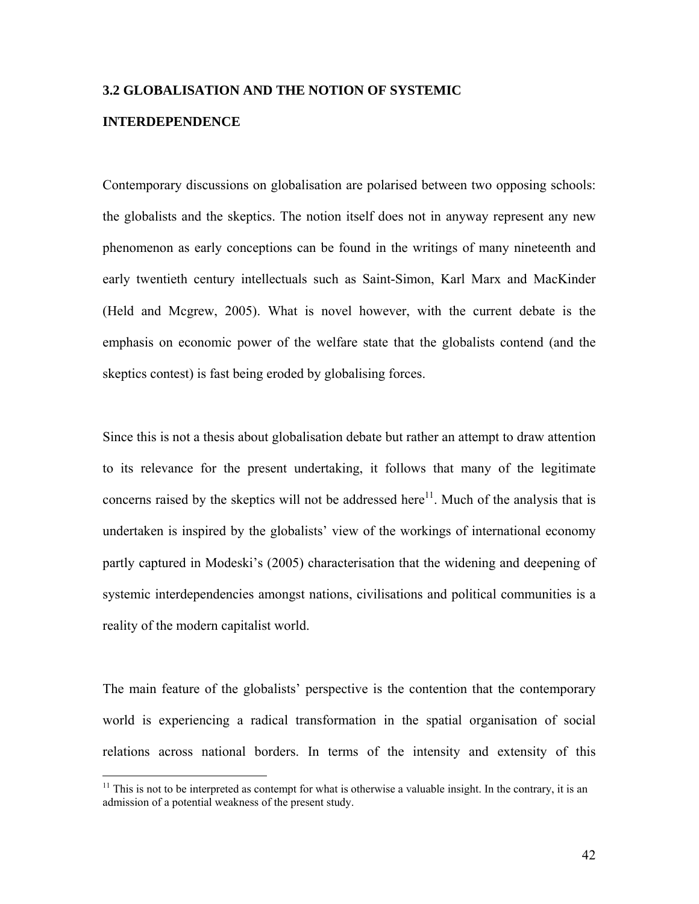## **3.2 GLOBALISATION AND THE NOTION OF SYSTEMIC**

## **INTERDEPENDENCE**

1

Contemporary discussions on globalisation are polarised between two opposing schools: the globalists and the skeptics. The notion itself does not in anyway represent any new phenomenon as early conceptions can be found in the writings of many nineteenth and early twentieth century intellectuals such as Saint-Simon, Karl Marx and MacKinder (Held and Mcgrew, 2005). What is novel however, with the current debate is the emphasis on economic power of the welfare state that the globalists contend (and the skeptics contest) is fast being eroded by globalising forces.

Since this is not a thesis about globalisation debate but rather an attempt to draw attention to its relevance for the present undertaking, it follows that many of the legitimate concerns raised by the skeptics will not be addressed here<sup>11</sup>. Much of the analysis that is undertaken is inspired by the globalists' view of the workings of international economy partly captured in Modeski's (2005) characterisation that the widening and deepening of systemic interdependencies amongst nations, civilisations and political communities is a reality of the modern capitalist world.

The main feature of the globalists' perspective is the contention that the contemporary world is experiencing a radical transformation in the spatial organisation of social relations across national borders. In terms of the intensity and extensity of this

 $11$  This is not to be interpreted as contempt for what is otherwise a valuable insight. In the contrary, it is an admission of a potential weakness of the present study.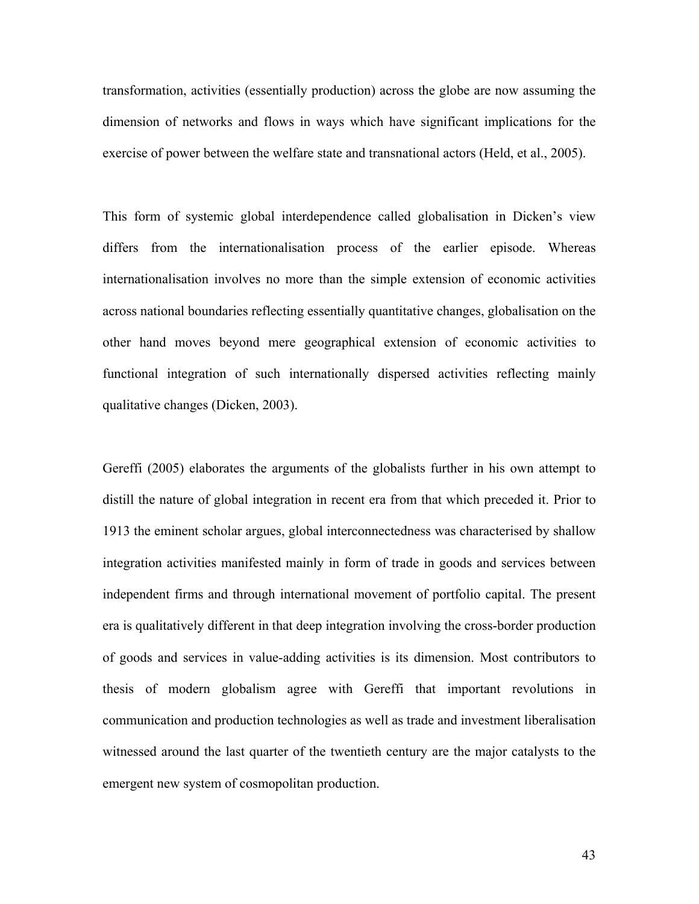transformation, activities (essentially production) across the globe are now assuming the dimension of networks and flows in ways which have significant implications for the exercise of power between the welfare state and transnational actors (Held, et al., 2005).

This form of systemic global interdependence called globalisation in Dicken's view differs from the internationalisation process of the earlier episode. Whereas internationalisation involves no more than the simple extension of economic activities across national boundaries reflecting essentially quantitative changes, globalisation on the other hand moves beyond mere geographical extension of economic activities to functional integration of such internationally dispersed activities reflecting mainly qualitative changes (Dicken, 2003).

Gereffi (2005) elaborates the arguments of the globalists further in his own attempt to distill the nature of global integration in recent era from that which preceded it. Prior to 1913 the eminent scholar argues, global interconnectedness was characterised by shallow integration activities manifested mainly in form of trade in goods and services between independent firms and through international movement of portfolio capital. The present era is qualitatively different in that deep integration involving the cross-border production of goods and services in value-adding activities is its dimension. Most contributors to thesis of modern globalism agree with Gereffi that important revolutions in communication and production technologies as well as trade and investment liberalisation witnessed around the last quarter of the twentieth century are the major catalysts to the emergent new system of cosmopolitan production.

43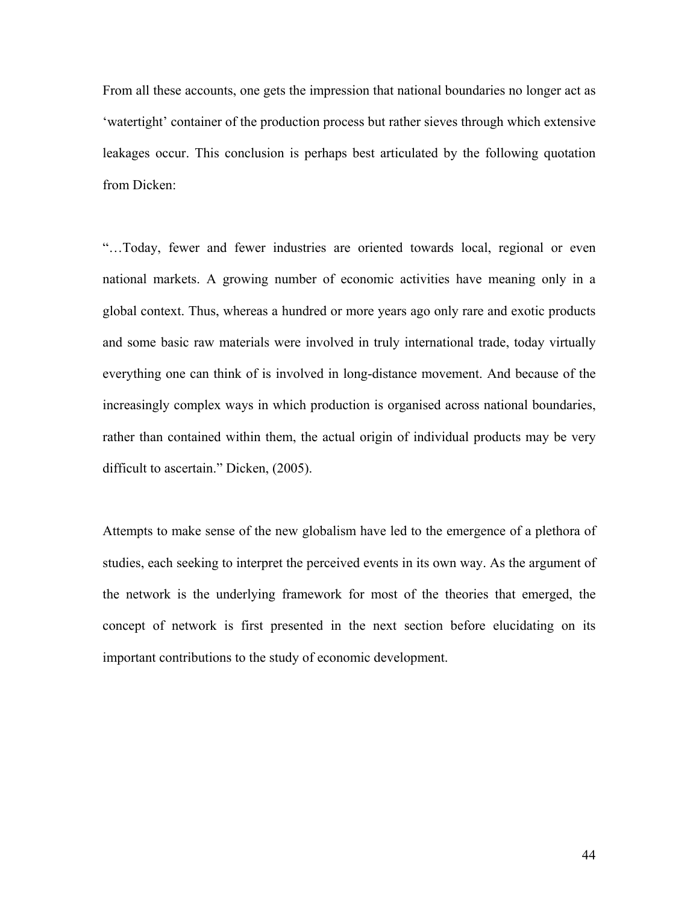From all these accounts, one gets the impression that national boundaries no longer act as 'watertight' container of the production process but rather sieves through which extensive leakages occur. This conclusion is perhaps best articulated by the following quotation from Dicken:

"…Today, fewer and fewer industries are oriented towards local, regional or even national markets. A growing number of economic activities have meaning only in a global context. Thus, whereas a hundred or more years ago only rare and exotic products and some basic raw materials were involved in truly international trade, today virtually everything one can think of is involved in long-distance movement. And because of the increasingly complex ways in which production is organised across national boundaries, rather than contained within them, the actual origin of individual products may be very difficult to ascertain." Dicken, (2005).

Attempts to make sense of the new globalism have led to the emergence of a plethora of studies, each seeking to interpret the perceived events in its own way. As the argument of the network is the underlying framework for most of the theories that emerged, the concept of network is first presented in the next section before elucidating on its important contributions to the study of economic development.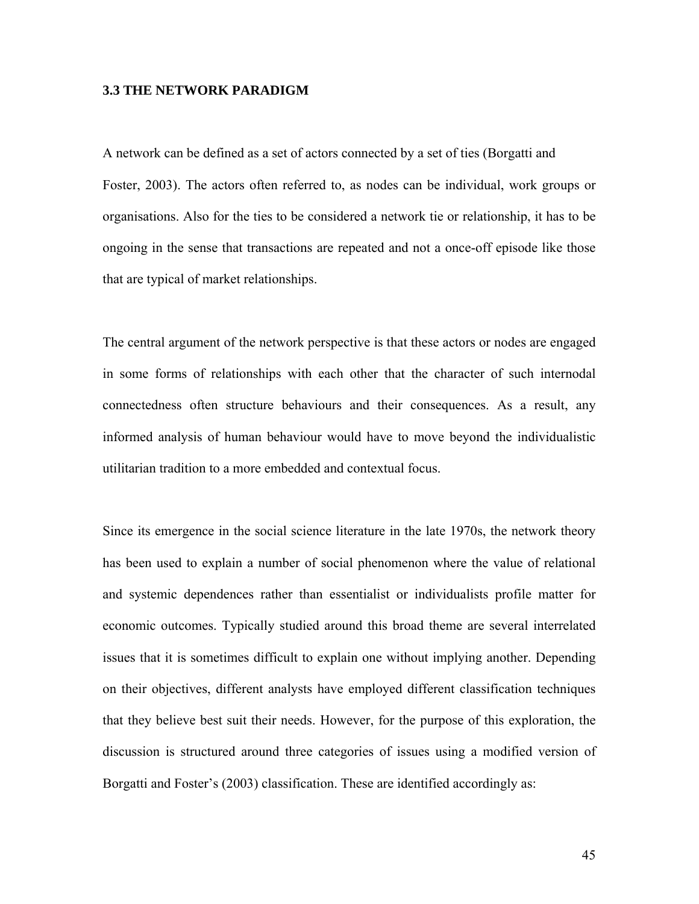## **3.3 THE NETWORK PARADIGM**

A network can be defined as a set of actors connected by a set of ties (Borgatti and Foster, 2003). The actors often referred to, as nodes can be individual, work groups or organisations. Also for the ties to be considered a network tie or relationship, it has to be ongoing in the sense that transactions are repeated and not a once-off episode like those that are typical of market relationships.

The central argument of the network perspective is that these actors or nodes are engaged in some forms of relationships with each other that the character of such internodal connectedness often structure behaviours and their consequences. As a result, any informed analysis of human behaviour would have to move beyond the individualistic utilitarian tradition to a more embedded and contextual focus.

Since its emergence in the social science literature in the late 1970s, the network theory has been used to explain a number of social phenomenon where the value of relational and systemic dependences rather than essentialist or individualists profile matter for economic outcomes. Typically studied around this broad theme are several interrelated issues that it is sometimes difficult to explain one without implying another. Depending on their objectives, different analysts have employed different classification techniques that they believe best suit their needs. However, for the purpose of this exploration, the discussion is structured around three categories of issues using a modified version of Borgatti and Foster's (2003) classification. These are identified accordingly as: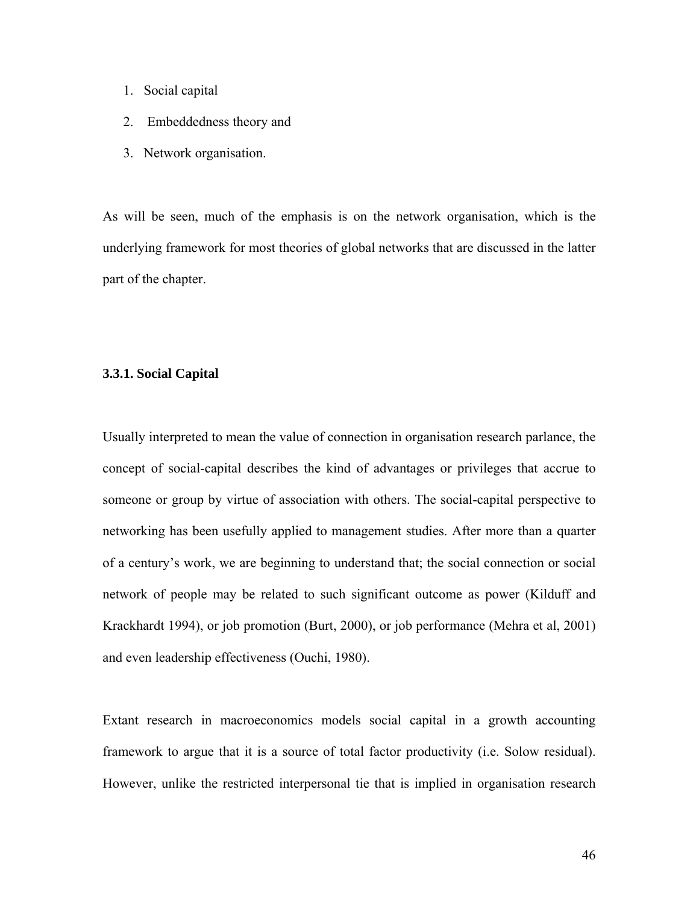- 1. Social capital
- 2. Embeddedness theory and
- 3. Network organisation.

As will be seen, much of the emphasis is on the network organisation, which is the underlying framework for most theories of global networks that are discussed in the latter part of the chapter.

## **3.3.1. Social Capital**

Usually interpreted to mean the value of connection in organisation research parlance, the concept of social-capital describes the kind of advantages or privileges that accrue to someone or group by virtue of association with others. The social-capital perspective to networking has been usefully applied to management studies. After more than a quarter of a century's work, we are beginning to understand that; the social connection or social network of people may be related to such significant outcome as power (Kilduff and Krackhardt 1994), or job promotion (Burt, 2000), or job performance (Mehra et al, 2001) and even leadership effectiveness (Ouchi, 1980).

Extant research in macroeconomics models social capital in a growth accounting framework to argue that it is a source of total factor productivity (i.e. Solow residual). However, unlike the restricted interpersonal tie that is implied in organisation research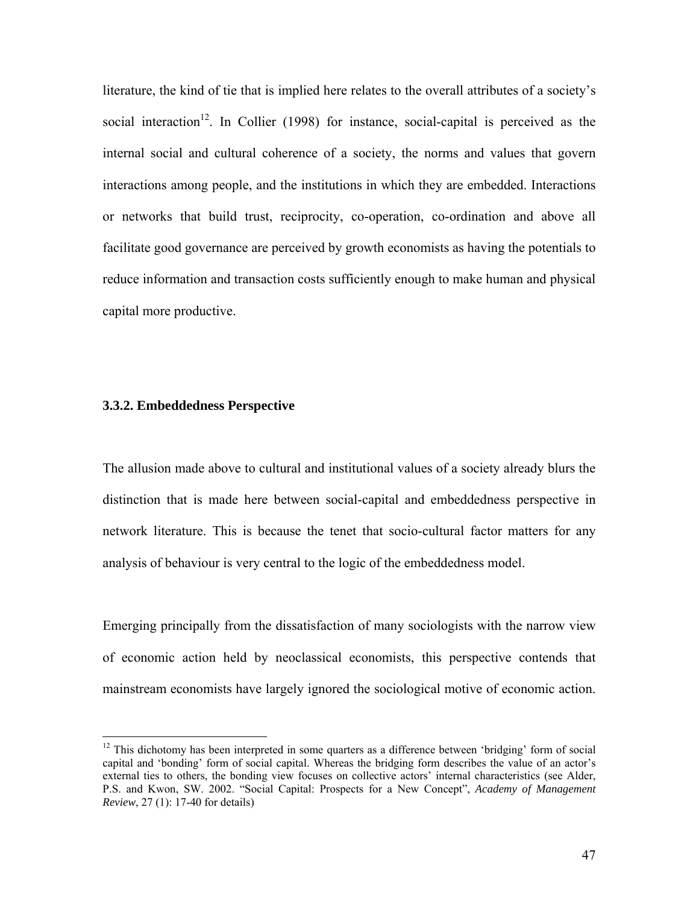literature, the kind of tie that is implied here relates to the overall attributes of a society's social interaction<sup>12</sup>. In Collier (1998) for instance, social-capital is perceived as the internal social and cultural coherence of a society, the norms and values that govern interactions among people, and the institutions in which they are embedded. Interactions or networks that build trust, reciprocity, co-operation, co-ordination and above all facilitate good governance are perceived by growth economists as having the potentials to reduce information and transaction costs sufficiently enough to make human and physical capital more productive.

#### **3.3.2. Embeddedness Perspective**

 $\overline{a}$ 

The allusion made above to cultural and institutional values of a society already blurs the distinction that is made here between social-capital and embeddedness perspective in network literature. This is because the tenet that socio-cultural factor matters for any analysis of behaviour is very central to the logic of the embeddedness model.

Emerging principally from the dissatisfaction of many sociologists with the narrow view of economic action held by neoclassical economists, this perspective contends that mainstream economists have largely ignored the sociological motive of economic action.

 $12$  This dichotomy has been interpreted in some quarters as a difference between 'bridging' form of social capital and 'bonding' form of social capital. Whereas the bridging form describes the value of an actor's external ties to others, the bonding view focuses on collective actors' internal characteristics (see Alder, P.S. and Kwon, SW. 2002. "Social Capital: Prospects for a New Concept", *Academy of Management Review*, 27 (1): 17-40 for details)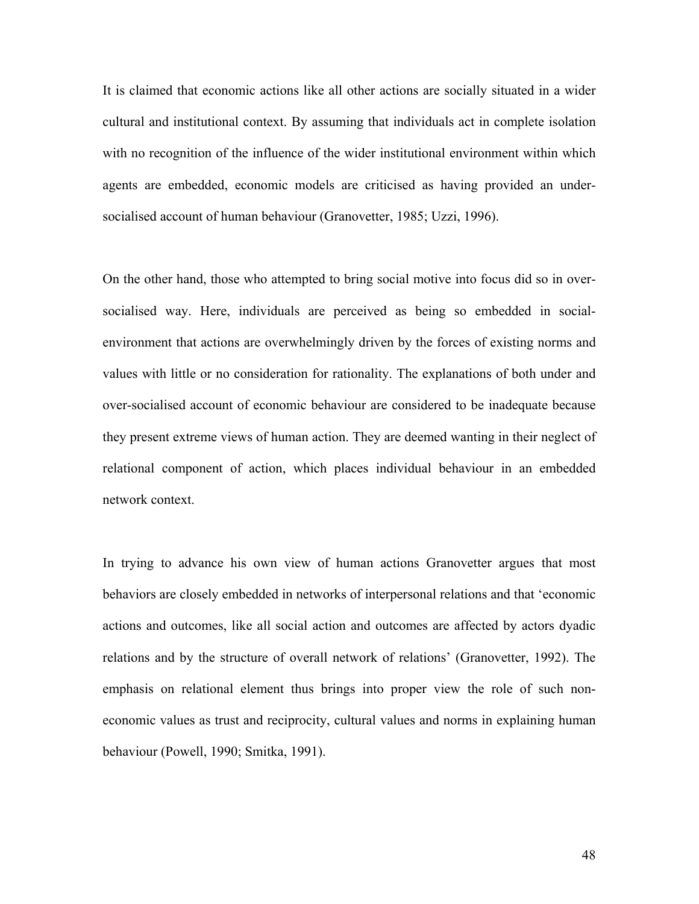It is claimed that economic actions like all other actions are socially situated in a wider cultural and institutional context. By assuming that individuals act in complete isolation with no recognition of the influence of the wider institutional environment within which agents are embedded, economic models are criticised as having provided an undersocialised account of human behaviour (Granovetter, 1985; Uzzi, 1996).

On the other hand, those who attempted to bring social motive into focus did so in oversocialised way. Here, individuals are perceived as being so embedded in socialenvironment that actions are overwhelmingly driven by the forces of existing norms and values with little or no consideration for rationality. The explanations of both under and over-socialised account of economic behaviour are considered to be inadequate because they present extreme views of human action. They are deemed wanting in their neglect of relational component of action, which places individual behaviour in an embedded network context.

In trying to advance his own view of human actions Granovetter argues that most behaviors are closely embedded in networks of interpersonal relations and that 'economic actions and outcomes, like all social action and outcomes are affected by actors dyadic relations and by the structure of overall network of relations' (Granovetter, 1992). The emphasis on relational element thus brings into proper view the role of such noneconomic values as trust and reciprocity, cultural values and norms in explaining human behaviour (Powell, 1990; Smitka, 1991).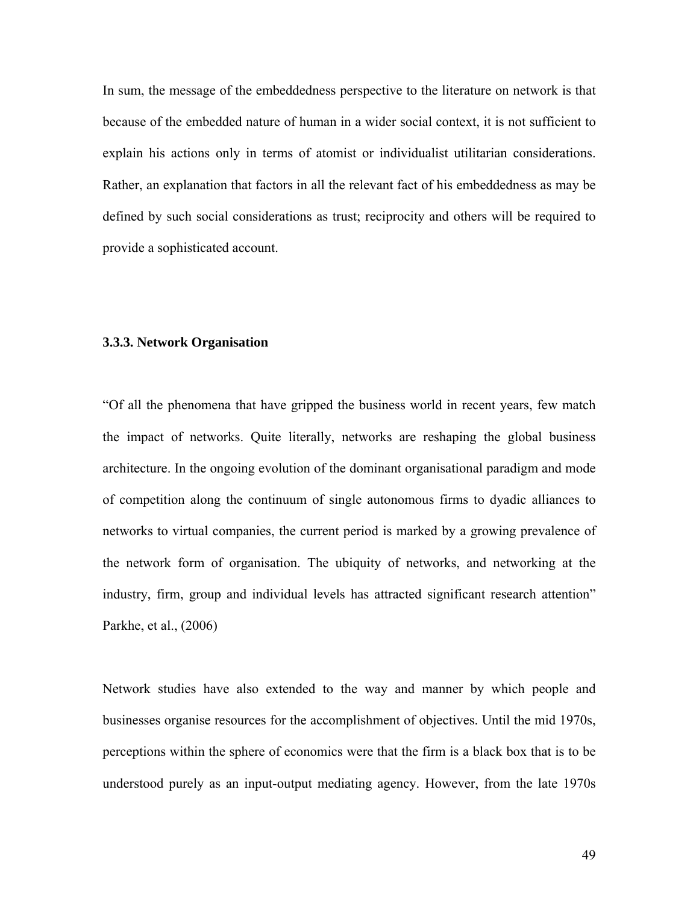In sum, the message of the embeddedness perspective to the literature on network is that because of the embedded nature of human in a wider social context, it is not sufficient to explain his actions only in terms of atomist or individualist utilitarian considerations. Rather, an explanation that factors in all the relevant fact of his embeddedness as may be defined by such social considerations as trust; reciprocity and others will be required to provide a sophisticated account.

## **3.3.3. Network Organisation**

"Of all the phenomena that have gripped the business world in recent years, few match the impact of networks. Quite literally, networks are reshaping the global business architecture. In the ongoing evolution of the dominant organisational paradigm and mode of competition along the continuum of single autonomous firms to dyadic alliances to networks to virtual companies, the current period is marked by a growing prevalence of the network form of organisation. The ubiquity of networks, and networking at the industry, firm, group and individual levels has attracted significant research attention" Parkhe, et al., (2006)

Network studies have also extended to the way and manner by which people and businesses organise resources for the accomplishment of objectives. Until the mid 1970s, perceptions within the sphere of economics were that the firm is a black box that is to be understood purely as an input-output mediating agency. However, from the late 1970s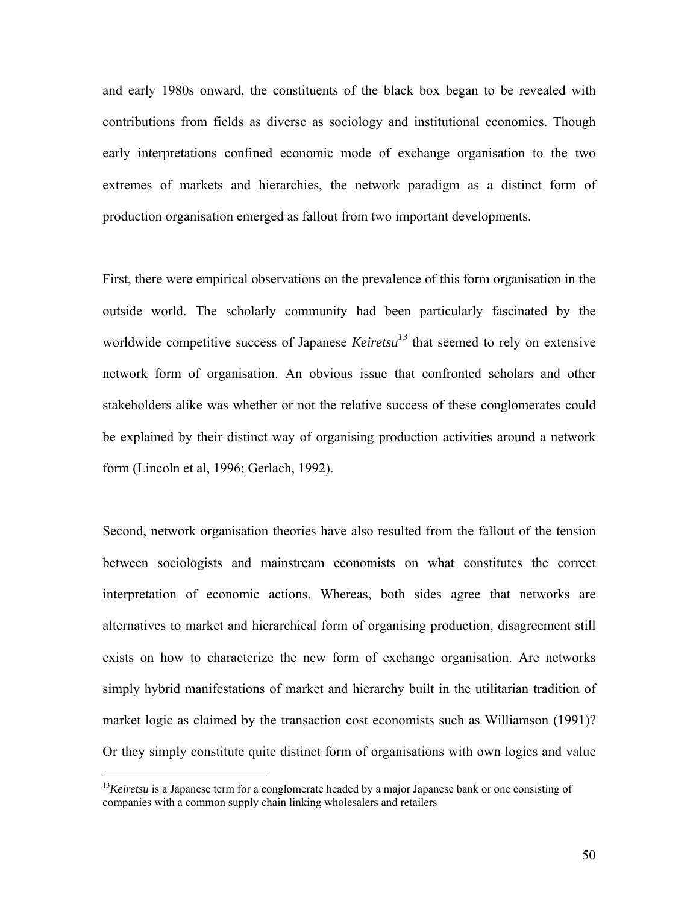and early 1980s onward, the constituents of the black box began to be revealed with contributions from fields as diverse as sociology and institutional economics. Though early interpretations confined economic mode of exchange organisation to the two extremes of markets and hierarchies, the network paradigm as a distinct form of production organisation emerged as fallout from two important developments.

First, there were empirical observations on the prevalence of this form organisation in the outside world. The scholarly community had been particularly fascinated by the worldwide competitive success of Japanese  $Keiretsu<sup>13</sup>$  that seemed to rely on extensive network form of organisation. An obvious issue that confronted scholars and other stakeholders alike was whether or not the relative success of these conglomerates could be explained by their distinct way of organising production activities around a network form (Lincoln et al, 1996; Gerlach, 1992).

Second, network organisation theories have also resulted from the fallout of the tension between sociologists and mainstream economists on what constitutes the correct interpretation of economic actions. Whereas, both sides agree that networks are alternatives to market and hierarchical form of organising production, disagreement still exists on how to characterize the new form of exchange organisation. Are networks simply hybrid manifestations of market and hierarchy built in the utilitarian tradition of market logic as claimed by the transaction cost economists such as Williamson (1991)? Or they simply constitute quite distinct form of organisations with own logics and value

 $\overline{a}$ 

<sup>&</sup>lt;sup>13</sup>*Keiretsu* is a Japanese term for a conglomerate headed by a major Japanese bank or one consisting of companies with a common supply chain linking wholesalers and retailers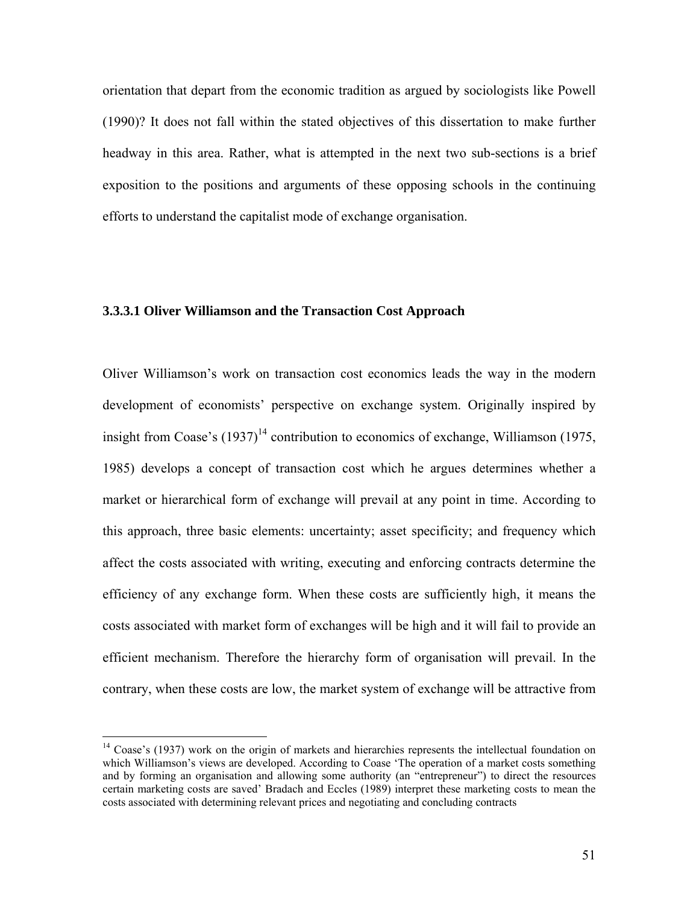orientation that depart from the economic tradition as argued by sociologists like Powell (1990)? It does not fall within the stated objectives of this dissertation to make further headway in this area. Rather, what is attempted in the next two sub-sections is a brief exposition to the positions and arguments of these opposing schools in the continuing efforts to understand the capitalist mode of exchange organisation.

## **3.3.3.1 Oliver Williamson and the Transaction Cost Approach**

Oliver Williamson's work on transaction cost economics leads the way in the modern development of economists' perspective on exchange system. Originally inspired by insight from Coase's  $(1937)^{14}$  contribution to economics of exchange, Williamson (1975, 1985) develops a concept of transaction cost which he argues determines whether a market or hierarchical form of exchange will prevail at any point in time. According to this approach, three basic elements: uncertainty; asset specificity; and frequency which affect the costs associated with writing, executing and enforcing contracts determine the efficiency of any exchange form. When these costs are sufficiently high, it means the costs associated with market form of exchanges will be high and it will fail to provide an efficient mechanism. Therefore the hierarchy form of organisation will prevail. In the contrary, when these costs are low, the market system of exchange will be attractive from

1

<sup>&</sup>lt;sup>14</sup> Coase's (1937) work on the origin of markets and hierarchies represents the intellectual foundation on which Williamson's views are developed. According to Coase 'The operation of a market costs something and by forming an organisation and allowing some authority (an "entrepreneur") to direct the resources certain marketing costs are saved' Bradach and Eccles (1989) interpret these marketing costs to mean the costs associated with determining relevant prices and negotiating and concluding contracts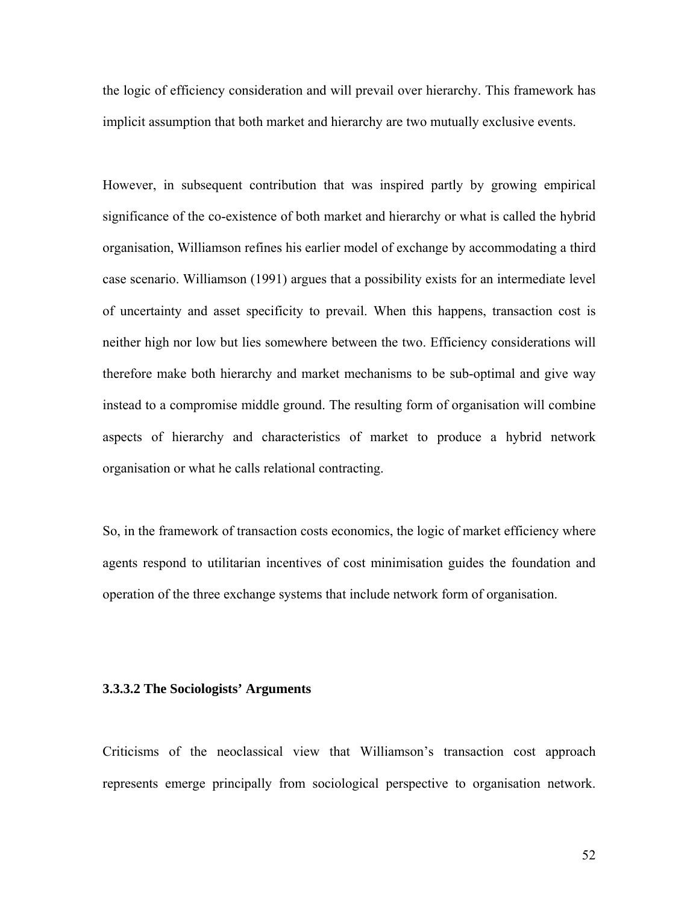the logic of efficiency consideration and will prevail over hierarchy. This framework has implicit assumption that both market and hierarchy are two mutually exclusive events.

However, in subsequent contribution that was inspired partly by growing empirical significance of the co-existence of both market and hierarchy or what is called the hybrid organisation, Williamson refines his earlier model of exchange by accommodating a third case scenario. Williamson (1991) argues that a possibility exists for an intermediate level of uncertainty and asset specificity to prevail. When this happens, transaction cost is neither high nor low but lies somewhere between the two. Efficiency considerations will therefore make both hierarchy and market mechanisms to be sub-optimal and give way instead to a compromise middle ground. The resulting form of organisation will combine aspects of hierarchy and characteristics of market to produce a hybrid network organisation or what he calls relational contracting.

So, in the framework of transaction costs economics, the logic of market efficiency where agents respond to utilitarian incentives of cost minimisation guides the foundation and operation of the three exchange systems that include network form of organisation.

## **3.3.3.2 The Sociologists' Arguments**

Criticisms of the neoclassical view that Williamson's transaction cost approach represents emerge principally from sociological perspective to organisation network.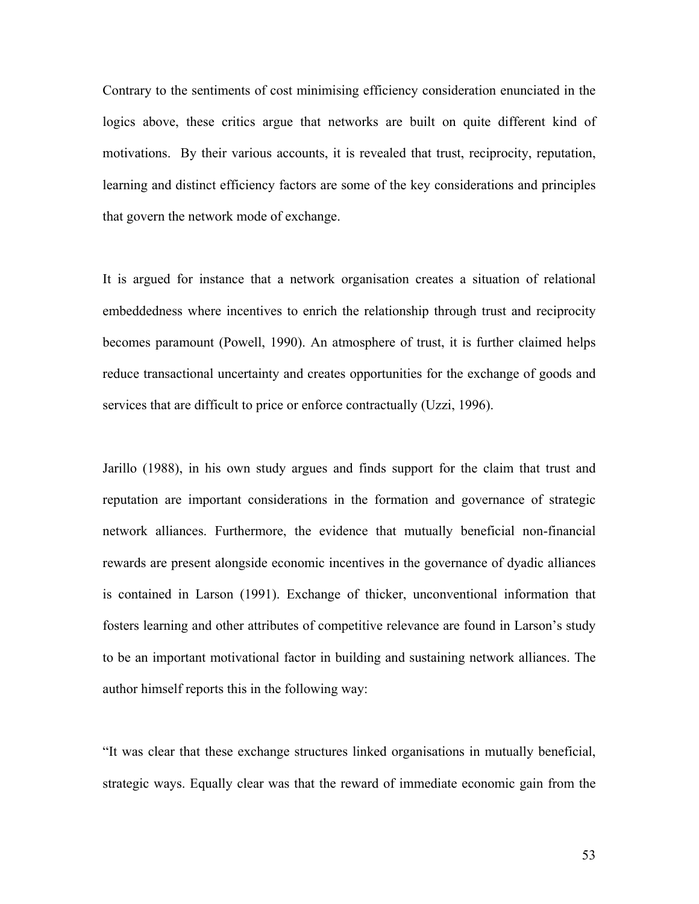Contrary to the sentiments of cost minimising efficiency consideration enunciated in the logics above, these critics argue that networks are built on quite different kind of motivations. By their various accounts, it is revealed that trust, reciprocity, reputation, learning and distinct efficiency factors are some of the key considerations and principles that govern the network mode of exchange.

It is argued for instance that a network organisation creates a situation of relational embeddedness where incentives to enrich the relationship through trust and reciprocity becomes paramount (Powell, 1990). An atmosphere of trust, it is further claimed helps reduce transactional uncertainty and creates opportunities for the exchange of goods and services that are difficult to price or enforce contractually (Uzzi, 1996).

Jarillo (1988), in his own study argues and finds support for the claim that trust and reputation are important considerations in the formation and governance of strategic network alliances. Furthermore, the evidence that mutually beneficial non-financial rewards are present alongside economic incentives in the governance of dyadic alliances is contained in Larson (1991). Exchange of thicker, unconventional information that fosters learning and other attributes of competitive relevance are found in Larson's study to be an important motivational factor in building and sustaining network alliances. The author himself reports this in the following way:

"It was clear that these exchange structures linked organisations in mutually beneficial, strategic ways. Equally clear was that the reward of immediate economic gain from the

53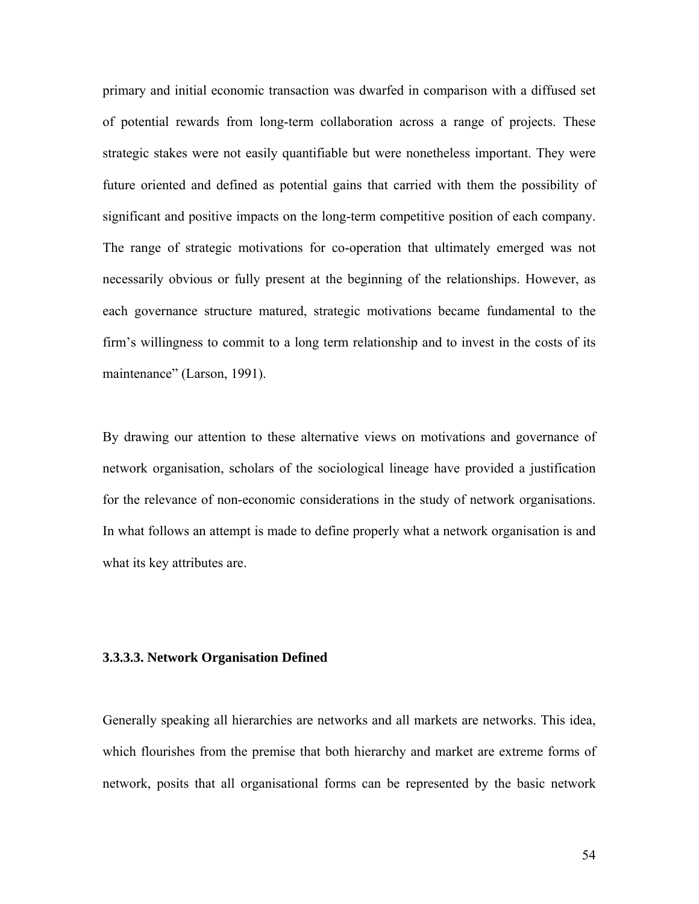primary and initial economic transaction was dwarfed in comparison with a diffused set of potential rewards from long-term collaboration across a range of projects. These strategic stakes were not easily quantifiable but were nonetheless important. They were future oriented and defined as potential gains that carried with them the possibility of significant and positive impacts on the long-term competitive position of each company. The range of strategic motivations for co-operation that ultimately emerged was not necessarily obvious or fully present at the beginning of the relationships. However, as each governance structure matured, strategic motivations became fundamental to the firm's willingness to commit to a long term relationship and to invest in the costs of its maintenance" (Larson, 1991).

By drawing our attention to these alternative views on motivations and governance of network organisation, scholars of the sociological lineage have provided a justification for the relevance of non-economic considerations in the study of network organisations. In what follows an attempt is made to define properly what a network organisation is and what its key attributes are.

## **3.3.3.3. Network Organisation Defined**

Generally speaking all hierarchies are networks and all markets are networks. This idea, which flourishes from the premise that both hierarchy and market are extreme forms of network, posits that all organisational forms can be represented by the basic network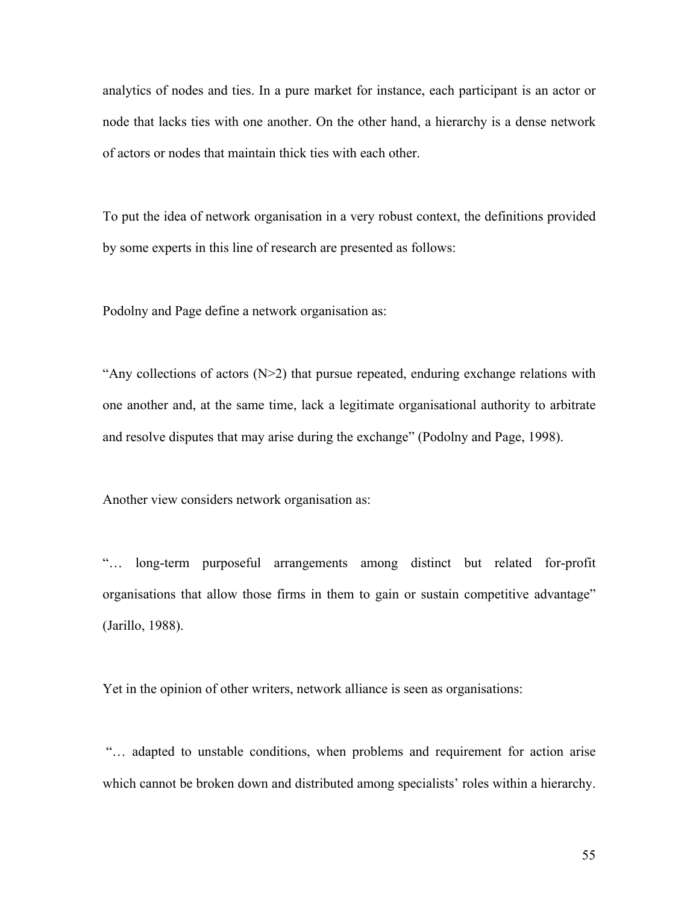analytics of nodes and ties. In a pure market for instance, each participant is an actor or node that lacks ties with one another. On the other hand, a hierarchy is a dense network of actors or nodes that maintain thick ties with each other.

To put the idea of network organisation in a very robust context, the definitions provided by some experts in this line of research are presented as follows:

Podolny and Page define a network organisation as:

"Any collections of actors  $(N>2)$  that pursue repeated, enduring exchange relations with one another and, at the same time, lack a legitimate organisational authority to arbitrate and resolve disputes that may arise during the exchange" (Podolny and Page, 1998).

Another view considers network organisation as:

"… long-term purposeful arrangements among distinct but related for-profit organisations that allow those firms in them to gain or sustain competitive advantage" (Jarillo, 1988).

Yet in the opinion of other writers, network alliance is seen as organisations:

 "… adapted to unstable conditions, when problems and requirement for action arise which cannot be broken down and distributed among specialists' roles within a hierarchy.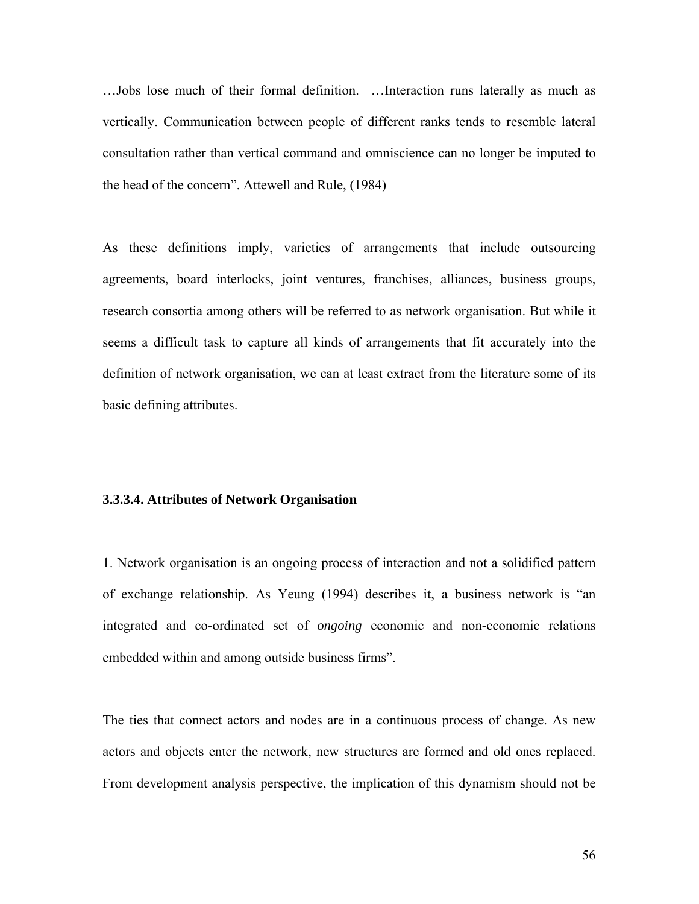…Jobs lose much of their formal definition. …Interaction runs laterally as much as vertically. Communication between people of different ranks tends to resemble lateral consultation rather than vertical command and omniscience can no longer be imputed to the head of the concern". Attewell and Rule, (1984)

As these definitions imply, varieties of arrangements that include outsourcing agreements, board interlocks, joint ventures, franchises, alliances, business groups, research consortia among others will be referred to as network organisation. But while it seems a difficult task to capture all kinds of arrangements that fit accurately into the definition of network organisation, we can at least extract from the literature some of its basic defining attributes.

## **3.3.3.4. Attributes of Network Organisation**

1. Network organisation is an ongoing process of interaction and not a solidified pattern of exchange relationship. As Yeung (1994) describes it, a business network is "an integrated and co-ordinated set of *ongoing* economic and non-economic relations embedded within and among outside business firms".

The ties that connect actors and nodes are in a continuous process of change. As new actors and objects enter the network, new structures are formed and old ones replaced. From development analysis perspective, the implication of this dynamism should not be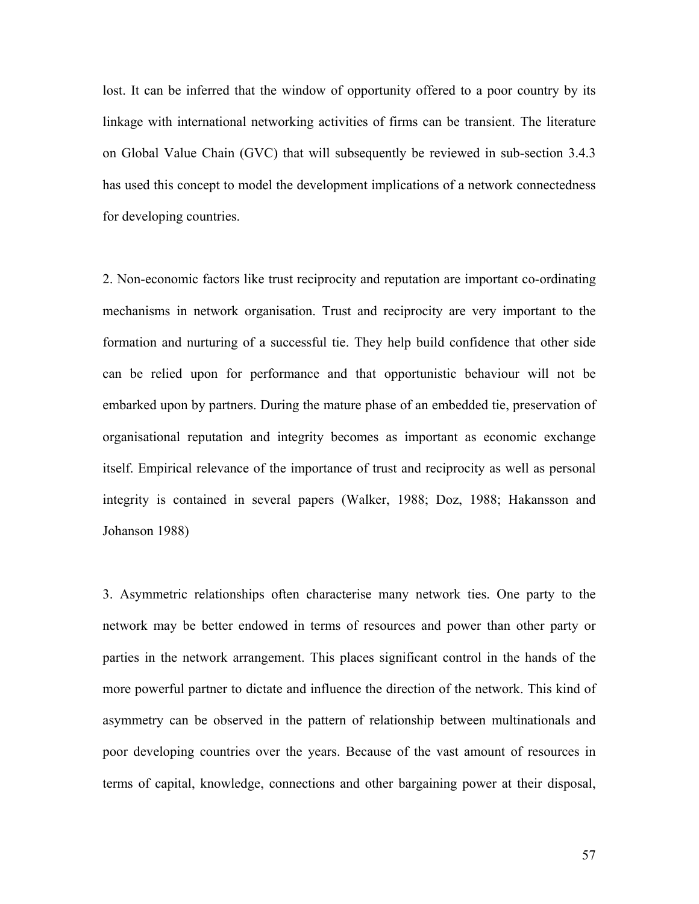lost. It can be inferred that the window of opportunity offered to a poor country by its linkage with international networking activities of firms can be transient. The literature on Global Value Chain (GVC) that will subsequently be reviewed in sub-section 3.4.3 has used this concept to model the development implications of a network connectedness for developing countries.

2. Non-economic factors like trust reciprocity and reputation are important co-ordinating mechanisms in network organisation. Trust and reciprocity are very important to the formation and nurturing of a successful tie. They help build confidence that other side can be relied upon for performance and that opportunistic behaviour will not be embarked upon by partners. During the mature phase of an embedded tie, preservation of organisational reputation and integrity becomes as important as economic exchange itself. Empirical relevance of the importance of trust and reciprocity as well as personal integrity is contained in several papers (Walker, 1988; Doz, 1988; Hakansson and Johanson 1988)

3. Asymmetric relationships often characterise many network ties. One party to the network may be better endowed in terms of resources and power than other party or parties in the network arrangement. This places significant control in the hands of the more powerful partner to dictate and influence the direction of the network. This kind of asymmetry can be observed in the pattern of relationship between multinationals and poor developing countries over the years. Because of the vast amount of resources in terms of capital, knowledge, connections and other bargaining power at their disposal,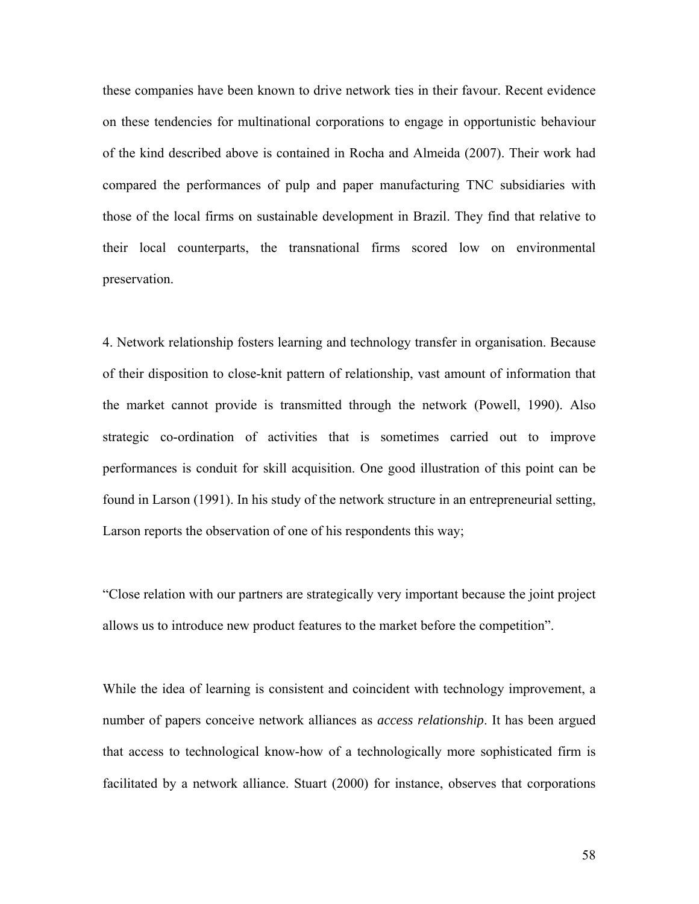these companies have been known to drive network ties in their favour. Recent evidence on these tendencies for multinational corporations to engage in opportunistic behaviour of the kind described above is contained in Rocha and Almeida (2007). Their work had compared the performances of pulp and paper manufacturing TNC subsidiaries with those of the local firms on sustainable development in Brazil. They find that relative to their local counterparts, the transnational firms scored low on environmental preservation.

4. Network relationship fosters learning and technology transfer in organisation. Because of their disposition to close-knit pattern of relationship, vast amount of information that the market cannot provide is transmitted through the network (Powell, 1990). Also strategic co-ordination of activities that is sometimes carried out to improve performances is conduit for skill acquisition. One good illustration of this point can be found in Larson (1991). In his study of the network structure in an entrepreneurial setting, Larson reports the observation of one of his respondents this way;

"Close relation with our partners are strategically very important because the joint project allows us to introduce new product features to the market before the competition".

While the idea of learning is consistent and coincident with technology improvement, a number of papers conceive network alliances as *access relationship*. It has been argued that access to technological know-how of a technologically more sophisticated firm is facilitated by a network alliance. Stuart (2000) for instance, observes that corporations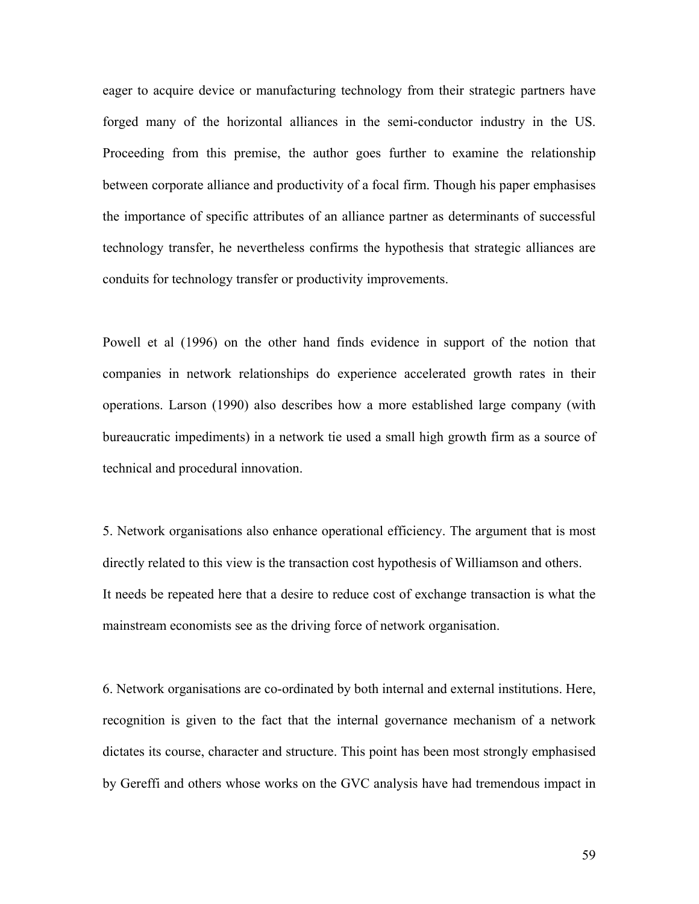eager to acquire device or manufacturing technology from their strategic partners have forged many of the horizontal alliances in the semi-conductor industry in the US. Proceeding from this premise, the author goes further to examine the relationship between corporate alliance and productivity of a focal firm. Though his paper emphasises the importance of specific attributes of an alliance partner as determinants of successful technology transfer, he nevertheless confirms the hypothesis that strategic alliances are conduits for technology transfer or productivity improvements.

Powell et al (1996) on the other hand finds evidence in support of the notion that companies in network relationships do experience accelerated growth rates in their operations. Larson (1990) also describes how a more established large company (with bureaucratic impediments) in a network tie used a small high growth firm as a source of technical and procedural innovation.

5. Network organisations also enhance operational efficiency. The argument that is most directly related to this view is the transaction cost hypothesis of Williamson and others. It needs be repeated here that a desire to reduce cost of exchange transaction is what the mainstream economists see as the driving force of network organisation.

6. Network organisations are co-ordinated by both internal and external institutions. Here, recognition is given to the fact that the internal governance mechanism of a network dictates its course, character and structure. This point has been most strongly emphasised by Gereffi and others whose works on the GVC analysis have had tremendous impact in

59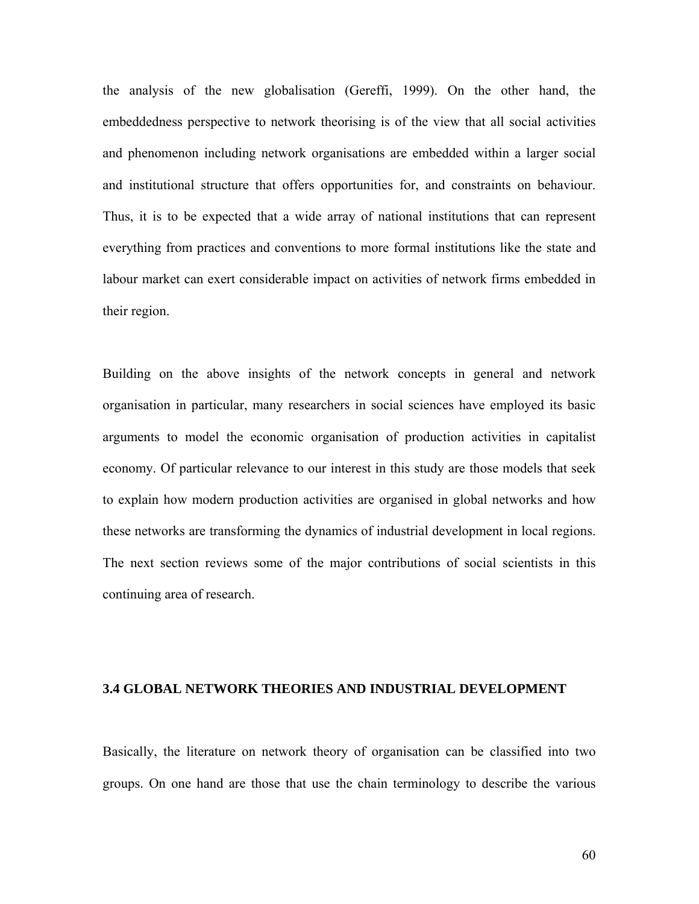the analysis of the new globalisation (Gereffi, 1999). On the other hand, the embeddedness perspective to network theorising is of the view that all social activities and phenomenon including network organisations are embedded within a larger social and institutional structure that offers opportunities for, and constraints on behaviour. Thus, it is to be expected that a wide array of national institutions that can represent everything from practices and conventions to more formal institutions like the state and labour market can exert considerable impact on activities of network firms embedded in their region.

Building on the above insights of the network concepts in general and network organisation in particular, many researchers in social sciences have employed its basic arguments to model the economic organisation of production activities in capitalist economy. Of particular relevance to our interest in this study are those models that seek to explain how modern production activities are organised in global networks and how these networks are transforming the dynamics of industrial development in local regions. The next section reviews some of the major contributions of social scientists in this continuing area of research.

#### **3.4 GLOBAL NETWORK THEORIES AND INDUSTRIAL DEVELOPMENT**

Basically, the literature on network theory of organisation can be classified into two groups. On one hand are those that use the chain terminology to describe the various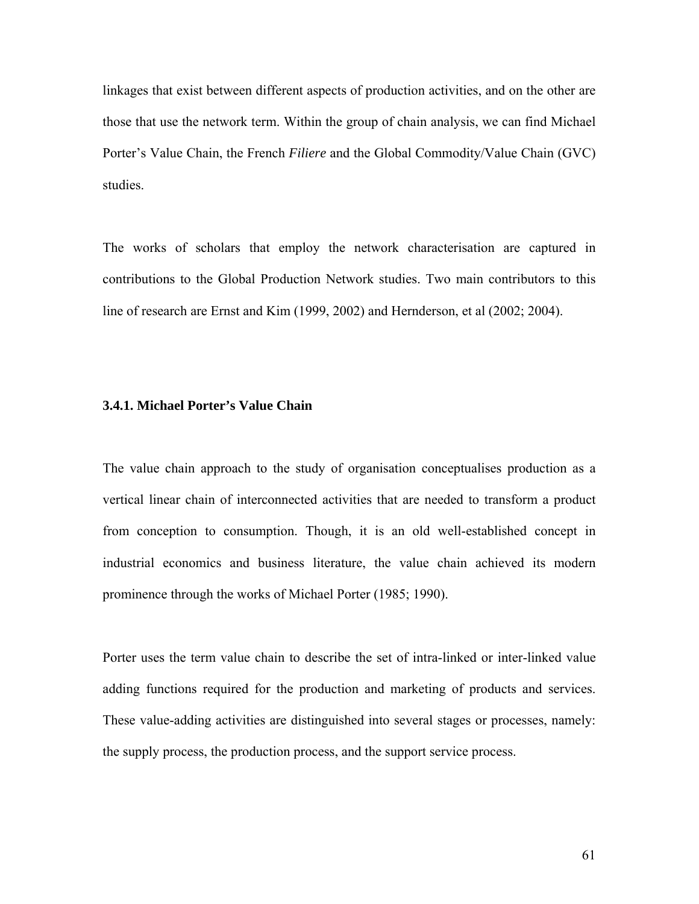linkages that exist between different aspects of production activities, and on the other are those that use the network term. Within the group of chain analysis, we can find Michael Porter's Value Chain, the French *Filiere* and the Global Commodity/Value Chain (GVC) studies.

The works of scholars that employ the network characterisation are captured in contributions to the Global Production Network studies. Two main contributors to this line of research are Ernst and Kim (1999, 2002) and Hernderson, et al (2002; 2004).

## **3.4.1. Michael Porter's Value Chain**

The value chain approach to the study of organisation conceptualises production as a vertical linear chain of interconnected activities that are needed to transform a product from conception to consumption. Though, it is an old well-established concept in industrial economics and business literature, the value chain achieved its modern prominence through the works of Michael Porter (1985; 1990).

Porter uses the term value chain to describe the set of intra-linked or inter-linked value adding functions required for the production and marketing of products and services. These value-adding activities are distinguished into several stages or processes, namely: the supply process, the production process, and the support service process.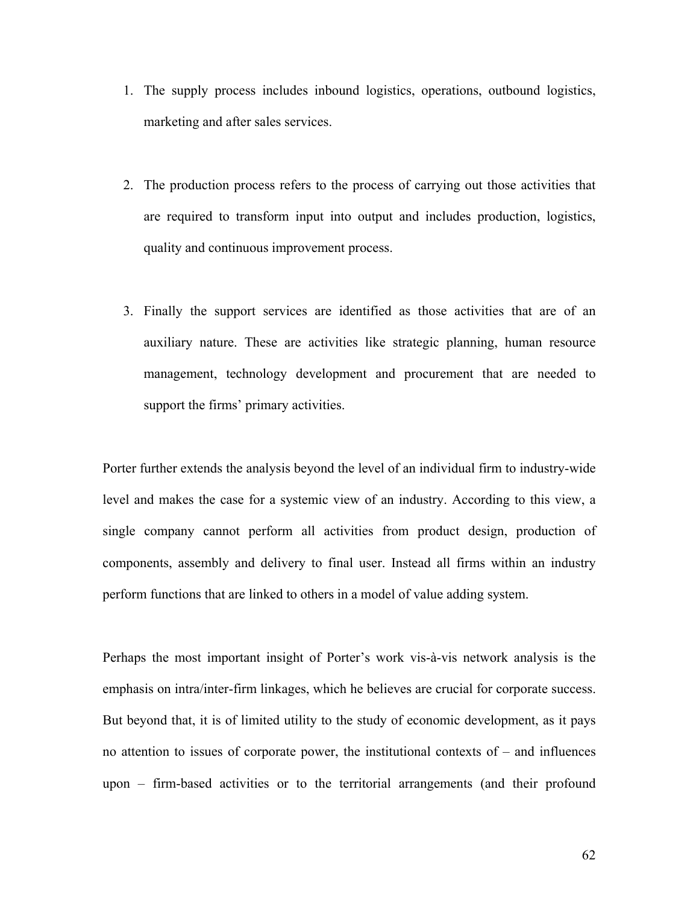- 1. The supply process includes inbound logistics, operations, outbound logistics, marketing and after sales services.
- 2. The production process refers to the process of carrying out those activities that are required to transform input into output and includes production, logistics, quality and continuous improvement process.
- 3. Finally the support services are identified as those activities that are of an auxiliary nature. These are activities like strategic planning, human resource management, technology development and procurement that are needed to support the firms' primary activities.

Porter further extends the analysis beyond the level of an individual firm to industry-wide level and makes the case for a systemic view of an industry. According to this view, a single company cannot perform all activities from product design, production of components, assembly and delivery to final user. Instead all firms within an industry perform functions that are linked to others in a model of value adding system.

Perhaps the most important insight of Porter's work vis-à-vis network analysis is the emphasis on intra/inter-firm linkages, which he believes are crucial for corporate success. But beyond that, it is of limited utility to the study of economic development, as it pays no attention to issues of corporate power, the institutional contexts of – and influences upon – firm-based activities or to the territorial arrangements (and their profound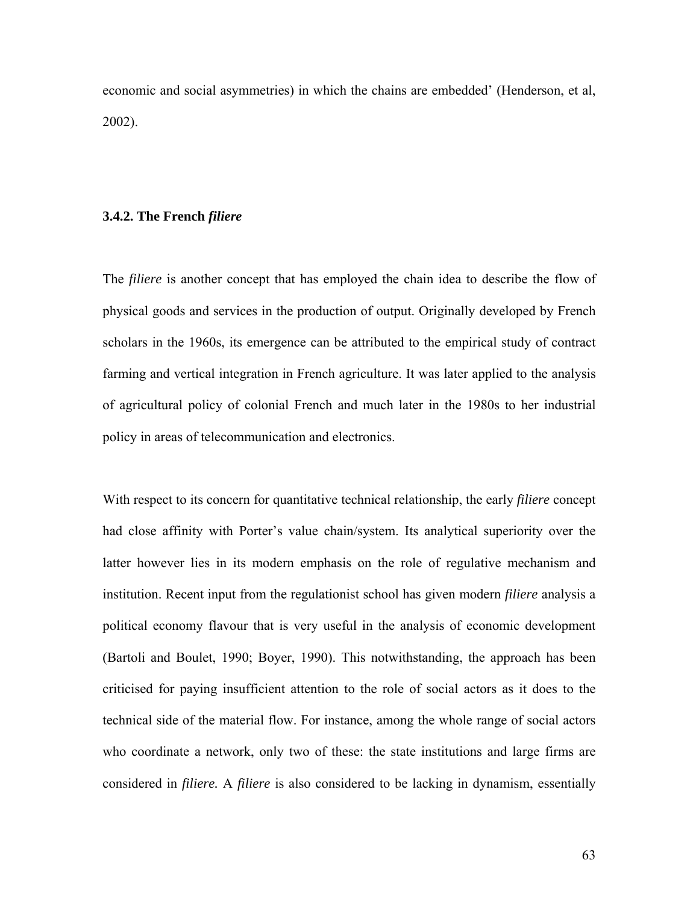economic and social asymmetries) in which the chains are embedded' (Henderson, et al, 2002).

#### **3.4.2. The French** *filiere*

The *filiere* is another concept that has employed the chain idea to describe the flow of physical goods and services in the production of output. Originally developed by French scholars in the 1960s, its emergence can be attributed to the empirical study of contract farming and vertical integration in French agriculture. It was later applied to the analysis of agricultural policy of colonial French and much later in the 1980s to her industrial policy in areas of telecommunication and electronics.

With respect to its concern for quantitative technical relationship, the early *filiere* concept had close affinity with Porter's value chain/system. Its analytical superiority over the latter however lies in its modern emphasis on the role of regulative mechanism and institution. Recent input from the regulationist school has given modern *filiere* analysis a political economy flavour that is very useful in the analysis of economic development (Bartoli and Boulet, 1990; Boyer, 1990). This notwithstanding, the approach has been criticised for paying insufficient attention to the role of social actors as it does to the technical side of the material flow. For instance, among the whole range of social actors who coordinate a network, only two of these: the state institutions and large firms are considered in *filiere.* A *filiere* is also considered to be lacking in dynamism, essentially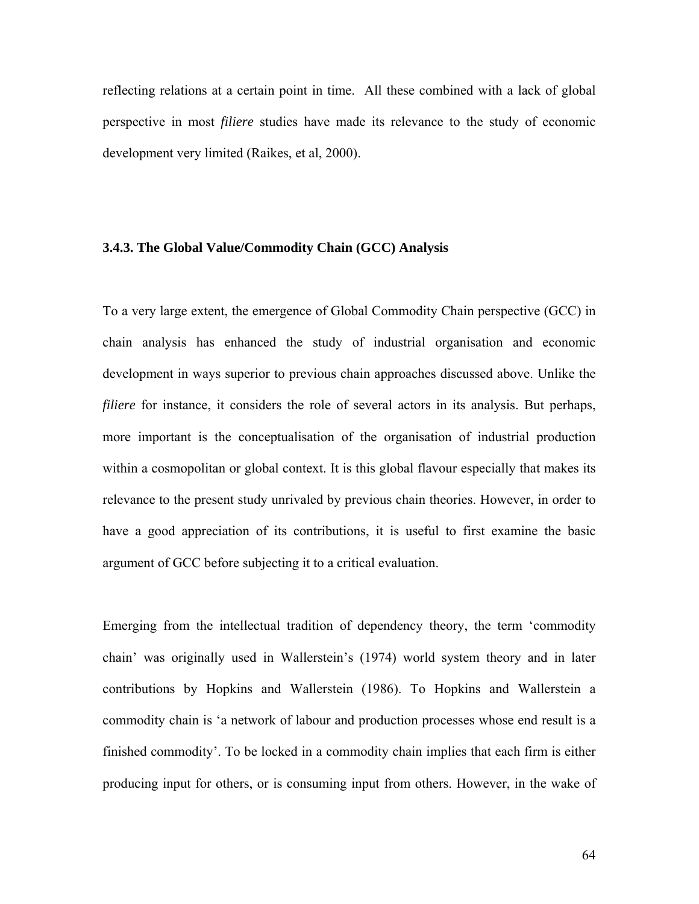reflecting relations at a certain point in time. All these combined with a lack of global perspective in most *filiere* studies have made its relevance to the study of economic development very limited (Raikes, et al, 2000).

### **3.4.3. The Global Value/Commodity Chain (GCC) Analysis**

To a very large extent, the emergence of Global Commodity Chain perspective (GCC) in chain analysis has enhanced the study of industrial organisation and economic development in ways superior to previous chain approaches discussed above. Unlike the *filiere* for instance, it considers the role of several actors in its analysis. But perhaps, more important is the conceptualisation of the organisation of industrial production within a cosmopolitan or global context. It is this global flavour especially that makes its relevance to the present study unrivaled by previous chain theories. However, in order to have a good appreciation of its contributions, it is useful to first examine the basic argument of GCC before subjecting it to a critical evaluation.

Emerging from the intellectual tradition of dependency theory, the term 'commodity chain' was originally used in Wallerstein's (1974) world system theory and in later contributions by Hopkins and Wallerstein (1986). To Hopkins and Wallerstein a commodity chain is 'a network of labour and production processes whose end result is a finished commodity'. To be locked in a commodity chain implies that each firm is either producing input for others, or is consuming input from others. However, in the wake of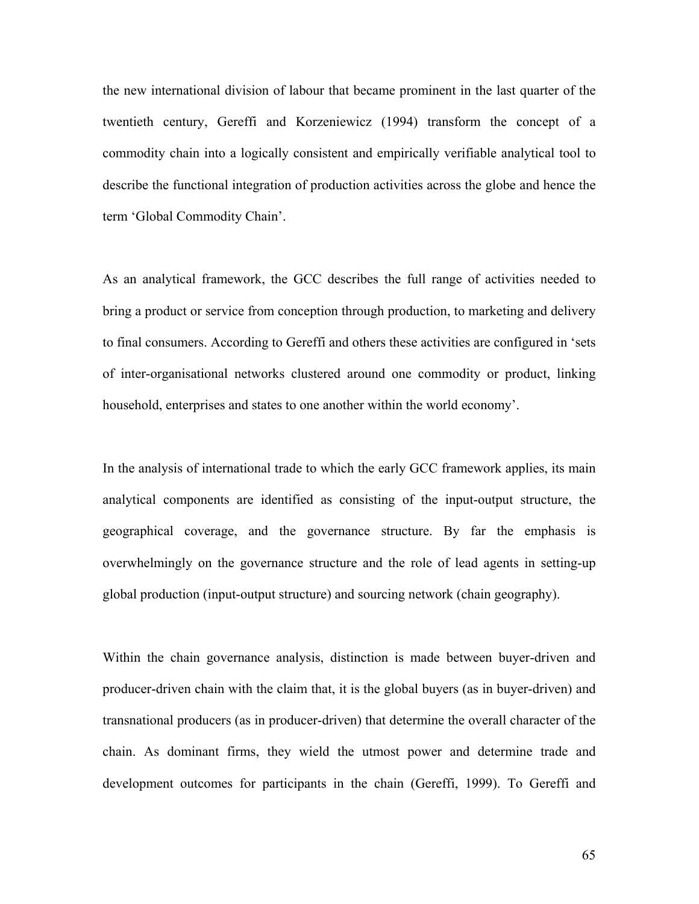the new international division of labour that became prominent in the last quarter of the twentieth century, Gereffi and Korzeniewicz (1994) transform the concept of a commodity chain into a logically consistent and empirically verifiable analytical tool to describe the functional integration of production activities across the globe and hence the term 'Global Commodity Chain'.

As an analytical framework, the GCC describes the full range of activities needed to bring a product or service from conception through production, to marketing and delivery to final consumers. According to Gereffi and others these activities are configured in 'sets of inter-organisational networks clustered around one commodity or product, linking household, enterprises and states to one another within the world economy'.

In the analysis of international trade to which the early GCC framework applies, its main analytical components are identified as consisting of the input-output structure, the geographical coverage, and the governance structure. By far the emphasis is overwhelmingly on the governance structure and the role of lead agents in setting-up global production (input-output structure) and sourcing network (chain geography).

Within the chain governance analysis, distinction is made between buyer-driven and producer-driven chain with the claim that, it is the global buyers (as in buyer-driven) and transnational producers (as in producer-driven) that determine the overall character of the chain. As dominant firms, they wield the utmost power and determine trade and development outcomes for participants in the chain (Gereffi, 1999). To Gereffi and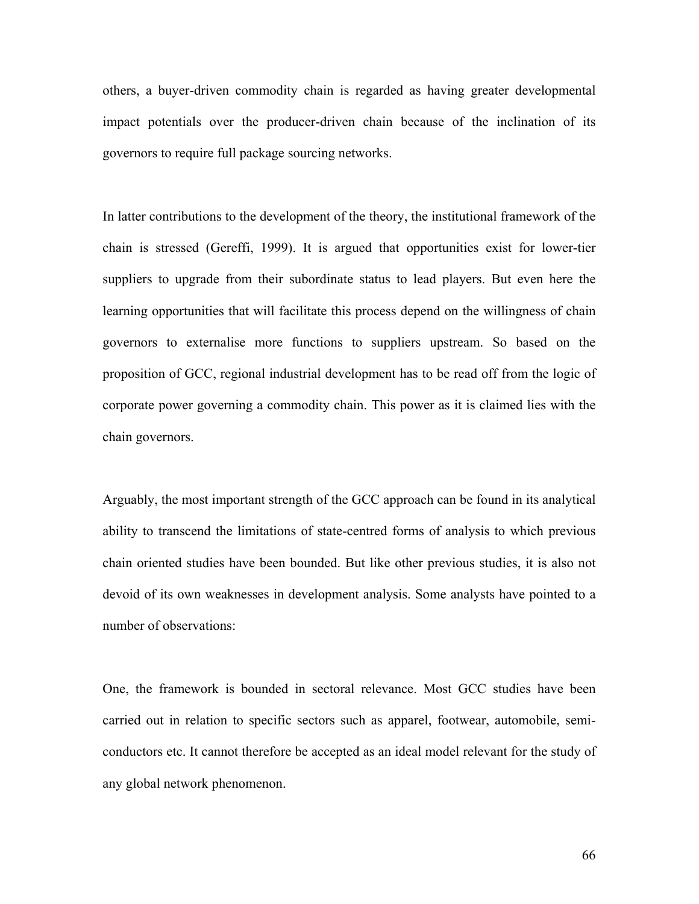others, a buyer-driven commodity chain is regarded as having greater developmental impact potentials over the producer-driven chain because of the inclination of its governors to require full package sourcing networks.

In latter contributions to the development of the theory, the institutional framework of the chain is stressed (Gereffi, 1999). It is argued that opportunities exist for lower-tier suppliers to upgrade from their subordinate status to lead players. But even here the learning opportunities that will facilitate this process depend on the willingness of chain governors to externalise more functions to suppliers upstream. So based on the proposition of GCC, regional industrial development has to be read off from the logic of corporate power governing a commodity chain. This power as it is claimed lies with the chain governors.

Arguably, the most important strength of the GCC approach can be found in its analytical ability to transcend the limitations of state-centred forms of analysis to which previous chain oriented studies have been bounded. But like other previous studies, it is also not devoid of its own weaknesses in development analysis. Some analysts have pointed to a number of observations:

One, the framework is bounded in sectoral relevance. Most GCC studies have been carried out in relation to specific sectors such as apparel, footwear, automobile, semiconductors etc. It cannot therefore be accepted as an ideal model relevant for the study of any global network phenomenon.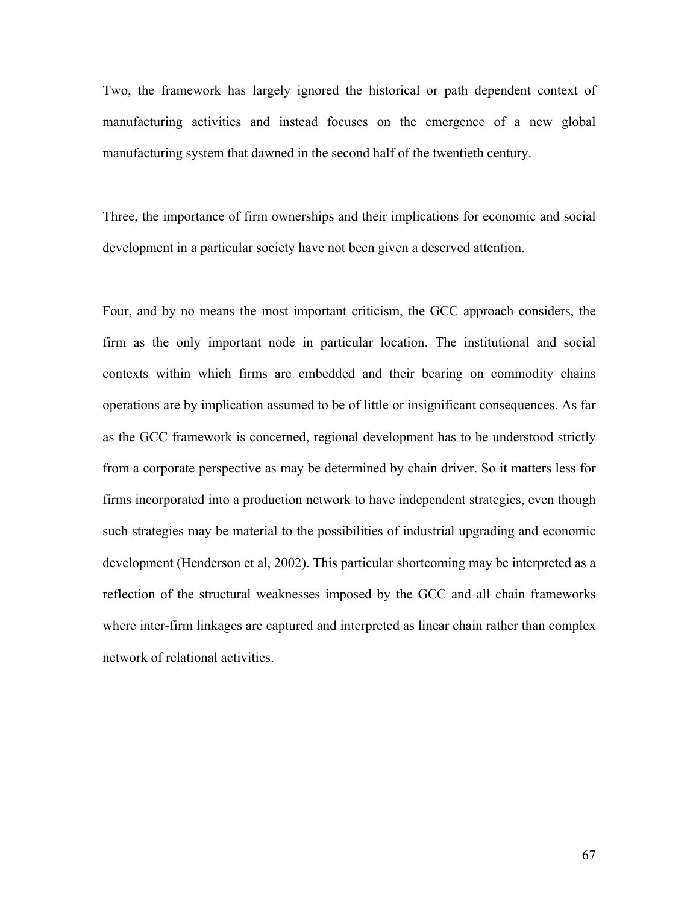Two, the framework has largely ignored the historical or path dependent context of manufacturing activities and instead focuses on the emergence of a new global manufacturing system that dawned in the second half of the twentieth century.

Three, the importance of firm ownerships and their implications for economic and social development in a particular society have not been given a deserved attention.

Four, and by no means the most important criticism, the GCC approach considers, the firm as the only important node in particular location. The institutional and social contexts within which firms are embedded and their bearing on commodity chains operations are by implication assumed to be of little or insignificant consequences. As far as the GCC framework is concerned, regional development has to be understood strictly from a corporate perspective as may be determined by chain driver. So it matters less for firms incorporated into a production network to have independent strategies, even though such strategies may be material to the possibilities of industrial upgrading and economic development (Henderson et al, 2002). This particular shortcoming may be interpreted as a reflection of the structural weaknesses imposed by the GCC and all chain frameworks where inter-firm linkages are captured and interpreted as linear chain rather than complex network of relational activities.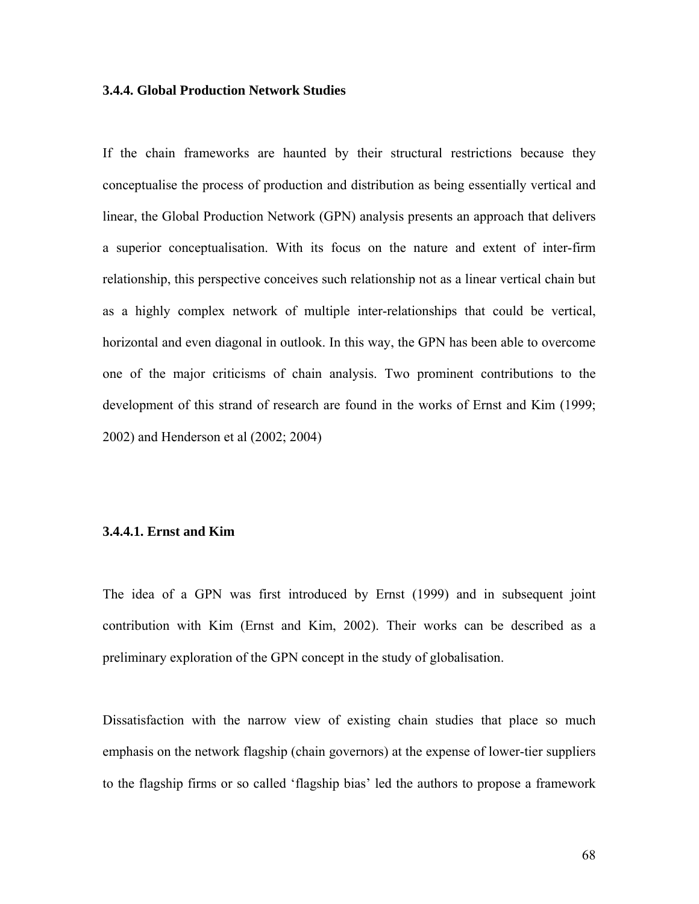# **3.4.4. Global Production Network Studies**

If the chain frameworks are haunted by their structural restrictions because they conceptualise the process of production and distribution as being essentially vertical and linear, the Global Production Network (GPN) analysis presents an approach that delivers a superior conceptualisation. With its focus on the nature and extent of inter-firm relationship, this perspective conceives such relationship not as a linear vertical chain but as a highly complex network of multiple inter-relationships that could be vertical, horizontal and even diagonal in outlook. In this way, the GPN has been able to overcome one of the major criticisms of chain analysis. Two prominent contributions to the development of this strand of research are found in the works of Ernst and Kim (1999; 2002) and Henderson et al (2002; 2004)

# **3.4.4.1. Ernst and Kim**

The idea of a GPN was first introduced by Ernst (1999) and in subsequent joint contribution with Kim (Ernst and Kim, 2002). Their works can be described as a preliminary exploration of the GPN concept in the study of globalisation.

Dissatisfaction with the narrow view of existing chain studies that place so much emphasis on the network flagship (chain governors) at the expense of lower-tier suppliers to the flagship firms or so called 'flagship bias' led the authors to propose a framework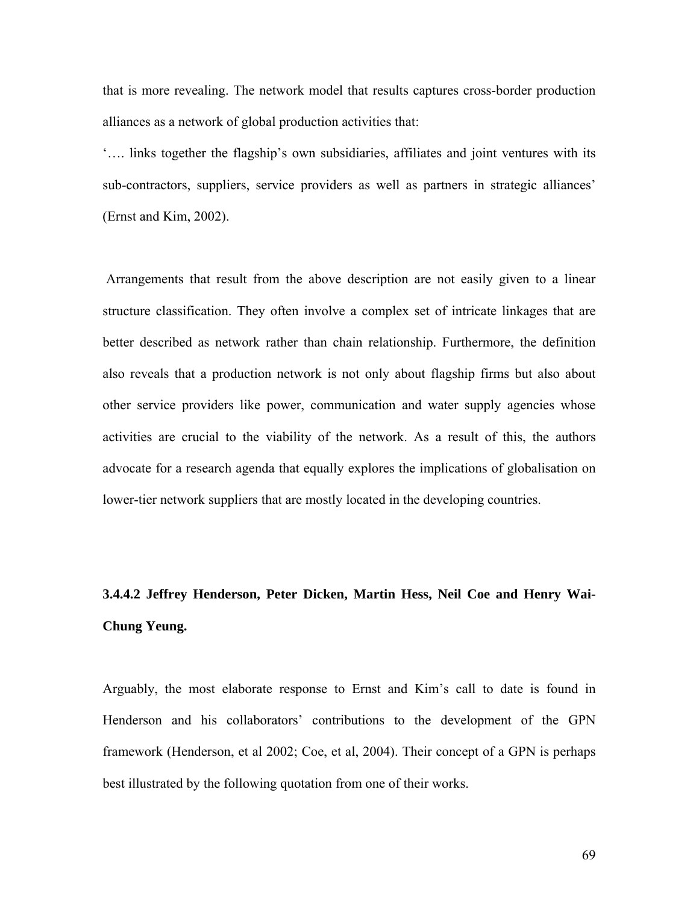that is more revealing. The network model that results captures cross-border production alliances as a network of global production activities that:

'…. links together the flagship's own subsidiaries, affiliates and joint ventures with its sub-contractors, suppliers, service providers as well as partners in strategic alliances' (Ernst and Kim, 2002).

 Arrangements that result from the above description are not easily given to a linear structure classification. They often involve a complex set of intricate linkages that are better described as network rather than chain relationship. Furthermore, the definition also reveals that a production network is not only about flagship firms but also about other service providers like power, communication and water supply agencies whose activities are crucial to the viability of the network. As a result of this, the authors advocate for a research agenda that equally explores the implications of globalisation on lower-tier network suppliers that are mostly located in the developing countries.

# **3.4.4.2 Jeffrey Henderson, Peter Dicken, Martin Hess, Neil Coe and Henry Wai-Chung Yeung.**

Arguably, the most elaborate response to Ernst and Kim's call to date is found in Henderson and his collaborators' contributions to the development of the GPN framework (Henderson, et al 2002; Coe, et al, 2004). Their concept of a GPN is perhaps best illustrated by the following quotation from one of their works.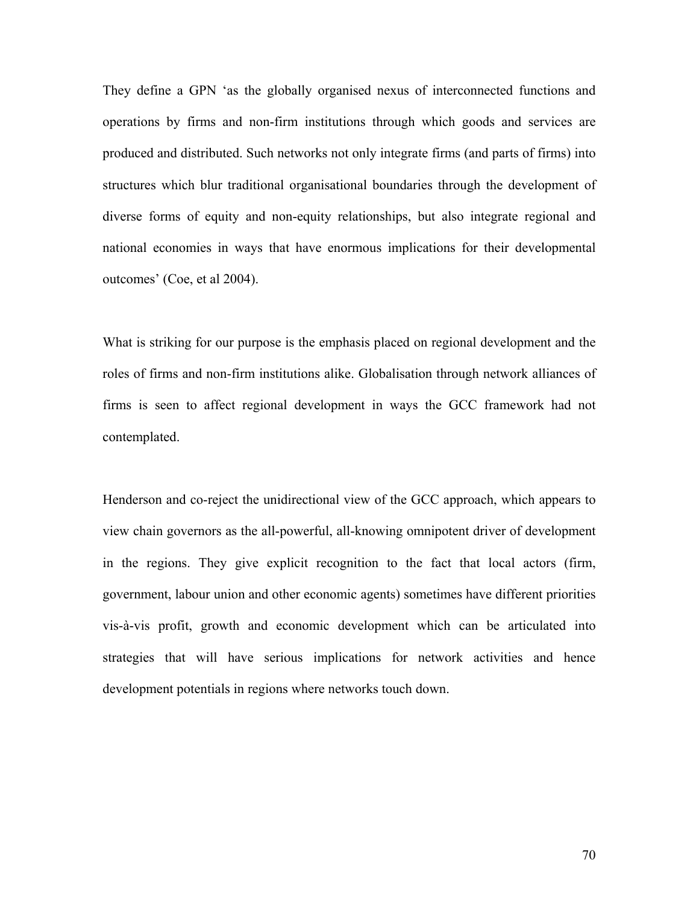They define a GPN 'as the globally organised nexus of interconnected functions and operations by firms and non-firm institutions through which goods and services are produced and distributed. Such networks not only integrate firms (and parts of firms) into structures which blur traditional organisational boundaries through the development of diverse forms of equity and non-equity relationships, but also integrate regional and national economies in ways that have enormous implications for their developmental outcomes' (Coe, et al 2004).

What is striking for our purpose is the emphasis placed on regional development and the roles of firms and non-firm institutions alike. Globalisation through network alliances of firms is seen to affect regional development in ways the GCC framework had not contemplated.

Henderson and co-reject the unidirectional view of the GCC approach, which appears to view chain governors as the all-powerful, all-knowing omnipotent driver of development in the regions. They give explicit recognition to the fact that local actors (firm, government, labour union and other economic agents) sometimes have different priorities vis-à-vis profit, growth and economic development which can be articulated into strategies that will have serious implications for network activities and hence development potentials in regions where networks touch down.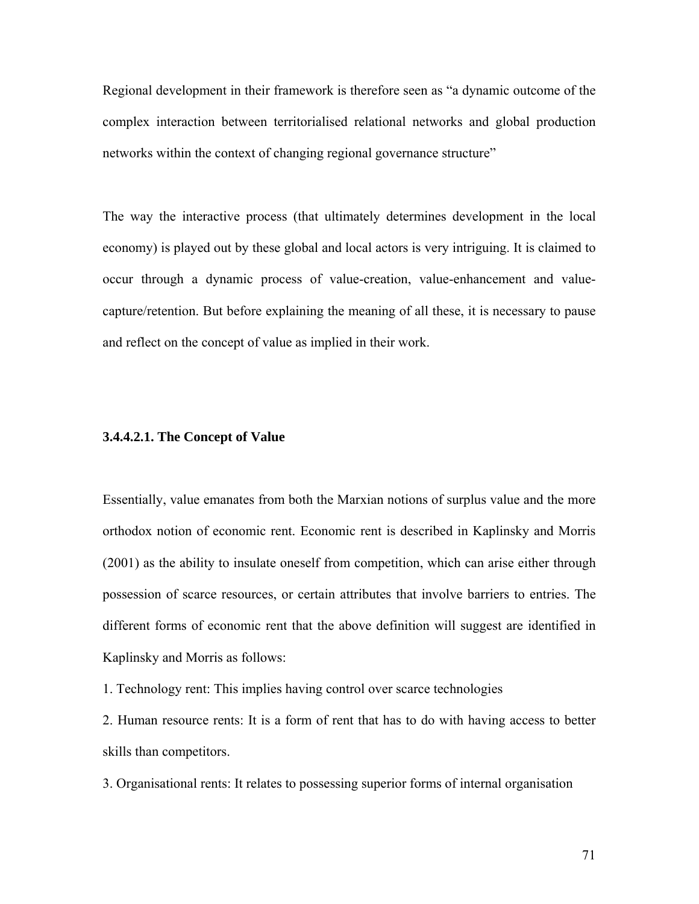Regional development in their framework is therefore seen as "a dynamic outcome of the complex interaction between territorialised relational networks and global production networks within the context of changing regional governance structure"

The way the interactive process (that ultimately determines development in the local economy) is played out by these global and local actors is very intriguing. It is claimed to occur through a dynamic process of value-creation, value-enhancement and valuecapture/retention. But before explaining the meaning of all these, it is necessary to pause and reflect on the concept of value as implied in their work.

#### **3.4.4.2.1. The Concept of Value**

Essentially, value emanates from both the Marxian notions of surplus value and the more orthodox notion of economic rent. Economic rent is described in Kaplinsky and Morris (2001) as the ability to insulate oneself from competition, which can arise either through possession of scarce resources, or certain attributes that involve barriers to entries. The different forms of economic rent that the above definition will suggest are identified in Kaplinsky and Morris as follows:

1. Technology rent: This implies having control over scarce technologies

2. Human resource rents: It is a form of rent that has to do with having access to better skills than competitors.

3. Organisational rents: It relates to possessing superior forms of internal organisation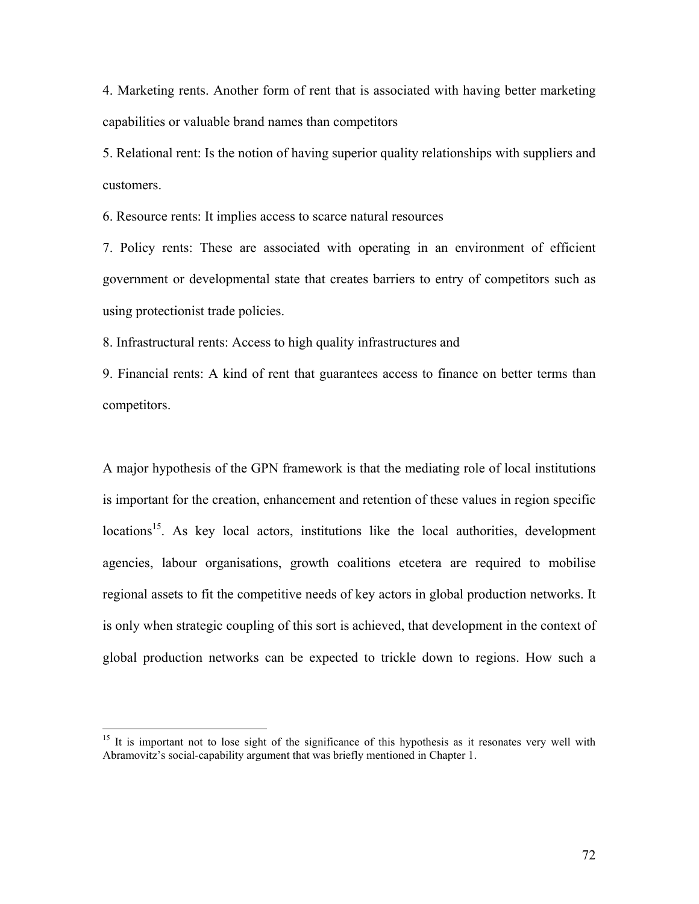4. Marketing rents. Another form of rent that is associated with having better marketing capabilities or valuable brand names than competitors

5. Relational rent: Is the notion of having superior quality relationships with suppliers and customers.

6. Resource rents: It implies access to scarce natural resources

7. Policy rents: These are associated with operating in an environment of efficient government or developmental state that creates barriers to entry of competitors such as using protectionist trade policies.

8. Infrastructural rents: Access to high quality infrastructures and

9. Financial rents: A kind of rent that guarantees access to finance on better terms than competitors.

A major hypothesis of the GPN framework is that the mediating role of local institutions is important for the creation, enhancement and retention of these values in region specific locations<sup>15</sup>. As key local actors, institutions like the local authorities, development agencies, labour organisations, growth coalitions etcetera are required to mobilise regional assets to fit the competitive needs of key actors in global production networks. It is only when strategic coupling of this sort is achieved, that development in the context of global production networks can be expected to trickle down to regions. How such a

 $\overline{a}$ 

<sup>&</sup>lt;sup>15</sup> It is important not to lose sight of the significance of this hypothesis as it resonates very well with Abramovitz's social-capability argument that was briefly mentioned in Chapter 1.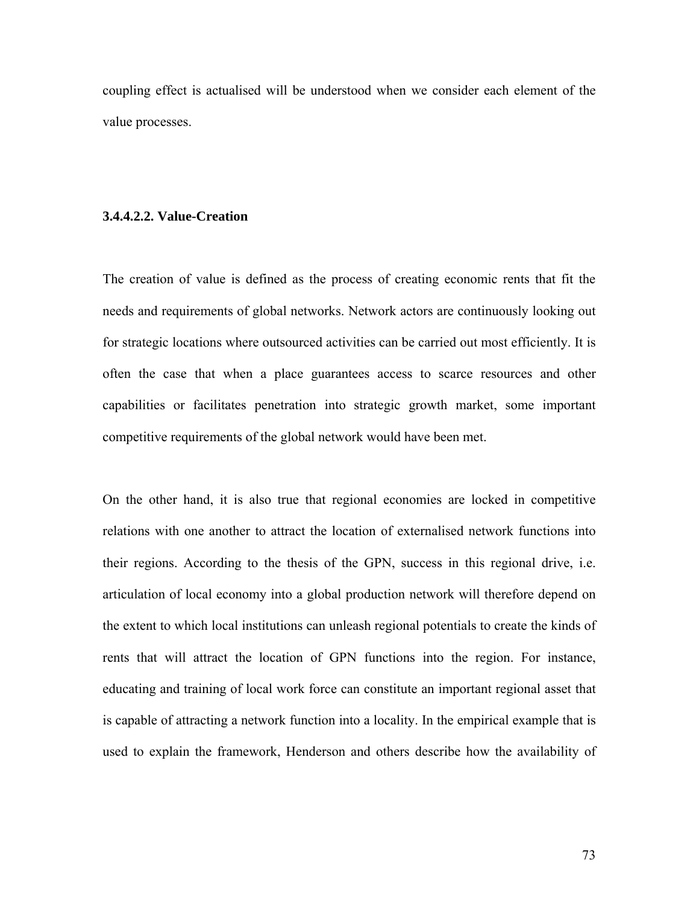coupling effect is actualised will be understood when we consider each element of the value processes.

#### **3.4.4.2.2. Value-Creation**

The creation of value is defined as the process of creating economic rents that fit the needs and requirements of global networks. Network actors are continuously looking out for strategic locations where outsourced activities can be carried out most efficiently. It is often the case that when a place guarantees access to scarce resources and other capabilities or facilitates penetration into strategic growth market, some important competitive requirements of the global network would have been met.

On the other hand, it is also true that regional economies are locked in competitive relations with one another to attract the location of externalised network functions into their regions. According to the thesis of the GPN, success in this regional drive, i.e. articulation of local economy into a global production network will therefore depend on the extent to which local institutions can unleash regional potentials to create the kinds of rents that will attract the location of GPN functions into the region. For instance, educating and training of local work force can constitute an important regional asset that is capable of attracting a network function into a locality. In the empirical example that is used to explain the framework, Henderson and others describe how the availability of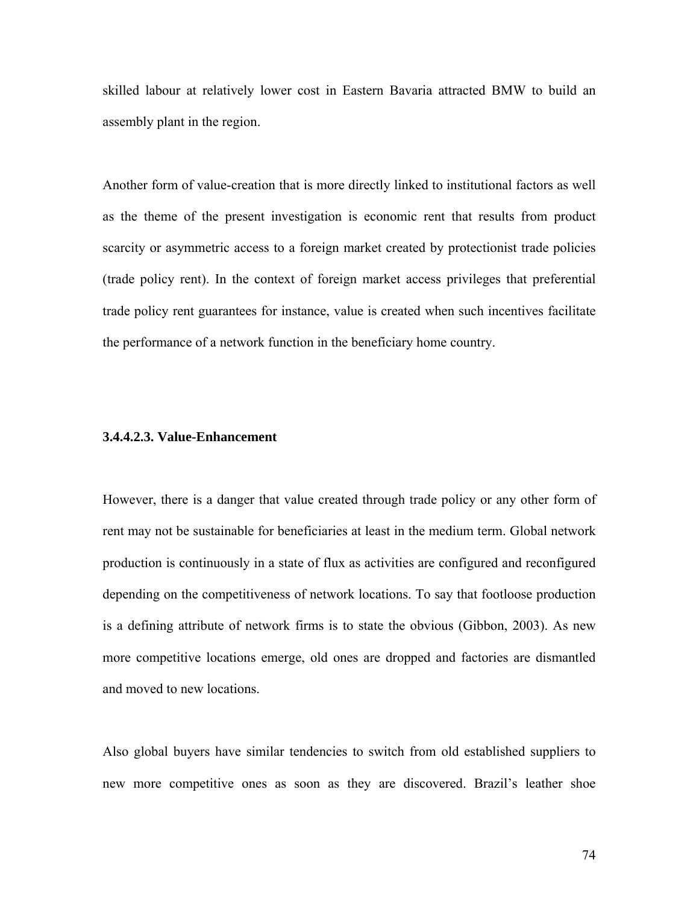skilled labour at relatively lower cost in Eastern Bavaria attracted BMW to build an assembly plant in the region.

Another form of value-creation that is more directly linked to institutional factors as well as the theme of the present investigation is economic rent that results from product scarcity or asymmetric access to a foreign market created by protectionist trade policies (trade policy rent). In the context of foreign market access privileges that preferential trade policy rent guarantees for instance, value is created when such incentives facilitate the performance of a network function in the beneficiary home country.

# **3.4.4.2.3. Value-Enhancement**

However, there is a danger that value created through trade policy or any other form of rent may not be sustainable for beneficiaries at least in the medium term. Global network production is continuously in a state of flux as activities are configured and reconfigured depending on the competitiveness of network locations. To say that footloose production is a defining attribute of network firms is to state the obvious (Gibbon, 2003). As new more competitive locations emerge, old ones are dropped and factories are dismantled and moved to new locations.

Also global buyers have similar tendencies to switch from old established suppliers to new more competitive ones as soon as they are discovered. Brazil's leather shoe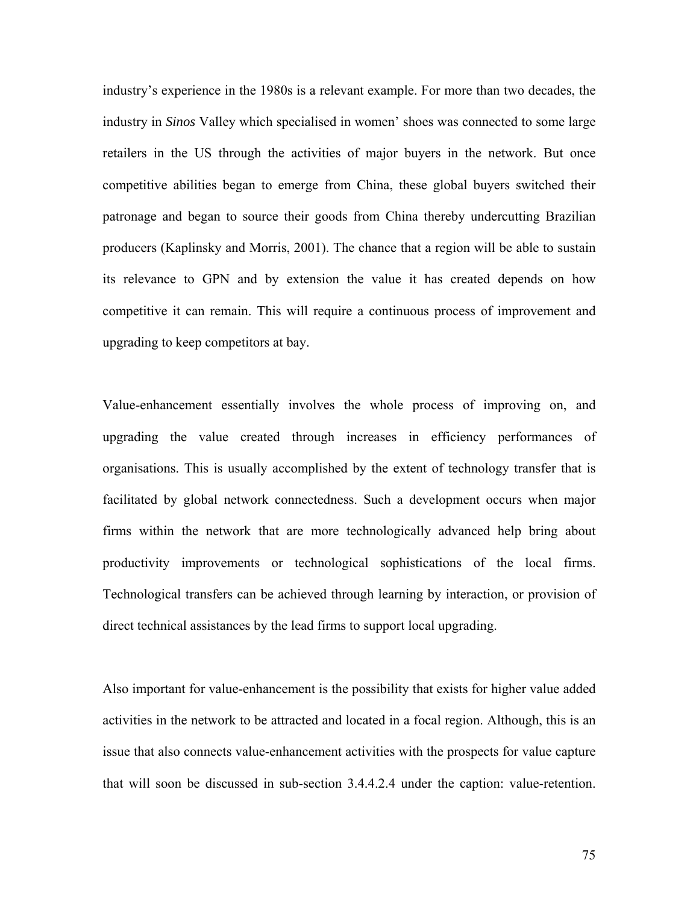industry's experience in the 1980s is a relevant example. For more than two decades, the industry in *Sinos* Valley which specialised in women' shoes was connected to some large retailers in the US through the activities of major buyers in the network. But once competitive abilities began to emerge from China, these global buyers switched their patronage and began to source their goods from China thereby undercutting Brazilian producers (Kaplinsky and Morris, 2001). The chance that a region will be able to sustain its relevance to GPN and by extension the value it has created depends on how competitive it can remain. This will require a continuous process of improvement and upgrading to keep competitors at bay.

Value-enhancement essentially involves the whole process of improving on, and upgrading the value created through increases in efficiency performances of organisations. This is usually accomplished by the extent of technology transfer that is facilitated by global network connectedness. Such a development occurs when major firms within the network that are more technologically advanced help bring about productivity improvements or technological sophistications of the local firms. Technological transfers can be achieved through learning by interaction, or provision of direct technical assistances by the lead firms to support local upgrading.

Also important for value-enhancement is the possibility that exists for higher value added activities in the network to be attracted and located in a focal region. Although, this is an issue that also connects value-enhancement activities with the prospects for value capture that will soon be discussed in sub-section 3.4.4.2.4 under the caption: value-retention.

75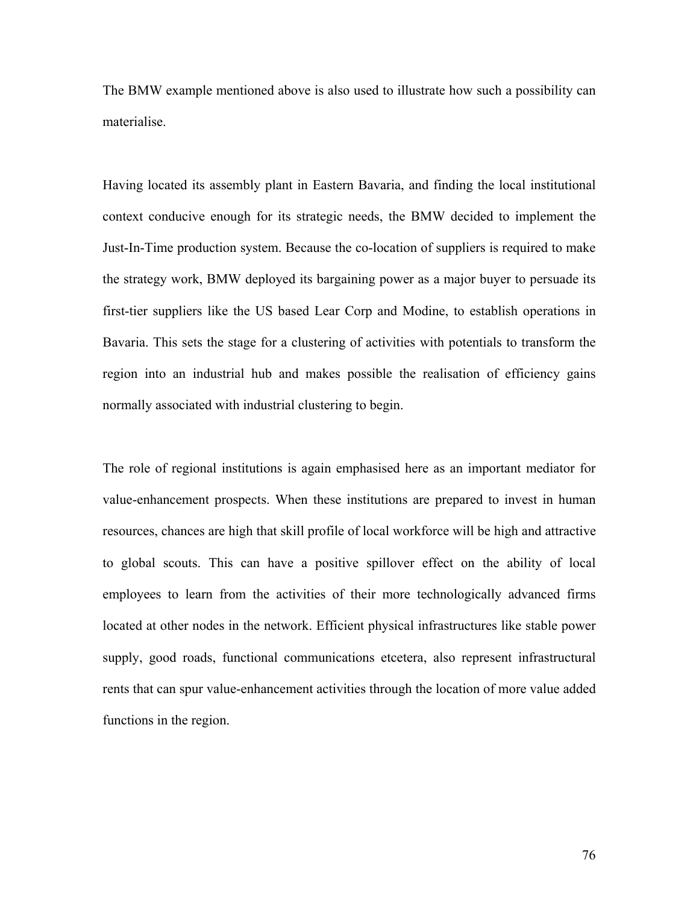The BMW example mentioned above is also used to illustrate how such a possibility can materialise.

Having located its assembly plant in Eastern Bavaria, and finding the local institutional context conducive enough for its strategic needs, the BMW decided to implement the Just-In-Time production system. Because the co-location of suppliers is required to make the strategy work, BMW deployed its bargaining power as a major buyer to persuade its first-tier suppliers like the US based Lear Corp and Modine, to establish operations in Bavaria. This sets the stage for a clustering of activities with potentials to transform the region into an industrial hub and makes possible the realisation of efficiency gains normally associated with industrial clustering to begin.

The role of regional institutions is again emphasised here as an important mediator for value-enhancement prospects. When these institutions are prepared to invest in human resources, chances are high that skill profile of local workforce will be high and attractive to global scouts. This can have a positive spillover effect on the ability of local employees to learn from the activities of their more technologically advanced firms located at other nodes in the network. Efficient physical infrastructures like stable power supply, good roads, functional communications etcetera, also represent infrastructural rents that can spur value-enhancement activities through the location of more value added functions in the region.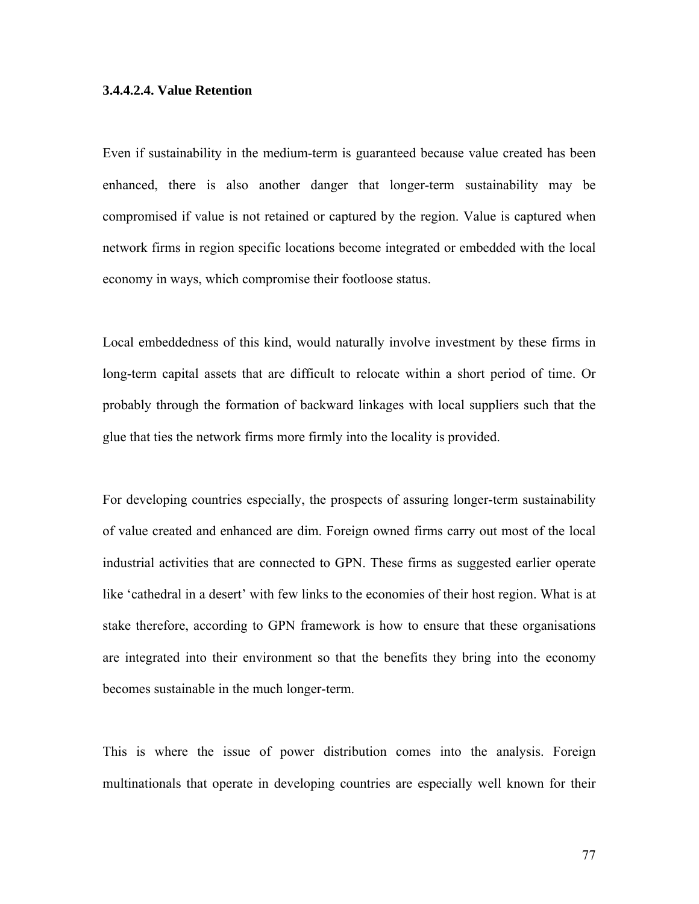# **3.4.4.2.4. Value Retention**

Even if sustainability in the medium-term is guaranteed because value created has been enhanced, there is also another danger that longer-term sustainability may be compromised if value is not retained or captured by the region. Value is captured when network firms in region specific locations become integrated or embedded with the local economy in ways, which compromise their footloose status.

Local embeddedness of this kind, would naturally involve investment by these firms in long-term capital assets that are difficult to relocate within a short period of time. Or probably through the formation of backward linkages with local suppliers such that the glue that ties the network firms more firmly into the locality is provided.

For developing countries especially, the prospects of assuring longer-term sustainability of value created and enhanced are dim. Foreign owned firms carry out most of the local industrial activities that are connected to GPN. These firms as suggested earlier operate like 'cathedral in a desert' with few links to the economies of their host region. What is at stake therefore, according to GPN framework is how to ensure that these organisations are integrated into their environment so that the benefits they bring into the economy becomes sustainable in the much longer-term.

This is where the issue of power distribution comes into the analysis. Foreign multinationals that operate in developing countries are especially well known for their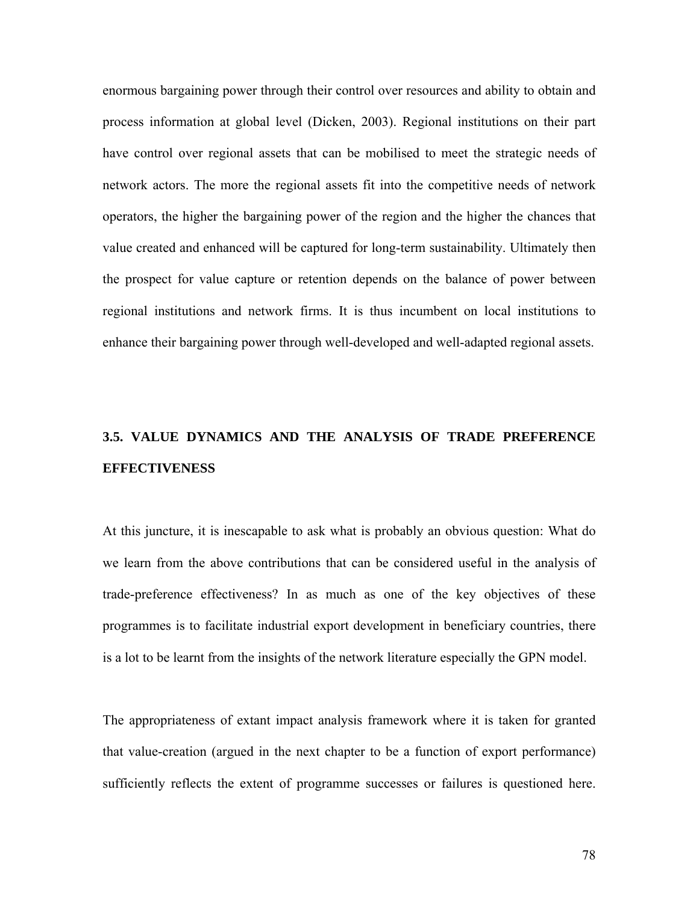enormous bargaining power through their control over resources and ability to obtain and process information at global level (Dicken, 2003). Regional institutions on their part have control over regional assets that can be mobilised to meet the strategic needs of network actors. The more the regional assets fit into the competitive needs of network operators, the higher the bargaining power of the region and the higher the chances that value created and enhanced will be captured for long-term sustainability. Ultimately then the prospect for value capture or retention depends on the balance of power between regional institutions and network firms. It is thus incumbent on local institutions to enhance their bargaining power through well-developed and well-adapted regional assets.

# **3.5. VALUE DYNAMICS AND THE ANALYSIS OF TRADE PREFERENCE EFFECTIVENESS**

At this juncture, it is inescapable to ask what is probably an obvious question: What do we learn from the above contributions that can be considered useful in the analysis of trade-preference effectiveness? In as much as one of the key objectives of these programmes is to facilitate industrial export development in beneficiary countries, there is a lot to be learnt from the insights of the network literature especially the GPN model.

The appropriateness of extant impact analysis framework where it is taken for granted that value-creation (argued in the next chapter to be a function of export performance) sufficiently reflects the extent of programme successes or failures is questioned here.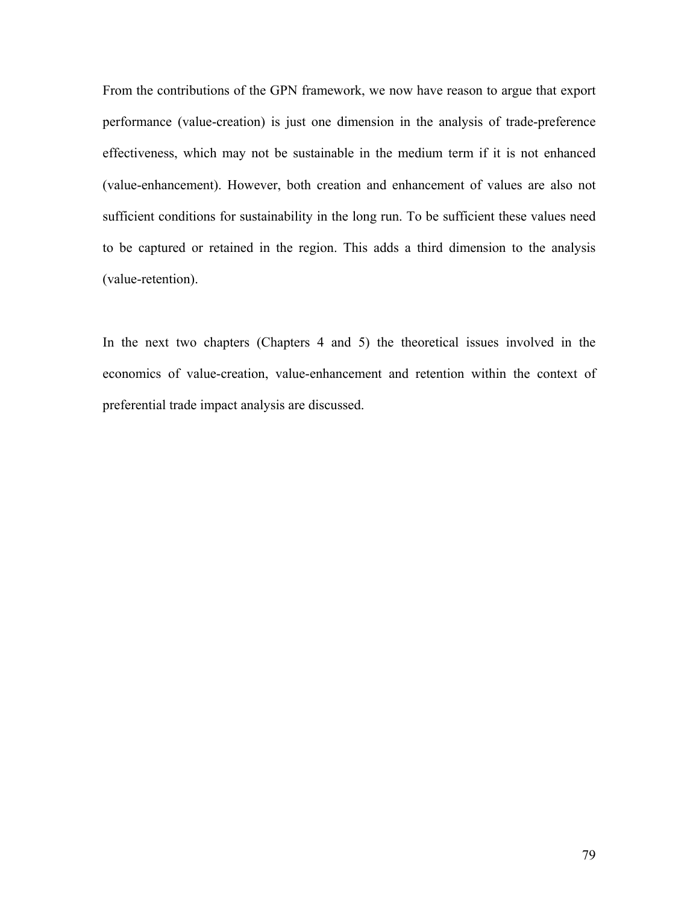From the contributions of the GPN framework, we now have reason to argue that export performance (value-creation) is just one dimension in the analysis of trade-preference effectiveness, which may not be sustainable in the medium term if it is not enhanced (value-enhancement). However, both creation and enhancement of values are also not sufficient conditions for sustainability in the long run. To be sufficient these values need to be captured or retained in the region. This adds a third dimension to the analysis (value-retention).

In the next two chapters (Chapters 4 and 5) the theoretical issues involved in the economics of value-creation, value-enhancement and retention within the context of preferential trade impact analysis are discussed.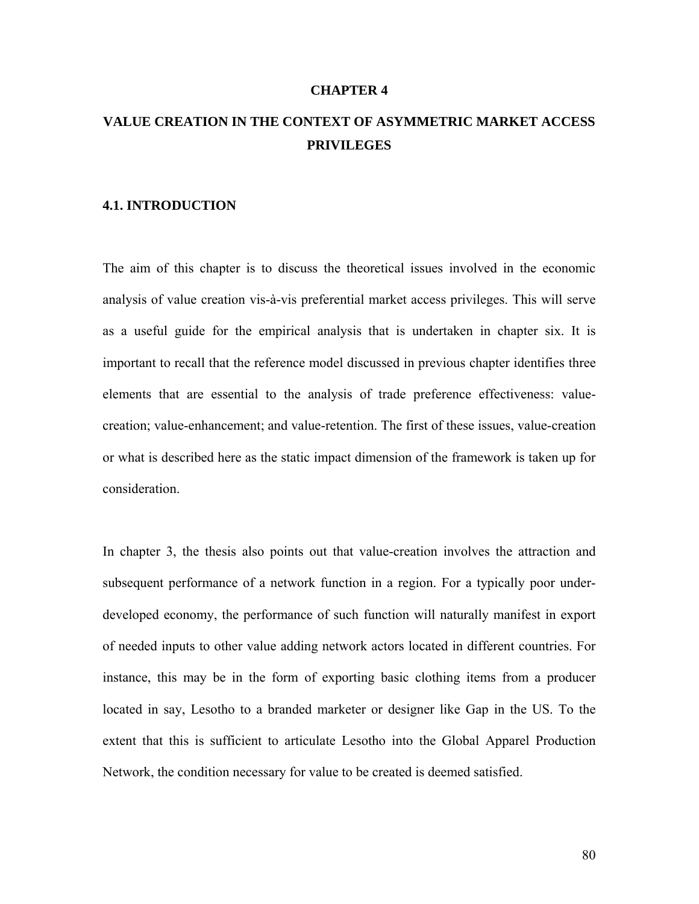#### **CHAPTER 4**

# **VALUE CREATION IN THE CONTEXT OF ASYMMETRIC MARKET ACCESS PRIVILEGES**

#### **4.1. INTRODUCTION**

The aim of this chapter is to discuss the theoretical issues involved in the economic analysis of value creation vis-à-vis preferential market access privileges. This will serve as a useful guide for the empirical analysis that is undertaken in chapter six. It is important to recall that the reference model discussed in previous chapter identifies three elements that are essential to the analysis of trade preference effectiveness: valuecreation; value-enhancement; and value-retention. The first of these issues, value-creation or what is described here as the static impact dimension of the framework is taken up for consideration.

In chapter 3, the thesis also points out that value-creation involves the attraction and subsequent performance of a network function in a region. For a typically poor underdeveloped economy, the performance of such function will naturally manifest in export of needed inputs to other value adding network actors located in different countries. For instance, this may be in the form of exporting basic clothing items from a producer located in say, Lesotho to a branded marketer or designer like Gap in the US. To the extent that this is sufficient to articulate Lesotho into the Global Apparel Production Network, the condition necessary for value to be created is deemed satisfied.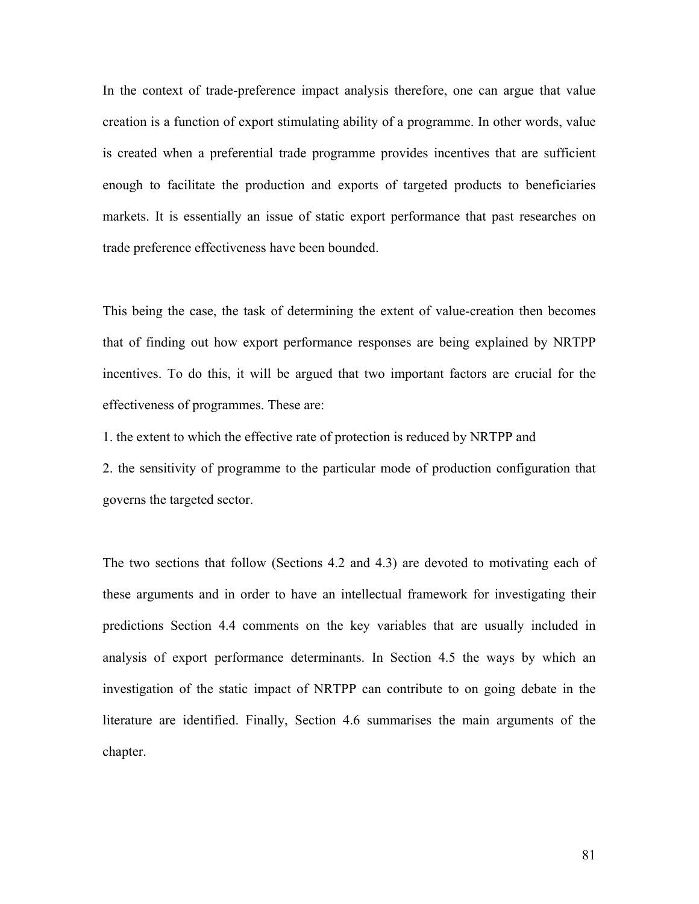In the context of trade-preference impact analysis therefore, one can argue that value creation is a function of export stimulating ability of a programme. In other words, value is created when a preferential trade programme provides incentives that are sufficient enough to facilitate the production and exports of targeted products to beneficiaries markets. It is essentially an issue of static export performance that past researches on trade preference effectiveness have been bounded.

This being the case, the task of determining the extent of value-creation then becomes that of finding out how export performance responses are being explained by NRTPP incentives. To do this, it will be argued that two important factors are crucial for the effectiveness of programmes. These are:

1. the extent to which the effective rate of protection is reduced by NRTPP and

2. the sensitivity of programme to the particular mode of production configuration that governs the targeted sector.

The two sections that follow (Sections 4.2 and 4.3) are devoted to motivating each of these arguments and in order to have an intellectual framework for investigating their predictions Section 4.4 comments on the key variables that are usually included in analysis of export performance determinants. In Section 4.5 the ways by which an investigation of the static impact of NRTPP can contribute to on going debate in the literature are identified. Finally, Section 4.6 summarises the main arguments of the chapter.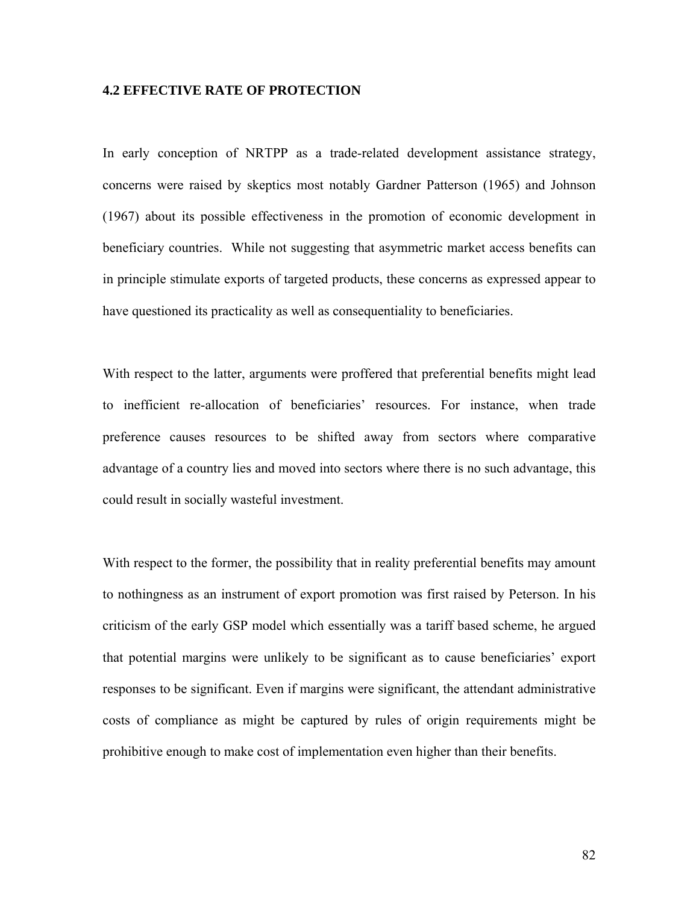# **4.2 EFFECTIVE RATE OF PROTECTION**

In early conception of NRTPP as a trade-related development assistance strategy, concerns were raised by skeptics most notably Gardner Patterson (1965) and Johnson (1967) about its possible effectiveness in the promotion of economic development in beneficiary countries. While not suggesting that asymmetric market access benefits can in principle stimulate exports of targeted products, these concerns as expressed appear to have questioned its practicality as well as consequentiality to beneficiaries.

With respect to the latter, arguments were proffered that preferential benefits might lead to inefficient re-allocation of beneficiaries' resources. For instance, when trade preference causes resources to be shifted away from sectors where comparative advantage of a country lies and moved into sectors where there is no such advantage, this could result in socially wasteful investment.

With respect to the former, the possibility that in reality preferential benefits may amount to nothingness as an instrument of export promotion was first raised by Peterson. In his criticism of the early GSP model which essentially was a tariff based scheme, he argued that potential margins were unlikely to be significant as to cause beneficiaries' export responses to be significant. Even if margins were significant, the attendant administrative costs of compliance as might be captured by rules of origin requirements might be prohibitive enough to make cost of implementation even higher than their benefits.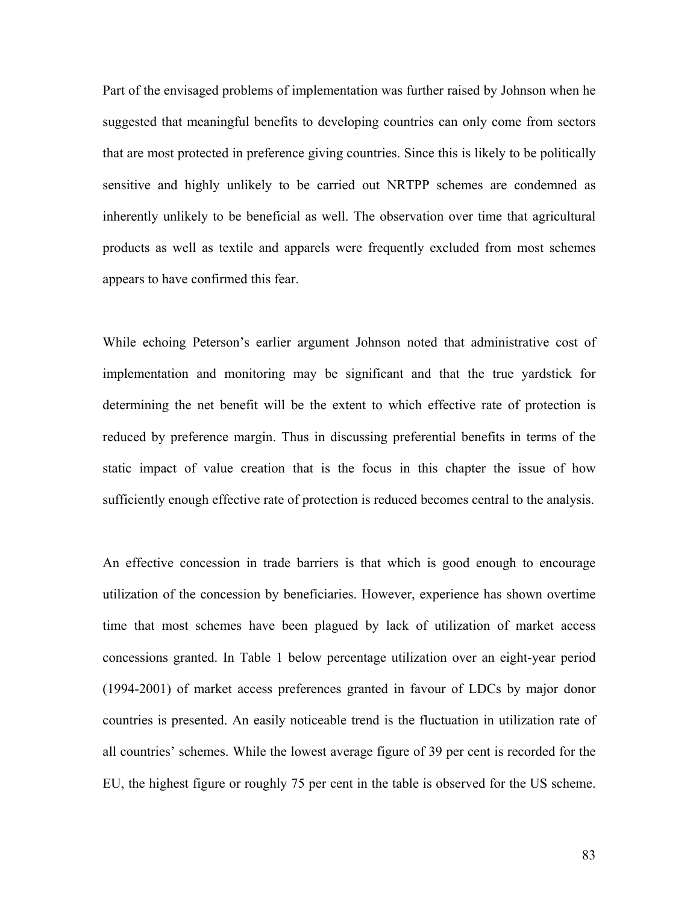Part of the envisaged problems of implementation was further raised by Johnson when he suggested that meaningful benefits to developing countries can only come from sectors that are most protected in preference giving countries. Since this is likely to be politically sensitive and highly unlikely to be carried out NRTPP schemes are condemned as inherently unlikely to be beneficial as well. The observation over time that agricultural products as well as textile and apparels were frequently excluded from most schemes appears to have confirmed this fear.

While echoing Peterson's earlier argument Johnson noted that administrative cost of implementation and monitoring may be significant and that the true yardstick for determining the net benefit will be the extent to which effective rate of protection is reduced by preference margin. Thus in discussing preferential benefits in terms of the static impact of value creation that is the focus in this chapter the issue of how sufficiently enough effective rate of protection is reduced becomes central to the analysis.

An effective concession in trade barriers is that which is good enough to encourage utilization of the concession by beneficiaries. However, experience has shown overtime time that most schemes have been plagued by lack of utilization of market access concessions granted. In Table 1 below percentage utilization over an eight-year period (1994-2001) of market access preferences granted in favour of LDCs by major donor countries is presented. An easily noticeable trend is the fluctuation in utilization rate of all countries' schemes. While the lowest average figure of 39 per cent is recorded for the EU, the highest figure or roughly 75 per cent in the table is observed for the US scheme.

83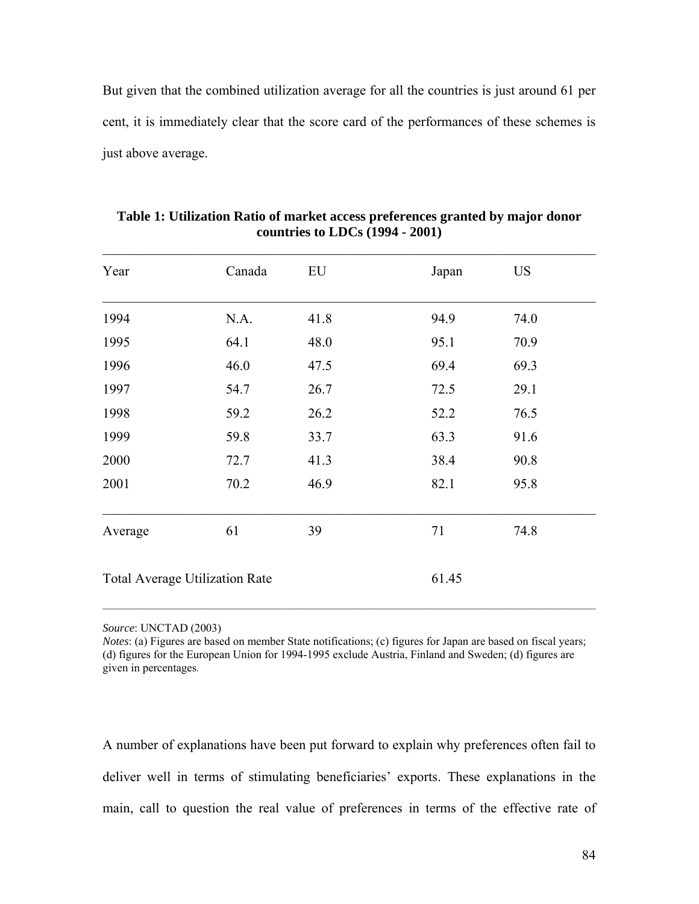But given that the combined utilization average for all the countries is just around 61 per cent, it is immediately clear that the score card of the performances of these schemes is just above average.

| Year                                  | Canada | EU   | Japan | <b>US</b> |
|---------------------------------------|--------|------|-------|-----------|
| 1994                                  | N.A.   | 41.8 | 94.9  | 74.0      |
| 1995                                  | 64.1   | 48.0 | 95.1  | 70.9      |
| 1996                                  | 46.0   | 47.5 | 69.4  | 69.3      |
| 1997                                  | 54.7   | 26.7 | 72.5  | 29.1      |
| 1998                                  | 59.2   | 26.2 | 52.2  | 76.5      |
| 1999                                  | 59.8   | 33.7 | 63.3  | 91.6      |
| 2000                                  | 72.7   | 41.3 | 38.4  | 90.8      |
| 2001                                  | 70.2   | 46.9 | 82.1  | 95.8      |
| Average                               | 61     | 39   | 71    | 74.8      |
| <b>Total Average Utilization Rate</b> |        |      | 61.45 |           |

**Table 1: Utilization Ratio of market access preferences granted by major donor countries to LDCs (1994 - 2001)** 

*Source*: UNCTAD (2003)

*Notes*: (a) Figures are based on member State notifications; (c) figures for Japan are based on fiscal years; (d) figures for the European Union for 1994-1995 exclude Austria, Finland and Sweden; (d) figures are given in percentages.

A number of explanations have been put forward to explain why preferences often fail to deliver well in terms of stimulating beneficiaries' exports. These explanations in the main, call to question the real value of preferences in terms of the effective rate of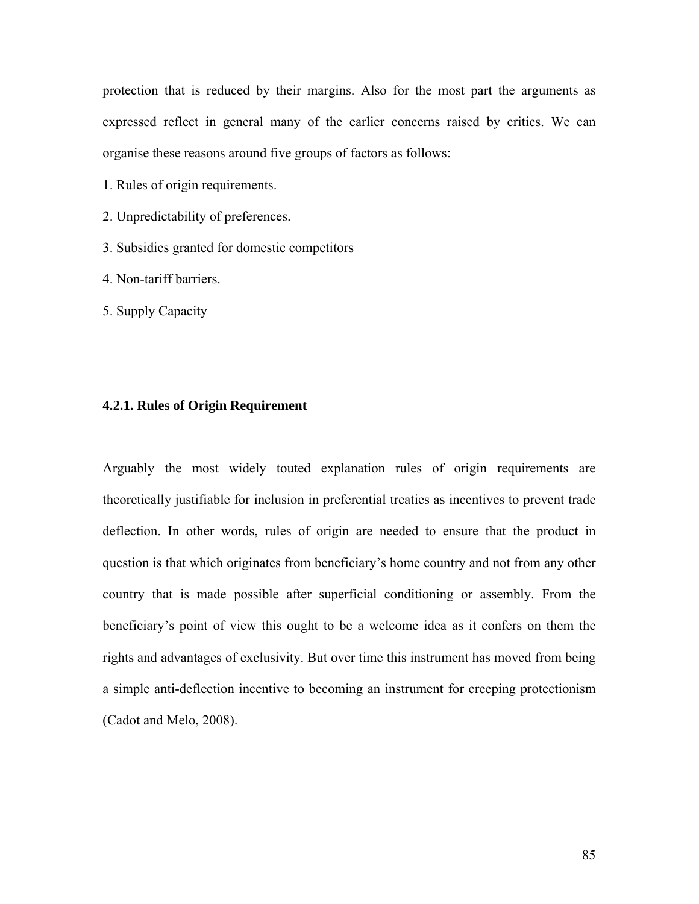protection that is reduced by their margins. Also for the most part the arguments as expressed reflect in general many of the earlier concerns raised by critics. We can organise these reasons around five groups of factors as follows:

- 1. Rules of origin requirements.
- 2. Unpredictability of preferences.
- 3. Subsidies granted for domestic competitors
- 4. Non-tariff barriers.
- 5. Supply Capacity

#### **4.2.1. Rules of Origin Requirement**

Arguably the most widely touted explanation rules of origin requirements are theoretically justifiable for inclusion in preferential treaties as incentives to prevent trade deflection. In other words, rules of origin are needed to ensure that the product in question is that which originates from beneficiary's home country and not from any other country that is made possible after superficial conditioning or assembly. From the beneficiary's point of view this ought to be a welcome idea as it confers on them the rights and advantages of exclusivity. But over time this instrument has moved from being a simple anti-deflection incentive to becoming an instrument for creeping protectionism (Cadot and Melo, 2008).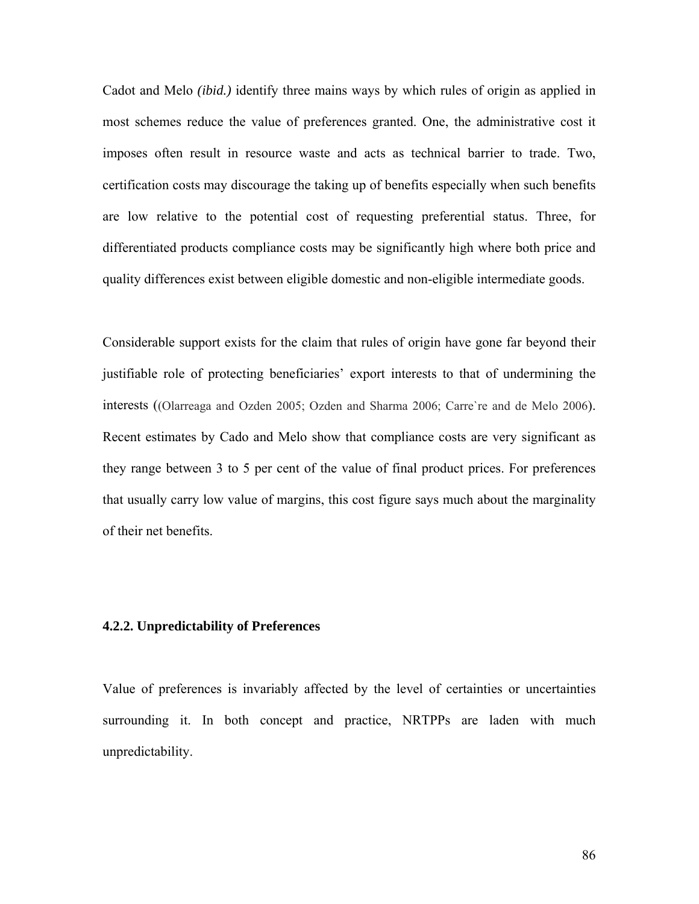Cadot and Melo *(ibid.)* identify three mains ways by which rules of origin as applied in most schemes reduce the value of preferences granted. One, the administrative cost it imposes often result in resource waste and acts as technical barrier to trade. Two, certification costs may discourage the taking up of benefits especially when such benefits are low relative to the potential cost of requesting preferential status. Three, for differentiated products compliance costs may be significantly high where both price and quality differences exist between eligible domestic and non-eligible intermediate goods.

Considerable support exists for the claim that rules of origin have gone far beyond their justifiable role of protecting beneficiaries' export interests to that of undermining the interests ((Olarreaga and Ozden 2005; Ozden and Sharma 2006; Carre`re and de Melo 2006). Recent estimates by Cado and Melo show that compliance costs are very significant as they range between 3 to 5 per cent of the value of final product prices. For preferences that usually carry low value of margins, this cost figure says much about the marginality of their net benefits.

# **4.2.2. Unpredictability of Preferences**

Value of preferences is invariably affected by the level of certainties or uncertainties surrounding it. In both concept and practice, NRTPPs are laden with much unpredictability.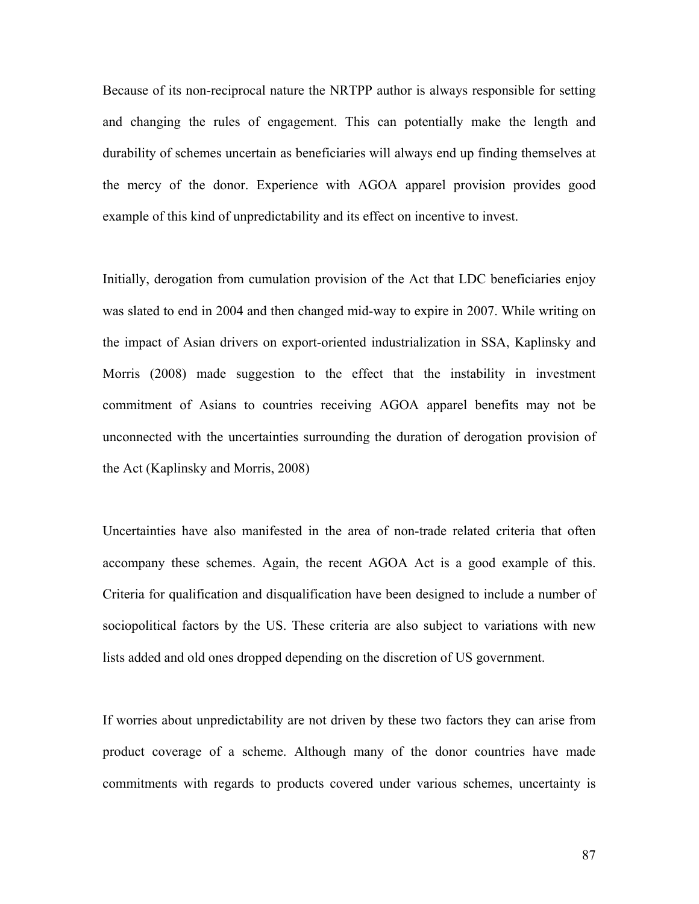Because of its non-reciprocal nature the NRTPP author is always responsible for setting and changing the rules of engagement. This can potentially make the length and durability of schemes uncertain as beneficiaries will always end up finding themselves at the mercy of the donor. Experience with AGOA apparel provision provides good example of this kind of unpredictability and its effect on incentive to invest.

Initially, derogation from cumulation provision of the Act that LDC beneficiaries enjoy was slated to end in 2004 and then changed mid-way to expire in 2007. While writing on the impact of Asian drivers on export-oriented industrialization in SSA, Kaplinsky and Morris (2008) made suggestion to the effect that the instability in investment commitment of Asians to countries receiving AGOA apparel benefits may not be unconnected with the uncertainties surrounding the duration of derogation provision of the Act (Kaplinsky and Morris, 2008)

Uncertainties have also manifested in the area of non-trade related criteria that often accompany these schemes. Again, the recent AGOA Act is a good example of this. Criteria for qualification and disqualification have been designed to include a number of sociopolitical factors by the US. These criteria are also subject to variations with new lists added and old ones dropped depending on the discretion of US government.

If worries about unpredictability are not driven by these two factors they can arise from product coverage of a scheme. Although many of the donor countries have made commitments with regards to products covered under various schemes, uncertainty is

87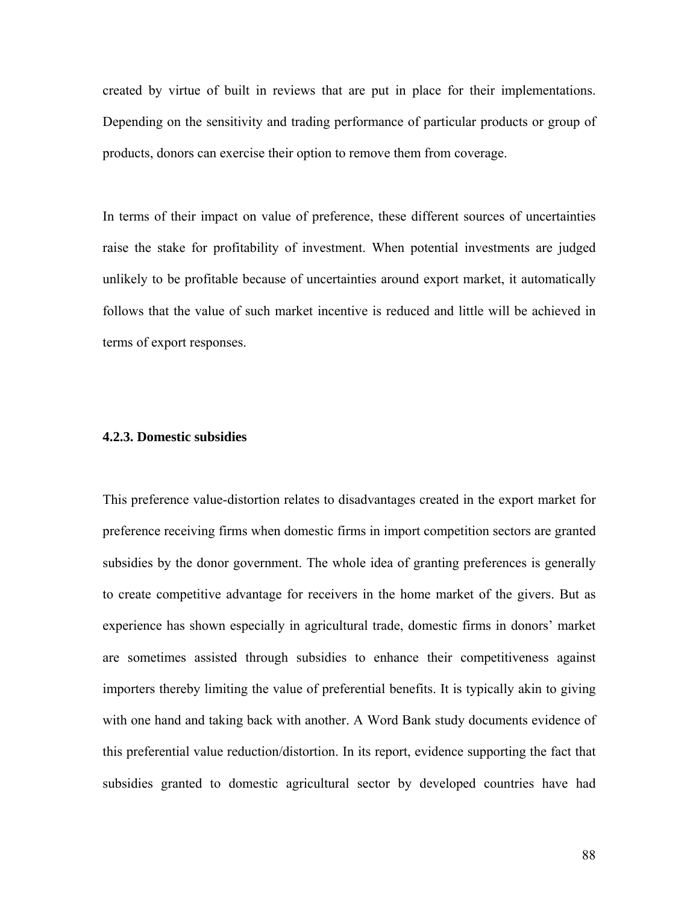created by virtue of built in reviews that are put in place for their implementations. Depending on the sensitivity and trading performance of particular products or group of products, donors can exercise their option to remove them from coverage.

In terms of their impact on value of preference, these different sources of uncertainties raise the stake for profitability of investment. When potential investments are judged unlikely to be profitable because of uncertainties around export market, it automatically follows that the value of such market incentive is reduced and little will be achieved in terms of export responses.

#### **4.2.3. Domestic subsidies**

This preference value-distortion relates to disadvantages created in the export market for preference receiving firms when domestic firms in import competition sectors are granted subsidies by the donor government. The whole idea of granting preferences is generally to create competitive advantage for receivers in the home market of the givers. But as experience has shown especially in agricultural trade, domestic firms in donors' market are sometimes assisted through subsidies to enhance their competitiveness against importers thereby limiting the value of preferential benefits. It is typically akin to giving with one hand and taking back with another. A Word Bank study documents evidence of this preferential value reduction/distortion. In its report, evidence supporting the fact that subsidies granted to domestic agricultural sector by developed countries have had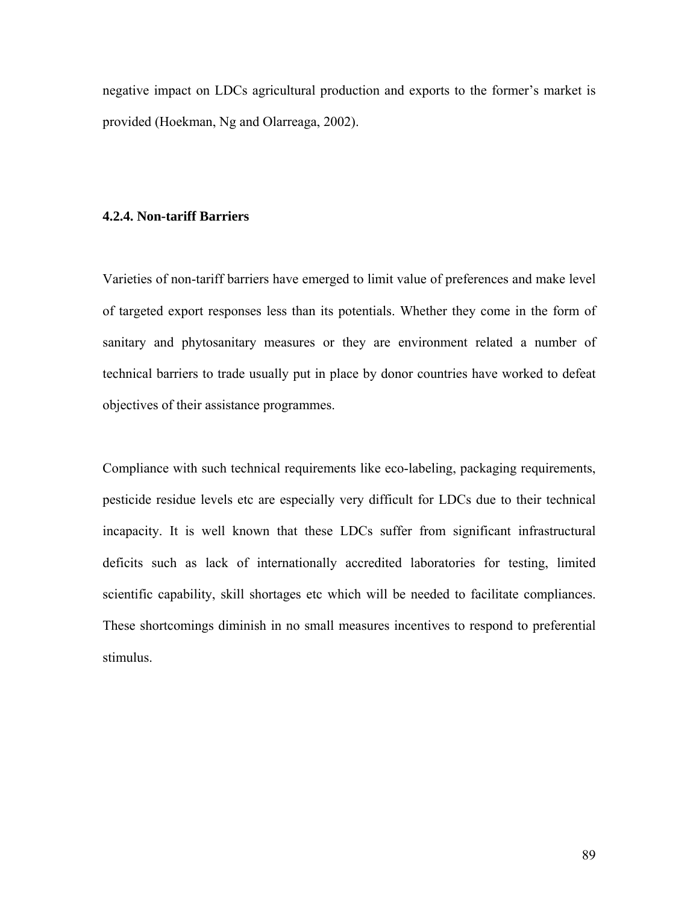negative impact on LDCs agricultural production and exports to the former's market is provided (Hoekman, Ng and Olarreaga, 2002).

# **4.2.4. Non-tariff Barriers**

Varieties of non-tariff barriers have emerged to limit value of preferences and make level of targeted export responses less than its potentials. Whether they come in the form of sanitary and phytosanitary measures or they are environment related a number of technical barriers to trade usually put in place by donor countries have worked to defeat objectives of their assistance programmes.

Compliance with such technical requirements like eco-labeling, packaging requirements, pesticide residue levels etc are especially very difficult for LDCs due to their technical incapacity. It is well known that these LDCs suffer from significant infrastructural deficits such as lack of internationally accredited laboratories for testing, limited scientific capability, skill shortages etc which will be needed to facilitate compliances. These shortcomings diminish in no small measures incentives to respond to preferential stimulus.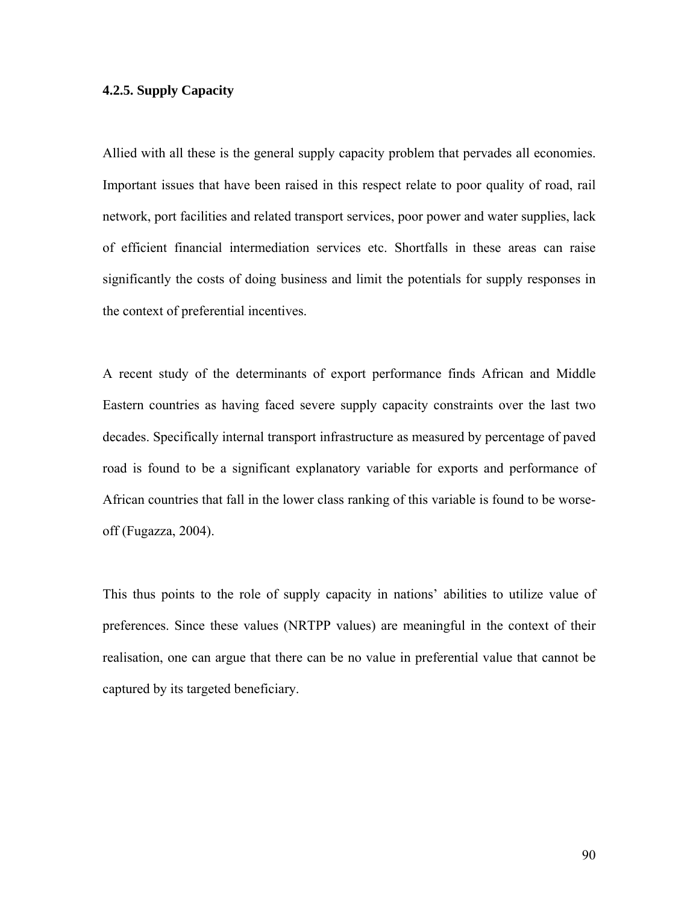# **4.2.5. Supply Capacity**

Allied with all these is the general supply capacity problem that pervades all economies. Important issues that have been raised in this respect relate to poor quality of road, rail network, port facilities and related transport services, poor power and water supplies, lack of efficient financial intermediation services etc. Shortfalls in these areas can raise significantly the costs of doing business and limit the potentials for supply responses in the context of preferential incentives.

A recent study of the determinants of export performance finds African and Middle Eastern countries as having faced severe supply capacity constraints over the last two decades. Specifically internal transport infrastructure as measured by percentage of paved road is found to be a significant explanatory variable for exports and performance of African countries that fall in the lower class ranking of this variable is found to be worseoff (Fugazza, 2004).

This thus points to the role of supply capacity in nations' abilities to utilize value of preferences. Since these values (NRTPP values) are meaningful in the context of their realisation, one can argue that there can be no value in preferential value that cannot be captured by its targeted beneficiary.

90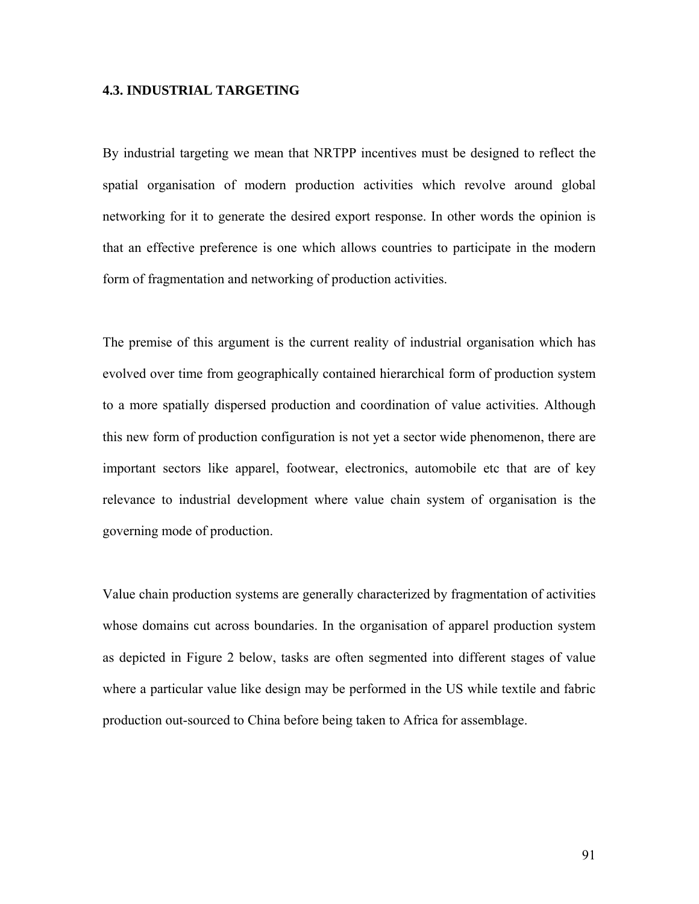# **4.3. INDUSTRIAL TARGETING**

By industrial targeting we mean that NRTPP incentives must be designed to reflect the spatial organisation of modern production activities which revolve around global networking for it to generate the desired export response. In other words the opinion is that an effective preference is one which allows countries to participate in the modern form of fragmentation and networking of production activities.

The premise of this argument is the current reality of industrial organisation which has evolved over time from geographically contained hierarchical form of production system to a more spatially dispersed production and coordination of value activities. Although this new form of production configuration is not yet a sector wide phenomenon, there are important sectors like apparel, footwear, electronics, automobile etc that are of key relevance to industrial development where value chain system of organisation is the governing mode of production.

Value chain production systems are generally characterized by fragmentation of activities whose domains cut across boundaries. In the organisation of apparel production system as depicted in Figure 2 below, tasks are often segmented into different stages of value where a particular value like design may be performed in the US while textile and fabric production out-sourced to China before being taken to Africa for assemblage.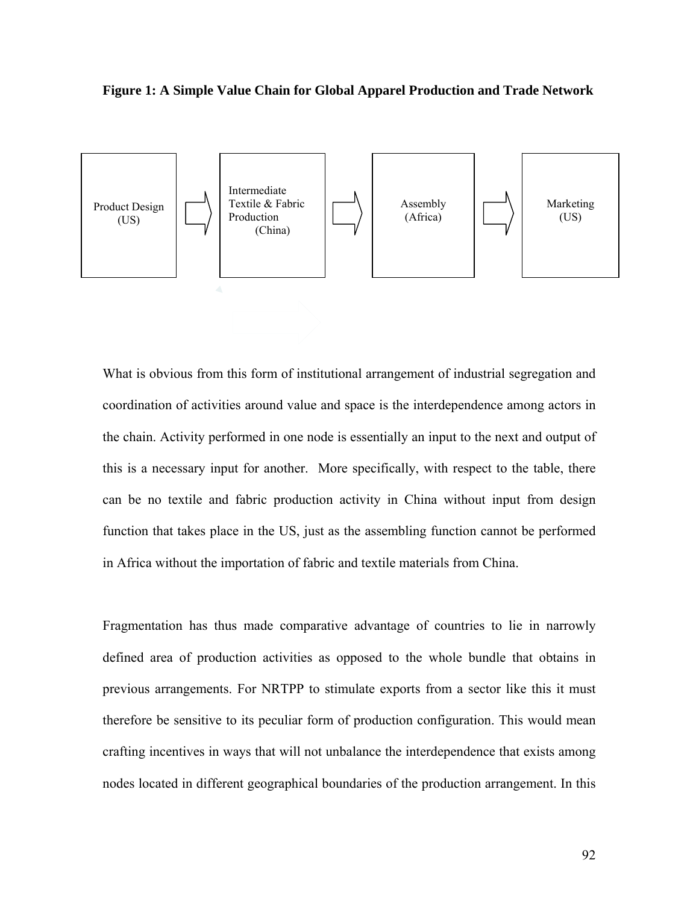



What is obvious from this form of institutional arrangement of industrial segregation and coordination of activities around value and space is the interdependence among actors in the chain. Activity performed in one node is essentially an input to the next and output of this is a necessary input for another. More specifically, with respect to the table, there can be no textile and fabric production activity in China without input from design function that takes place in the US, just as the assembling function cannot be performed in Africa without the importation of fabric and textile materials from China.

Fragmentation has thus made comparative advantage of countries to lie in narrowly defined area of production activities as opposed to the whole bundle that obtains in previous arrangements. For NRTPP to stimulate exports from a sector like this it must therefore be sensitive to its peculiar form of production configuration. This would mean crafting incentives in ways that will not unbalance the interdependence that exists among nodes located in different geographical boundaries of the production arrangement. In this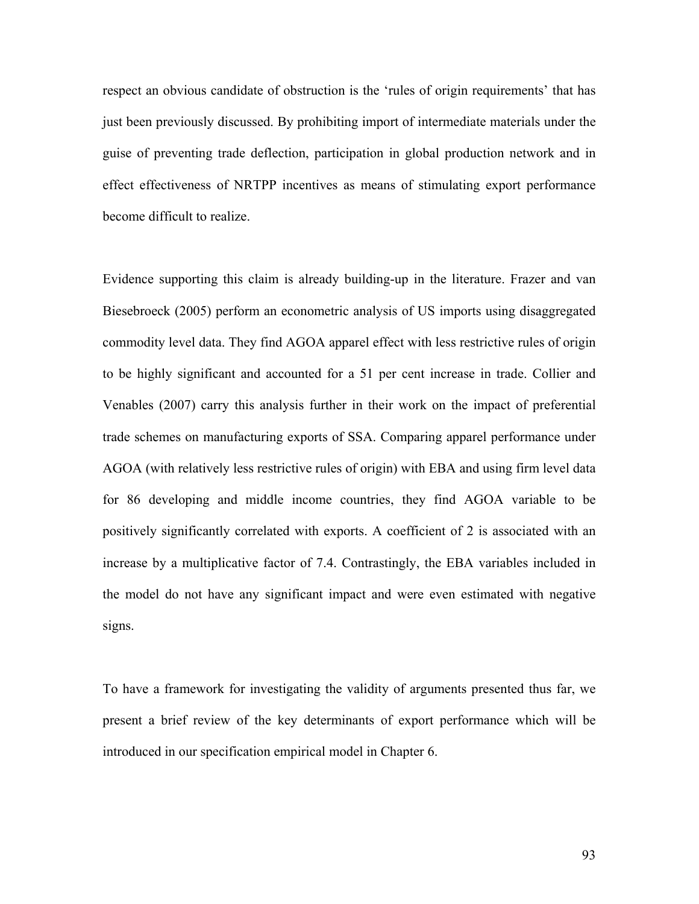respect an obvious candidate of obstruction is the 'rules of origin requirements' that has just been previously discussed. By prohibiting import of intermediate materials under the guise of preventing trade deflection, participation in global production network and in effect effectiveness of NRTPP incentives as means of stimulating export performance become difficult to realize.

Evidence supporting this claim is already building-up in the literature. Frazer and van Biesebroeck (2005) perform an econometric analysis of US imports using disaggregated commodity level data. They find AGOA apparel effect with less restrictive rules of origin to be highly significant and accounted for a 51 per cent increase in trade. Collier and Venables (2007) carry this analysis further in their work on the impact of preferential trade schemes on manufacturing exports of SSA. Comparing apparel performance under AGOA (with relatively less restrictive rules of origin) with EBA and using firm level data for 86 developing and middle income countries, they find AGOA variable to be positively significantly correlated with exports. A coefficient of 2 is associated with an increase by a multiplicative factor of 7.4. Contrastingly, the EBA variables included in the model do not have any significant impact and were even estimated with negative signs.

To have a framework for investigating the validity of arguments presented thus far, we present a brief review of the key determinants of export performance which will be introduced in our specification empirical model in Chapter 6.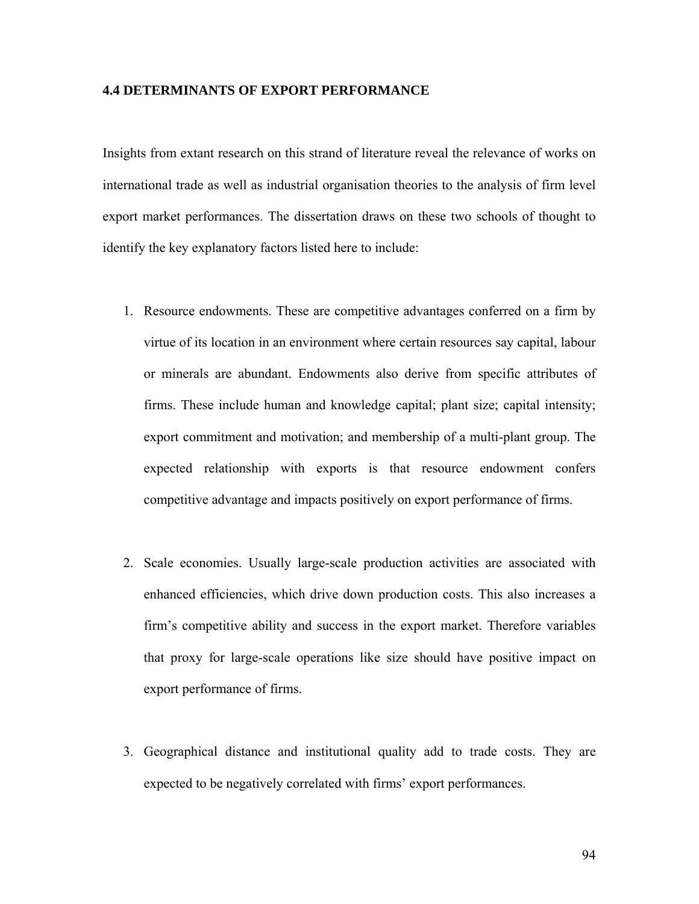# **4.4 DETERMINANTS OF EXPORT PERFORMANCE**

Insights from extant research on this strand of literature reveal the relevance of works on international trade as well as industrial organisation theories to the analysis of firm level export market performances. The dissertation draws on these two schools of thought to identify the key explanatory factors listed here to include:

- 1. Resource endowments. These are competitive advantages conferred on a firm by virtue of its location in an environment where certain resources say capital, labour or minerals are abundant. Endowments also derive from specific attributes of firms. These include human and knowledge capital; plant size; capital intensity; export commitment and motivation; and membership of a multi-plant group. The expected relationship with exports is that resource endowment confers competitive advantage and impacts positively on export performance of firms.
- 2. Scale economies. Usually large-scale production activities are associated with enhanced efficiencies, which drive down production costs. This also increases a firm's competitive ability and success in the export market. Therefore variables that proxy for large-scale operations like size should have positive impact on export performance of firms.
- 3. Geographical distance and institutional quality add to trade costs. They are expected to be negatively correlated with firms' export performances.

94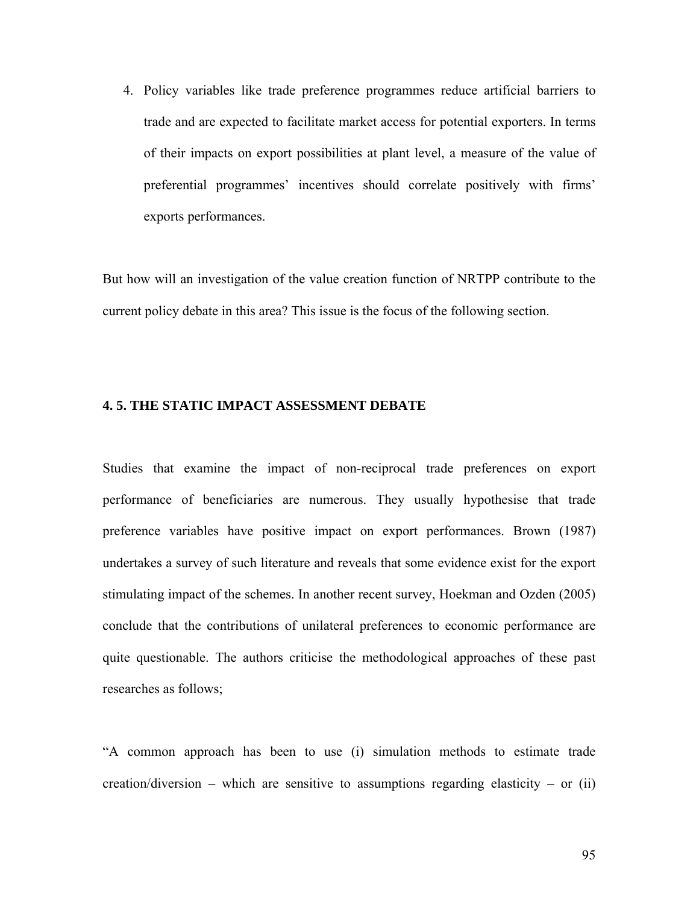4. Policy variables like trade preference programmes reduce artificial barriers to trade and are expected to facilitate market access for potential exporters. In terms of their impacts on export possibilities at plant level, a measure of the value of preferential programmes' incentives should correlate positively with firms' exports performances.

But how will an investigation of the value creation function of NRTPP contribute to the current policy debate in this area? This issue is the focus of the following section.

#### **4. 5. THE STATIC IMPACT ASSESSMENT DEBATE**

Studies that examine the impact of non-reciprocal trade preferences on export performance of beneficiaries are numerous. They usually hypothesise that trade preference variables have positive impact on export performances. Brown (1987) undertakes a survey of such literature and reveals that some evidence exist for the export stimulating impact of the schemes. In another recent survey, Hoekman and Ozden (2005) conclude that the contributions of unilateral preferences to economic performance are quite questionable. The authors criticise the methodological approaches of these past researches as follows;

"A common approach has been to use (i) simulation methods to estimate trade creation/diversion – which are sensitive to assumptions regarding elasticity – or (ii)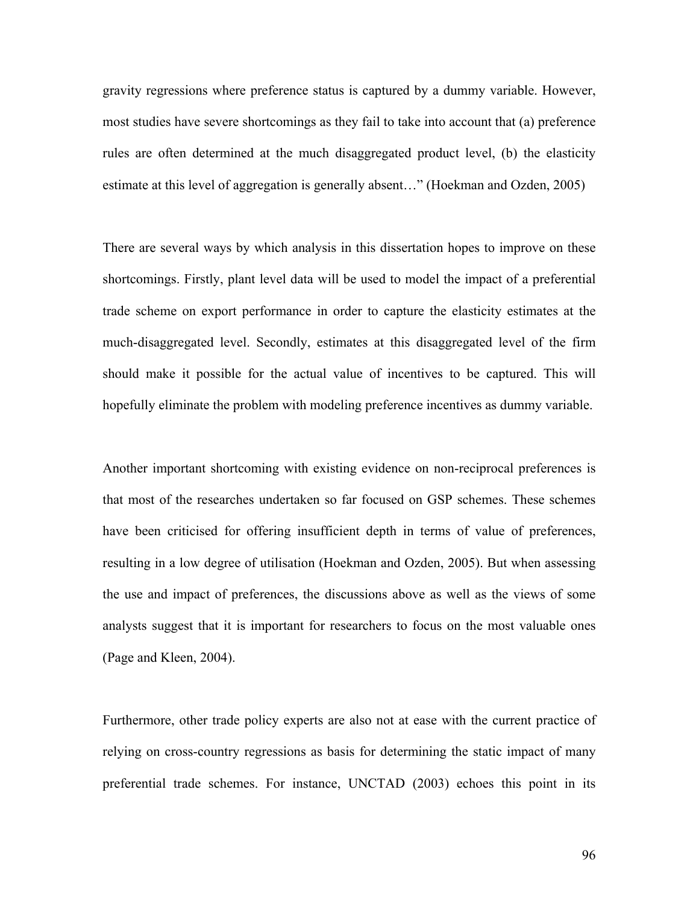gravity regressions where preference status is captured by a dummy variable. However, most studies have severe shortcomings as they fail to take into account that (a) preference rules are often determined at the much disaggregated product level, (b) the elasticity estimate at this level of aggregation is generally absent…" (Hoekman and Ozden, 2005)

There are several ways by which analysis in this dissertation hopes to improve on these shortcomings. Firstly, plant level data will be used to model the impact of a preferential trade scheme on export performance in order to capture the elasticity estimates at the much-disaggregated level. Secondly, estimates at this disaggregated level of the firm should make it possible for the actual value of incentives to be captured. This will hopefully eliminate the problem with modeling preference incentives as dummy variable.

Another important shortcoming with existing evidence on non-reciprocal preferences is that most of the researches undertaken so far focused on GSP schemes. These schemes have been criticised for offering insufficient depth in terms of value of preferences, resulting in a low degree of utilisation (Hoekman and Ozden, 2005). But when assessing the use and impact of preferences, the discussions above as well as the views of some analysts suggest that it is important for researchers to focus on the most valuable ones (Page and Kleen, 2004).

Furthermore, other trade policy experts are also not at ease with the current practice of relying on cross-country regressions as basis for determining the static impact of many preferential trade schemes. For instance, UNCTAD (2003) echoes this point in its

96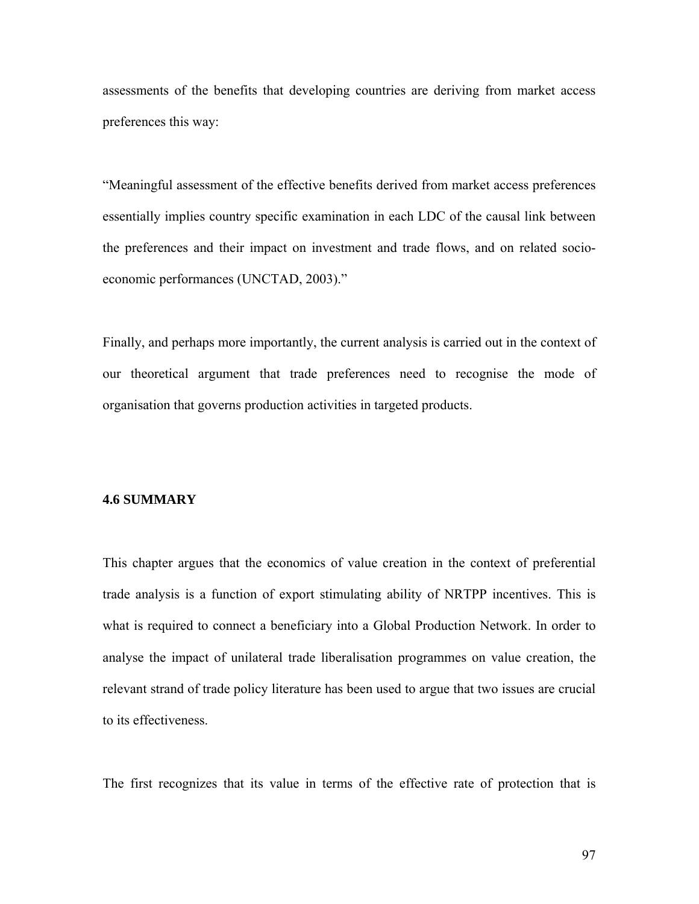assessments of the benefits that developing countries are deriving from market access preferences this way:

"Meaningful assessment of the effective benefits derived from market access preferences essentially implies country specific examination in each LDC of the causal link between the preferences and their impact on investment and trade flows, and on related socioeconomic performances (UNCTAD, 2003)."

Finally, and perhaps more importantly, the current analysis is carried out in the context of our theoretical argument that trade preferences need to recognise the mode of organisation that governs production activities in targeted products.

#### **4.6 SUMMARY**

This chapter argues that the economics of value creation in the context of preferential trade analysis is a function of export stimulating ability of NRTPP incentives. This is what is required to connect a beneficiary into a Global Production Network. In order to analyse the impact of unilateral trade liberalisation programmes on value creation, the relevant strand of trade policy literature has been used to argue that two issues are crucial to its effectiveness.

The first recognizes that its value in terms of the effective rate of protection that is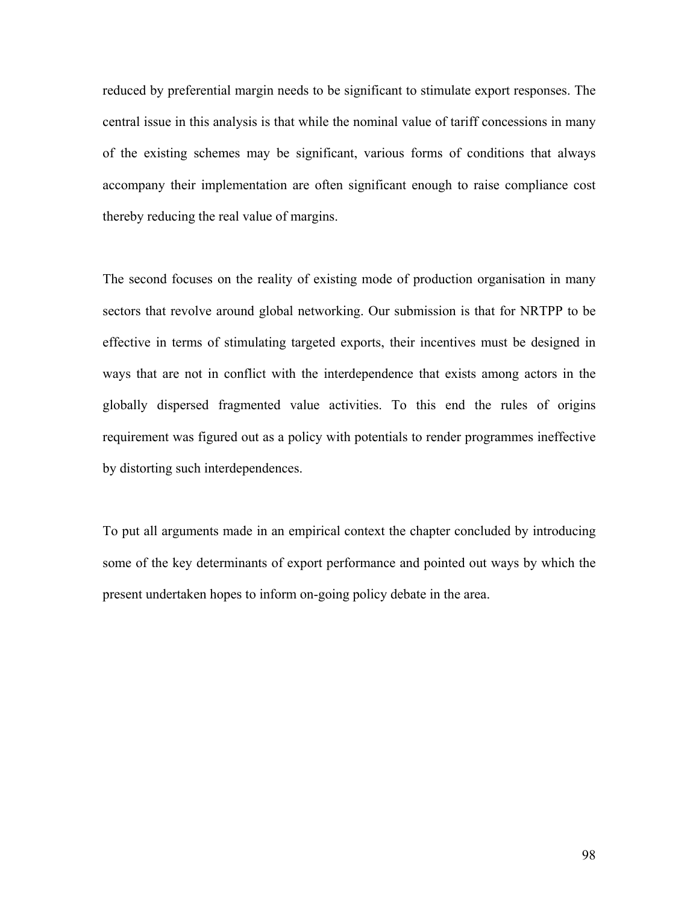reduced by preferential margin needs to be significant to stimulate export responses. The central issue in this analysis is that while the nominal value of tariff concessions in many of the existing schemes may be significant, various forms of conditions that always accompany their implementation are often significant enough to raise compliance cost thereby reducing the real value of margins.

The second focuses on the reality of existing mode of production organisation in many sectors that revolve around global networking. Our submission is that for NRTPP to be effective in terms of stimulating targeted exports, their incentives must be designed in ways that are not in conflict with the interdependence that exists among actors in the globally dispersed fragmented value activities. To this end the rules of origins requirement was figured out as a policy with potentials to render programmes ineffective by distorting such interdependences.

To put all arguments made in an empirical context the chapter concluded by introducing some of the key determinants of export performance and pointed out ways by which the present undertaken hopes to inform on-going policy debate in the area.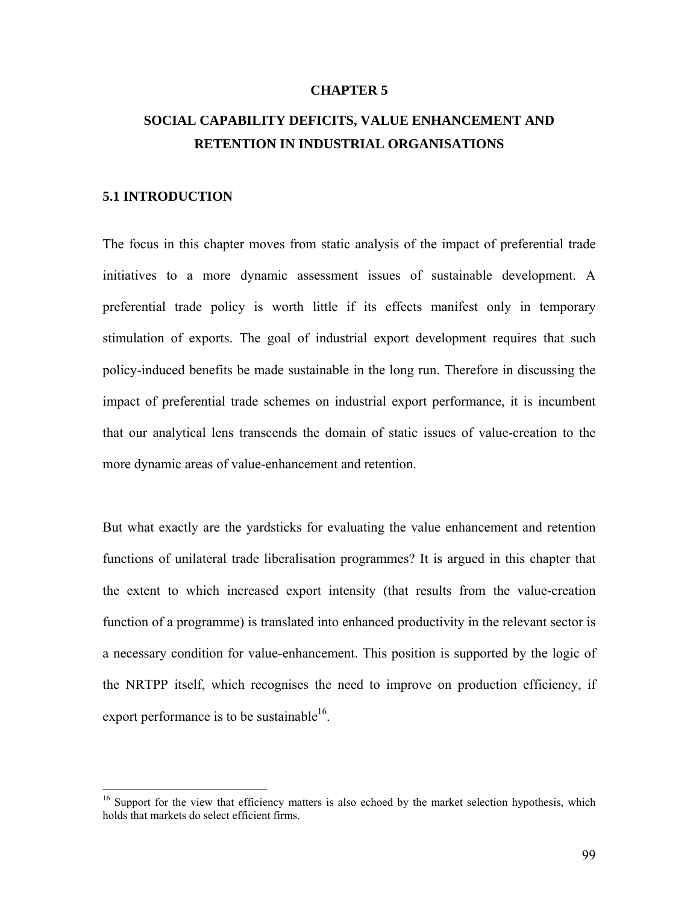#### **CHAPTER 5**

# **SOCIAL CAPABILITY DEFICITS, VALUE ENHANCEMENT AND RETENTION IN INDUSTRIAL ORGANISATIONS**

# **5.1 INTRODUCTION**

 $\overline{a}$ 

The focus in this chapter moves from static analysis of the impact of preferential trade initiatives to a more dynamic assessment issues of sustainable development. A preferential trade policy is worth little if its effects manifest only in temporary stimulation of exports. The goal of industrial export development requires that such policy-induced benefits be made sustainable in the long run. Therefore in discussing the impact of preferential trade schemes on industrial export performance, it is incumbent that our analytical lens transcends the domain of static issues of value-creation to the more dynamic areas of value-enhancement and retention.

But what exactly are the yardsticks for evaluating the value enhancement and retention functions of unilateral trade liberalisation programmes? It is argued in this chapter that the extent to which increased export intensity (that results from the value-creation function of a programme) is translated into enhanced productivity in the relevant sector is a necessary condition for value-enhancement. This position is supported by the logic of the NRTPP itself, which recognises the need to improve on production efficiency, if export performance is to be sustainable<sup>16</sup>.

<sup>&</sup>lt;sup>16</sup> Support for the view that efficiency matters is also echoed by the market selection hypothesis, which holds that markets do select efficient firms.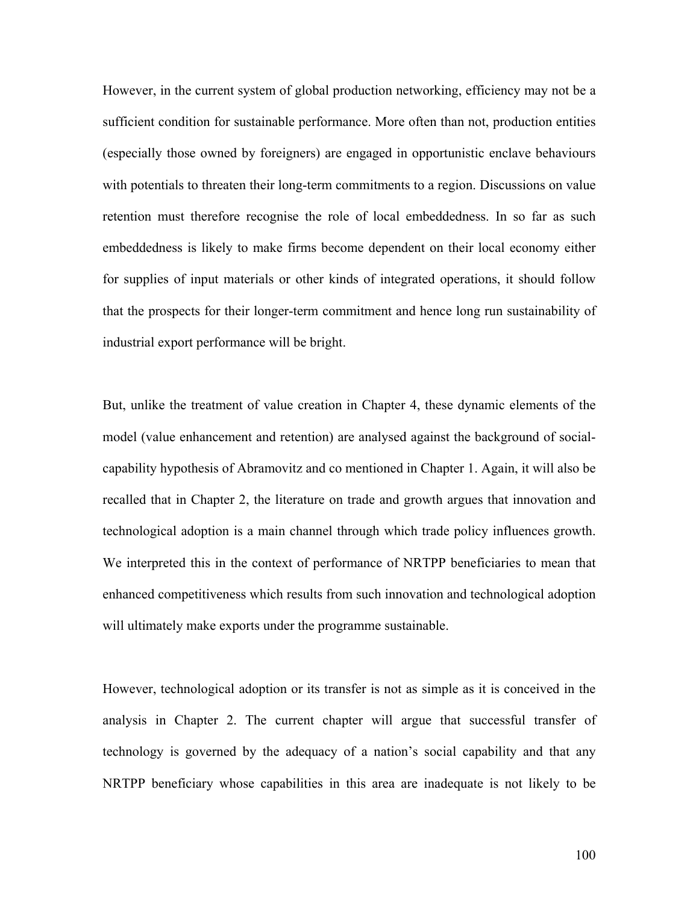However, in the current system of global production networking, efficiency may not be a sufficient condition for sustainable performance. More often than not, production entities (especially those owned by foreigners) are engaged in opportunistic enclave behaviours with potentials to threaten their long-term commitments to a region. Discussions on value retention must therefore recognise the role of local embeddedness. In so far as such embeddedness is likely to make firms become dependent on their local economy either for supplies of input materials or other kinds of integrated operations, it should follow that the prospects for their longer-term commitment and hence long run sustainability of industrial export performance will be bright.

But, unlike the treatment of value creation in Chapter 4, these dynamic elements of the model (value enhancement and retention) are analysed against the background of socialcapability hypothesis of Abramovitz and co mentioned in Chapter 1. Again, it will also be recalled that in Chapter 2, the literature on trade and growth argues that innovation and technological adoption is a main channel through which trade policy influences growth. We interpreted this in the context of performance of NRTPP beneficiaries to mean that enhanced competitiveness which results from such innovation and technological adoption will ultimately make exports under the programme sustainable.

However, technological adoption or its transfer is not as simple as it is conceived in the analysis in Chapter 2. The current chapter will argue that successful transfer of technology is governed by the adequacy of a nation's social capability and that any NRTPP beneficiary whose capabilities in this area are inadequate is not likely to be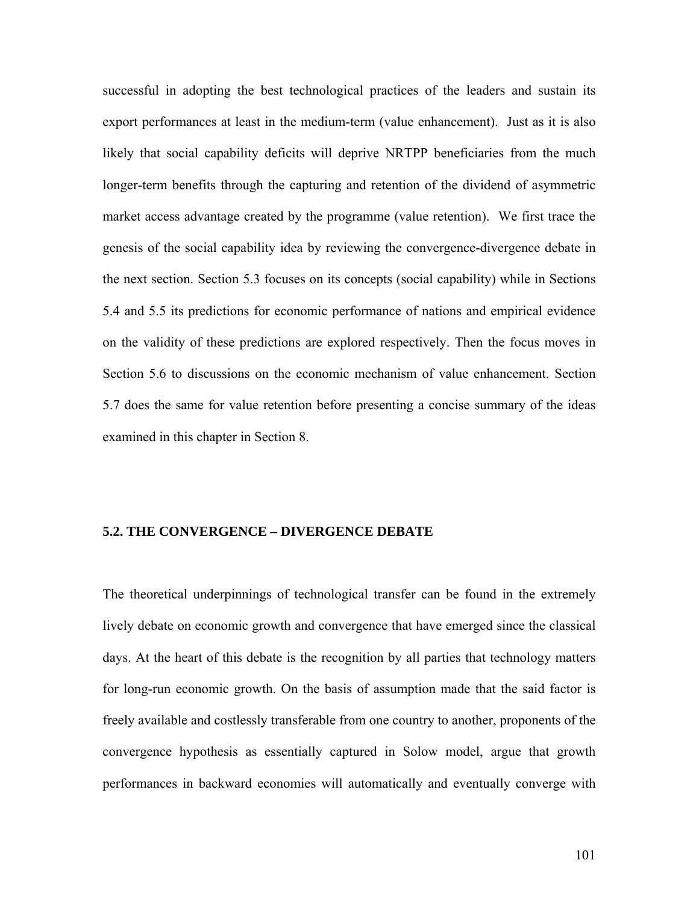successful in adopting the best technological practices of the leaders and sustain its export performances at least in the medium-term (value enhancement). Just as it is also likely that social capability deficits will deprive NRTPP beneficiaries from the much longer-term benefits through the capturing and retention of the dividend of asymmetric market access advantage created by the programme (value retention). We first trace the genesis of the social capability idea by reviewing the convergence-divergence debate in the next section. Section 5.3 focuses on its concepts (social capability) while in Sections 5.4 and 5.5 its predictions for economic performance of nations and empirical evidence on the validity of these predictions are explored respectively. Then the focus moves in Section 5.6 to discussions on the economic mechanism of value enhancement. Section 5.7 does the same for value retention before presenting a concise summary of the ideas examined in this chapter in Section 8.

# **5.2. THE CONVERGENCE – DIVERGENCE DEBATE**

The theoretical underpinnings of technological transfer can be found in the extremely lively debate on economic growth and convergence that have emerged since the classical days. At the heart of this debate is the recognition by all parties that technology matters for long-run economic growth. On the basis of assumption made that the said factor is freely available and costlessly transferable from one country to another, proponents of the convergence hypothesis as essentially captured in Solow model, argue that growth performances in backward economies will automatically and eventually converge with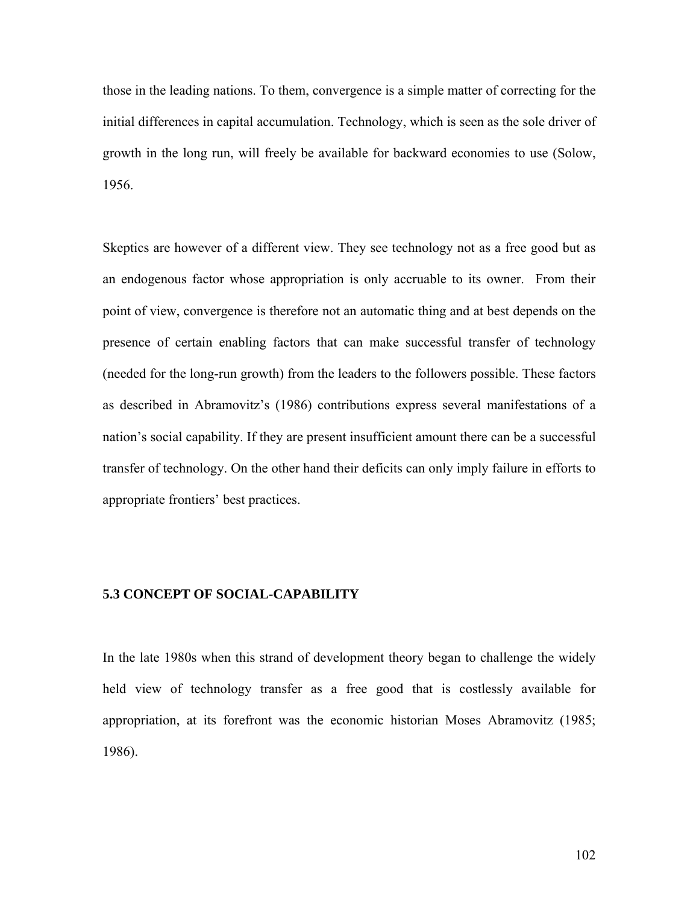those in the leading nations. To them, convergence is a simple matter of correcting for the initial differences in capital accumulation. Technology, which is seen as the sole driver of growth in the long run, will freely be available for backward economies to use (Solow, 1956.

Skeptics are however of a different view. They see technology not as a free good but as an endogenous factor whose appropriation is only accruable to its owner. From their point of view, convergence is therefore not an automatic thing and at best depends on the presence of certain enabling factors that can make successful transfer of technology (needed for the long-run growth) from the leaders to the followers possible. These factors as described in Abramovitz's (1986) contributions express several manifestations of a nation's social capability. If they are present insufficient amount there can be a successful transfer of technology. On the other hand their deficits can only imply failure in efforts to appropriate frontiers' best practices.

# **5.3 CONCEPT OF SOCIAL-CAPABILITY**

In the late 1980s when this strand of development theory began to challenge the widely held view of technology transfer as a free good that is costlessly available for appropriation, at its forefront was the economic historian Moses Abramovitz (1985; 1986).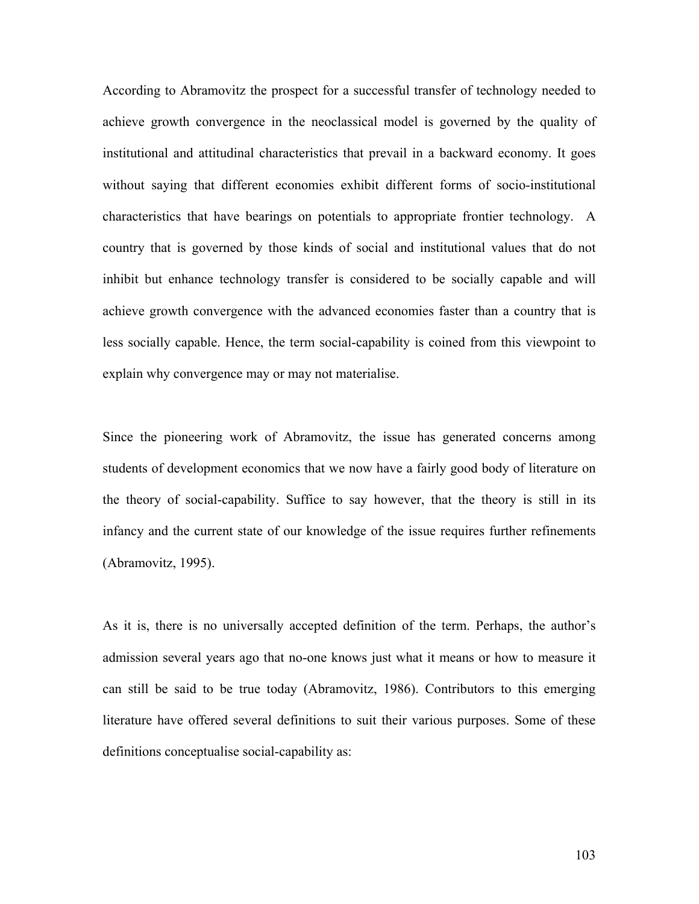According to Abramovitz the prospect for a successful transfer of technology needed to achieve growth convergence in the neoclassical model is governed by the quality of institutional and attitudinal characteristics that prevail in a backward economy. It goes without saying that different economies exhibit different forms of socio-institutional characteristics that have bearings on potentials to appropriate frontier technology. A country that is governed by those kinds of social and institutional values that do not inhibit but enhance technology transfer is considered to be socially capable and will achieve growth convergence with the advanced economies faster than a country that is less socially capable. Hence, the term social-capability is coined from this viewpoint to explain why convergence may or may not materialise.

Since the pioneering work of Abramovitz, the issue has generated concerns among students of development economics that we now have a fairly good body of literature on the theory of social-capability. Suffice to say however, that the theory is still in its infancy and the current state of our knowledge of the issue requires further refinements (Abramovitz, 1995).

As it is, there is no universally accepted definition of the term. Perhaps, the author's admission several years ago that no-one knows just what it means or how to measure it can still be said to be true today (Abramovitz, 1986). Contributors to this emerging literature have offered several definitions to suit their various purposes. Some of these definitions conceptualise social-capability as: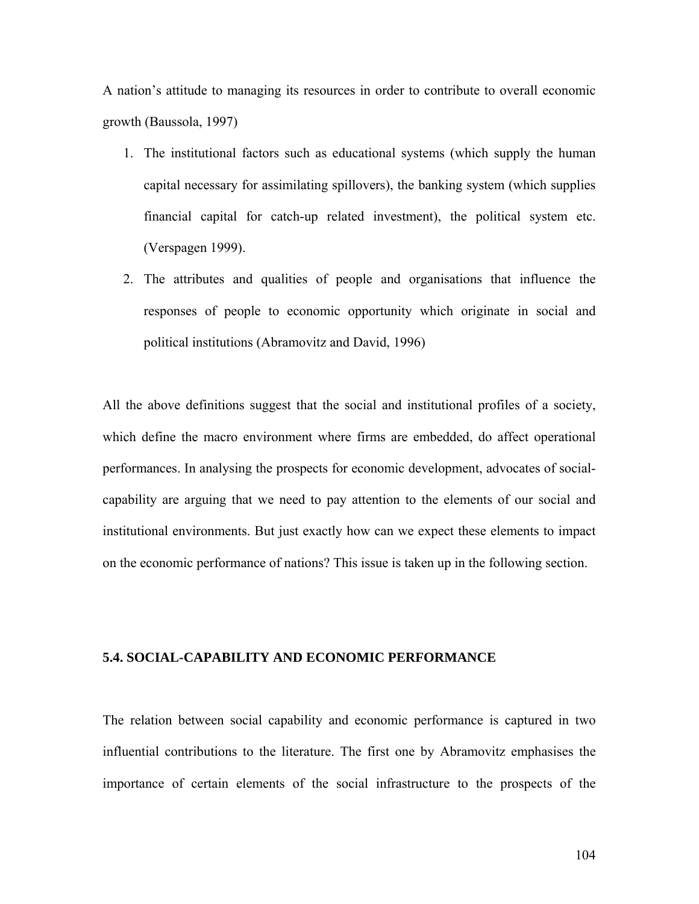A nation's attitude to managing its resources in order to contribute to overall economic growth (Baussola, 1997)

- 1. The institutional factors such as educational systems (which supply the human capital necessary for assimilating spillovers), the banking system (which supplies financial capital for catch-up related investment), the political system etc. (Verspagen 1999).
- 2. The attributes and qualities of people and organisations that influence the responses of people to economic opportunity which originate in social and political institutions (Abramovitz and David, 1996)

All the above definitions suggest that the social and institutional profiles of a society, which define the macro environment where firms are embedded, do affect operational performances. In analysing the prospects for economic development, advocates of socialcapability are arguing that we need to pay attention to the elements of our social and institutional environments. But just exactly how can we expect these elements to impact on the economic performance of nations? This issue is taken up in the following section.

# **5.4. SOCIAL-CAPABILITY AND ECONOMIC PERFORMANCE**

The relation between social capability and economic performance is captured in two influential contributions to the literature. The first one by Abramovitz emphasises the importance of certain elements of the social infrastructure to the prospects of the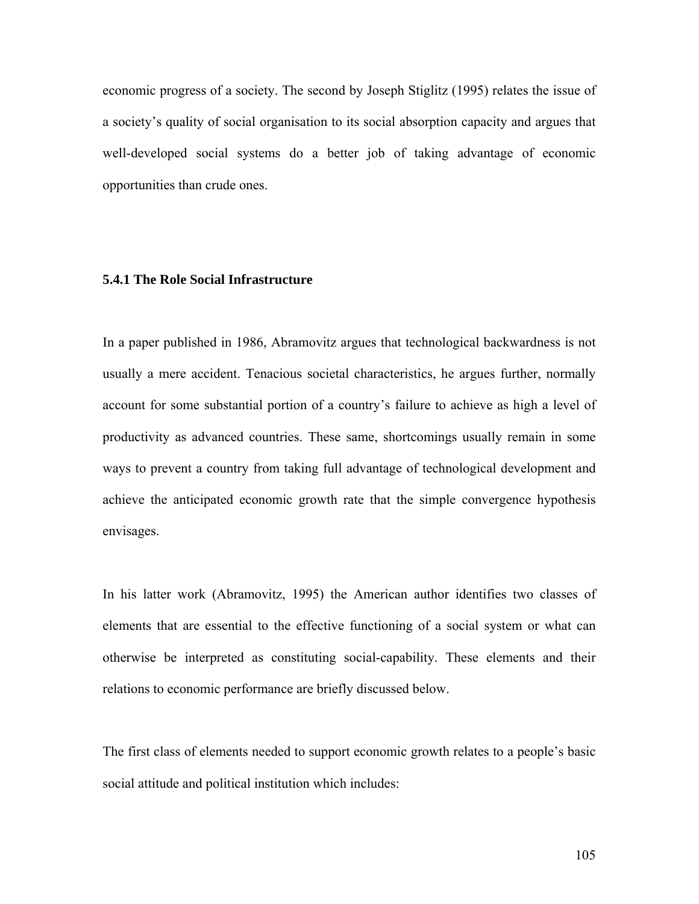economic progress of a society. The second by Joseph Stiglitz (1995) relates the issue of a society's quality of social organisation to its social absorption capacity and argues that well-developed social systems do a better job of taking advantage of economic opportunities than crude ones.

# **5.4.1 The Role Social Infrastructure**

In a paper published in 1986, Abramovitz argues that technological backwardness is not usually a mere accident. Tenacious societal characteristics, he argues further, normally account for some substantial portion of a country's failure to achieve as high a level of productivity as advanced countries. These same, shortcomings usually remain in some ways to prevent a country from taking full advantage of technological development and achieve the anticipated economic growth rate that the simple convergence hypothesis envisages.

In his latter work (Abramovitz, 1995) the American author identifies two classes of elements that are essential to the effective functioning of a social system or what can otherwise be interpreted as constituting social-capability. These elements and their relations to economic performance are briefly discussed below.

The first class of elements needed to support economic growth relates to a people's basic social attitude and political institution which includes: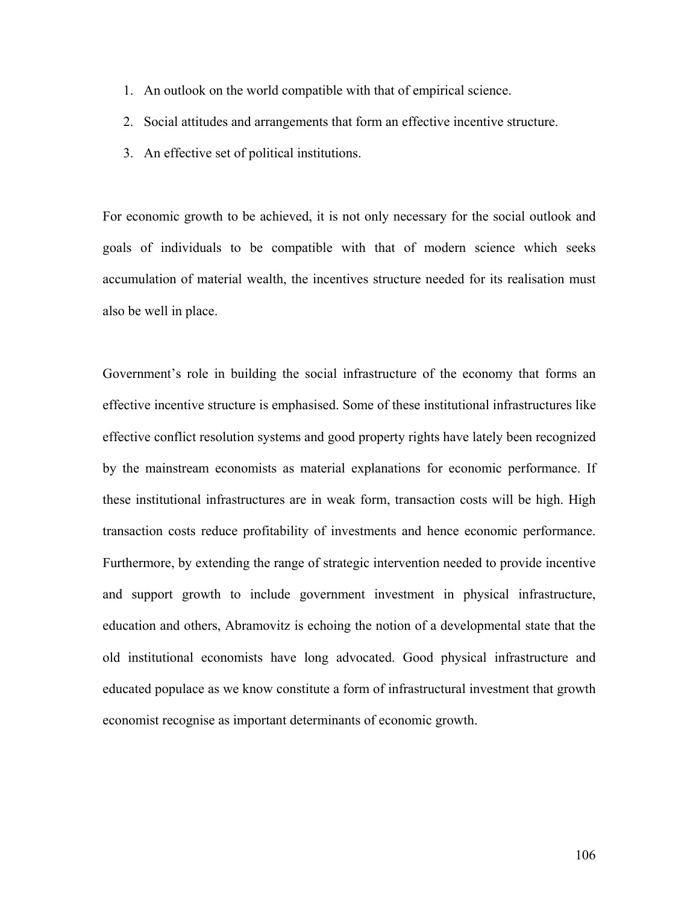- 1. An outlook on the world compatible with that of empirical science.
- 2. Social attitudes and arrangements that form an effective incentive structure.
- 3. An effective set of political institutions.

For economic growth to be achieved, it is not only necessary for the social outlook and goals of individuals to be compatible with that of modern science which seeks accumulation of material wealth, the incentives structure needed for its realisation must also be well in place.

Government's role in building the social infrastructure of the economy that forms an effective incentive structure is emphasised. Some of these institutional infrastructures like effective conflict resolution systems and good property rights have lately been recognized by the mainstream economists as material explanations for economic performance. If these institutional infrastructures are in weak form, transaction costs will be high. High transaction costs reduce profitability of investments and hence economic performance. Furthermore, by extending the range of strategic intervention needed to provide incentive and support growth to include government investment in physical infrastructure, education and others, Abramovitz is echoing the notion of a developmental state that the old institutional economists have long advocated. Good physical infrastructure and educated populace as we know constitute a form of infrastructural investment that growth economist recognise as important determinants of economic growth.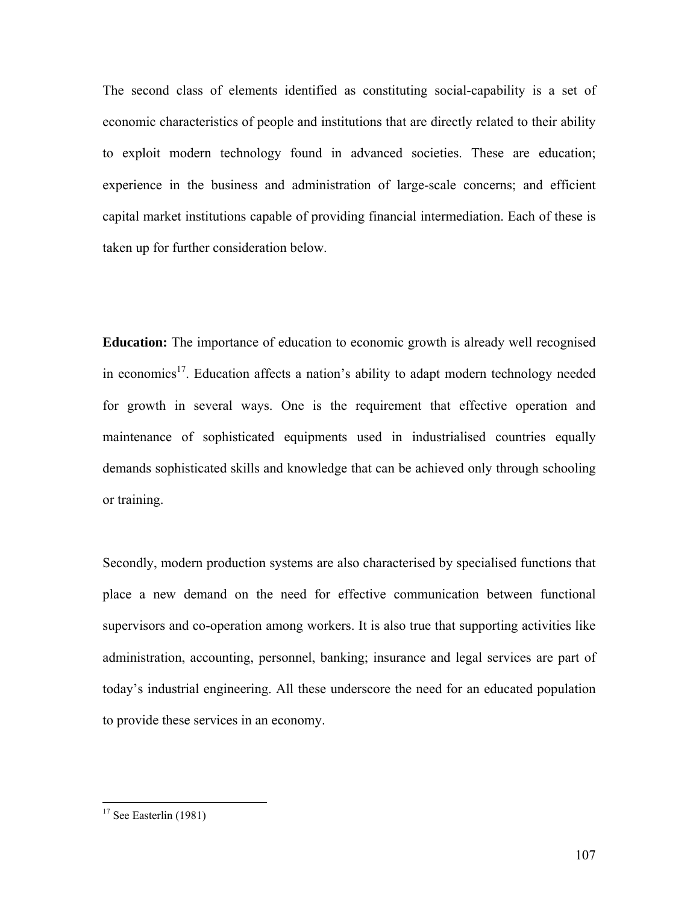The second class of elements identified as constituting social-capability is a set of economic characteristics of people and institutions that are directly related to their ability to exploit modern technology found in advanced societies. These are education; experience in the business and administration of large-scale concerns; and efficient capital market institutions capable of providing financial intermediation. Each of these is taken up for further consideration below.

**Education:** The importance of education to economic growth is already well recognised in economics<sup>17</sup>. Education affects a nation's ability to adapt modern technology needed for growth in several ways. One is the requirement that effective operation and maintenance of sophisticated equipments used in industrialised countries equally demands sophisticated skills and knowledge that can be achieved only through schooling or training.

Secondly, modern production systems are also characterised by specialised functions that place a new demand on the need for effective communication between functional supervisors and co-operation among workers. It is also true that supporting activities like administration, accounting, personnel, banking; insurance and legal services are part of today's industrial engineering. All these underscore the need for an educated population to provide these services in an economy.

 $\overline{a}$ 

 $17$  See Easterlin (1981)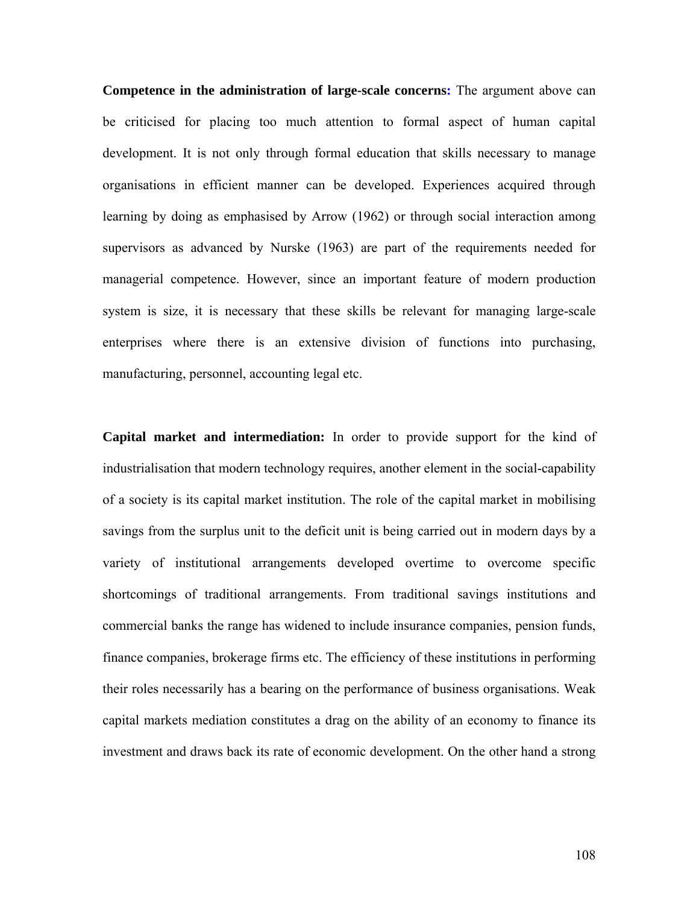**Competence in the administration of large-scale concerns:** The argument above can be criticised for placing too much attention to formal aspect of human capital development. It is not only through formal education that skills necessary to manage organisations in efficient manner can be developed. Experiences acquired through learning by doing as emphasised by Arrow (1962) or through social interaction among supervisors as advanced by Nurske (1963) are part of the requirements needed for managerial competence. However, since an important feature of modern production system is size, it is necessary that these skills be relevant for managing large-scale enterprises where there is an extensive division of functions into purchasing, manufacturing, personnel, accounting legal etc.

**Capital market and intermediation:** In order to provide support for the kind of industrialisation that modern technology requires, another element in the social-capability of a society is its capital market institution. The role of the capital market in mobilising savings from the surplus unit to the deficit unit is being carried out in modern days by a variety of institutional arrangements developed overtime to overcome specific shortcomings of traditional arrangements. From traditional savings institutions and commercial banks the range has widened to include insurance companies, pension funds, finance companies, brokerage firms etc. The efficiency of these institutions in performing their roles necessarily has a bearing on the performance of business organisations. Weak capital markets mediation constitutes a drag on the ability of an economy to finance its investment and draws back its rate of economic development. On the other hand a strong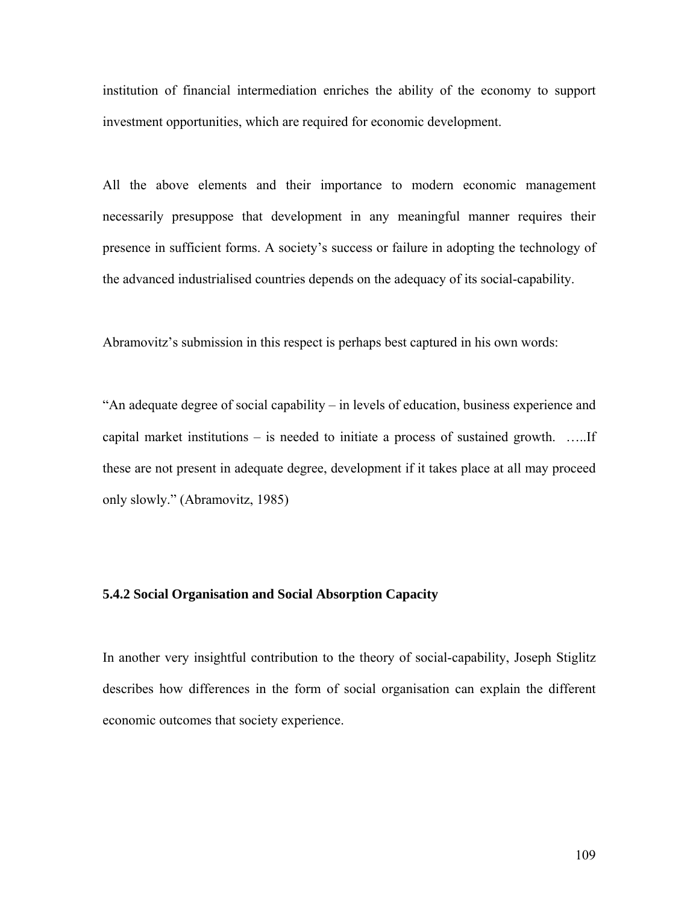institution of financial intermediation enriches the ability of the economy to support investment opportunities, which are required for economic development.

All the above elements and their importance to modern economic management necessarily presuppose that development in any meaningful manner requires their presence in sufficient forms. A society's success or failure in adopting the technology of the advanced industrialised countries depends on the adequacy of its social-capability.

Abramovitz's submission in this respect is perhaps best captured in his own words:

"An adequate degree of social capability – in levels of education, business experience and capital market institutions – is needed to initiate a process of sustained growth. …..If these are not present in adequate degree, development if it takes place at all may proceed only slowly." (Abramovitz, 1985)

# **5.4.2 Social Organisation and Social Absorption Capacity**

In another very insightful contribution to the theory of social-capability, Joseph Stiglitz describes how differences in the form of social organisation can explain the different economic outcomes that society experience.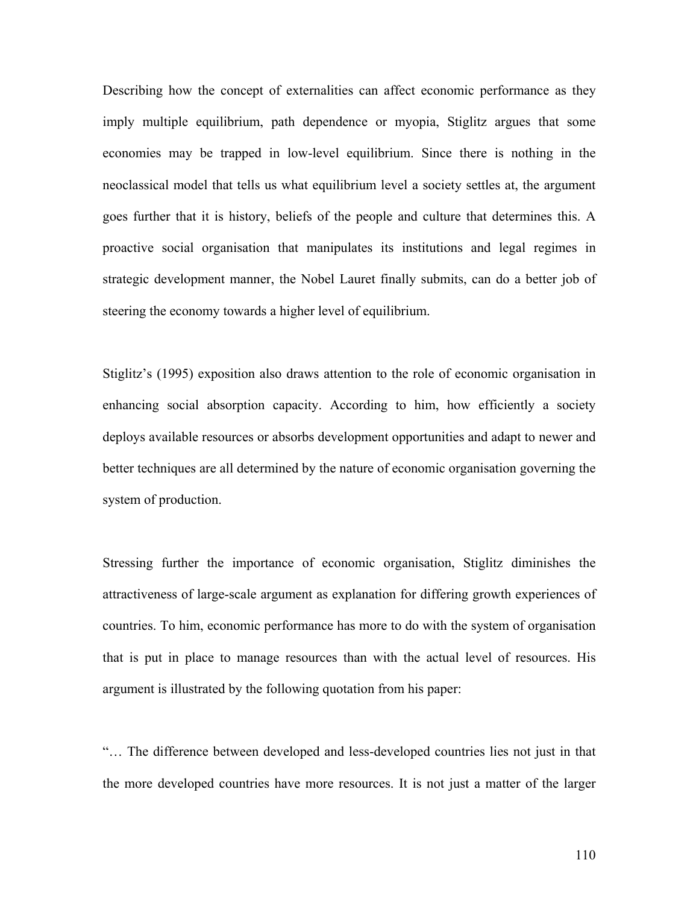Describing how the concept of externalities can affect economic performance as they imply multiple equilibrium, path dependence or myopia, Stiglitz argues that some economies may be trapped in low-level equilibrium. Since there is nothing in the neoclassical model that tells us what equilibrium level a society settles at, the argument goes further that it is history, beliefs of the people and culture that determines this. A proactive social organisation that manipulates its institutions and legal regimes in strategic development manner, the Nobel Lauret finally submits, can do a better job of steering the economy towards a higher level of equilibrium.

Stiglitz's (1995) exposition also draws attention to the role of economic organisation in enhancing social absorption capacity. According to him, how efficiently a society deploys available resources or absorbs development opportunities and adapt to newer and better techniques are all determined by the nature of economic organisation governing the system of production.

Stressing further the importance of economic organisation, Stiglitz diminishes the attractiveness of large-scale argument as explanation for differing growth experiences of countries. To him, economic performance has more to do with the system of organisation that is put in place to manage resources than with the actual level of resources. His argument is illustrated by the following quotation from his paper:

"… The difference between developed and less-developed countries lies not just in that the more developed countries have more resources. It is not just a matter of the larger

110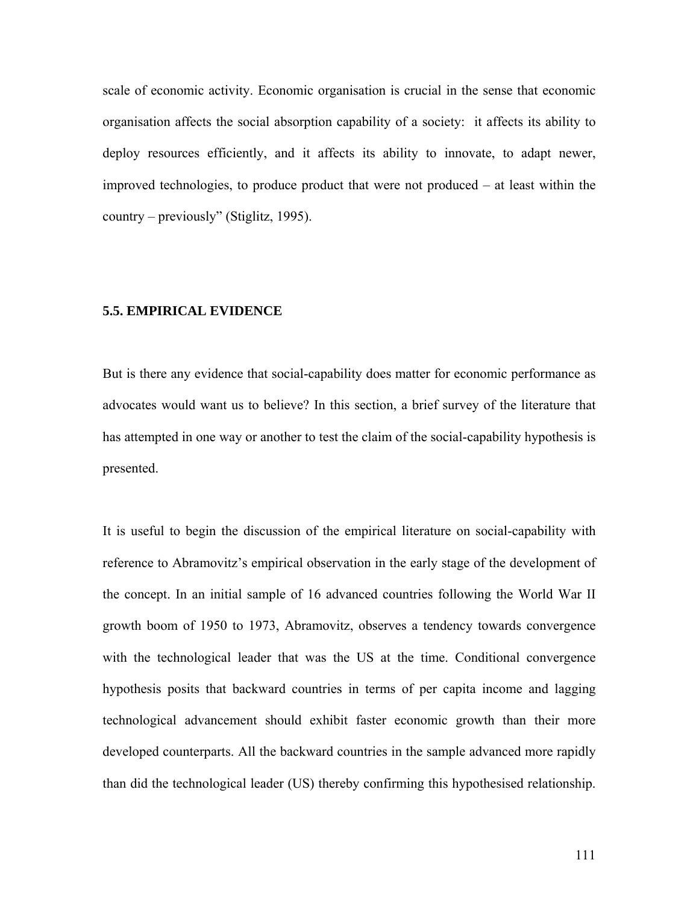scale of economic activity. Economic organisation is crucial in the sense that economic organisation affects the social absorption capability of a society: it affects its ability to deploy resources efficiently, and it affects its ability to innovate, to adapt newer, improved technologies, to produce product that were not produced – at least within the country – previously" (Stiglitz, 1995).

# **5.5. EMPIRICAL EVIDENCE**

But is there any evidence that social-capability does matter for economic performance as advocates would want us to believe? In this section, a brief survey of the literature that has attempted in one way or another to test the claim of the social-capability hypothesis is presented.

It is useful to begin the discussion of the empirical literature on social-capability with reference to Abramovitz's empirical observation in the early stage of the development of the concept. In an initial sample of 16 advanced countries following the World War II growth boom of 1950 to 1973, Abramovitz, observes a tendency towards convergence with the technological leader that was the US at the time. Conditional convergence hypothesis posits that backward countries in terms of per capita income and lagging technological advancement should exhibit faster economic growth than their more developed counterparts. All the backward countries in the sample advanced more rapidly than did the technological leader (US) thereby confirming this hypothesised relationship.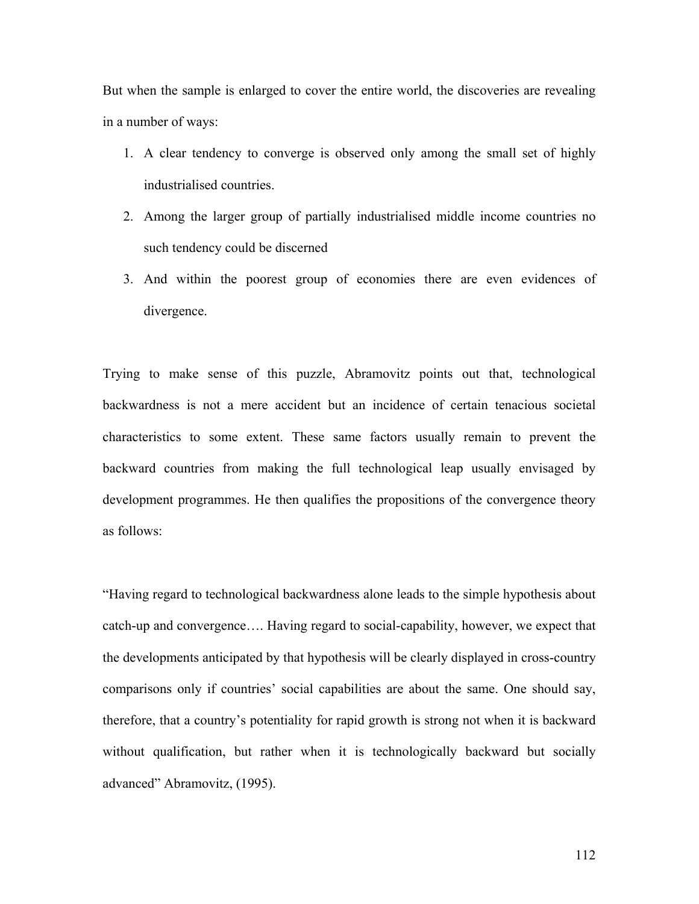But when the sample is enlarged to cover the entire world, the discoveries are revealing in a number of ways:

- 1. A clear tendency to converge is observed only among the small set of highly industrialised countries.
- 2. Among the larger group of partially industrialised middle income countries no such tendency could be discerned
- 3. And within the poorest group of economies there are even evidences of divergence.

Trying to make sense of this puzzle, Abramovitz points out that, technological backwardness is not a mere accident but an incidence of certain tenacious societal characteristics to some extent. These same factors usually remain to prevent the backward countries from making the full technological leap usually envisaged by development programmes. He then qualifies the propositions of the convergence theory as follows:

"Having regard to technological backwardness alone leads to the simple hypothesis about catch-up and convergence…. Having regard to social-capability, however, we expect that the developments anticipated by that hypothesis will be clearly displayed in cross-country comparisons only if countries' social capabilities are about the same. One should say, therefore, that a country's potentiality for rapid growth is strong not when it is backward without qualification, but rather when it is technologically backward but socially advanced" Abramovitz, (1995).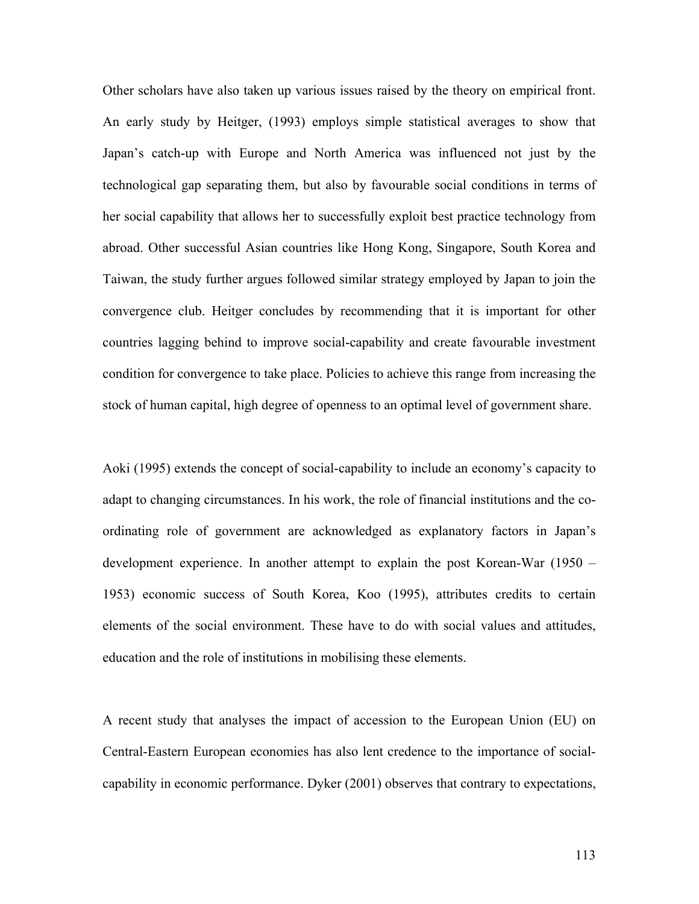Other scholars have also taken up various issues raised by the theory on empirical front. An early study by Heitger, (1993) employs simple statistical averages to show that Japan's catch-up with Europe and North America was influenced not just by the technological gap separating them, but also by favourable social conditions in terms of her social capability that allows her to successfully exploit best practice technology from abroad. Other successful Asian countries like Hong Kong, Singapore, South Korea and Taiwan, the study further argues followed similar strategy employed by Japan to join the convergence club. Heitger concludes by recommending that it is important for other countries lagging behind to improve social-capability and create favourable investment condition for convergence to take place. Policies to achieve this range from increasing the stock of human capital, high degree of openness to an optimal level of government share.

Aoki (1995) extends the concept of social-capability to include an economy's capacity to adapt to changing circumstances. In his work, the role of financial institutions and the coordinating role of government are acknowledged as explanatory factors in Japan's development experience. In another attempt to explain the post Korean-War (1950 – 1953) economic success of South Korea, Koo (1995), attributes credits to certain elements of the social environment. These have to do with social values and attitudes, education and the role of institutions in mobilising these elements.

A recent study that analyses the impact of accession to the European Union (EU) on Central-Eastern European economies has also lent credence to the importance of socialcapability in economic performance. Dyker (2001) observes that contrary to expectations,

113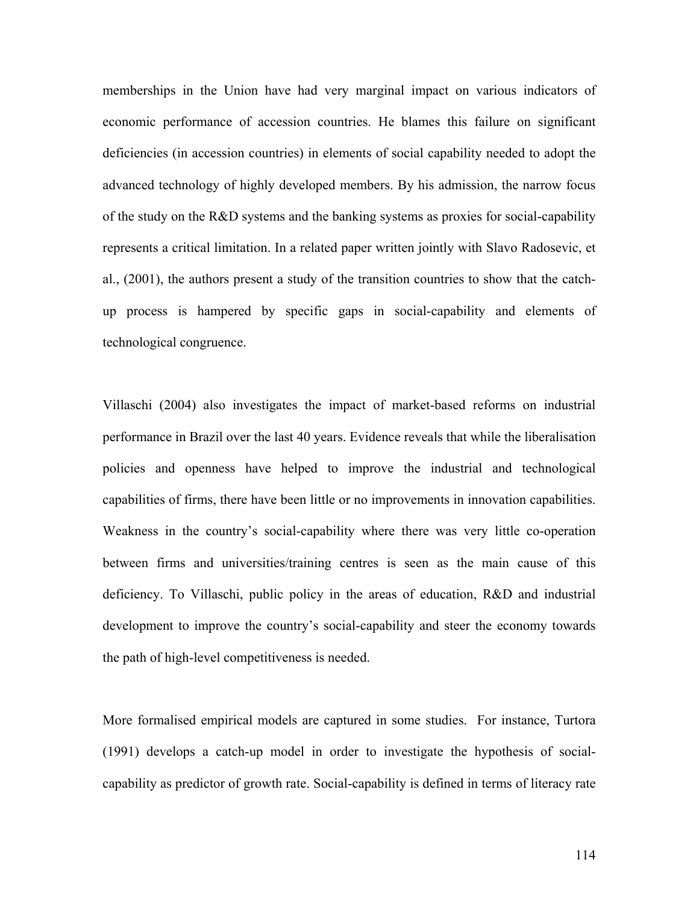memberships in the Union have had very marginal impact on various indicators of economic performance of accession countries. He blames this failure on significant deficiencies (in accession countries) in elements of social capability needed to adopt the advanced technology of highly developed members. By his admission, the narrow focus of the study on the R&D systems and the banking systems as proxies for social-capability represents a critical limitation. In a related paper written jointly with Slavo Radosevic, et al., (2001), the authors present a study of the transition countries to show that the catchup process is hampered by specific gaps in social-capability and elements of technological congruence.

Villaschi (2004) also investigates the impact of market-based reforms on industrial performance in Brazil over the last 40 years. Evidence reveals that while the liberalisation policies and openness have helped to improve the industrial and technological capabilities of firms, there have been little or no improvements in innovation capabilities. Weakness in the country's social-capability where there was very little co-operation between firms and universities/training centres is seen as the main cause of this deficiency. To Villaschi, public policy in the areas of education, R&D and industrial development to improve the country's social-capability and steer the economy towards the path of high-level competitiveness is needed.

More formalised empirical models are captured in some studies. For instance, Turtora (1991) develops a catch-up model in order to investigate the hypothesis of socialcapability as predictor of growth rate. Social-capability is defined in terms of literacy rate

114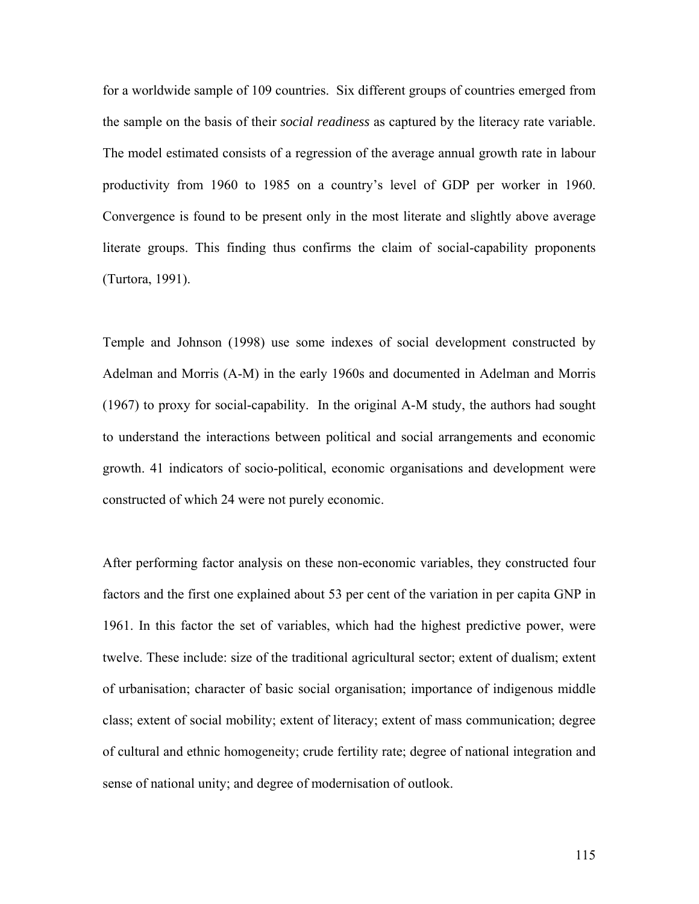for a worldwide sample of 109 countries. Six different groups of countries emerged from the sample on the basis of their *social readiness* as captured by the literacy rate variable. The model estimated consists of a regression of the average annual growth rate in labour productivity from 1960 to 1985 on a country's level of GDP per worker in 1960. Convergence is found to be present only in the most literate and slightly above average literate groups. This finding thus confirms the claim of social-capability proponents (Turtora, 1991).

Temple and Johnson (1998) use some indexes of social development constructed by Adelman and Morris (A-M) in the early 1960s and documented in Adelman and Morris (1967) to proxy for social-capability. In the original A-M study, the authors had sought to understand the interactions between political and social arrangements and economic growth. 41 indicators of socio-political, economic organisations and development were constructed of which 24 were not purely economic.

After performing factor analysis on these non-economic variables, they constructed four factors and the first one explained about 53 per cent of the variation in per capita GNP in 1961. In this factor the set of variables, which had the highest predictive power, were twelve. These include: size of the traditional agricultural sector; extent of dualism; extent of urbanisation; character of basic social organisation; importance of indigenous middle class; extent of social mobility; extent of literacy; extent of mass communication; degree of cultural and ethnic homogeneity; crude fertility rate; degree of national integration and sense of national unity; and degree of modernisation of outlook.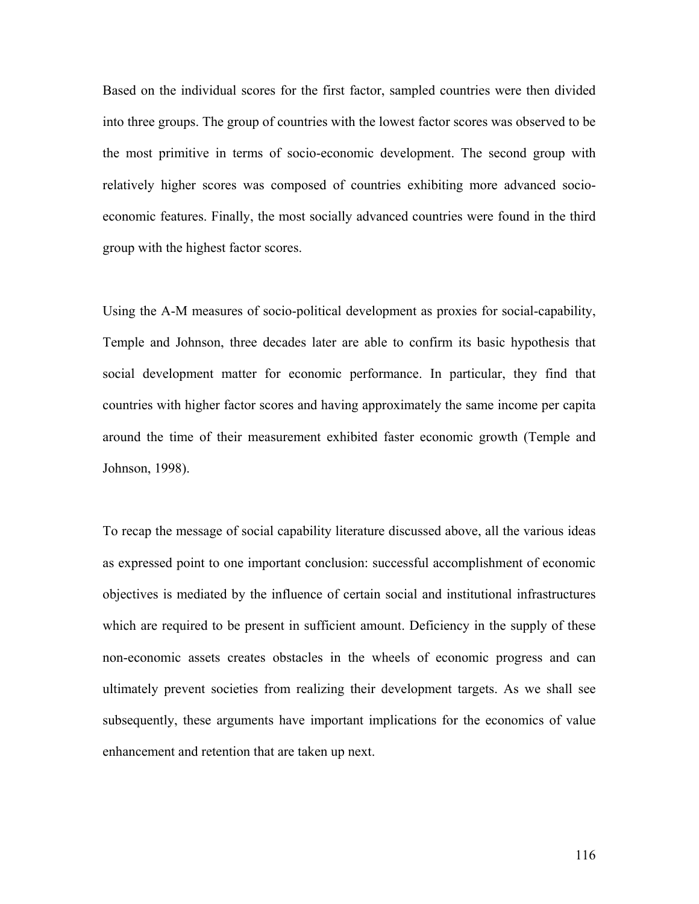Based on the individual scores for the first factor, sampled countries were then divided into three groups. The group of countries with the lowest factor scores was observed to be the most primitive in terms of socio-economic development. The second group with relatively higher scores was composed of countries exhibiting more advanced socioeconomic features. Finally, the most socially advanced countries were found in the third group with the highest factor scores.

Using the A-M measures of socio-political development as proxies for social-capability, Temple and Johnson, three decades later are able to confirm its basic hypothesis that social development matter for economic performance. In particular, they find that countries with higher factor scores and having approximately the same income per capita around the time of their measurement exhibited faster economic growth (Temple and Johnson, 1998).

To recap the message of social capability literature discussed above, all the various ideas as expressed point to one important conclusion: successful accomplishment of economic objectives is mediated by the influence of certain social and institutional infrastructures which are required to be present in sufficient amount. Deficiency in the supply of these non-economic assets creates obstacles in the wheels of economic progress and can ultimately prevent societies from realizing their development targets. As we shall see subsequently, these arguments have important implications for the economics of value enhancement and retention that are taken up next.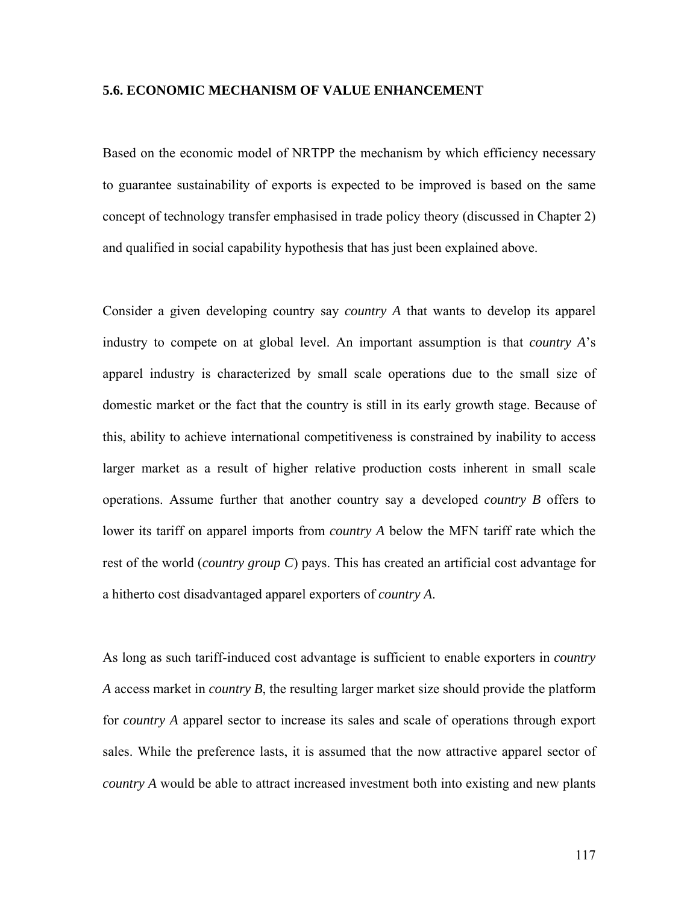# **5.6. ECONOMIC MECHANISM OF VALUE ENHANCEMENT**

Based on the economic model of NRTPP the mechanism by which efficiency necessary to guarantee sustainability of exports is expected to be improved is based on the same concept of technology transfer emphasised in trade policy theory (discussed in Chapter 2) and qualified in social capability hypothesis that has just been explained above.

Consider a given developing country say *country A* that wants to develop its apparel industry to compete on at global level. An important assumption is that *country A*'s apparel industry is characterized by small scale operations due to the small size of domestic market or the fact that the country is still in its early growth stage. Because of this, ability to achieve international competitiveness is constrained by inability to access larger market as a result of higher relative production costs inherent in small scale operations. Assume further that another country say a developed *country B* offers to lower its tariff on apparel imports from *country A* below the MFN tariff rate which the rest of the world (*country group C*) pays. This has created an artificial cost advantage for a hitherto cost disadvantaged apparel exporters of *country A*.

As long as such tariff-induced cost advantage is sufficient to enable exporters in *country A* access market in *country B*, the resulting larger market size should provide the platform for *country A* apparel sector to increase its sales and scale of operations through export sales. While the preference lasts, it is assumed that the now attractive apparel sector of *country A* would be able to attract increased investment both into existing and new plants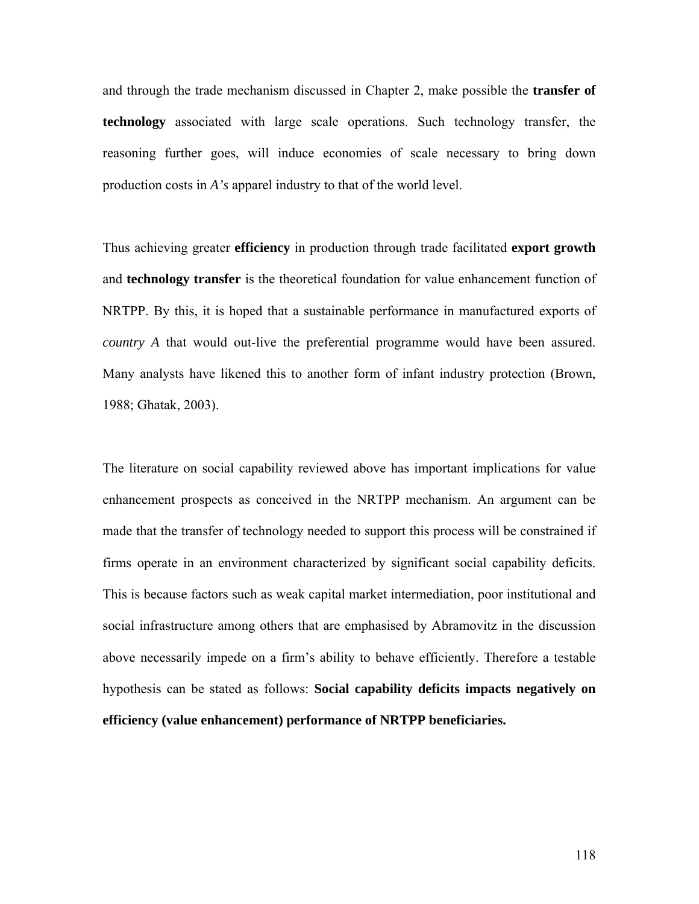and through the trade mechanism discussed in Chapter 2, make possible the **transfer of technology** associated with large scale operations. Such technology transfer, the reasoning further goes, will induce economies of scale necessary to bring down production costs in *A's* apparel industry to that of the world level.

Thus achieving greater **efficiency** in production through trade facilitated **export growth** and **technology transfer** is the theoretical foundation for value enhancement function of NRTPP. By this, it is hoped that a sustainable performance in manufactured exports of *country A* that would out-live the preferential programme would have been assured. Many analysts have likened this to another form of infant industry protection (Brown, 1988; Ghatak, 2003).

The literature on social capability reviewed above has important implications for value enhancement prospects as conceived in the NRTPP mechanism. An argument can be made that the transfer of technology needed to support this process will be constrained if firms operate in an environment characterized by significant social capability deficits. This is because factors such as weak capital market intermediation, poor institutional and social infrastructure among others that are emphasised by Abramovitz in the discussion above necessarily impede on a firm's ability to behave efficiently. Therefore a testable hypothesis can be stated as follows: **Social capability deficits impacts negatively on efficiency (value enhancement) performance of NRTPP beneficiaries.**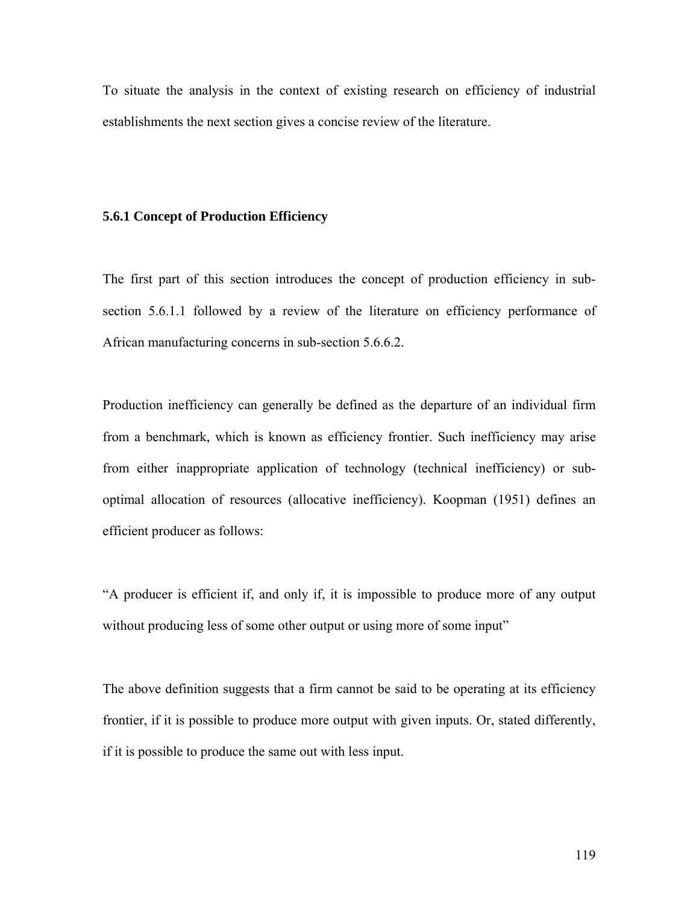To situate the analysis in the context of existing research on efficiency of industrial establishments the next section gives a concise review of the literature.

# **5.6.1 Concept of Production Efficiency**

The first part of this section introduces the concept of production efficiency in subsection 5.6.1.1 followed by a review of the literature on efficiency performance of African manufacturing concerns in sub-section 5.6.6.2.

Production inefficiency can generally be defined as the departure of an individual firm from a benchmark, which is known as efficiency frontier. Such inefficiency may arise from either inappropriate application of technology (technical inefficiency) or suboptimal allocation of resources (allocative inefficiency). Koopman (1951) defines an efficient producer as follows:

"A producer is efficient if, and only if, it is impossible to produce more of any output without producing less of some other output or using more of some input"

The above definition suggests that a firm cannot be said to be operating at its efficiency frontier, if it is possible to produce more output with given inputs. Or, stated differently, if it is possible to produce the same out with less input.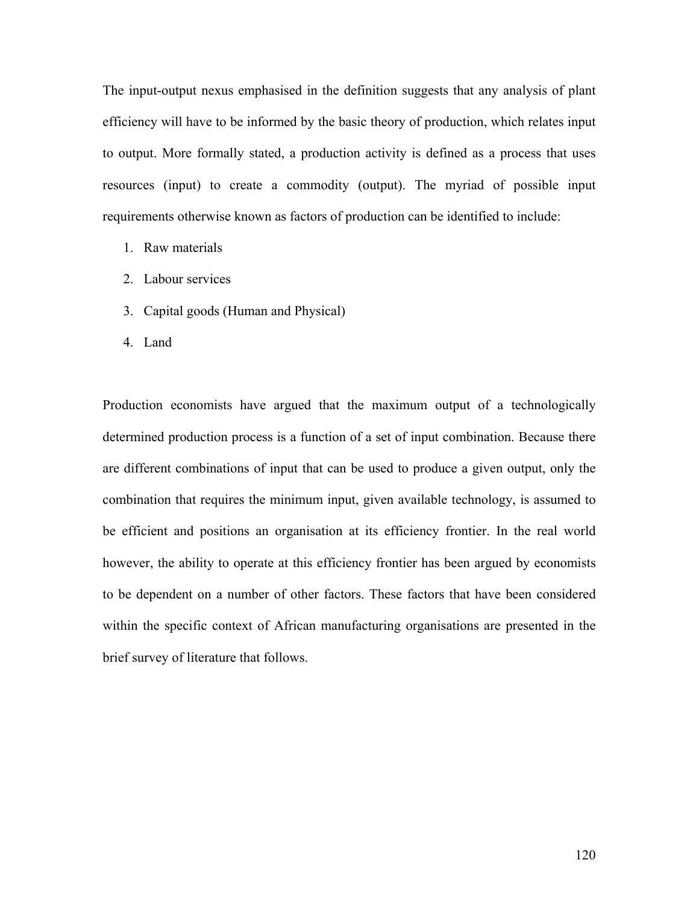The input-output nexus emphasised in the definition suggests that any analysis of plant efficiency will have to be informed by the basic theory of production, which relates input to output. More formally stated, a production activity is defined as a process that uses resources (input) to create a commodity (output). The myriad of possible input requirements otherwise known as factors of production can be identified to include:

- 1. Raw materials
- 2. Labour services
- 3. Capital goods (Human and Physical)
- 4. Land

Production economists have argued that the maximum output of a technologically determined production process is a function of a set of input combination. Because there are different combinations of input that can be used to produce a given output, only the combination that requires the minimum input, given available technology, is assumed to be efficient and positions an organisation at its efficiency frontier. In the real world however, the ability to operate at this efficiency frontier has been argued by economists to be dependent on a number of other factors. These factors that have been considered within the specific context of African manufacturing organisations are presented in the brief survey of literature that follows.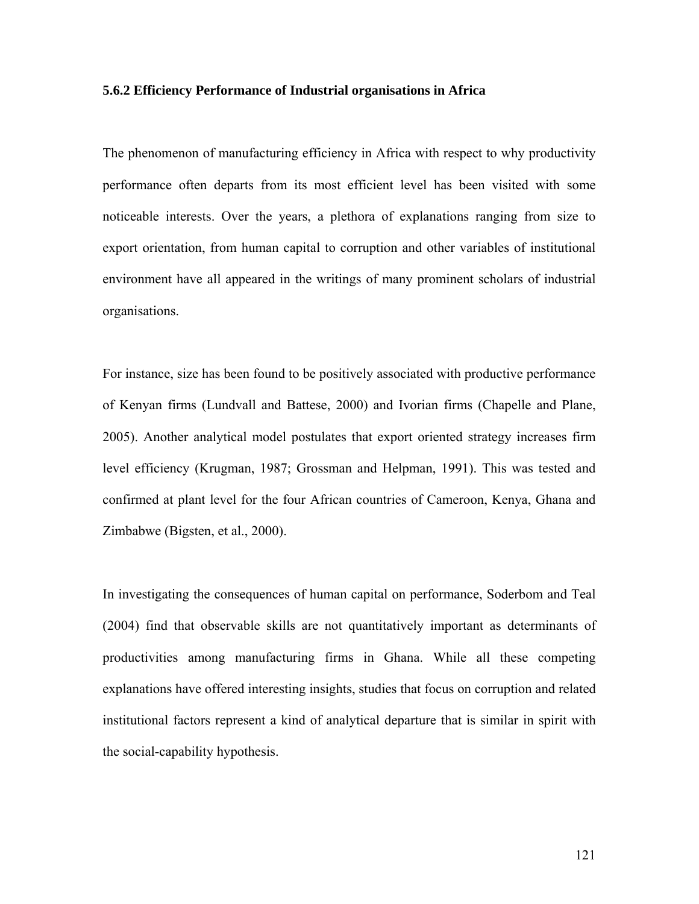# **5.6.2 Efficiency Performance of Industrial organisations in Africa**

The phenomenon of manufacturing efficiency in Africa with respect to why productivity performance often departs from its most efficient level has been visited with some noticeable interests. Over the years, a plethora of explanations ranging from size to export orientation, from human capital to corruption and other variables of institutional environment have all appeared in the writings of many prominent scholars of industrial organisations.

For instance, size has been found to be positively associated with productive performance of Kenyan firms (Lundvall and Battese, 2000) and Ivorian firms (Chapelle and Plane, 2005). Another analytical model postulates that export oriented strategy increases firm level efficiency (Krugman, 1987; Grossman and Helpman, 1991). This was tested and confirmed at plant level for the four African countries of Cameroon, Kenya, Ghana and Zimbabwe (Bigsten, et al., 2000).

In investigating the consequences of human capital on performance, Soderbom and Teal (2004) find that observable skills are not quantitatively important as determinants of productivities among manufacturing firms in Ghana. While all these competing explanations have offered interesting insights, studies that focus on corruption and related institutional factors represent a kind of analytical departure that is similar in spirit with the social-capability hypothesis.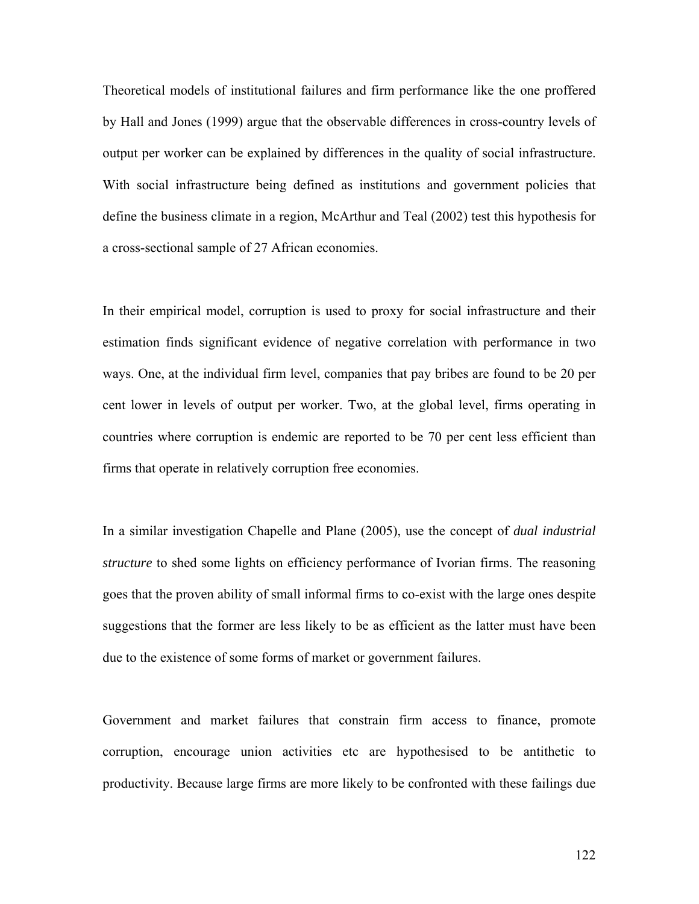Theoretical models of institutional failures and firm performance like the one proffered by Hall and Jones (1999) argue that the observable differences in cross-country levels of output per worker can be explained by differences in the quality of social infrastructure. With social infrastructure being defined as institutions and government policies that define the business climate in a region, McArthur and Teal (2002) test this hypothesis for a cross-sectional sample of 27 African economies.

In their empirical model, corruption is used to proxy for social infrastructure and their estimation finds significant evidence of negative correlation with performance in two ways. One, at the individual firm level, companies that pay bribes are found to be 20 per cent lower in levels of output per worker. Two, at the global level, firms operating in countries where corruption is endemic are reported to be 70 per cent less efficient than firms that operate in relatively corruption free economies.

In a similar investigation Chapelle and Plane (2005), use the concept of *dual industrial structure* to shed some lights on efficiency performance of Ivorian firms. The reasoning goes that the proven ability of small informal firms to co-exist with the large ones despite suggestions that the former are less likely to be as efficient as the latter must have been due to the existence of some forms of market or government failures.

Government and market failures that constrain firm access to finance, promote corruption, encourage union activities etc are hypothesised to be antithetic to productivity. Because large firms are more likely to be confronted with these failings due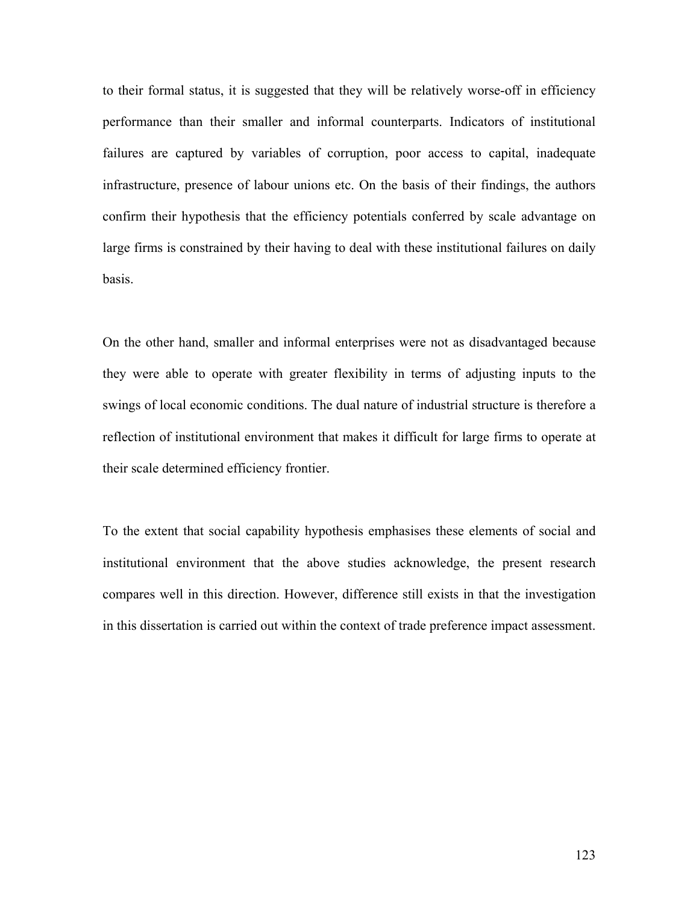to their formal status, it is suggested that they will be relatively worse-off in efficiency performance than their smaller and informal counterparts. Indicators of institutional failures are captured by variables of corruption, poor access to capital, inadequate infrastructure, presence of labour unions etc. On the basis of their findings, the authors confirm their hypothesis that the efficiency potentials conferred by scale advantage on large firms is constrained by their having to deal with these institutional failures on daily basis.

On the other hand, smaller and informal enterprises were not as disadvantaged because they were able to operate with greater flexibility in terms of adjusting inputs to the swings of local economic conditions. The dual nature of industrial structure is therefore a reflection of institutional environment that makes it difficult for large firms to operate at their scale determined efficiency frontier.

To the extent that social capability hypothesis emphasises these elements of social and institutional environment that the above studies acknowledge, the present research compares well in this direction. However, difference still exists in that the investigation in this dissertation is carried out within the context of trade preference impact assessment.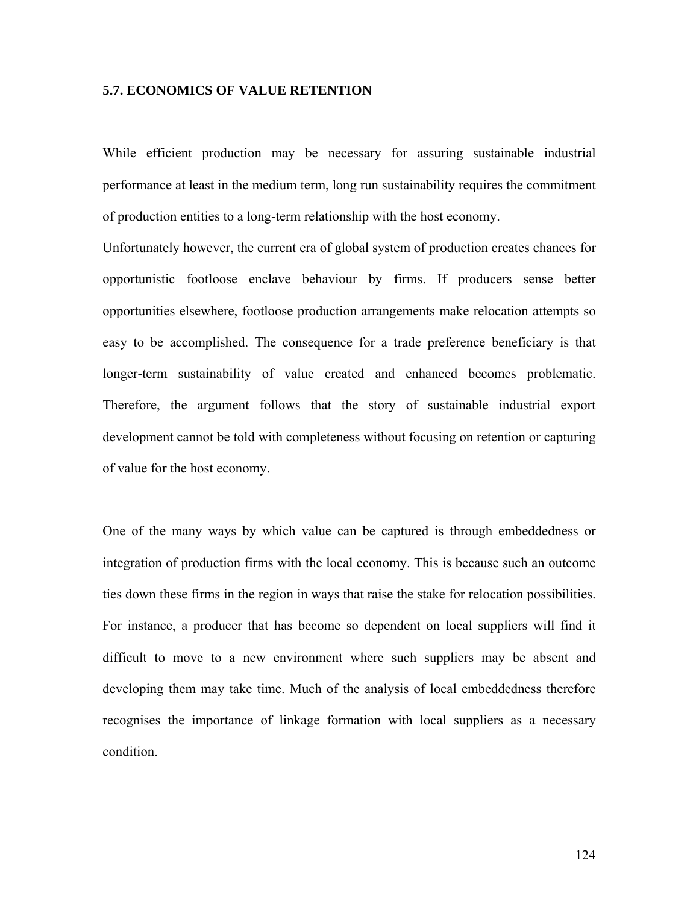# **5.7. ECONOMICS OF VALUE RETENTION**

While efficient production may be necessary for assuring sustainable industrial performance at least in the medium term, long run sustainability requires the commitment of production entities to a long-term relationship with the host economy.

Unfortunately however, the current era of global system of production creates chances for opportunistic footloose enclave behaviour by firms. If producers sense better opportunities elsewhere, footloose production arrangements make relocation attempts so easy to be accomplished. The consequence for a trade preference beneficiary is that longer-term sustainability of value created and enhanced becomes problematic. Therefore, the argument follows that the story of sustainable industrial export development cannot be told with completeness without focusing on retention or capturing of value for the host economy.

One of the many ways by which value can be captured is through embeddedness or integration of production firms with the local economy. This is because such an outcome ties down these firms in the region in ways that raise the stake for relocation possibilities. For instance, a producer that has become so dependent on local suppliers will find it difficult to move to a new environment where such suppliers may be absent and developing them may take time. Much of the analysis of local embeddedness therefore recognises the importance of linkage formation with local suppliers as a necessary condition.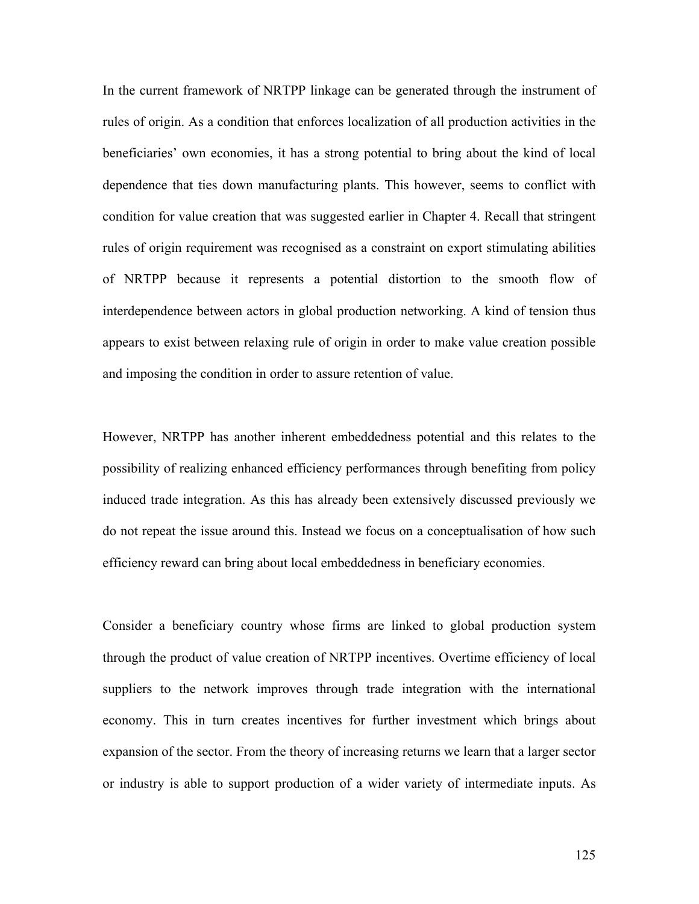In the current framework of NRTPP linkage can be generated through the instrument of rules of origin. As a condition that enforces localization of all production activities in the beneficiaries' own economies, it has a strong potential to bring about the kind of local dependence that ties down manufacturing plants. This however, seems to conflict with condition for value creation that was suggested earlier in Chapter 4. Recall that stringent rules of origin requirement was recognised as a constraint on export stimulating abilities of NRTPP because it represents a potential distortion to the smooth flow of interdependence between actors in global production networking. A kind of tension thus appears to exist between relaxing rule of origin in order to make value creation possible and imposing the condition in order to assure retention of value.

However, NRTPP has another inherent embeddedness potential and this relates to the possibility of realizing enhanced efficiency performances through benefiting from policy induced trade integration. As this has already been extensively discussed previously we do not repeat the issue around this. Instead we focus on a conceptualisation of how such efficiency reward can bring about local embeddedness in beneficiary economies.

Consider a beneficiary country whose firms are linked to global production system through the product of value creation of NRTPP incentives. Overtime efficiency of local suppliers to the network improves through trade integration with the international economy. This in turn creates incentives for further investment which brings about expansion of the sector. From the theory of increasing returns we learn that a larger sector or industry is able to support production of a wider variety of intermediate inputs. As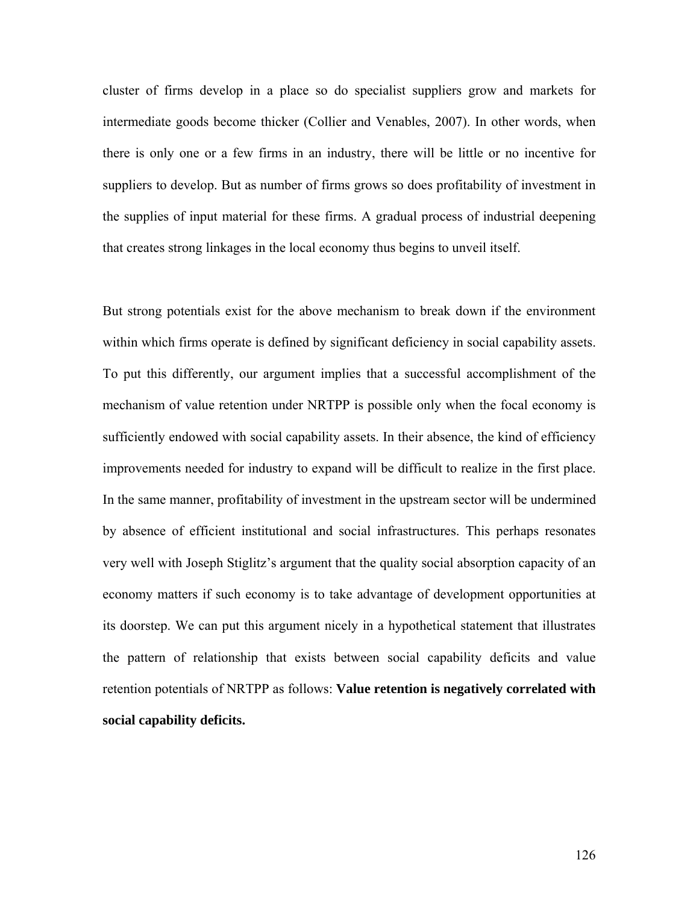cluster of firms develop in a place so do specialist suppliers grow and markets for intermediate goods become thicker (Collier and Venables, 2007). In other words, when there is only one or a few firms in an industry, there will be little or no incentive for suppliers to develop. But as number of firms grows so does profitability of investment in the supplies of input material for these firms. A gradual process of industrial deepening that creates strong linkages in the local economy thus begins to unveil itself.

But strong potentials exist for the above mechanism to break down if the environment within which firms operate is defined by significant deficiency in social capability assets. To put this differently, our argument implies that a successful accomplishment of the mechanism of value retention under NRTPP is possible only when the focal economy is sufficiently endowed with social capability assets. In their absence, the kind of efficiency improvements needed for industry to expand will be difficult to realize in the first place. In the same manner, profitability of investment in the upstream sector will be undermined by absence of efficient institutional and social infrastructures. This perhaps resonates very well with Joseph Stiglitz's argument that the quality social absorption capacity of an economy matters if such economy is to take advantage of development opportunities at its doorstep. We can put this argument nicely in a hypothetical statement that illustrates the pattern of relationship that exists between social capability deficits and value retention potentials of NRTPP as follows: **Value retention is negatively correlated with social capability deficits.**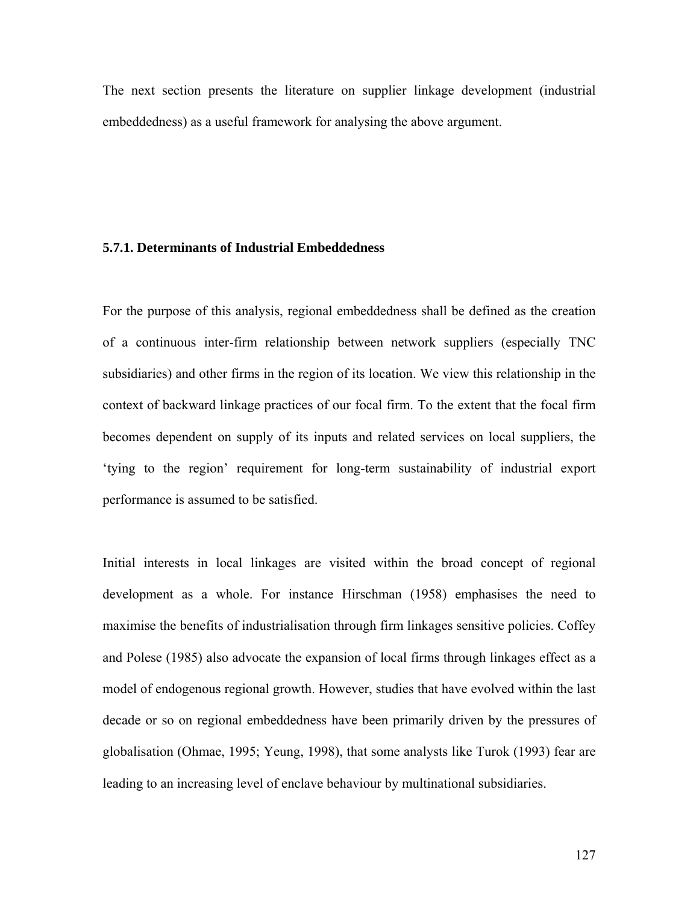The next section presents the literature on supplier linkage development (industrial embeddedness) as a useful framework for analysing the above argument.

# **5.7.1. Determinants of Industrial Embeddedness**

For the purpose of this analysis, regional embeddedness shall be defined as the creation of a continuous inter-firm relationship between network suppliers (especially TNC subsidiaries) and other firms in the region of its location. We view this relationship in the context of backward linkage practices of our focal firm. To the extent that the focal firm becomes dependent on supply of its inputs and related services on local suppliers, the 'tying to the region' requirement for long-term sustainability of industrial export performance is assumed to be satisfied.

Initial interests in local linkages are visited within the broad concept of regional development as a whole. For instance Hirschman (1958) emphasises the need to maximise the benefits of industrialisation through firm linkages sensitive policies. Coffey and Polese (1985) also advocate the expansion of local firms through linkages effect as a model of endogenous regional growth. However, studies that have evolved within the last decade or so on regional embeddedness have been primarily driven by the pressures of globalisation (Ohmae, 1995; Yeung, 1998), that some analysts like Turok (1993) fear are leading to an increasing level of enclave behaviour by multinational subsidiaries.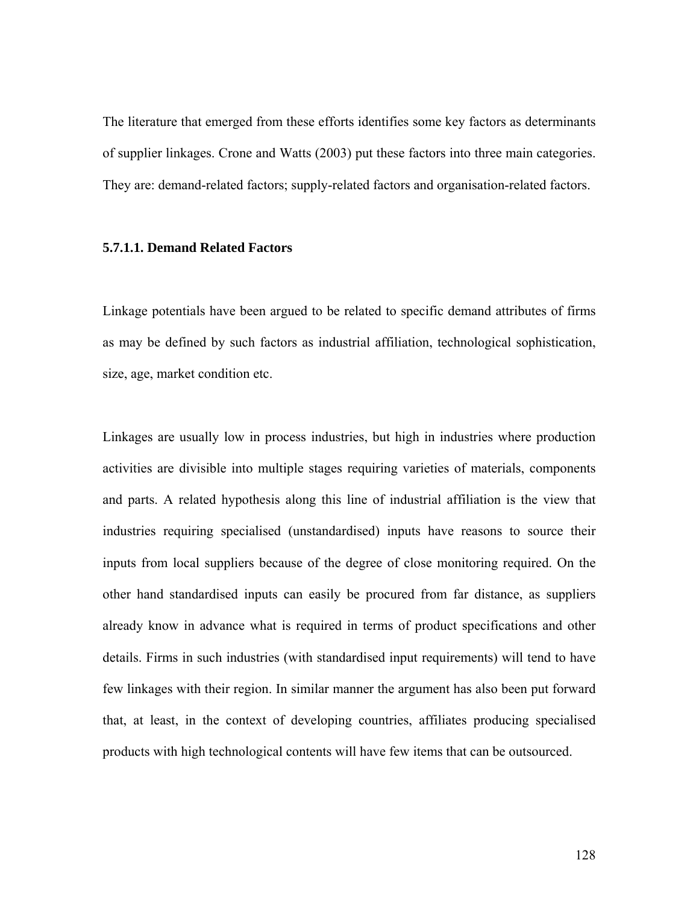The literature that emerged from these efforts identifies some key factors as determinants of supplier linkages. Crone and Watts (2003) put these factors into three main categories. They are: demand-related factors; supply-related factors and organisation-related factors.

# **5.7.1.1. Demand Related Factors**

Linkage potentials have been argued to be related to specific demand attributes of firms as may be defined by such factors as industrial affiliation, technological sophistication, size, age, market condition etc.

Linkages are usually low in process industries, but high in industries where production activities are divisible into multiple stages requiring varieties of materials, components and parts. A related hypothesis along this line of industrial affiliation is the view that industries requiring specialised (unstandardised) inputs have reasons to source their inputs from local suppliers because of the degree of close monitoring required. On the other hand standardised inputs can easily be procured from far distance, as suppliers already know in advance what is required in terms of product specifications and other details. Firms in such industries (with standardised input requirements) will tend to have few linkages with their region. In similar manner the argument has also been put forward that, at least, in the context of developing countries, affiliates producing specialised products with high technological contents will have few items that can be outsourced.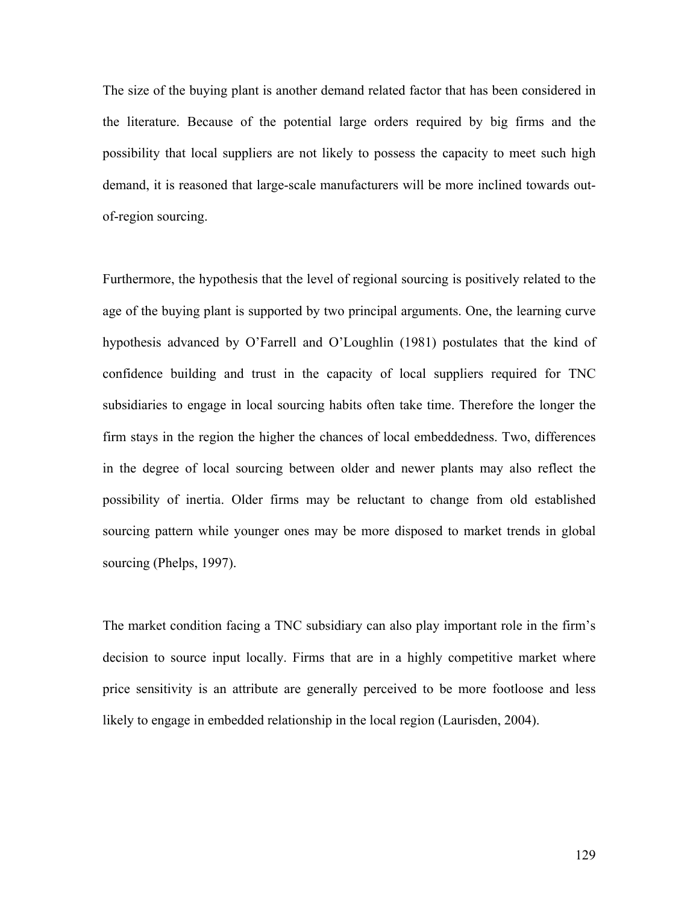The size of the buying plant is another demand related factor that has been considered in the literature. Because of the potential large orders required by big firms and the possibility that local suppliers are not likely to possess the capacity to meet such high demand, it is reasoned that large-scale manufacturers will be more inclined towards outof-region sourcing.

Furthermore, the hypothesis that the level of regional sourcing is positively related to the age of the buying plant is supported by two principal arguments. One, the learning curve hypothesis advanced by O'Farrell and O'Loughlin (1981) postulates that the kind of confidence building and trust in the capacity of local suppliers required for TNC subsidiaries to engage in local sourcing habits often take time. Therefore the longer the firm stays in the region the higher the chances of local embeddedness. Two, differences in the degree of local sourcing between older and newer plants may also reflect the possibility of inertia. Older firms may be reluctant to change from old established sourcing pattern while younger ones may be more disposed to market trends in global sourcing (Phelps, 1997).

The market condition facing a TNC subsidiary can also play important role in the firm's decision to source input locally. Firms that are in a highly competitive market where price sensitivity is an attribute are generally perceived to be more footloose and less likely to engage in embedded relationship in the local region (Laurisden, 2004).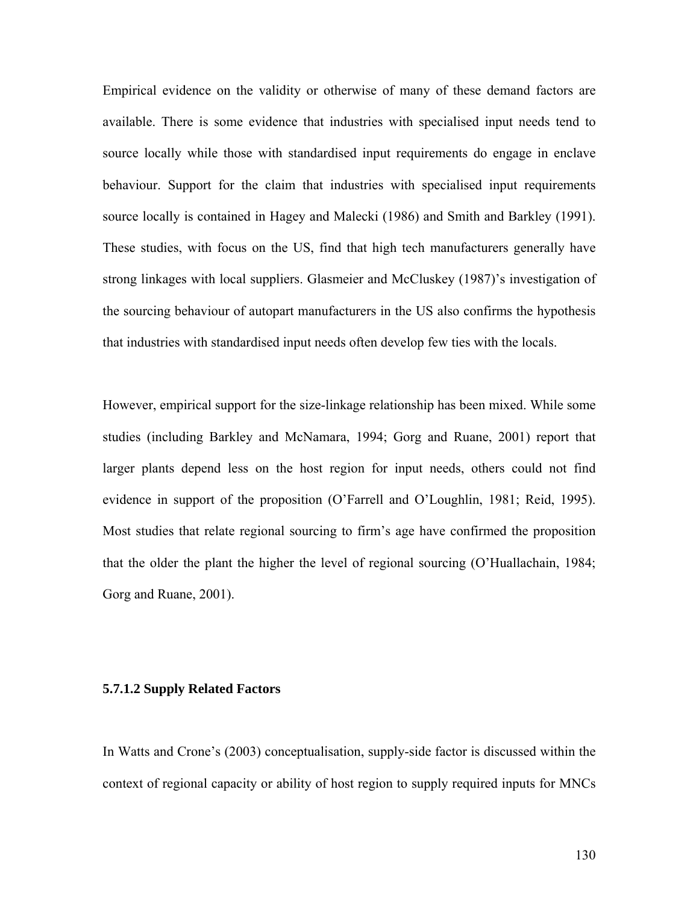Empirical evidence on the validity or otherwise of many of these demand factors are available. There is some evidence that industries with specialised input needs tend to source locally while those with standardised input requirements do engage in enclave behaviour. Support for the claim that industries with specialised input requirements source locally is contained in Hagey and Malecki (1986) and Smith and Barkley (1991). These studies, with focus on the US, find that high tech manufacturers generally have strong linkages with local suppliers. Glasmeier and McCluskey (1987)'s investigation of the sourcing behaviour of autopart manufacturers in the US also confirms the hypothesis that industries with standardised input needs often develop few ties with the locals.

However, empirical support for the size-linkage relationship has been mixed. While some studies (including Barkley and McNamara, 1994; Gorg and Ruane, 2001) report that larger plants depend less on the host region for input needs, others could not find evidence in support of the proposition (O'Farrell and O'Loughlin, 1981; Reid, 1995). Most studies that relate regional sourcing to firm's age have confirmed the proposition that the older the plant the higher the level of regional sourcing (O'Huallachain, 1984; Gorg and Ruane, 2001).

#### **5.7.1.2 Supply Related Factors**

In Watts and Crone's (2003) conceptualisation, supply-side factor is discussed within the context of regional capacity or ability of host region to supply required inputs for MNCs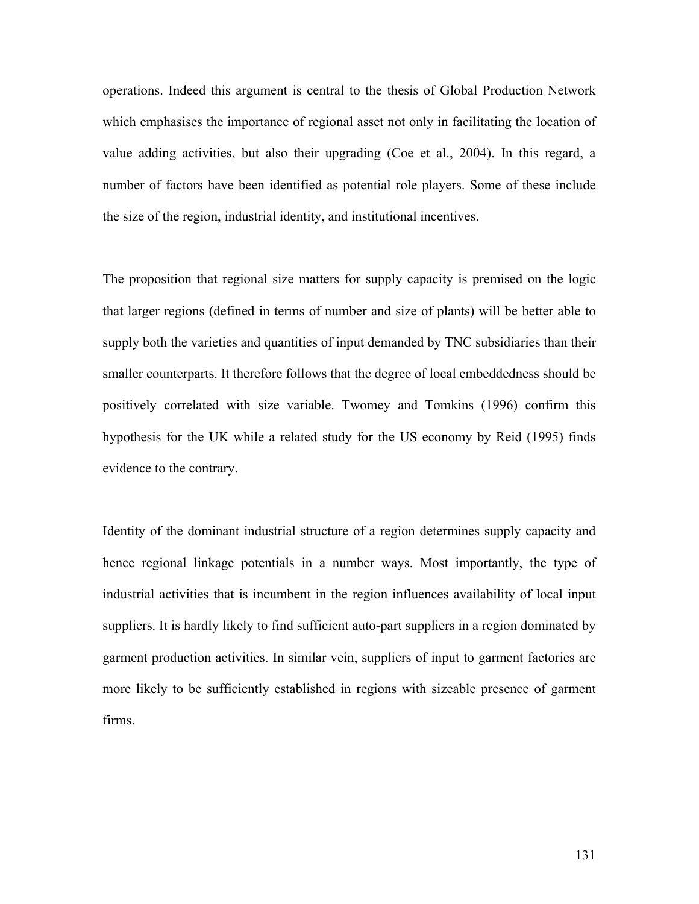operations. Indeed this argument is central to the thesis of Global Production Network which emphasises the importance of regional asset not only in facilitating the location of value adding activities, but also their upgrading (Coe et al., 2004). In this regard, a number of factors have been identified as potential role players. Some of these include the size of the region, industrial identity, and institutional incentives.

The proposition that regional size matters for supply capacity is premised on the logic that larger regions (defined in terms of number and size of plants) will be better able to supply both the varieties and quantities of input demanded by TNC subsidiaries than their smaller counterparts. It therefore follows that the degree of local embeddedness should be positively correlated with size variable. Twomey and Tomkins (1996) confirm this hypothesis for the UK while a related study for the US economy by Reid (1995) finds evidence to the contrary.

Identity of the dominant industrial structure of a region determines supply capacity and hence regional linkage potentials in a number ways. Most importantly, the type of industrial activities that is incumbent in the region influences availability of local input suppliers. It is hardly likely to find sufficient auto-part suppliers in a region dominated by garment production activities. In similar vein, suppliers of input to garment factories are more likely to be sufficiently established in regions with sizeable presence of garment firms.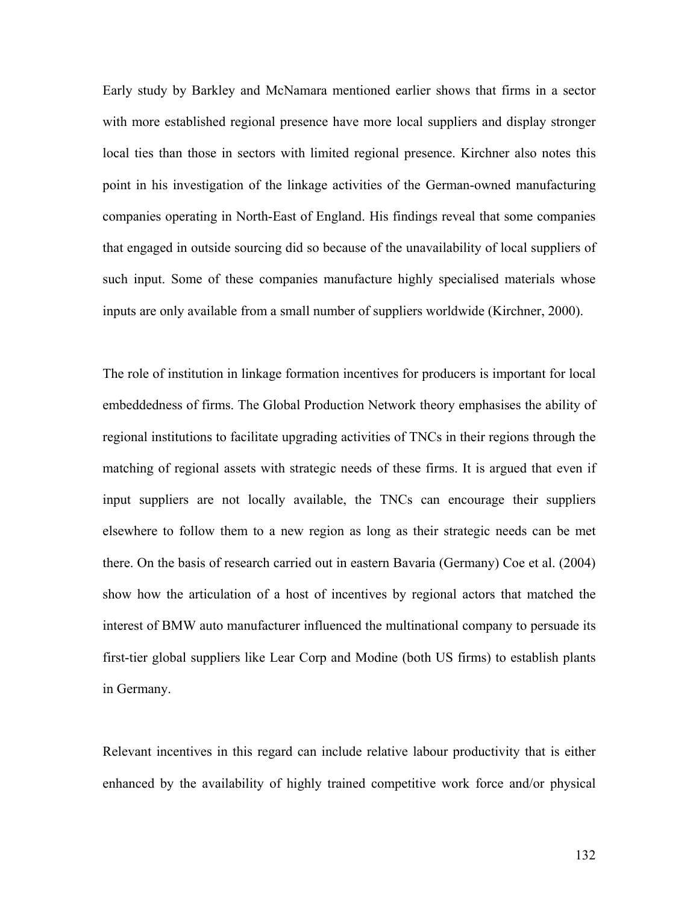Early study by Barkley and McNamara mentioned earlier shows that firms in a sector with more established regional presence have more local suppliers and display stronger local ties than those in sectors with limited regional presence. Kirchner also notes this point in his investigation of the linkage activities of the German-owned manufacturing companies operating in North-East of England. His findings reveal that some companies that engaged in outside sourcing did so because of the unavailability of local suppliers of such input. Some of these companies manufacture highly specialised materials whose inputs are only available from a small number of suppliers worldwide (Kirchner, 2000).

The role of institution in linkage formation incentives for producers is important for local embeddedness of firms. The Global Production Network theory emphasises the ability of regional institutions to facilitate upgrading activities of TNCs in their regions through the matching of regional assets with strategic needs of these firms. It is argued that even if input suppliers are not locally available, the TNCs can encourage their suppliers elsewhere to follow them to a new region as long as their strategic needs can be met there. On the basis of research carried out in eastern Bavaria (Germany) Coe et al. (2004) show how the articulation of a host of incentives by regional actors that matched the interest of BMW auto manufacturer influenced the multinational company to persuade its first-tier global suppliers like Lear Corp and Modine (both US firms) to establish plants in Germany.

Relevant incentives in this regard can include relative labour productivity that is either enhanced by the availability of highly trained competitive work force and/or physical

132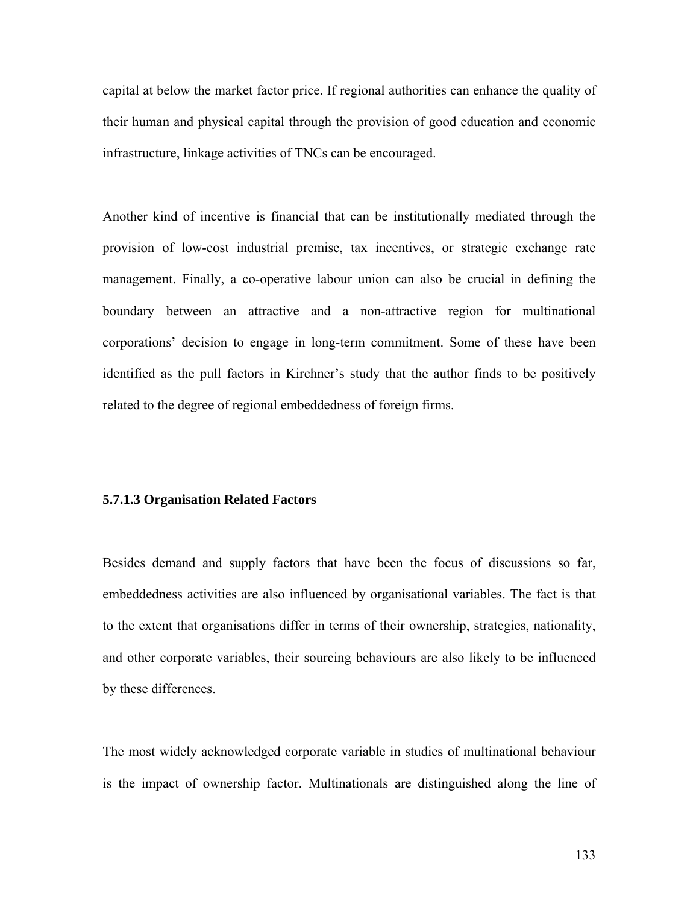capital at below the market factor price. If regional authorities can enhance the quality of their human and physical capital through the provision of good education and economic infrastructure, linkage activities of TNCs can be encouraged.

Another kind of incentive is financial that can be institutionally mediated through the provision of low-cost industrial premise, tax incentives, or strategic exchange rate management. Finally, a co-operative labour union can also be crucial in defining the boundary between an attractive and a non-attractive region for multinational corporations' decision to engage in long-term commitment. Some of these have been identified as the pull factors in Kirchner's study that the author finds to be positively related to the degree of regional embeddedness of foreign firms.

#### **5.7.1.3 Organisation Related Factors**

Besides demand and supply factors that have been the focus of discussions so far, embeddedness activities are also influenced by organisational variables. The fact is that to the extent that organisations differ in terms of their ownership, strategies, nationality, and other corporate variables, their sourcing behaviours are also likely to be influenced by these differences.

The most widely acknowledged corporate variable in studies of multinational behaviour is the impact of ownership factor. Multinationals are distinguished along the line of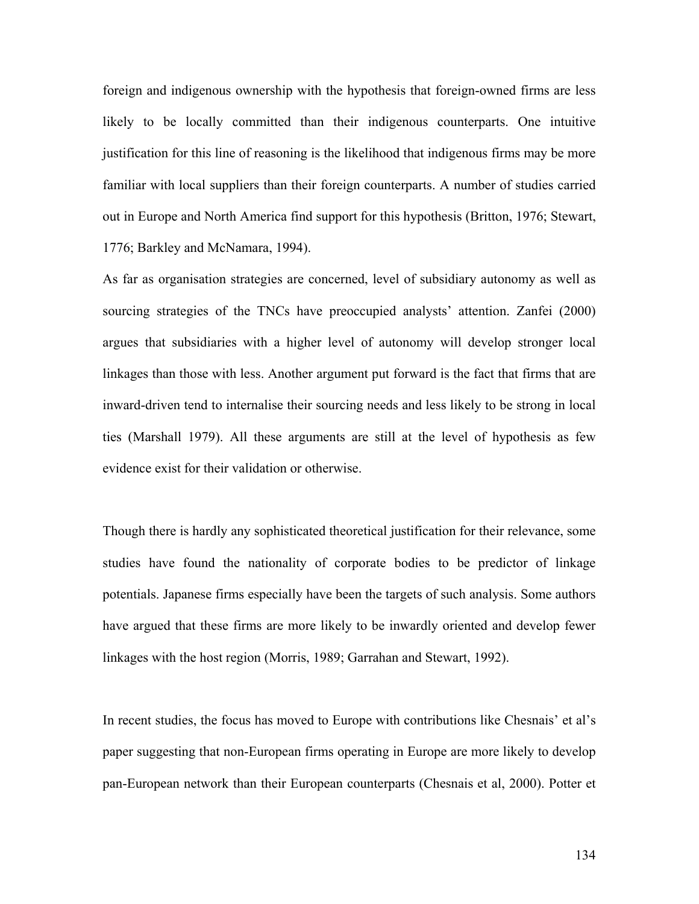foreign and indigenous ownership with the hypothesis that foreign-owned firms are less likely to be locally committed than their indigenous counterparts. One intuitive justification for this line of reasoning is the likelihood that indigenous firms may be more familiar with local suppliers than their foreign counterparts. A number of studies carried out in Europe and North America find support for this hypothesis (Britton, 1976; Stewart, 1776; Barkley and McNamara, 1994).

As far as organisation strategies are concerned, level of subsidiary autonomy as well as sourcing strategies of the TNCs have preoccupied analysts' attention. Zanfei (2000) argues that subsidiaries with a higher level of autonomy will develop stronger local linkages than those with less. Another argument put forward is the fact that firms that are inward-driven tend to internalise their sourcing needs and less likely to be strong in local ties (Marshall 1979). All these arguments are still at the level of hypothesis as few evidence exist for their validation or otherwise.

Though there is hardly any sophisticated theoretical justification for their relevance, some studies have found the nationality of corporate bodies to be predictor of linkage potentials. Japanese firms especially have been the targets of such analysis. Some authors have argued that these firms are more likely to be inwardly oriented and develop fewer linkages with the host region (Morris, 1989; Garrahan and Stewart, 1992).

In recent studies, the focus has moved to Europe with contributions like Chesnais' et al's paper suggesting that non-European firms operating in Europe are more likely to develop pan-European network than their European counterparts (Chesnais et al, 2000). Potter et

134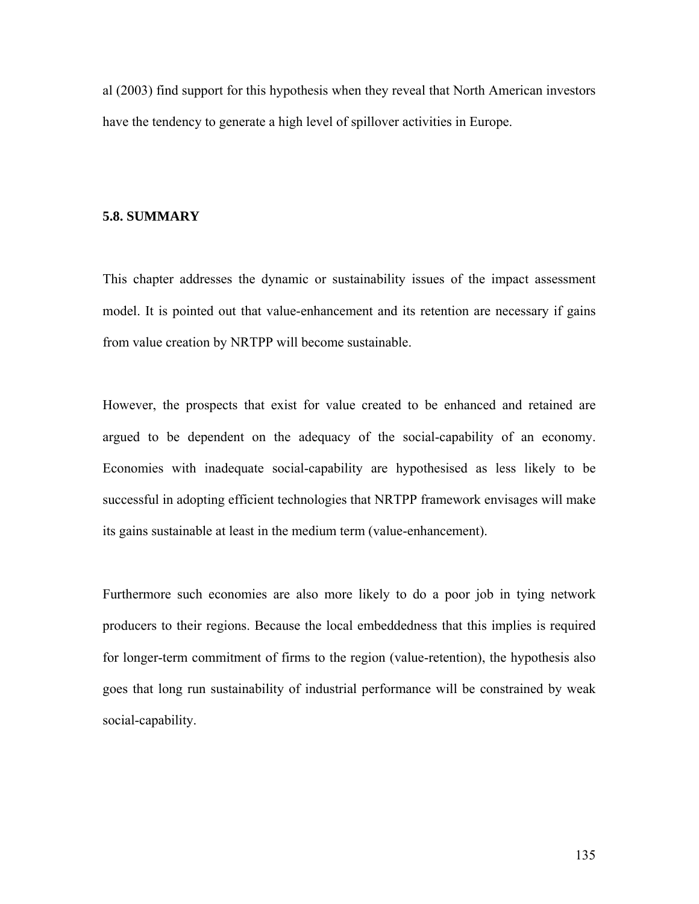al (2003) find support for this hypothesis when they reveal that North American investors have the tendency to generate a high level of spillover activities in Europe.

## **5.8. SUMMARY**

This chapter addresses the dynamic or sustainability issues of the impact assessment model. It is pointed out that value-enhancement and its retention are necessary if gains from value creation by NRTPP will become sustainable.

However, the prospects that exist for value created to be enhanced and retained are argued to be dependent on the adequacy of the social-capability of an economy. Economies with inadequate social-capability are hypothesised as less likely to be successful in adopting efficient technologies that NRTPP framework envisages will make its gains sustainable at least in the medium term (value-enhancement).

Furthermore such economies are also more likely to do a poor job in tying network producers to their regions. Because the local embeddedness that this implies is required for longer-term commitment of firms to the region (value-retention), the hypothesis also goes that long run sustainability of industrial performance will be constrained by weak social-capability.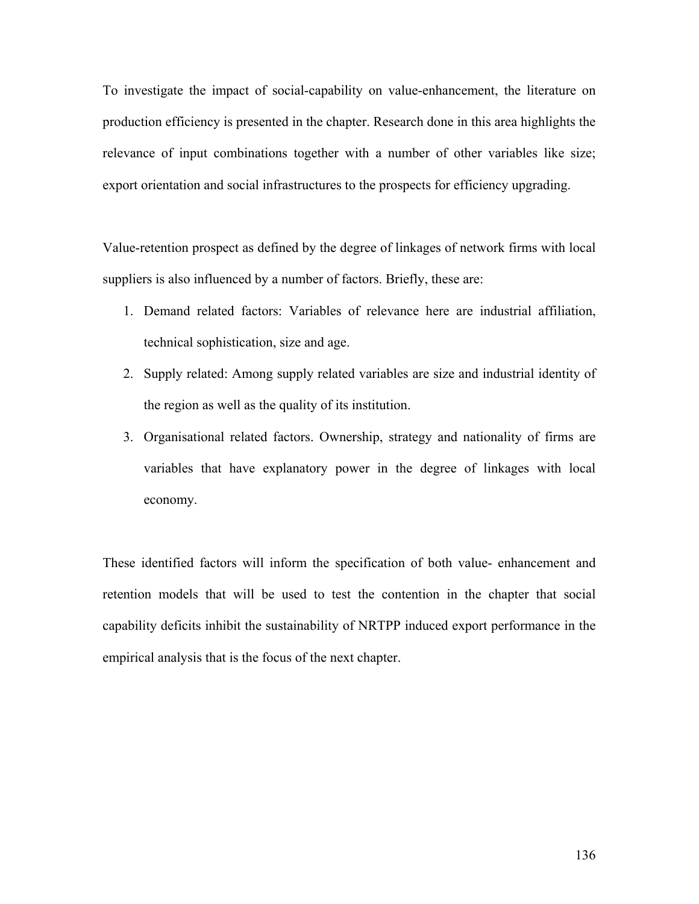To investigate the impact of social-capability on value-enhancement, the literature on production efficiency is presented in the chapter. Research done in this area highlights the relevance of input combinations together with a number of other variables like size; export orientation and social infrastructures to the prospects for efficiency upgrading.

Value-retention prospect as defined by the degree of linkages of network firms with local suppliers is also influenced by a number of factors. Briefly, these are:

- 1. Demand related factors: Variables of relevance here are industrial affiliation, technical sophistication, size and age.
- 2. Supply related: Among supply related variables are size and industrial identity of the region as well as the quality of its institution.
- 3. Organisational related factors. Ownership, strategy and nationality of firms are variables that have explanatory power in the degree of linkages with local economy.

These identified factors will inform the specification of both value- enhancement and retention models that will be used to test the contention in the chapter that social capability deficits inhibit the sustainability of NRTPP induced export performance in the empirical analysis that is the focus of the next chapter.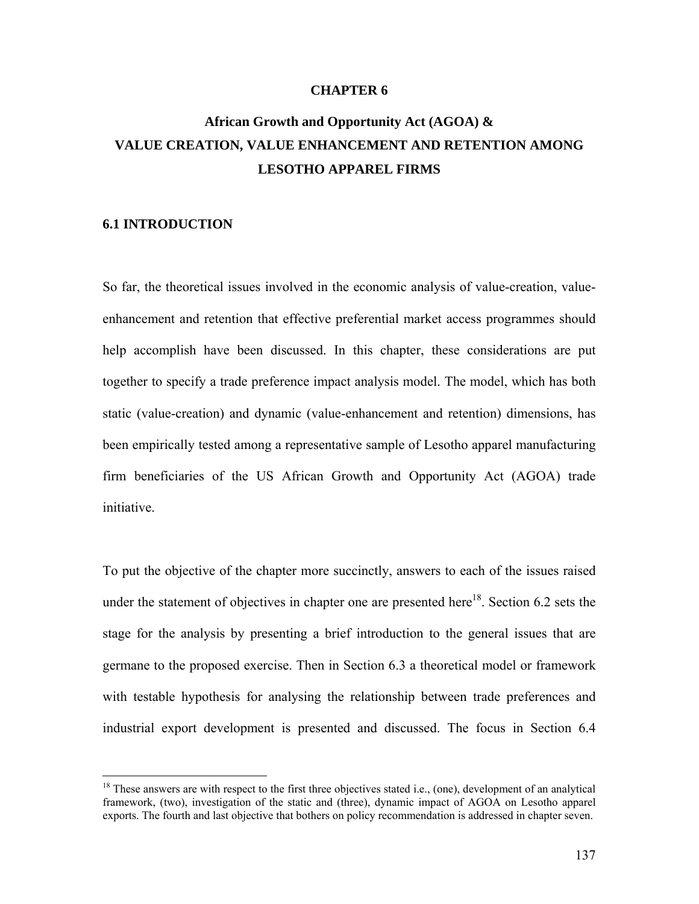#### **CHAPTER 6**

# **African Growth and Opportunity Act (AGOA) & VALUE CREATION, VALUE ENHANCEMENT AND RETENTION AMONG LESOTHO APPAREL FIRMS**

#### **6.1 INTRODUCTION**

1

So far, the theoretical issues involved in the economic analysis of value-creation, valueenhancement and retention that effective preferential market access programmes should help accomplish have been discussed. In this chapter, these considerations are put together to specify a trade preference impact analysis model. The model, which has both static (value-creation) and dynamic (value-enhancement and retention) dimensions, has been empirically tested among a representative sample of Lesotho apparel manufacturing firm beneficiaries of the US African Growth and Opportunity Act (AGOA) trade initiative.

To put the objective of the chapter more succinctly, answers to each of the issues raised under the statement of objectives in chapter one are presented here<sup>18</sup>. Section 6.2 sets the stage for the analysis by presenting a brief introduction to the general issues that are germane to the proposed exercise. Then in Section 6.3 a theoretical model or framework with testable hypothesis for analysing the relationship between trade preferences and industrial export development is presented and discussed. The focus in Section 6.4

 $18$  These answers are with respect to the first three objectives stated i.e., (one), development of an analytical framework, (two), investigation of the static and (three), dynamic impact of AGOA on Lesotho apparel exports. The fourth and last objective that bothers on policy recommendation is addressed in chapter seven.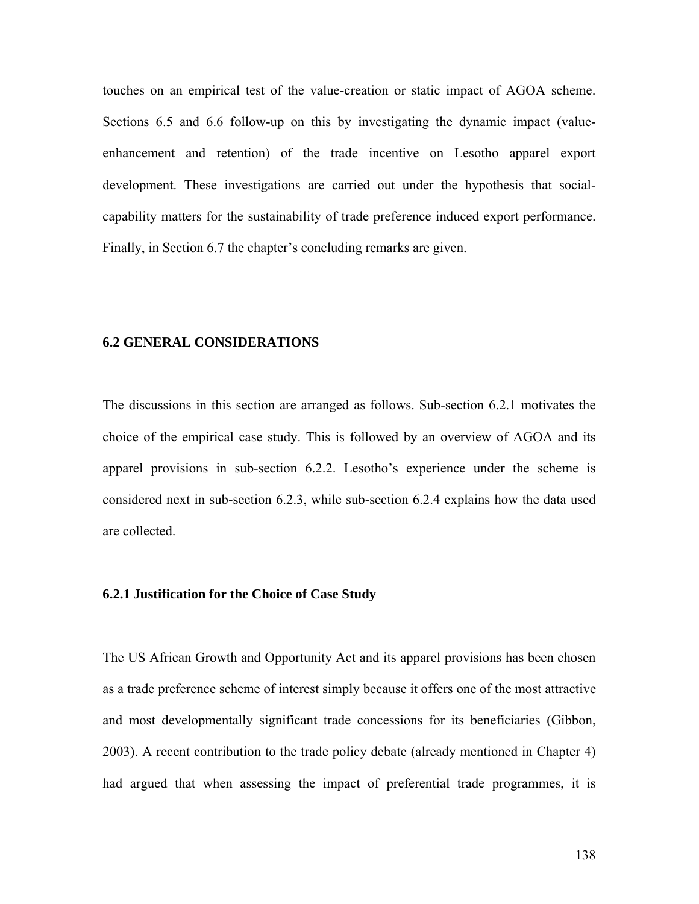touches on an empirical test of the value-creation or static impact of AGOA scheme. Sections 6.5 and 6.6 follow-up on this by investigating the dynamic impact (valueenhancement and retention) of the trade incentive on Lesotho apparel export development. These investigations are carried out under the hypothesis that socialcapability matters for the sustainability of trade preference induced export performance. Finally, in Section 6.7 the chapter's concluding remarks are given.

### **6.2 GENERAL CONSIDERATIONS**

The discussions in this section are arranged as follows. Sub-section 6.2.1 motivates the choice of the empirical case study. This is followed by an overview of AGOA and its apparel provisions in sub-section 6.2.2. Lesotho's experience under the scheme is considered next in sub-section 6.2.3, while sub-section 6.2.4 explains how the data used are collected.

#### **6.2.1 Justification for the Choice of Case Study**

The US African Growth and Opportunity Act and its apparel provisions has been chosen as a trade preference scheme of interest simply because it offers one of the most attractive and most developmentally significant trade concessions for its beneficiaries (Gibbon, 2003). A recent contribution to the trade policy debate (already mentioned in Chapter 4) had argued that when assessing the impact of preferential trade programmes, it is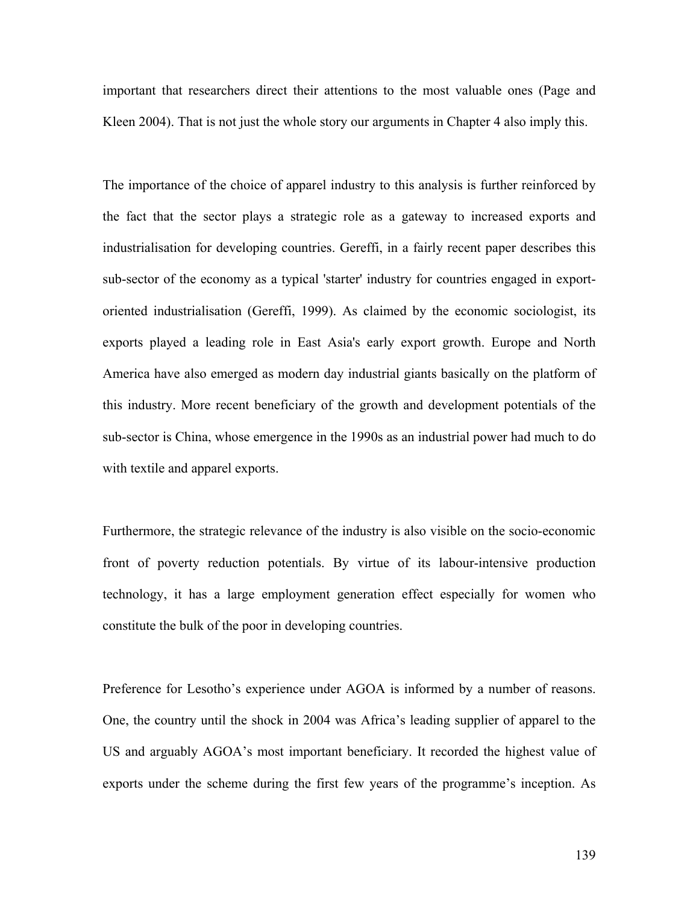important that researchers direct their attentions to the most valuable ones (Page and Kleen 2004). That is not just the whole story our arguments in Chapter 4 also imply this.

The importance of the choice of apparel industry to this analysis is further reinforced by the fact that the sector plays a strategic role as a gateway to increased exports and industrialisation for developing countries. Gereffi, in a fairly recent paper describes this sub-sector of the economy as a typical 'starter' industry for countries engaged in exportoriented industrialisation (Gereffi, 1999). As claimed by the economic sociologist, its exports played a leading role in East Asia's early export growth. Europe and North America have also emerged as modern day industrial giants basically on the platform of this industry. More recent beneficiary of the growth and development potentials of the sub-sector is China, whose emergence in the 1990s as an industrial power had much to do with textile and apparel exports.

Furthermore, the strategic relevance of the industry is also visible on the socio-economic front of poverty reduction potentials. By virtue of its labour-intensive production technology, it has a large employment generation effect especially for women who constitute the bulk of the poor in developing countries.

Preference for Lesotho's experience under AGOA is informed by a number of reasons. One, the country until the shock in 2004 was Africa's leading supplier of apparel to the US and arguably AGOA's most important beneficiary. It recorded the highest value of exports under the scheme during the first few years of the programme's inception. As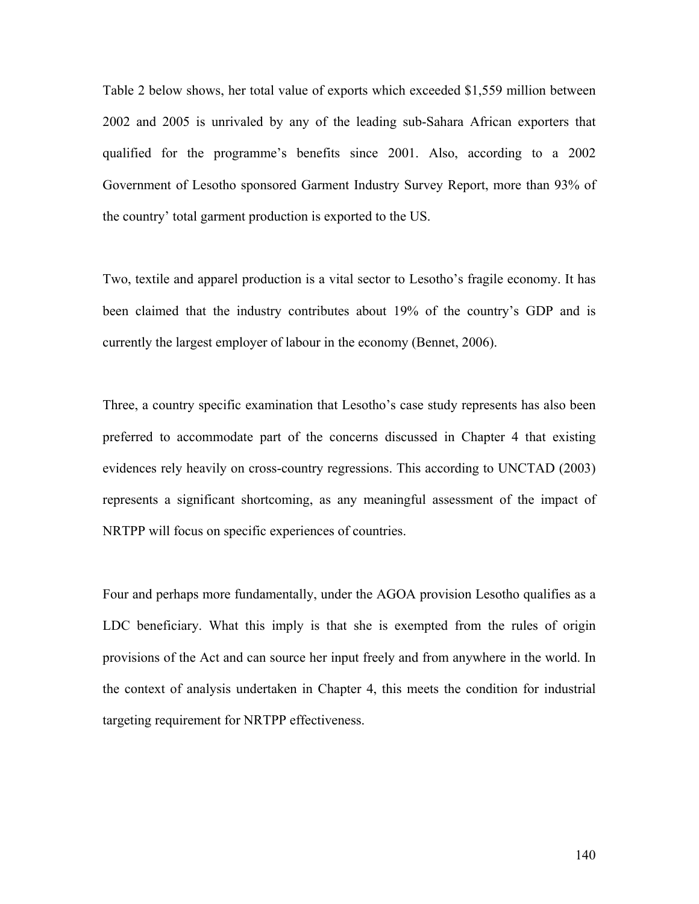Table 2 below shows, her total value of exports which exceeded \$1,559 million between 2002 and 2005 is unrivaled by any of the leading sub-Sahara African exporters that qualified for the programme's benefits since 2001. Also, according to a 2002 Government of Lesotho sponsored Garment Industry Survey Report, more than 93% of the country' total garment production is exported to the US.

Two, textile and apparel production is a vital sector to Lesotho's fragile economy. It has been claimed that the industry contributes about 19% of the country's GDP and is currently the largest employer of labour in the economy (Bennet, 2006).

Three, a country specific examination that Lesotho's case study represents has also been preferred to accommodate part of the concerns discussed in Chapter 4 that existing evidences rely heavily on cross-country regressions. This according to UNCTAD (2003) represents a significant shortcoming, as any meaningful assessment of the impact of NRTPP will focus on specific experiences of countries.

Four and perhaps more fundamentally, under the AGOA provision Lesotho qualifies as a LDC beneficiary. What this imply is that she is exempted from the rules of origin provisions of the Act and can source her input freely and from anywhere in the world. In the context of analysis undertaken in Chapter 4, this meets the condition for industrial targeting requirement for NRTPP effectiveness.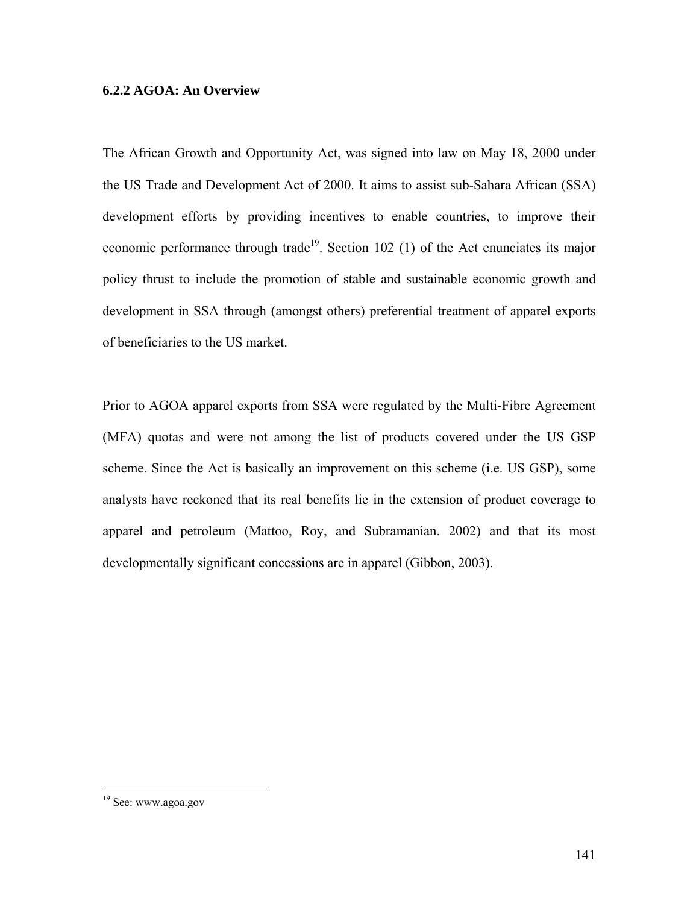### **6.2.2 AGOA: An Overview**

The African Growth and Opportunity Act, was signed into law on May 18, 2000 under the US Trade and Development Act of 2000. It aims to assist sub-Sahara African (SSA) development efforts by providing incentives to enable countries, to improve their economic performance through trade<sup>19</sup>. Section 102 (1) of the Act enunciates its major policy thrust to include the promotion of stable and sustainable economic growth and development in SSA through (amongst others) preferential treatment of apparel exports of beneficiaries to the US market.

Prior to AGOA apparel exports from SSA were regulated by the Multi-Fibre Agreement (MFA) quotas and were not among the list of products covered under the US GSP scheme. Since the Act is basically an improvement on this scheme (i.e. US GSP), some analysts have reckoned that its real benefits lie in the extension of product coverage to apparel and petroleum (Mattoo, Roy, and Subramanian. 2002) and that its most developmentally significant concessions are in apparel (Gibbon, 2003).

 $\overline{a}$ 

<sup>&</sup>lt;sup>19</sup> See: www.agoa.gov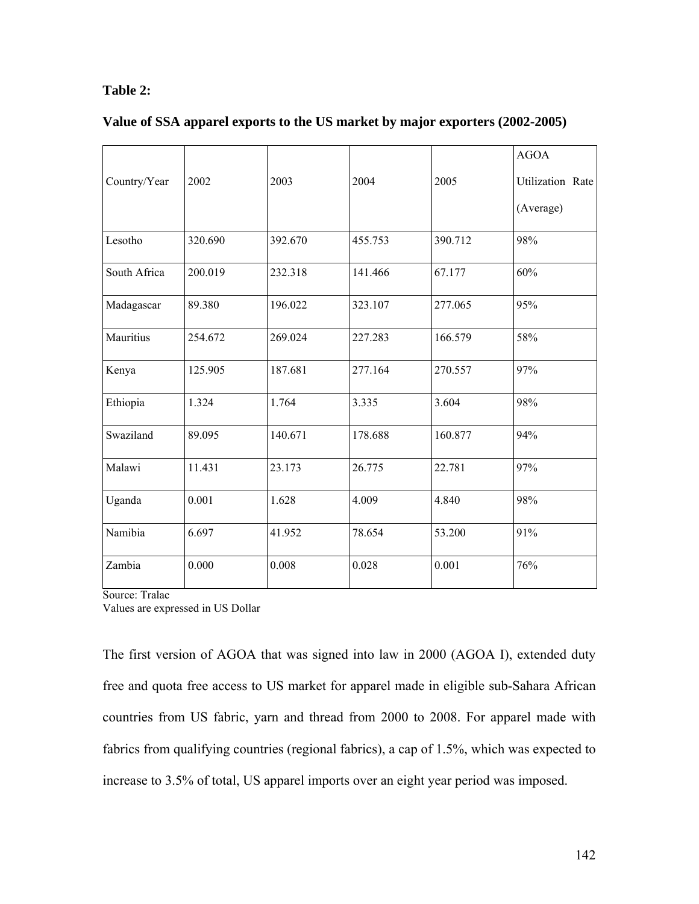# **Table 2:**

| Value of SSA apparel exports to the US market by major exporters (2002-2005) |  |  |  |
|------------------------------------------------------------------------------|--|--|--|
|                                                                              |  |  |  |

|              |         |         |         |         | <b>AGOA</b>      |
|--------------|---------|---------|---------|---------|------------------|
| Country/Year | 2002    | 2003    | 2004    | 2005    | Utilization Rate |
|              |         |         |         |         | (Average)        |
| Lesotho      | 320.690 | 392.670 | 455.753 | 390.712 | 98%              |
| South Africa | 200.019 | 232.318 | 141.466 | 67.177  | 60%              |
| Madagascar   | 89.380  | 196.022 | 323.107 | 277.065 | 95%              |
| Mauritius    | 254.672 | 269.024 | 227.283 | 166.579 | 58%              |
| Kenya        | 125.905 | 187.681 | 277.164 | 270.557 | 97%              |
| Ethiopia     | 1.324   | 1.764   | 3.335   | 3.604   | 98%              |
| Swaziland    | 89.095  | 140.671 | 178.688 | 160.877 | 94%              |
| Malawi       | 11.431  | 23.173  | 26.775  | 22.781  | 97%              |
| Uganda       | 0.001   | 1.628   | 4.009   | 4.840   | 98%              |
| Namibia      | 6.697   | 41.952  | 78.654  | 53.200  | 91%              |
| Zambia       | 0.000   | 0.008   | 0.028   | 0.001   | 76%              |

Source: Tralac

Values are expressed in US Dollar

The first version of AGOA that was signed into law in 2000 (AGOA I), extended duty free and quota free access to US market for apparel made in eligible sub-Sahara African countries from US fabric, yarn and thread from 2000 to 2008. For apparel made with fabrics from qualifying countries (regional fabrics), a cap of 1.5%, which was expected to increase to 3.5% of total, US apparel imports over an eight year period was imposed.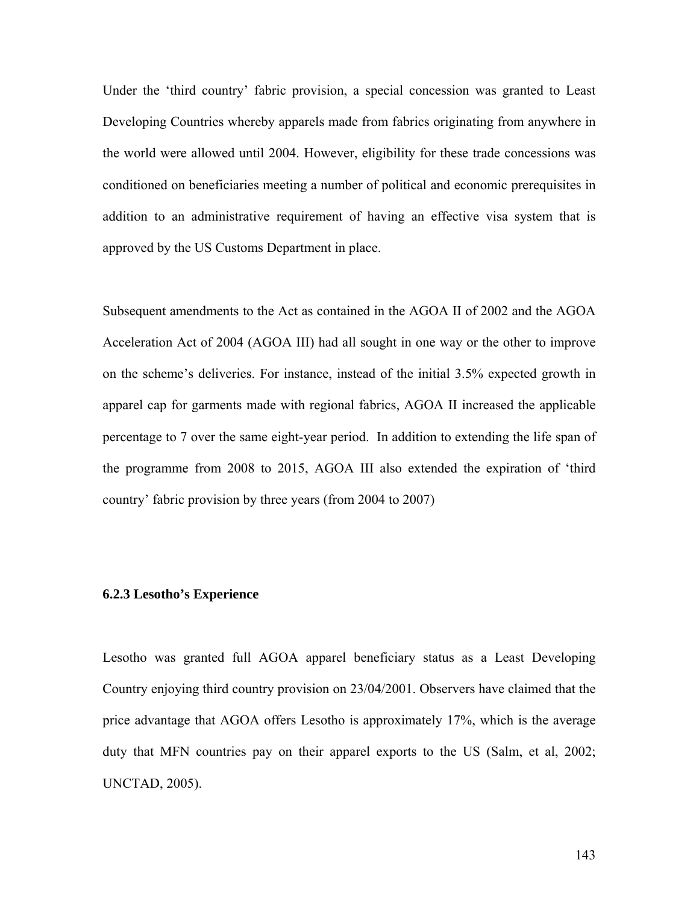Under the 'third country' fabric provision, a special concession was granted to Least Developing Countries whereby apparels made from fabrics originating from anywhere in the world were allowed until 2004. However, eligibility for these trade concessions was conditioned on beneficiaries meeting a number of political and economic prerequisites in addition to an administrative requirement of having an effective visa system that is approved by the US Customs Department in place.

Subsequent amendments to the Act as contained in the AGOA II of 2002 and the AGOA Acceleration Act of 2004 (AGOA III) had all sought in one way or the other to improve on the scheme's deliveries. For instance, instead of the initial 3.5% expected growth in apparel cap for garments made with regional fabrics, AGOA II increased the applicable percentage to 7 over the same eight-year period. In addition to extending the life span of the programme from 2008 to 2015, AGOA III also extended the expiration of 'third country' fabric provision by three years (from 2004 to 2007)

#### **6.2.3 Lesotho's Experience**

Lesotho was granted full AGOA apparel beneficiary status as a Least Developing Country enjoying third country provision on 23/04/2001. Observers have claimed that the price advantage that AGOA offers Lesotho is approximately 17%, which is the average duty that MFN countries pay on their apparel exports to the US (Salm, et al, 2002; UNCTAD, 2005).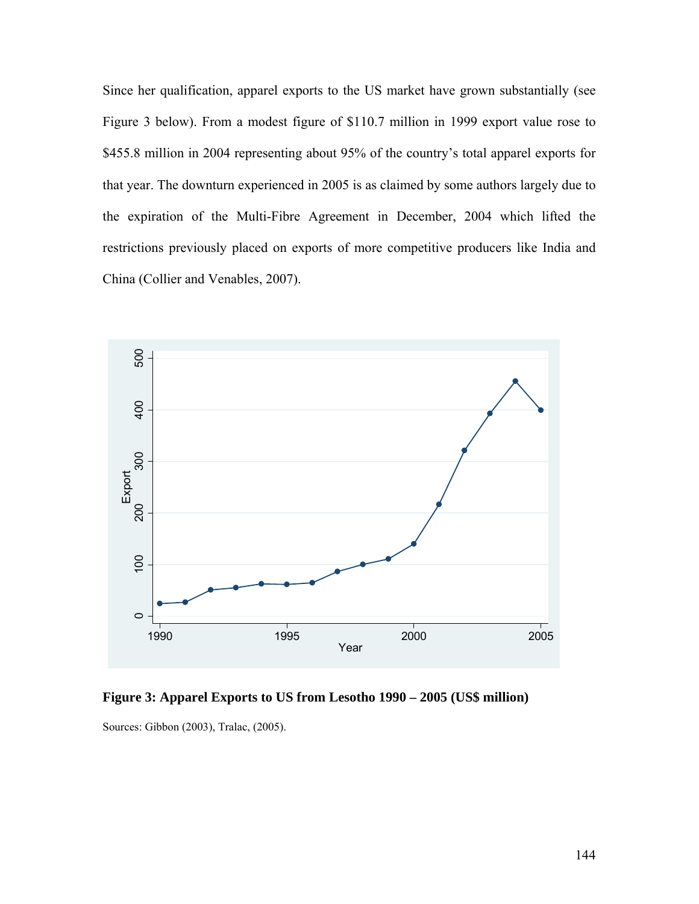Since her qualification, apparel exports to the US market have grown substantially (see Figure 3 below). From a modest figure of \$110.7 million in 1999 export value rose to \$455.8 million in 2004 representing about 95% of the country's total apparel exports for that year. The downturn experienced in 2005 is as claimed by some authors largely due to the expiration of the Multi-Fibre Agreement in December, 2004 which lifted the restrictions previously placed on exports of more competitive producers like India and China (Collier and Venables, 2007).



**Figure 3: Apparel Exports to US from Lesotho 1990 – 2005 (US\$ million)** 

Sources: Gibbon (2003), Tralac, (2005).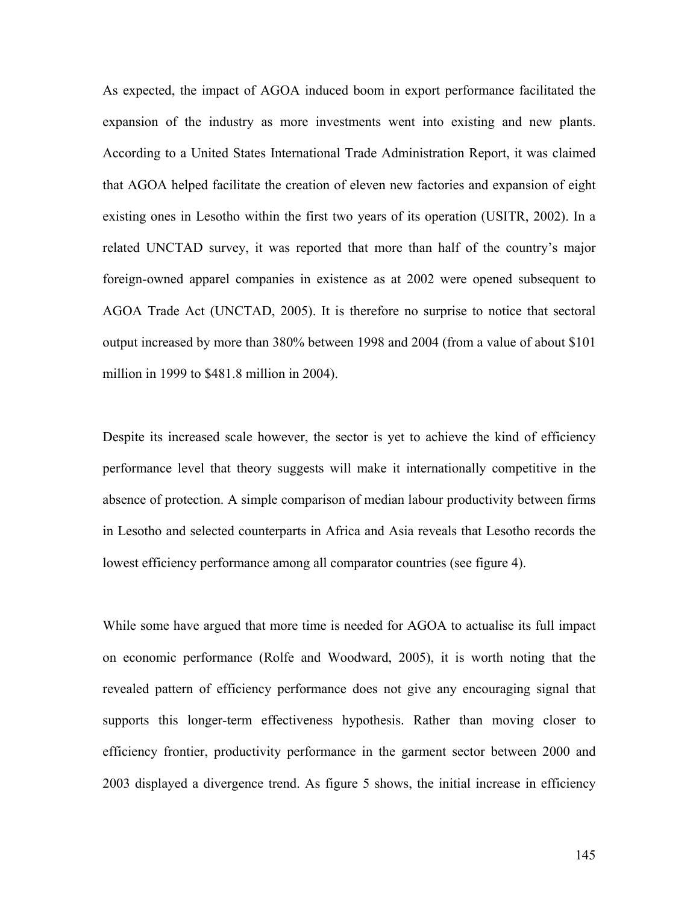As expected, the impact of AGOA induced boom in export performance facilitated the expansion of the industry as more investments went into existing and new plants. According to a United States International Trade Administration Report, it was claimed that AGOA helped facilitate the creation of eleven new factories and expansion of eight existing ones in Lesotho within the first two years of its operation (USITR, 2002). In a related UNCTAD survey, it was reported that more than half of the country's major foreign-owned apparel companies in existence as at 2002 were opened subsequent to AGOA Trade Act (UNCTAD, 2005). It is therefore no surprise to notice that sectoral output increased by more than 380% between 1998 and 2004 (from a value of about \$101 million in 1999 to \$481.8 million in 2004).

Despite its increased scale however, the sector is yet to achieve the kind of efficiency performance level that theory suggests will make it internationally competitive in the absence of protection. A simple comparison of median labour productivity between firms in Lesotho and selected counterparts in Africa and Asia reveals that Lesotho records the lowest efficiency performance among all comparator countries (see figure 4).

While some have argued that more time is needed for AGOA to actualise its full impact on economic performance (Rolfe and Woodward, 2005), it is worth noting that the revealed pattern of efficiency performance does not give any encouraging signal that supports this longer-term effectiveness hypothesis. Rather than moving closer to efficiency frontier, productivity performance in the garment sector between 2000 and 2003 displayed a divergence trend. As figure 5 shows, the initial increase in efficiency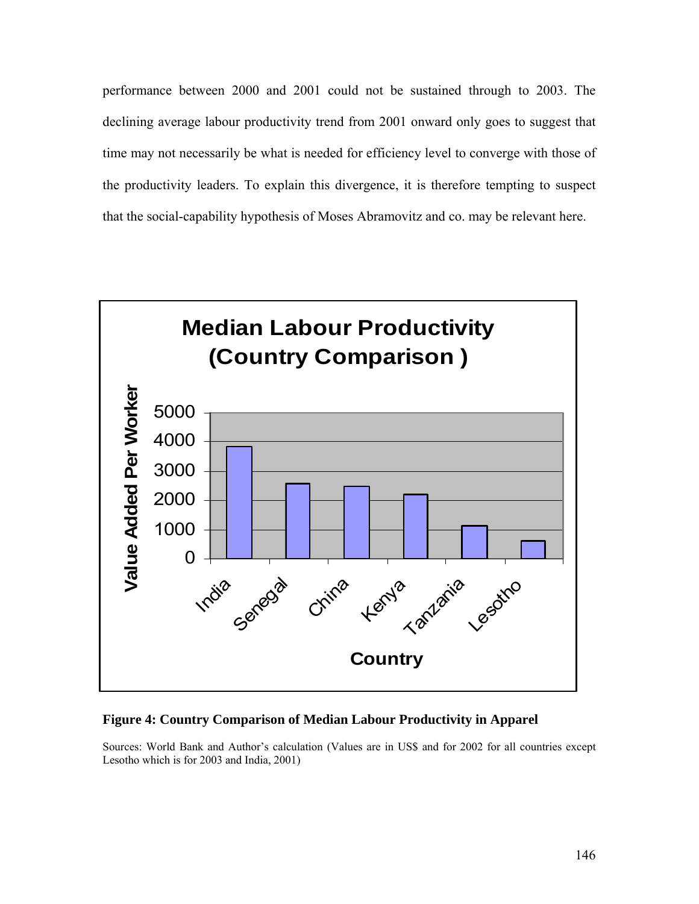performance between 2000 and 2001 could not be sustained through to 2003. The declining average labour productivity trend from 2001 onward only goes to suggest that time may not necessarily be what is needed for efficiency level to converge with those of the productivity leaders. To explain this divergence, it is therefore tempting to suspect that the social-capability hypothesis of Moses Abramovitz and co. may be relevant here.



#### **Figure 4: Country Comparison of Median Labour Productivity in Apparel**

Sources: World Bank and Author's calculation (Values are in US\$ and for 2002 for all countries except Lesotho which is for 2003 and India, 2001)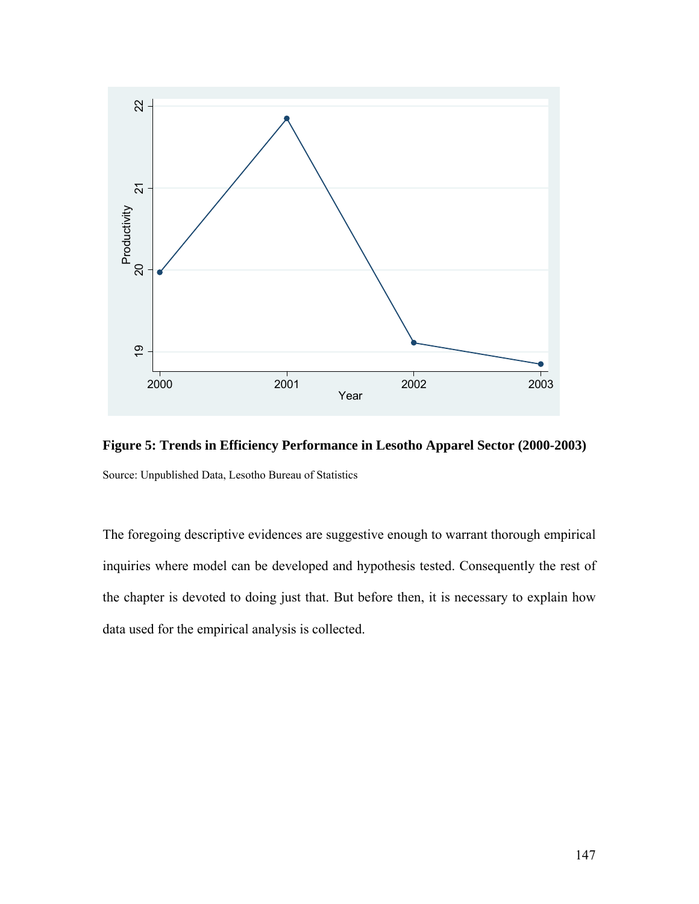

**Figure 5: Trends in Efficiency Performance in Lesotho Apparel Sector (2000-2003)**  Source: Unpublished Data, Lesotho Bureau of Statistics

The foregoing descriptive evidences are suggestive enough to warrant thorough empirical inquiries where model can be developed and hypothesis tested. Consequently the rest of the chapter is devoted to doing just that. But before then, it is necessary to explain how data used for the empirical analysis is collected.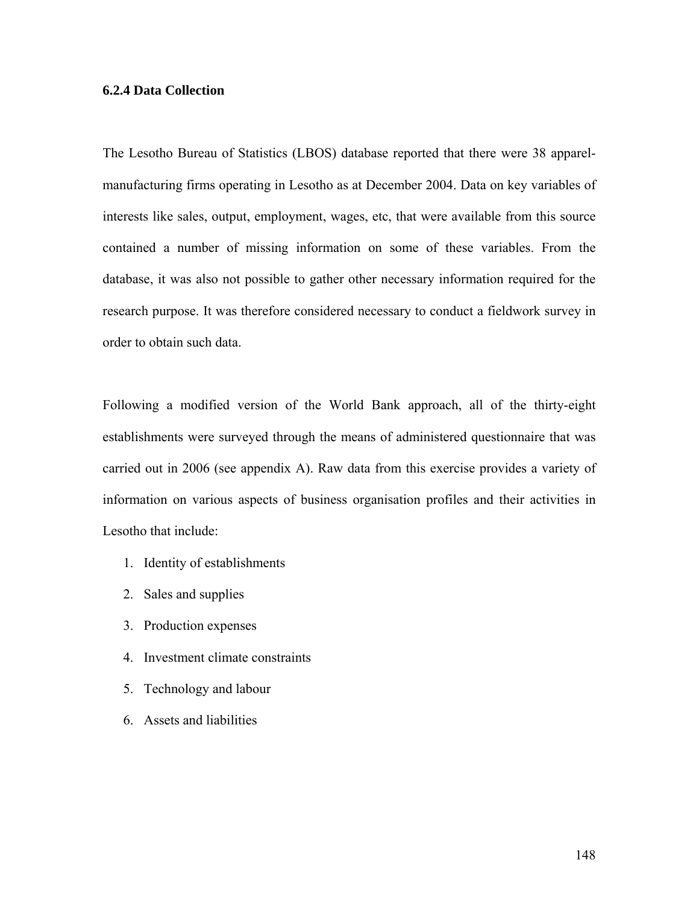### **6.2.4 Data Collection**

The Lesotho Bureau of Statistics (LBOS) database reported that there were 38 apparelmanufacturing firms operating in Lesotho as at December 2004. Data on key variables of interests like sales, output, employment, wages, etc, that were available from this source contained a number of missing information on some of these variables. From the database, it was also not possible to gather other necessary information required for the research purpose. It was therefore considered necessary to conduct a fieldwork survey in order to obtain such data.

Following a modified version of the World Bank approach, all of the thirty-eight establishments were surveyed through the means of administered questionnaire that was carried out in 2006 (see appendix A). Raw data from this exercise provides a variety of information on various aspects of business organisation profiles and their activities in Lesotho that include:

- 1. Identity of establishments
- 2. Sales and supplies
- 3. Production expenses
- 4. Investment climate constraints
- 5. Technology and labour
- 6. Assets and liabilities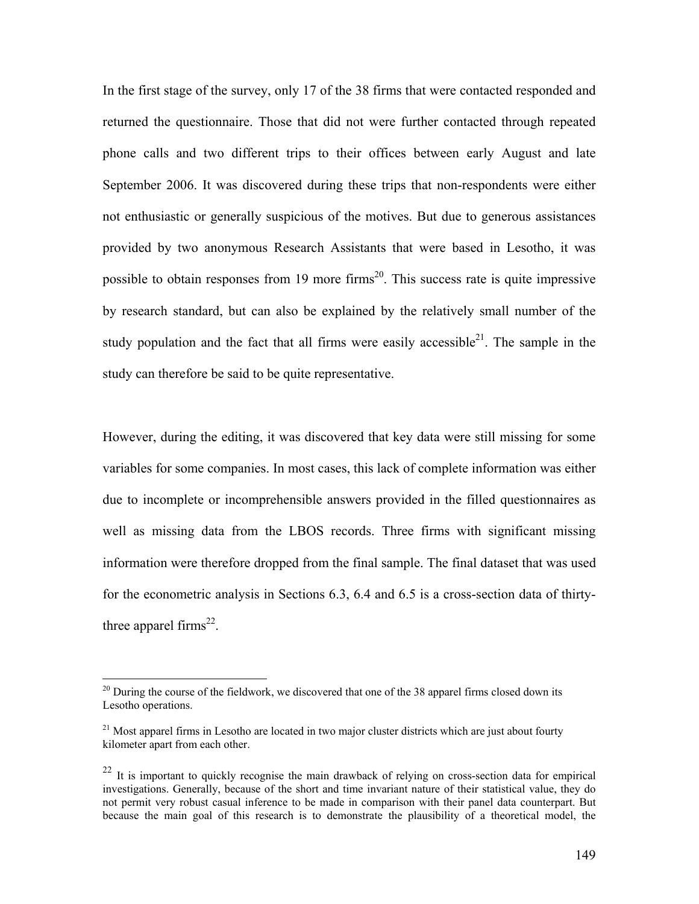In the first stage of the survey, only 17 of the 38 firms that were contacted responded and returned the questionnaire. Those that did not were further contacted through repeated phone calls and two different trips to their offices between early August and late September 2006. It was discovered during these trips that non-respondents were either not enthusiastic or generally suspicious of the motives. But due to generous assistances provided by two anonymous Research Assistants that were based in Lesotho, it was possible to obtain responses from 19 more firms<sup>20</sup>. This success rate is quite impressive by research standard, but can also be explained by the relatively small number of the study population and the fact that all firms were easily accessible<sup>21</sup>. The sample in the study can therefore be said to be quite representative.

However, during the editing, it was discovered that key data were still missing for some variables for some companies. In most cases, this lack of complete information was either due to incomplete or incomprehensible answers provided in the filled questionnaires as well as missing data from the LBOS records. Three firms with significant missing information were therefore dropped from the final sample. The final dataset that was used for the econometric analysis in Sections 6.3, 6.4 and 6.5 is a cross-section data of thirtythree apparel firms $^{22}$ .

<u>.</u>

 $^{20}$  During the course of the fieldwork, we discovered that one of the 38 apparel firms closed down its Lesotho operations.

 $21$  Most apparel firms in Lesotho are located in two major cluster districts which are just about fourty kilometer apart from each other.

 $^{22}$  It is important to quickly recognise the main drawback of relying on cross-section data for empirical investigations. Generally, because of the short and time invariant nature of their statistical value, they do not permit very robust casual inference to be made in comparison with their panel data counterpart. But because the main goal of this research is to demonstrate the plausibility of a theoretical model, the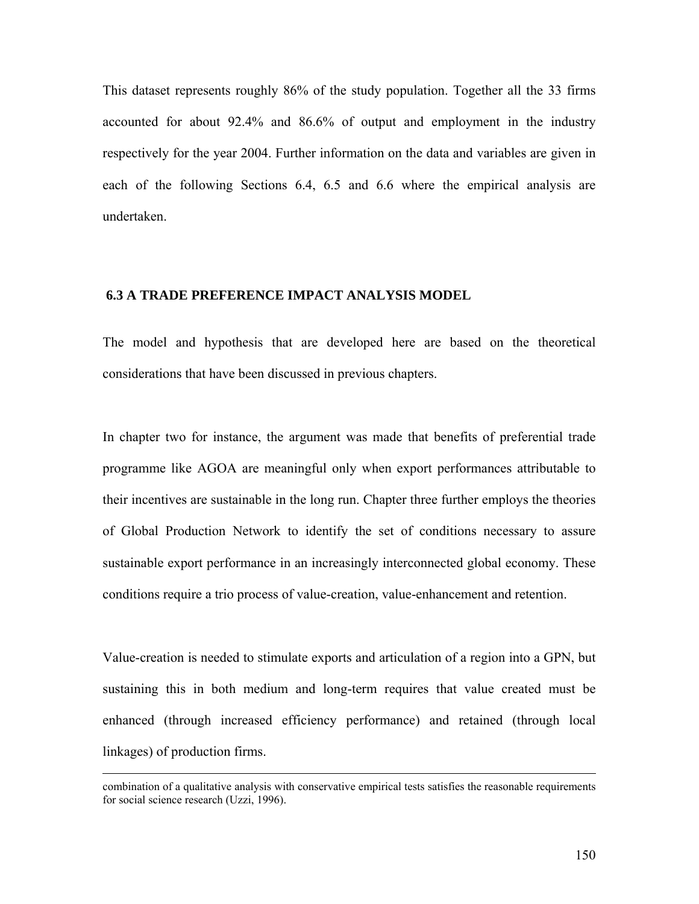This dataset represents roughly 86% of the study population. Together all the 33 firms accounted for about 92.4% and 86.6% of output and employment in the industry respectively for the year 2004. Further information on the data and variables are given in each of the following Sections 6.4, 6.5 and 6.6 where the empirical analysis are undertaken.

# **6.3 A TRADE PREFERENCE IMPACT ANALYSIS MODEL**

The model and hypothesis that are developed here are based on the theoretical considerations that have been discussed in previous chapters.

In chapter two for instance, the argument was made that benefits of preferential trade programme like AGOA are meaningful only when export performances attributable to their incentives are sustainable in the long run. Chapter three further employs the theories of Global Production Network to identify the set of conditions necessary to assure sustainable export performance in an increasingly interconnected global economy. These conditions require a trio process of value-creation, value-enhancement and retention.

Value-creation is needed to stimulate exports and articulation of a region into a GPN, but sustaining this in both medium and long-term requires that value created must be enhanced (through increased efficiency performance) and retained (through local linkages) of production firms.

combination of a qualitative analysis with conservative empirical tests satisfies the reasonable requirements for social science research (Uzzi, 1996).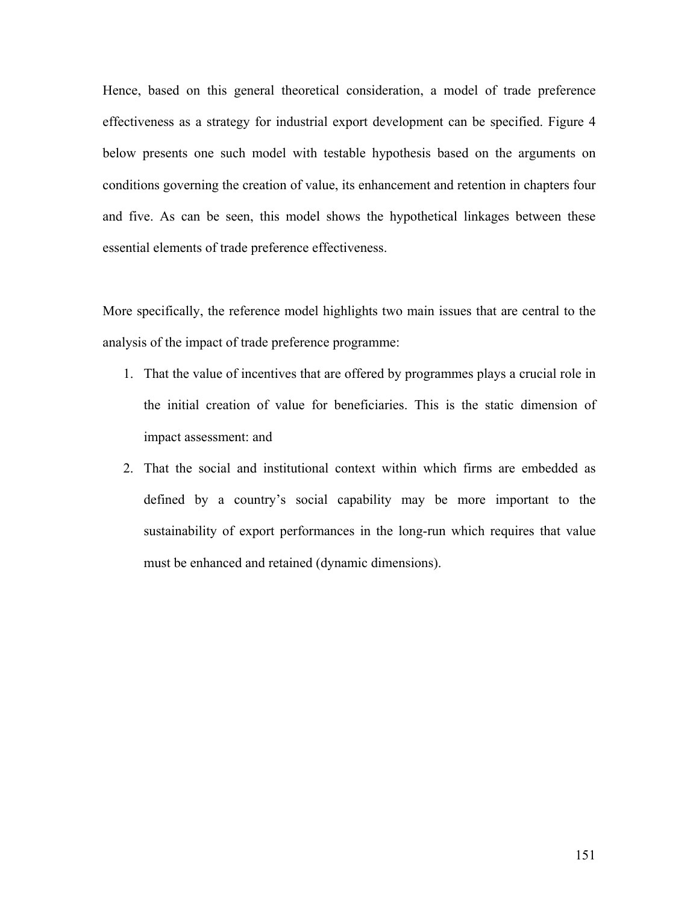Hence, based on this general theoretical consideration, a model of trade preference effectiveness as a strategy for industrial export development can be specified. Figure 4 below presents one such model with testable hypothesis based on the arguments on conditions governing the creation of value, its enhancement and retention in chapters four and five. As can be seen, this model shows the hypothetical linkages between these essential elements of trade preference effectiveness.

More specifically, the reference model highlights two main issues that are central to the analysis of the impact of trade preference programme:

- 1. That the value of incentives that are offered by programmes plays a crucial role in the initial creation of value for beneficiaries. This is the static dimension of impact assessment: and
- 2. That the social and institutional context within which firms are embedded as defined by a country's social capability may be more important to the sustainability of export performances in the long-run which requires that value must be enhanced and retained (dynamic dimensions).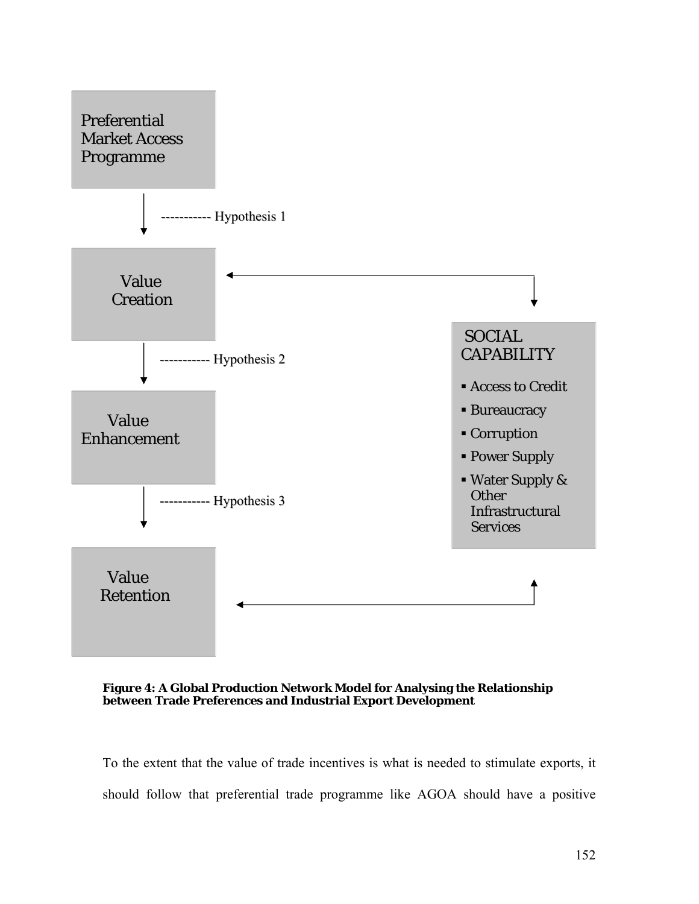



To the extent that the value of trade incentives is what is needed to stimulate exports, it should follow that preferential trade programme like AGOA should have a positive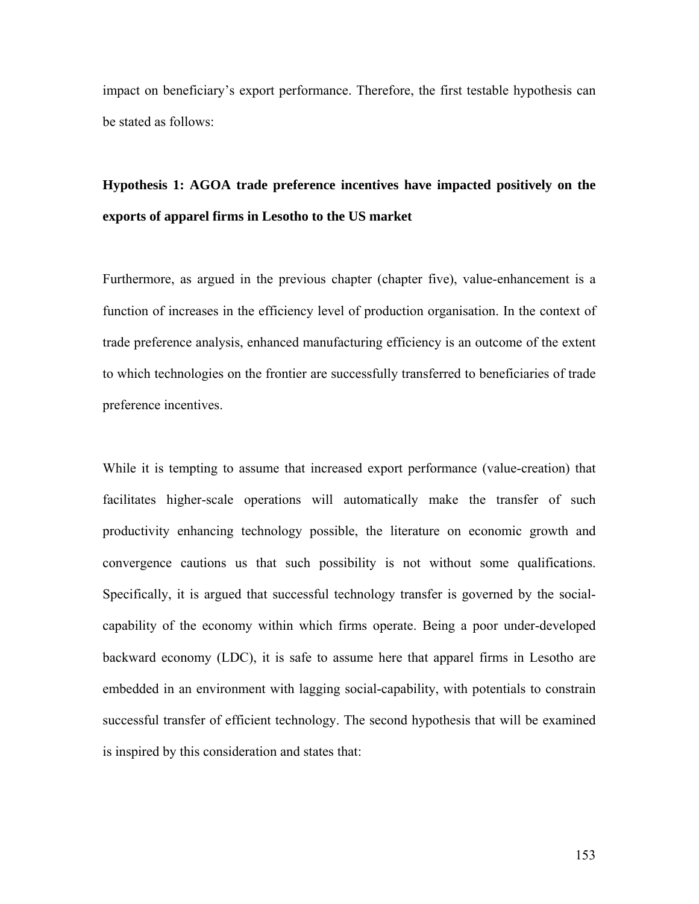impact on beneficiary's export performance. Therefore, the first testable hypothesis can be stated as follows:

# **Hypothesis 1: AGOA trade preference incentives have impacted positively on the exports of apparel firms in Lesotho to the US market**

Furthermore, as argued in the previous chapter (chapter five), value-enhancement is a function of increases in the efficiency level of production organisation. In the context of trade preference analysis, enhanced manufacturing efficiency is an outcome of the extent to which technologies on the frontier are successfully transferred to beneficiaries of trade preference incentives.

While it is tempting to assume that increased export performance (value-creation) that facilitates higher-scale operations will automatically make the transfer of such productivity enhancing technology possible, the literature on economic growth and convergence cautions us that such possibility is not without some qualifications. Specifically, it is argued that successful technology transfer is governed by the socialcapability of the economy within which firms operate. Being a poor under-developed backward economy (LDC), it is safe to assume here that apparel firms in Lesotho are embedded in an environment with lagging social-capability, with potentials to constrain successful transfer of efficient technology. The second hypothesis that will be examined is inspired by this consideration and states that: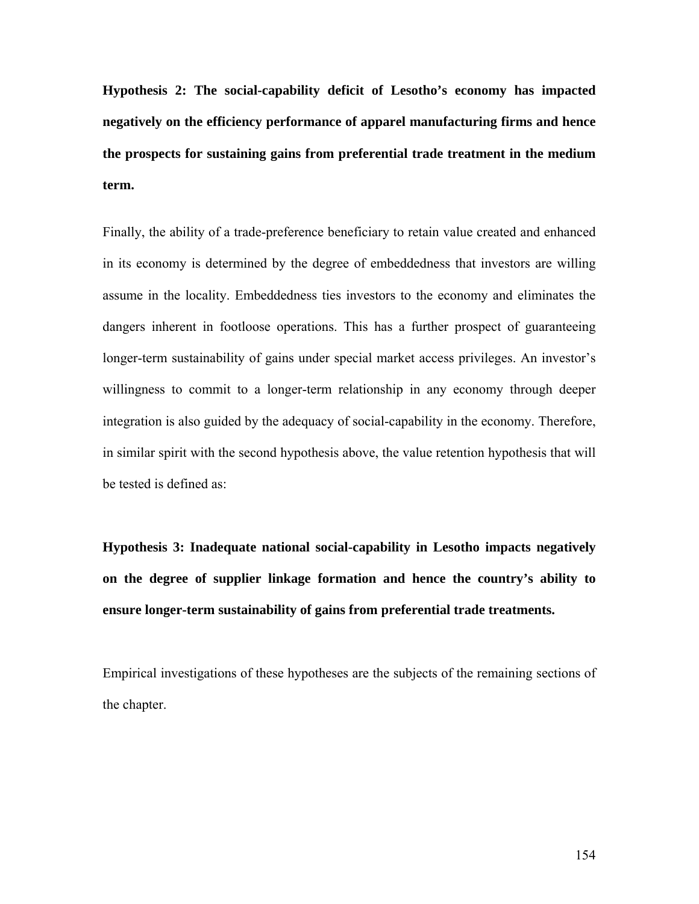**Hypothesis 2: The social-capability deficit of Lesotho's economy has impacted negatively on the efficiency performance of apparel manufacturing firms and hence the prospects for sustaining gains from preferential trade treatment in the medium term.** 

Finally, the ability of a trade-preference beneficiary to retain value created and enhanced in its economy is determined by the degree of embeddedness that investors are willing assume in the locality. Embeddedness ties investors to the economy and eliminates the dangers inherent in footloose operations. This has a further prospect of guaranteeing longer-term sustainability of gains under special market access privileges. An investor's willingness to commit to a longer-term relationship in any economy through deeper integration is also guided by the adequacy of social-capability in the economy. Therefore, in similar spirit with the second hypothesis above, the value retention hypothesis that will be tested is defined as:

**Hypothesis 3: Inadequate national social-capability in Lesotho impacts negatively on the degree of supplier linkage formation and hence the country's ability to ensure longer-term sustainability of gains from preferential trade treatments.** 

Empirical investigations of these hypotheses are the subjects of the remaining sections of the chapter.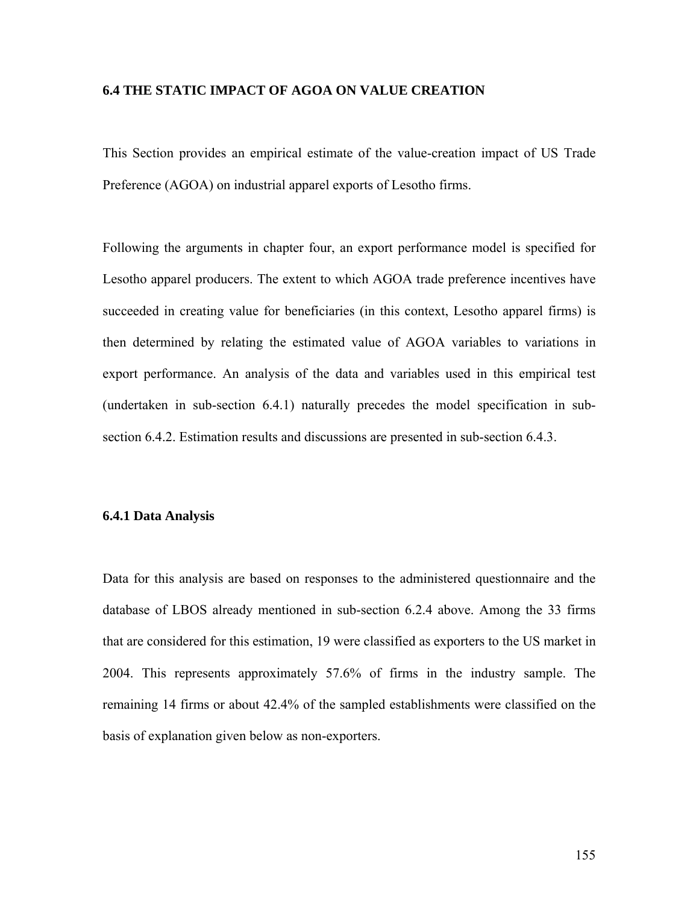#### **6.4 THE STATIC IMPACT OF AGOA ON VALUE CREATION**

This Section provides an empirical estimate of the value-creation impact of US Trade Preference (AGOA) on industrial apparel exports of Lesotho firms.

Following the arguments in chapter four, an export performance model is specified for Lesotho apparel producers. The extent to which AGOA trade preference incentives have succeeded in creating value for beneficiaries (in this context, Lesotho apparel firms) is then determined by relating the estimated value of AGOA variables to variations in export performance. An analysis of the data and variables used in this empirical test (undertaken in sub-section 6.4.1) naturally precedes the model specification in subsection 6.4.2. Estimation results and discussions are presented in sub-section 6.4.3.

#### **6.4.1 Data Analysis**

Data for this analysis are based on responses to the administered questionnaire and the database of LBOS already mentioned in sub-section 6.2.4 above. Among the 33 firms that are considered for this estimation, 19 were classified as exporters to the US market in 2004. This represents approximately 57.6% of firms in the industry sample. The remaining 14 firms or about 42.4% of the sampled establishments were classified on the basis of explanation given below as non-exporters.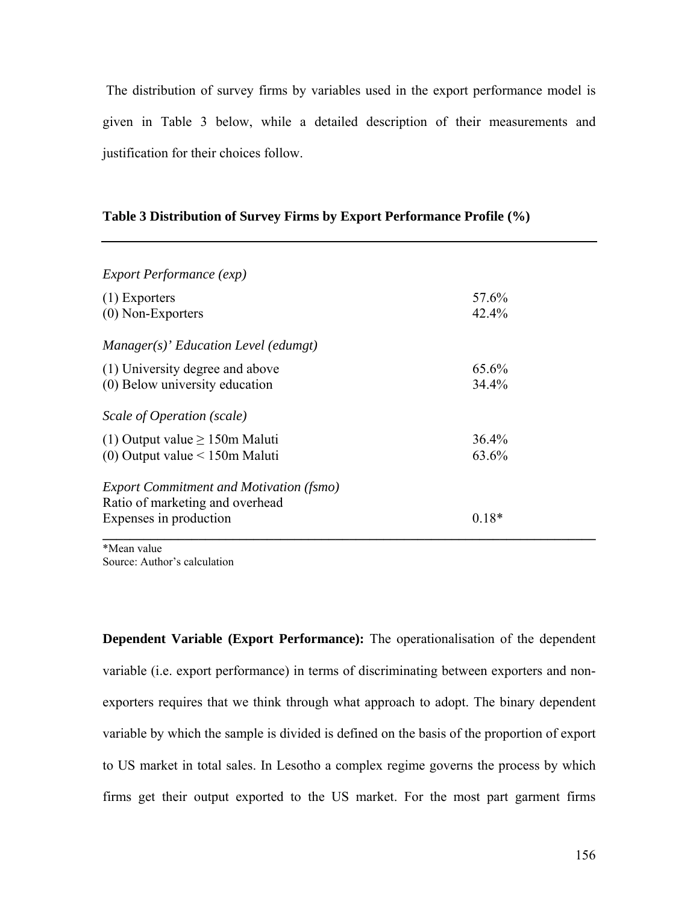The distribution of survey firms by variables used in the export performance model is given in Table 3 below, while a detailed description of their measurements and justification for their choices follow.

## **Table 3 Distribution of Survey Firms by Export Performance Profile (%)**

| 57.6%   |
|---------|
| 42.4%   |
|         |
| 65.6%   |
| 34.4%   |
|         |
| 36.4%   |
| 63.6%   |
|         |
|         |
| $0.18*$ |
|         |

\*Mean value Source: Author's calculation

**Dependent Variable (Export Performance):** The operationalisation of the dependent variable (i.e. export performance) in terms of discriminating between exporters and nonexporters requires that we think through what approach to adopt. The binary dependent variable by which the sample is divided is defined on the basis of the proportion of export to US market in total sales. In Lesotho a complex regime governs the process by which firms get their output exported to the US market. For the most part garment firms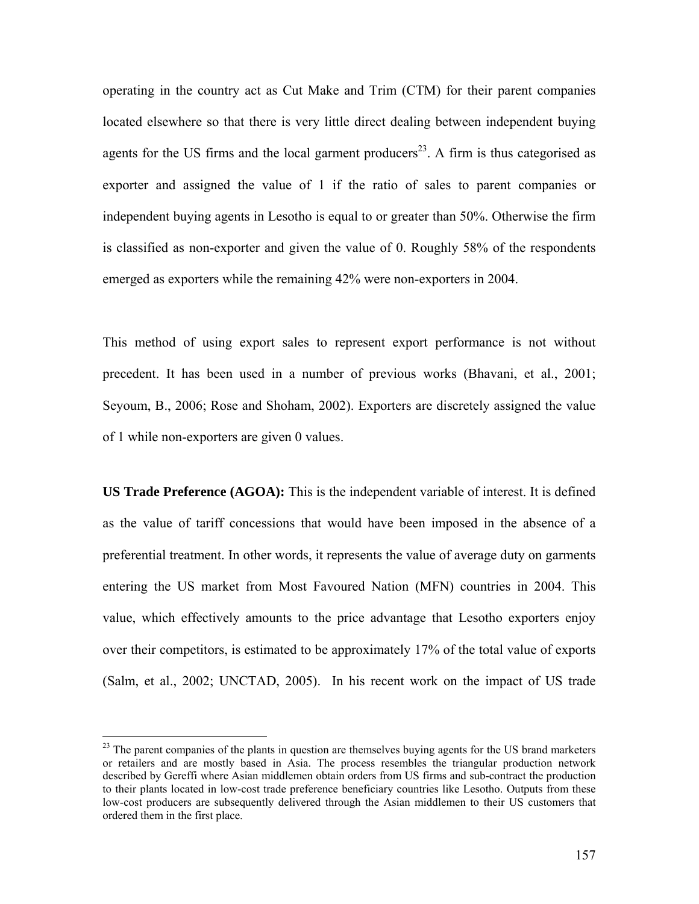operating in the country act as Cut Make and Trim (CTM) for their parent companies located elsewhere so that there is very little direct dealing between independent buying agents for the US firms and the local garment producers<sup>23</sup>. A firm is thus categorised as exporter and assigned the value of 1 if the ratio of sales to parent companies or independent buying agents in Lesotho is equal to or greater than 50%. Otherwise the firm is classified as non-exporter and given the value of 0. Roughly 58% of the respondents emerged as exporters while the remaining 42% were non-exporters in 2004.

This method of using export sales to represent export performance is not without precedent. It has been used in a number of previous works (Bhavani, et al., 2001; Seyoum, B., 2006; Rose and Shoham, 2002). Exporters are discretely assigned the value of 1 while non-exporters are given 0 values.

**US Trade Preference (AGOA):** This is the independent variable of interest. It is defined as the value of tariff concessions that would have been imposed in the absence of a preferential treatment. In other words, it represents the value of average duty on garments entering the US market from Most Favoured Nation (MFN) countries in 2004. This value, which effectively amounts to the price advantage that Lesotho exporters enjoy over their competitors, is estimated to be approximately 17% of the total value of exports (Salm, et al., 2002; UNCTAD, 2005). In his recent work on the impact of US trade

 $\overline{a}$ 

 $2<sup>23</sup>$  The parent companies of the plants in question are themselves buying agents for the US brand marketers or retailers and are mostly based in Asia. The process resembles the triangular production network described by Gereffi where Asian middlemen obtain orders from US firms and sub-contract the production to their plants located in low-cost trade preference beneficiary countries like Lesotho. Outputs from these low-cost producers are subsequently delivered through the Asian middlemen to their US customers that ordered them in the first place.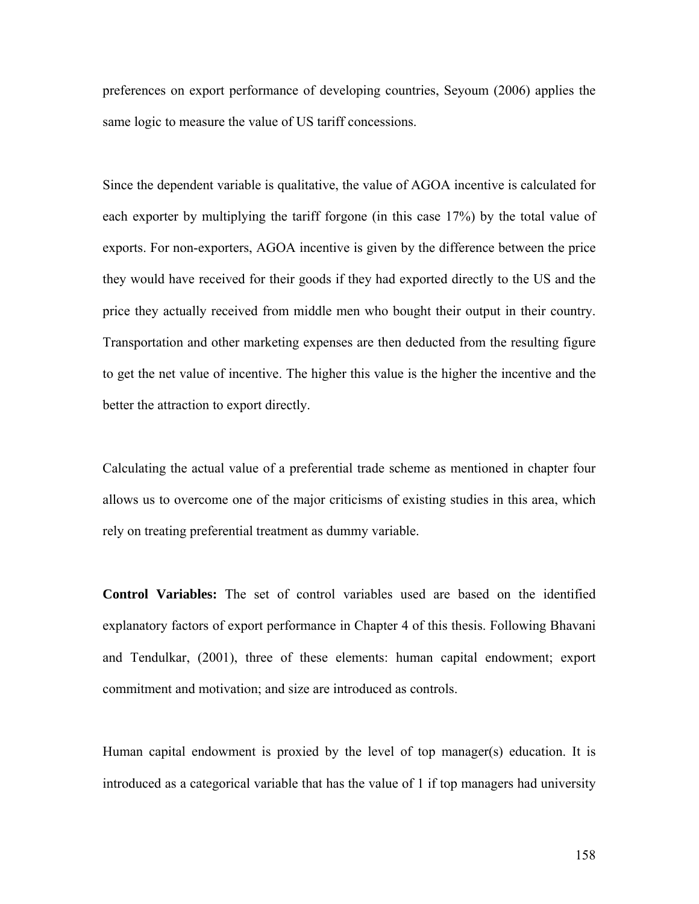preferences on export performance of developing countries, Seyoum (2006) applies the same logic to measure the value of US tariff concessions.

Since the dependent variable is qualitative, the value of AGOA incentive is calculated for each exporter by multiplying the tariff forgone (in this case 17%) by the total value of exports. For non-exporters, AGOA incentive is given by the difference between the price they would have received for their goods if they had exported directly to the US and the price they actually received from middle men who bought their output in their country. Transportation and other marketing expenses are then deducted from the resulting figure to get the net value of incentive. The higher this value is the higher the incentive and the better the attraction to export directly.

Calculating the actual value of a preferential trade scheme as mentioned in chapter four allows us to overcome one of the major criticisms of existing studies in this area, which rely on treating preferential treatment as dummy variable.

**Control Variables:** The set of control variables used are based on the identified explanatory factors of export performance in Chapter 4 of this thesis. Following Bhavani and Tendulkar, (2001), three of these elements: human capital endowment; export commitment and motivation; and size are introduced as controls.

Human capital endowment is proxied by the level of top manager(s) education. It is introduced as a categorical variable that has the value of 1 if top managers had university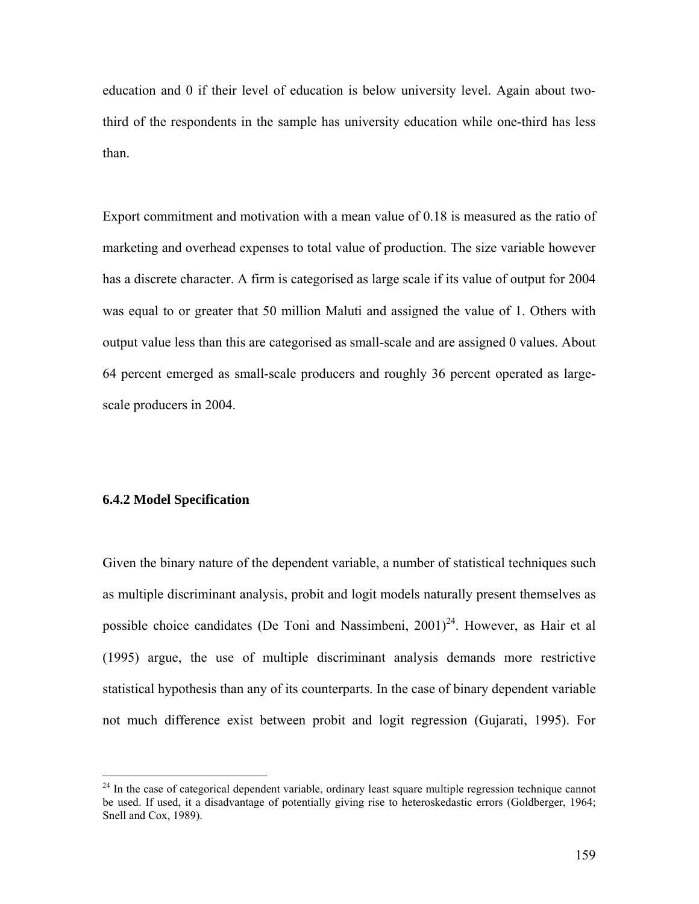education and 0 if their level of education is below university level. Again about twothird of the respondents in the sample has university education while one-third has less than.

Export commitment and motivation with a mean value of 0.18 is measured as the ratio of marketing and overhead expenses to total value of production. The size variable however has a discrete character. A firm is categorised as large scale if its value of output for 2004 was equal to or greater that 50 million Maluti and assigned the value of 1. Others with output value less than this are categorised as small-scale and are assigned 0 values. About 64 percent emerged as small-scale producers and roughly 36 percent operated as largescale producers in 2004.

#### **6.4.2 Model Specification**

 $\overline{a}$ 

Given the binary nature of the dependent variable, a number of statistical techniques such as multiple discriminant analysis, probit and logit models naturally present themselves as possible choice candidates (De Toni and Nassimbeni,  $2001<sup>24</sup>$ . However, as Hair et al (1995) argue, the use of multiple discriminant analysis demands more restrictive statistical hypothesis than any of its counterparts. In the case of binary dependent variable not much difference exist between probit and logit regression (Gujarati, 1995). For

 $^{24}$  In the case of categorical dependent variable, ordinary least square multiple regression technique cannot be used. If used, it a disadvantage of potentially giving rise to heteroskedastic errors (Goldberger, 1964; Snell and Cox, 1989).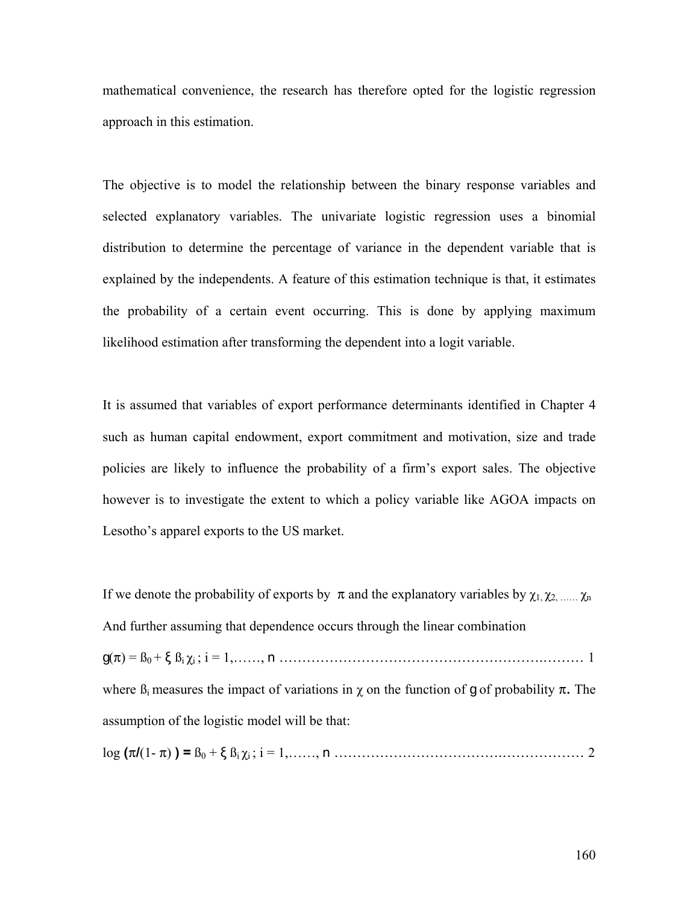mathematical convenience, the research has therefore opted for the logistic regression approach in this estimation.

The objective is to model the relationship between the binary response variables and selected explanatory variables. The univariate logistic regression uses a binomial distribution to determine the percentage of variance in the dependent variable that is explained by the independents. A feature of this estimation technique is that, it estimates the probability of a certain event occurring. This is done by applying maximum likelihood estimation after transforming the dependent into a logit variable.

It is assumed that variables of export performance determinants identified in Chapter 4 such as human capital endowment, export commitment and motivation, size and trade policies are likely to influence the probability of a firm's export sales. The objective however is to investigate the extent to which a policy variable like AGOA impacts on Lesotho's apparel exports to the US market.

If we denote the probability of exports by  $\pi$  and the explanatory variables by  $\chi_1, \chi_2, \ldots, \chi_n$ And further assuming that dependence occurs through the linear combination g(**π**) = ß0 + ξ ßi χi ; i = 1,……, n ………………………………………………….……… 1 where  $\beta_i$  measures the impact of variations in  $\chi$  on the function of g of probability  $\pi$ . The assumption of the logistic model will be that:

log **(π/**(1- **π**) **) =** ß0 + ξ ßi χi ; i = 1,……, n ……………………………….……………… 2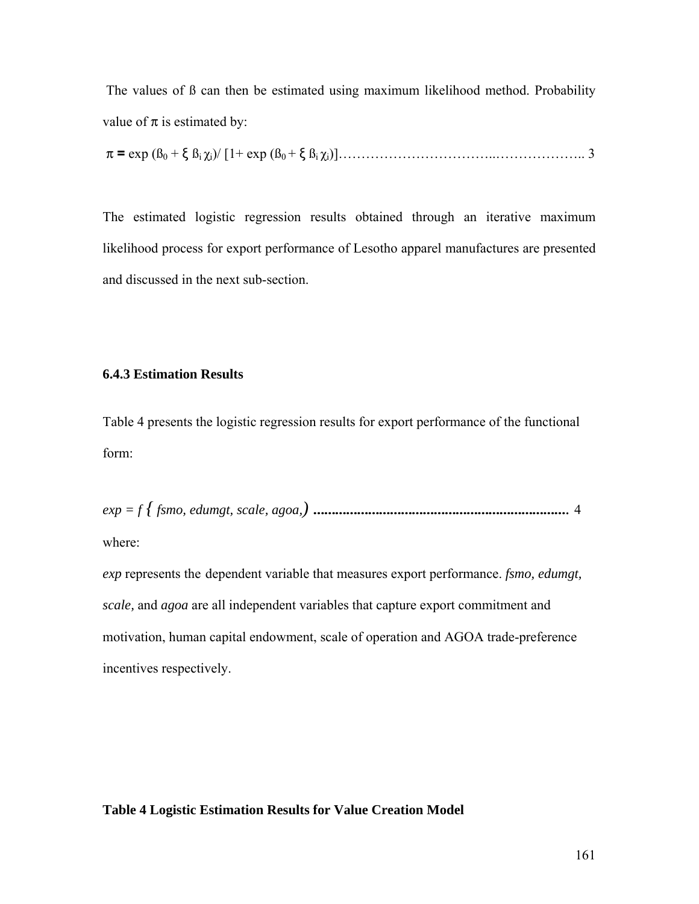The values of ß can then be estimated using maximum likelihood method. Probability value of  $\pi$  is estimated by:

$$
\pi = \exp(\beta_0 + \xi \beta_1 \chi_i)/[1 + \exp(\beta_0 + \xi \beta_1 \chi_i)].
$$

The estimated logistic regression results obtained through an iterative maximum likelihood process for export performance of Lesotho apparel manufactures are presented and discussed in the next sub-section.

## **6.4.3 Estimation Results**

Table 4 presents the logistic regression results for export performance of the functional form:

*exp = f { fsmo, edumgt, scale, agoa,)* ……………………………………………………………. 4

where:

*exp* represents the dependent variable that measures export performance. *fsmo, edumgt, scale,* and *agoa* are all independent variables that capture export commitment and motivation, human capital endowment, scale of operation and AGOA trade-preference incentives respectively.

#### **Table 4 Logistic Estimation Results for Value Creation Model**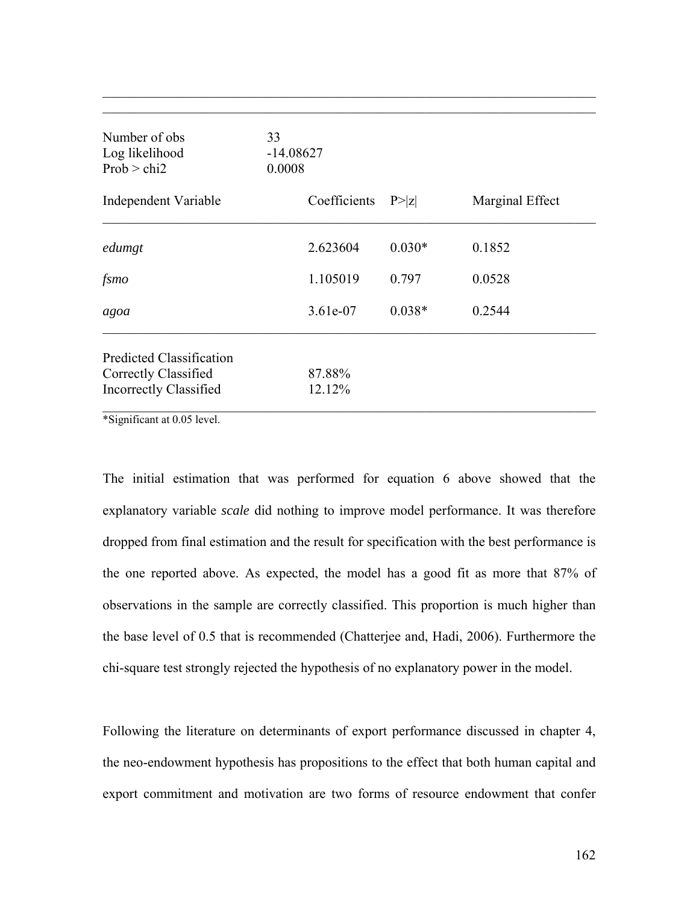| Number of obs<br>Log likelihood<br>Prob > chi2        | 33<br>$-14.08627$<br>0.0008 |          |                 |
|-------------------------------------------------------|-----------------------------|----------|-----------------|
| Independent Variable                                  | Coefficients                | P >  Z   | Marginal Effect |
| edumgt                                                | 2.623604                    | $0.030*$ | 0.1852          |
| fsmo                                                  | 1.105019                    | 0.797    | 0.0528          |
| agoa                                                  | 3.61e-07                    | $0.038*$ | 0.2544          |
| <b>Predicted Classification</b>                       |                             |          |                 |
| Correctly Classified<br><b>Incorrectly Classified</b> | 87.88%<br>12.12%            |          |                 |

 $\mathcal{L}_\text{max}$  , and the contribution of the contribution of the contribution of the contribution of the contribution of the contribution of the contribution of the contribution of the contribution of the contribution of t

\*Significant at 0.05 level.

The initial estimation that was performed for equation 6 above showed that the explanatory variable *scale* did nothing to improve model performance. It was therefore dropped from final estimation and the result for specification with the best performance is the one reported above. As expected, the model has a good fit as more that 87% of observations in the sample are correctly classified. This proportion is much higher than the base level of 0.5 that is recommended (Chatterjee and, Hadi, 2006). Furthermore the chi-square test strongly rejected the hypothesis of no explanatory power in the model.

Following the literature on determinants of export performance discussed in chapter 4, the neo-endowment hypothesis has propositions to the effect that both human capital and export commitment and motivation are two forms of resource endowment that confer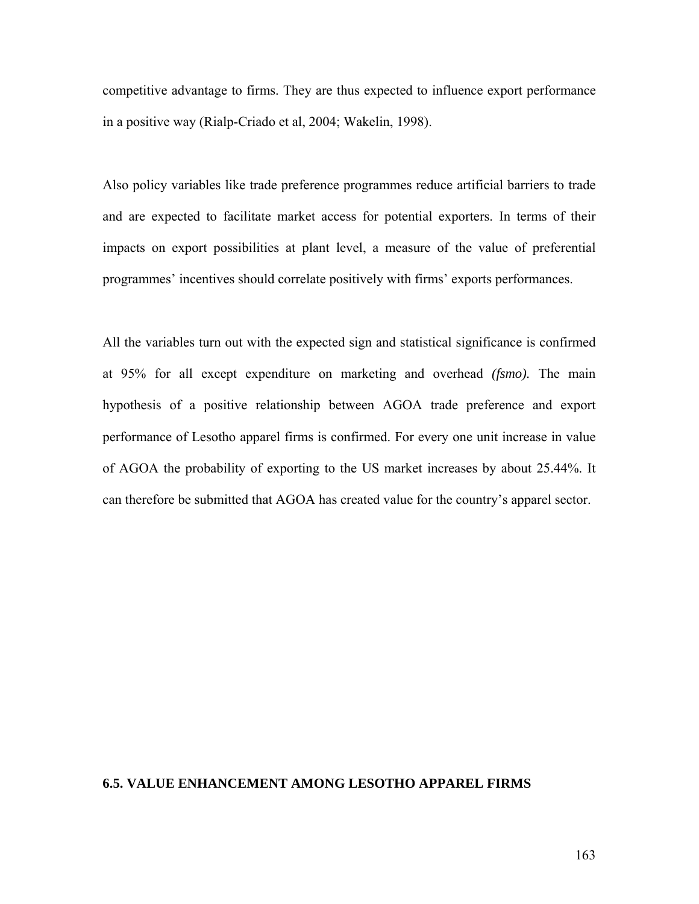competitive advantage to firms. They are thus expected to influence export performance in a positive way (Rialp-Criado et al, 2004; Wakelin, 1998).

Also policy variables like trade preference programmes reduce artificial barriers to trade and are expected to facilitate market access for potential exporters. In terms of their impacts on export possibilities at plant level, a measure of the value of preferential programmes' incentives should correlate positively with firms' exports performances.

All the variables turn out with the expected sign and statistical significance is confirmed at 95% for all except expenditure on marketing and overhead *(fsmo).* The main hypothesis of a positive relationship between AGOA trade preference and export performance of Lesotho apparel firms is confirmed. For every one unit increase in value of AGOA the probability of exporting to the US market increases by about 25.44%. It can therefore be submitted that AGOA has created value for the country's apparel sector.

#### **6.5. VALUE ENHANCEMENT AMONG LESOTHO APPAREL FIRMS**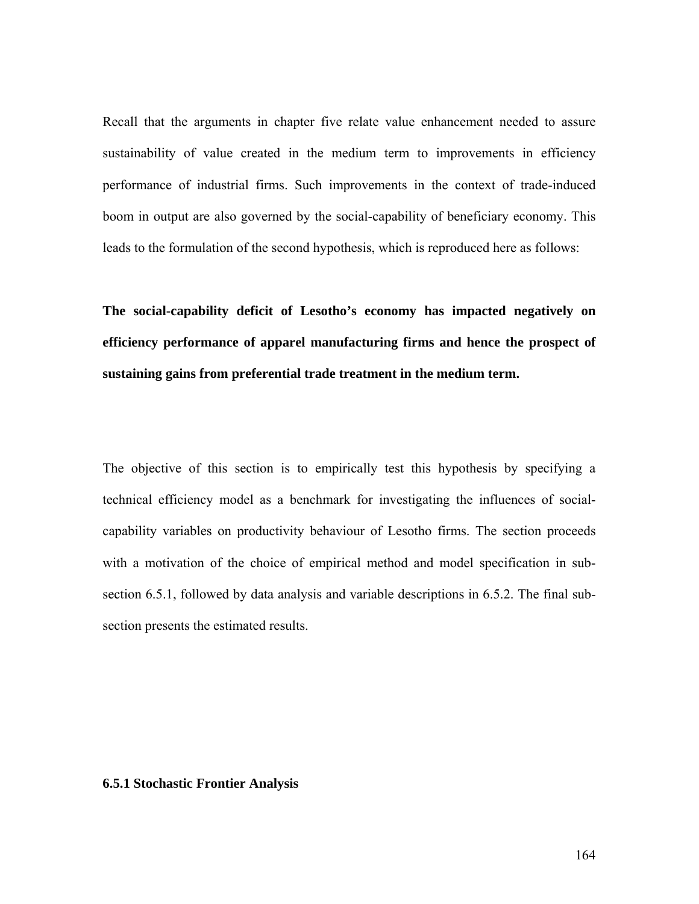Recall that the arguments in chapter five relate value enhancement needed to assure sustainability of value created in the medium term to improvements in efficiency performance of industrial firms. Such improvements in the context of trade-induced boom in output are also governed by the social-capability of beneficiary economy. This leads to the formulation of the second hypothesis, which is reproduced here as follows:

**The social-capability deficit of Lesotho's economy has impacted negatively on efficiency performance of apparel manufacturing firms and hence the prospect of sustaining gains from preferential trade treatment in the medium term.** 

The objective of this section is to empirically test this hypothesis by specifying a technical efficiency model as a benchmark for investigating the influences of socialcapability variables on productivity behaviour of Lesotho firms. The section proceeds with a motivation of the choice of empirical method and model specification in subsection 6.5.1, followed by data analysis and variable descriptions in 6.5.2. The final subsection presents the estimated results.

#### **6.5.1 Stochastic Frontier Analysis**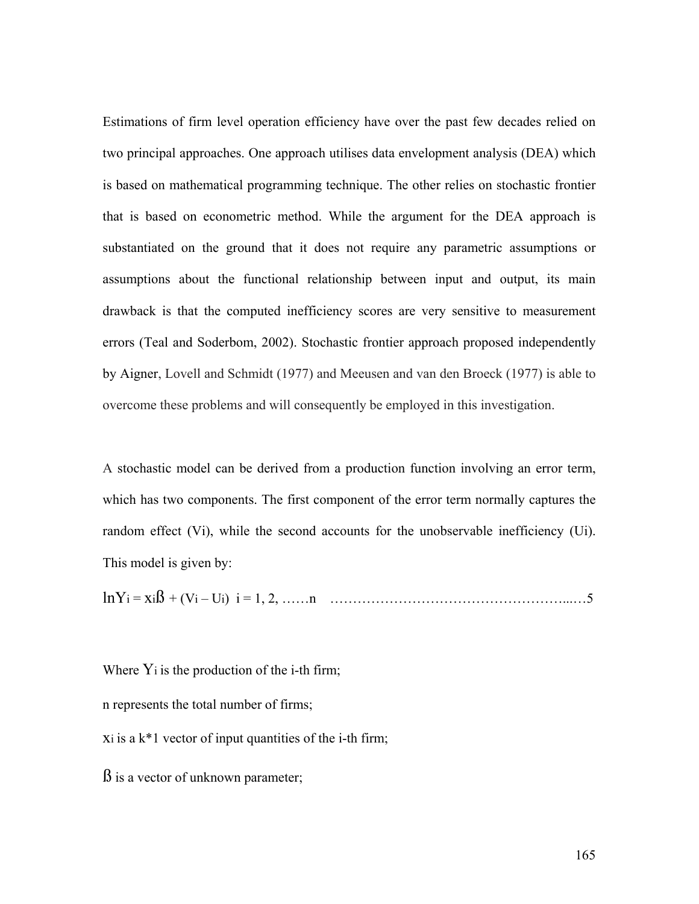Estimations of firm level operation efficiency have over the past few decades relied on two principal approaches. One approach utilises data envelopment analysis (DEA) which is based on mathematical programming technique. The other relies on stochastic frontier that is based on econometric method. While the argument for the DEA approach is substantiated on the ground that it does not require any parametric assumptions or assumptions about the functional relationship between input and output, its main drawback is that the computed inefficiency scores are very sensitive to measurement errors (Teal and Soderbom, 2002). Stochastic frontier approach proposed independently by Aigner, Lovell and Schmidt (1977) and Meeusen and van den Broeck (1977) is able to overcome these problems and will consequently be employed in this investigation.

A stochastic model can be derived from a production function involving an error term, which has two components. The first component of the error term normally captures the random effect (Vi), while the second accounts for the unobservable inefficiency (Ui). This model is given by:

lnYi = xiß + (Vi – Ui) i = 1, 2, ……n ……………………………………………...…5

Where  $Y_i$  is the production of the i-th firm; n represents the total number of firms;  $x_i$  is a  $k*1$  vector of input quantities of the i-th firm; ß is a vector of unknown parameter;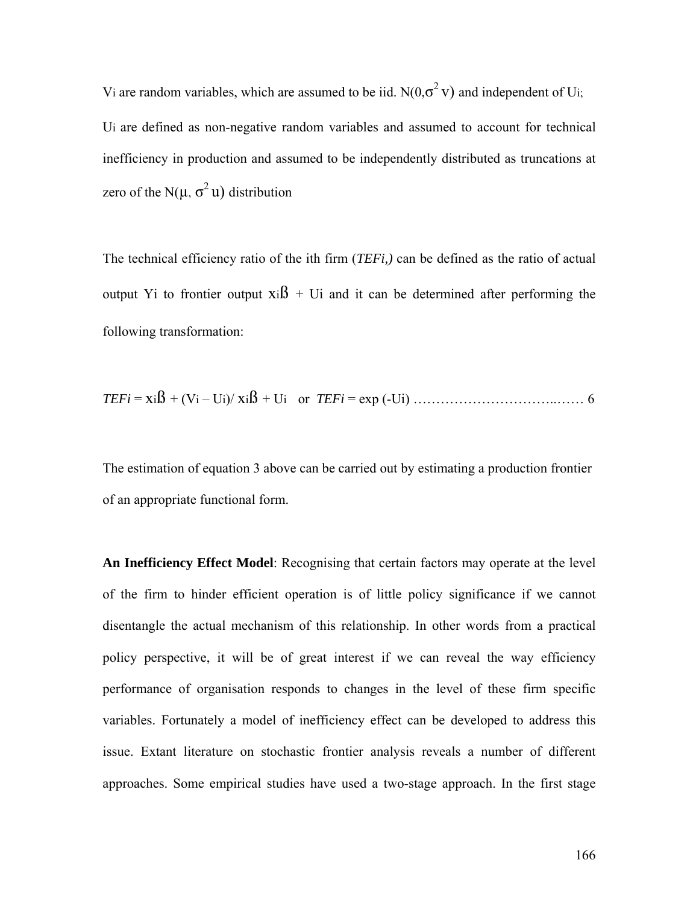Vi are random variables, which are assumed to be iid.  $N(0,\sigma^2 v)$  and independent of Ui; Ui are defined as non-negative random variables and assumed to account for technical inefficiency in production and assumed to be independently distributed as truncations at zero of the N( $\mu$ ,  $\sigma^2$  u) distribution

The technical efficiency ratio of the ith firm (*TEFi,)* can be defined as the ratio of actual output Yi to frontier output  $x_i\hat{B}$  + Ui and it can be determined after performing the following transformation:

*TEFi* = xiß + (Vi – Ui)/ xiß + Ui or *TEFi* = exp (-Ui) …………………………..…… 6

The estimation of equation 3 above can be carried out by estimating a production frontier of an appropriate functional form.

**An Inefficiency Effect Model**: Recognising that certain factors may operate at the level of the firm to hinder efficient operation is of little policy significance if we cannot disentangle the actual mechanism of this relationship. In other words from a practical policy perspective, it will be of great interest if we can reveal the way efficiency performance of organisation responds to changes in the level of these firm specific variables. Fortunately a model of inefficiency effect can be developed to address this issue. Extant literature on stochastic frontier analysis reveals a number of different approaches. Some empirical studies have used a two-stage approach. In the first stage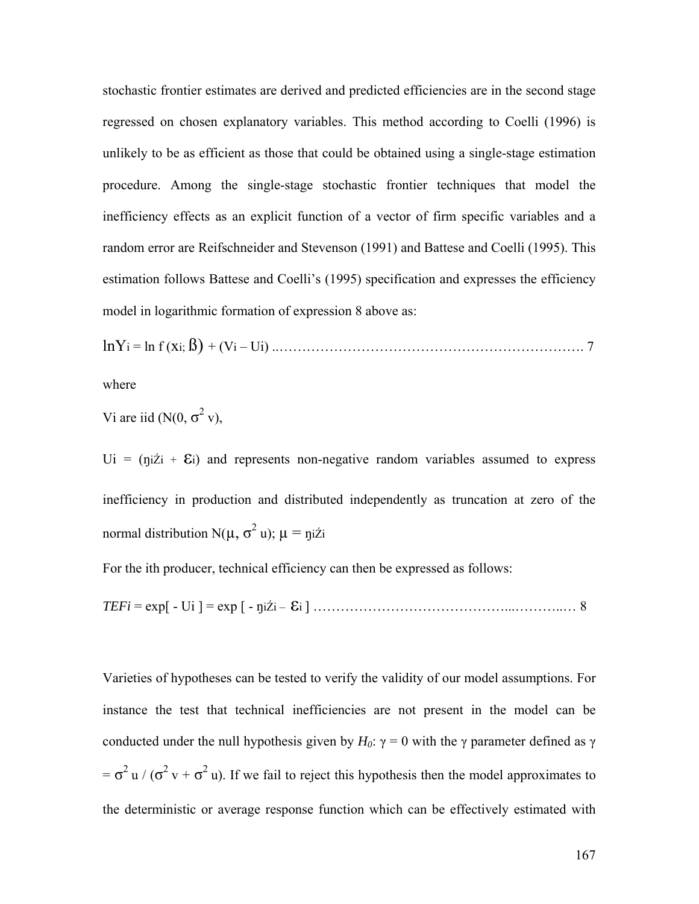stochastic frontier estimates are derived and predicted efficiencies are in the second stage regressed on chosen explanatory variables. This method according to Coelli (1996) is unlikely to be as efficient as those that could be obtained using a single-stage estimation procedure. Among the single-stage stochastic frontier techniques that model the inefficiency effects as an explicit function of a vector of firm specific variables and a random error are Reifschneider and Stevenson (1991) and Battese and Coelli (1995). This estimation follows Battese and Coelli's (1995) specification and expresses the efficiency model in logarithmic formation of expression 8 above as:

lnYi = ln f (xi; ß) + (Vi – Ui) ..…………………………………………………………. 7

where

Vi are iid 
$$
(N(0, \sigma^2 v))
$$
,

 $U_i = (n_1 \times i + \mathcal{E}_i)$  and represents non-negative random variables assumed to express inefficiency in production and distributed independently as truncation at zero of the normal distribution N(μ, σ<sup>2</sup> u); μ = ŋiŹi

For the ith producer, technical efficiency can then be expressed as follows:

*TEFi* = exp[ - Ui ] = exp [ - ŋiŹi – εi ] ……………………………………...………..… 8

Varieties of hypotheses can be tested to verify the validity of our model assumptions. For instance the test that technical inefficiencies are not present in the model can be conducted under the null hypothesis given by  $H_0$ :  $\gamma = 0$  with the γ parameter defined as γ  $= \sigma^2 u / (\sigma^2 v + \sigma^2 u)$ . If we fail to reject this hypothesis then the model approximates to the deterministic or average response function which can be effectively estimated with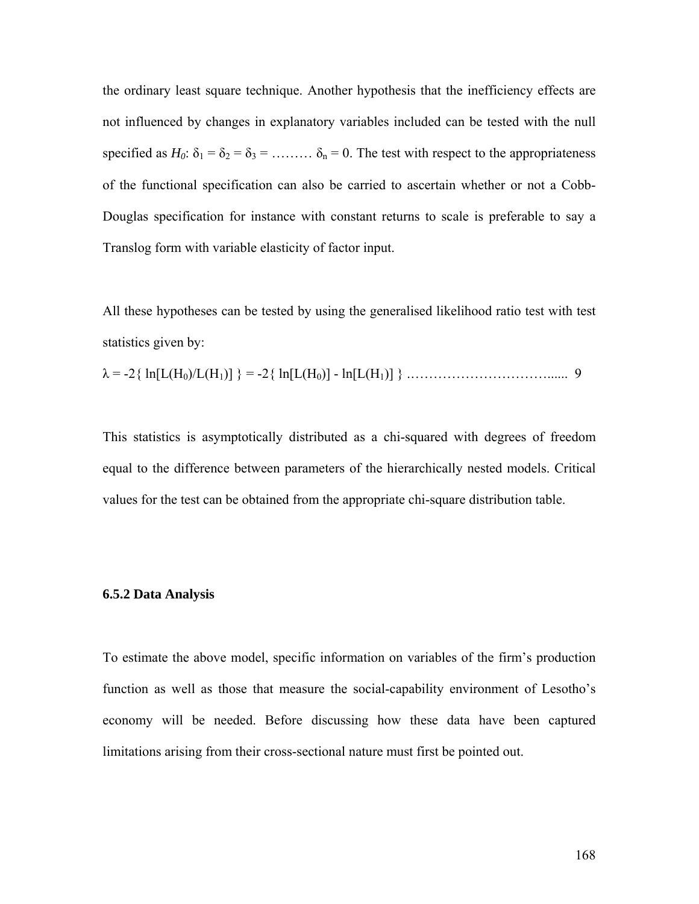the ordinary least square technique. Another hypothesis that the inefficiency effects are not influenced by changes in explanatory variables included can be tested with the null specified as  $H_0$ :  $\delta_1 = \delta_2 = \delta_3 = \dots = \delta_n = 0$ . The test with respect to the appropriateness of the functional specification can also be carried to ascertain whether or not a Cobb-Douglas specification for instance with constant returns to scale is preferable to say a Translog form with variable elasticity of factor input.

All these hypotheses can be tested by using the generalised likelihood ratio test with test statistics given by:

$$
\lambda = -2 \{ \ln[L(H_0)/L(H_1)] \} = -2 \{ \ln[L(H_0)] - \ln[L(H_1)] \} \ \ldots \ \ldots \ \ldots \ \ldots \ \ldots \ \ldots \ \ldots \ \ldots \ \ 9
$$

This statistics is asymptotically distributed as a chi-squared with degrees of freedom equal to the difference between parameters of the hierarchically nested models. Critical values for the test can be obtained from the appropriate chi-square distribution table.

#### **6.5.2 Data Analysis**

To estimate the above model, specific information on variables of the firm's production function as well as those that measure the social-capability environment of Lesotho's economy will be needed. Before discussing how these data have been captured limitations arising from their cross-sectional nature must first be pointed out.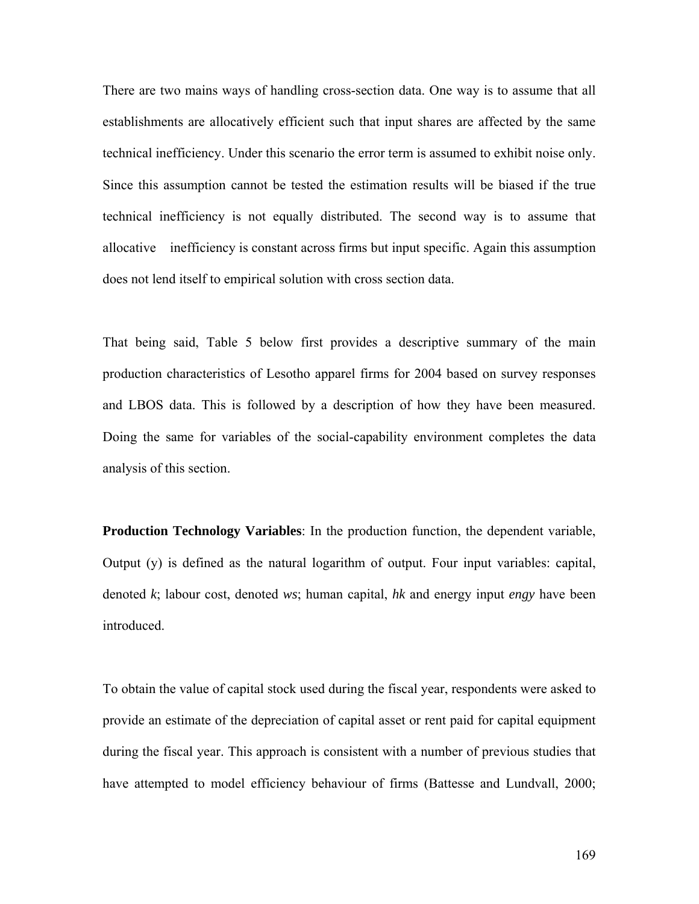There are two mains ways of handling cross-section data. One way is to assume that all establishments are allocatively efficient such that input shares are affected by the same technical inefficiency. Under this scenario the error term is assumed to exhibit noise only. Since this assumption cannot be tested the estimation results will be biased if the true technical inefficiency is not equally distributed. The second way is to assume that allocative inefficiency is constant across firms but input specific. Again this assumption does not lend itself to empirical solution with cross section data.

That being said, Table 5 below first provides a descriptive summary of the main production characteristics of Lesotho apparel firms for 2004 based on survey responses and LBOS data. This is followed by a description of how they have been measured. Doing the same for variables of the social-capability environment completes the data analysis of this section.

**Production Technology Variables**: In the production function, the dependent variable, Output (y) is defined as the natural logarithm of output. Four input variables: capital, denoted *k*; labour cost, denoted *ws*; human capital, *hk* and energy input *engy* have been introduced.

To obtain the value of capital stock used during the fiscal year, respondents were asked to provide an estimate of the depreciation of capital asset or rent paid for capital equipment during the fiscal year. This approach is consistent with a number of previous studies that have attempted to model efficiency behaviour of firms (Battesse and Lundvall, 2000;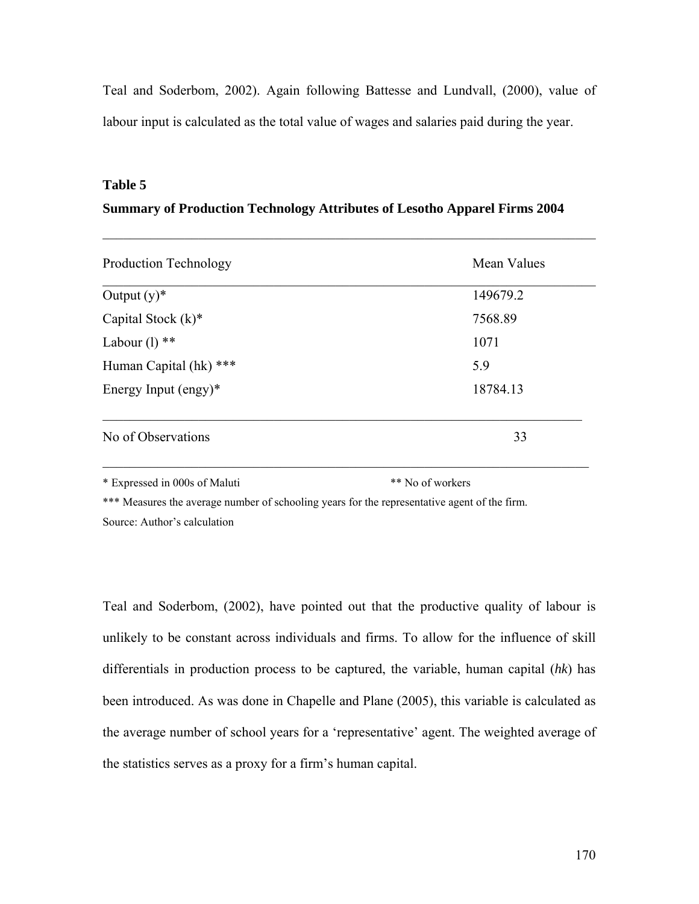Teal and Soderbom, 2002). Again following Battesse and Lundvall, (2000), value of labour input is calculated as the total value of wages and salaries paid during the year.

#### **Table 5**

### **Summary of Production Technology Attributes of Lesotho Apparel Firms 2004**

 $\mathcal{L}_\text{max} = \mathcal{L}_\text{max} = \mathcal{L}_\text{max} = \mathcal{L}_\text{max} = \mathcal{L}_\text{max} = \mathcal{L}_\text{max} = \mathcal{L}_\text{max} = \mathcal{L}_\text{max} = \mathcal{L}_\text{max} = \mathcal{L}_\text{max} = \mathcal{L}_\text{max} = \mathcal{L}_\text{max} = \mathcal{L}_\text{max} = \mathcal{L}_\text{max} = \mathcal{L}_\text{max} = \mathcal{L}_\text{max} = \mathcal{L}_\text{max} = \mathcal{L}_\text{max} = \mathcal{$ 

| Mean Values |  |
|-------------|--|
| 149679.2    |  |
| 7568.89     |  |
| 1071        |  |
| 5.9         |  |
| 18784.13    |  |
| 33          |  |
|             |  |

\* Expressed in 000s of Maluti \*\* No of workers

\*\*\* Measures the average number of schooling years for the representative agent of the firm. Source: Author's calculation

Teal and Soderbom, (2002), have pointed out that the productive quality of labour is unlikely to be constant across individuals and firms. To allow for the influence of skill differentials in production process to be captured, the variable, human capital (*hk*) has been introduced. As was done in Chapelle and Plane (2005), this variable is calculated as the average number of school years for a 'representative' agent. The weighted average of the statistics serves as a proxy for a firm's human capital.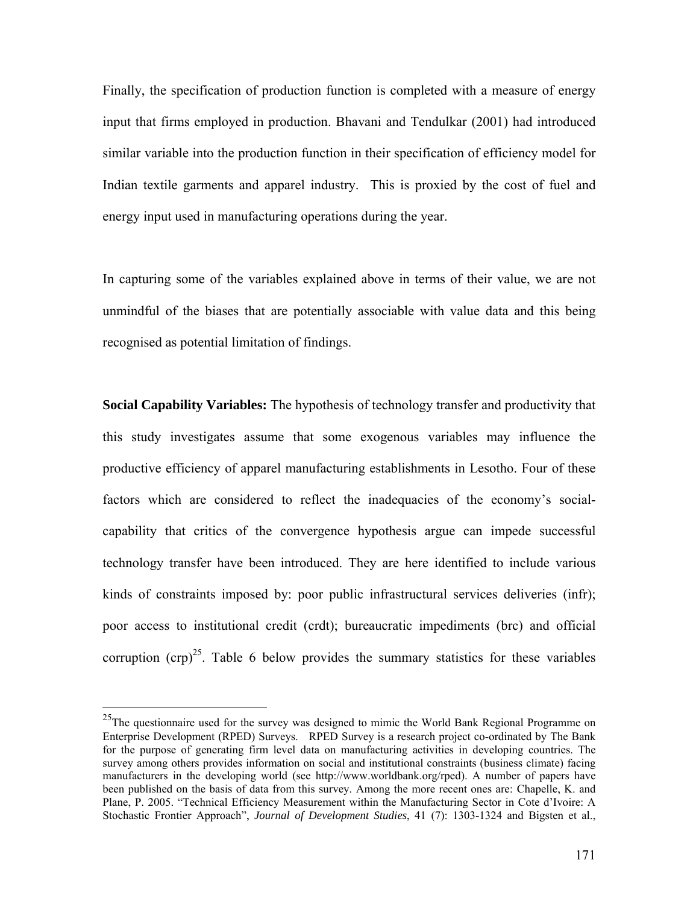Finally, the specification of production function is completed with a measure of energy input that firms employed in production. Bhavani and Tendulkar (2001) had introduced similar variable into the production function in their specification of efficiency model for Indian textile garments and apparel industry. This is proxied by the cost of fuel and energy input used in manufacturing operations during the year.

In capturing some of the variables explained above in terms of their value, we are not unmindful of the biases that are potentially associable with value data and this being recognised as potential limitation of findings.

**Social Capability Variables:** The hypothesis of technology transfer and productivity that this study investigates assume that some exogenous variables may influence the productive efficiency of apparel manufacturing establishments in Lesotho. Four of these factors which are considered to reflect the inadequacies of the economy's socialcapability that critics of the convergence hypothesis argue can impede successful technology transfer have been introduced. They are here identified to include various kinds of constraints imposed by: poor public infrastructural services deliveries (infr); poor access to institutional credit (crdt); bureaucratic impediments (brc) and official corruption  $(crp)^{25}$ . Table 6 below provides the summary statistics for these variables

 $\overline{a}$ 

<sup>&</sup>lt;sup>25</sup>The questionnaire used for the survey was designed to mimic the World Bank Regional Programme on Enterprise Development (RPED) Surveys. RPED Survey is a research project co-ordinated by The Bank for the purpose of generating firm level data on manufacturing activities in developing countries. The survey among others provides information on social and institutional constraints (business climate) facing manufacturers in the developing world (see http://www.worldbank.org/rped). A number of papers have been published on the basis of data from this survey. Among the more recent ones are: Chapelle, K. and Plane, P. 2005. "Technical Efficiency Measurement within the Manufacturing Sector in Cote d'Ivoire: A Stochastic Frontier Approach", *Journal of Development Studies*, 41 (7): 1303-1324 and Bigsten et al.,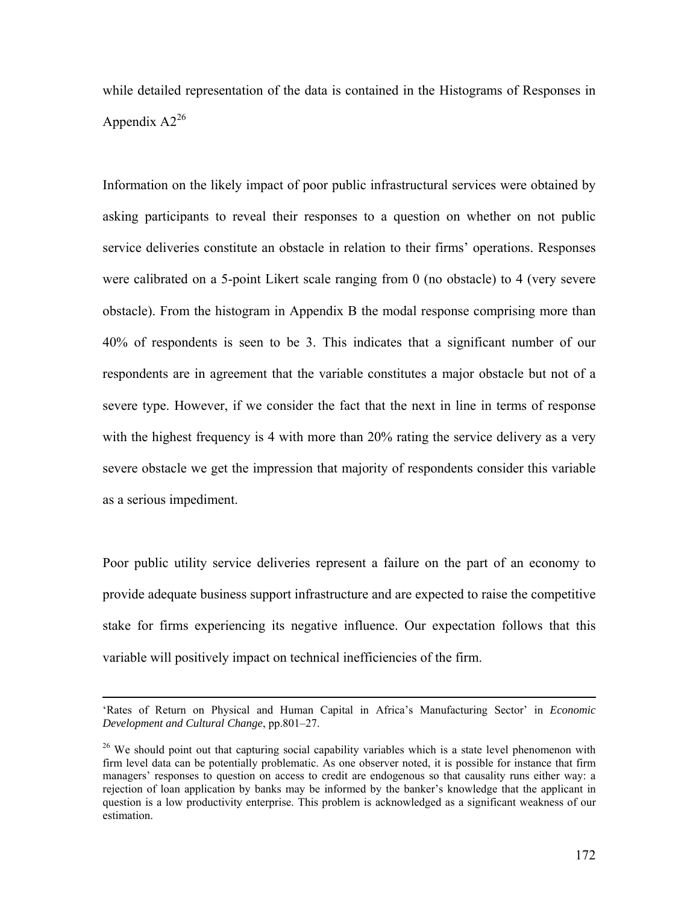while detailed representation of the data is contained in the Histograms of Responses in Appendix  $A2^{26}$ 

Information on the likely impact of poor public infrastructural services were obtained by asking participants to reveal their responses to a question on whether on not public service deliveries constitute an obstacle in relation to their firms' operations. Responses were calibrated on a 5-point Likert scale ranging from 0 (no obstacle) to 4 (very severe obstacle). From the histogram in Appendix B the modal response comprising more than 40% of respondents is seen to be 3. This indicates that a significant number of our respondents are in agreement that the variable constitutes a major obstacle but not of a severe type. However, if we consider the fact that the next in line in terms of response with the highest frequency is 4 with more than 20% rating the service delivery as a very severe obstacle we get the impression that majority of respondents consider this variable as a serious impediment.

Poor public utility service deliveries represent a failure on the part of an economy to provide adequate business support infrastructure and are expected to raise the competitive stake for firms experiencing its negative influence. Our expectation follows that this variable will positively impact on technical inefficiencies of the firm.

 <sup>&#</sup>x27;Rates of Return on Physical and Human Capital in Africa's Manufacturing Sector' in *Economic Development and Cultural Change*, pp.801–27.

<sup>&</sup>lt;sup>26</sup> We should point out that capturing social capability variables which is a state level phenomenon with firm level data can be potentially problematic. As one observer noted, it is possible for instance that firm managers' responses to question on access to credit are endogenous so that causality runs either way: a rejection of loan application by banks may be informed by the banker's knowledge that the applicant in question is a low productivity enterprise. This problem is acknowledged as a significant weakness of our estimation.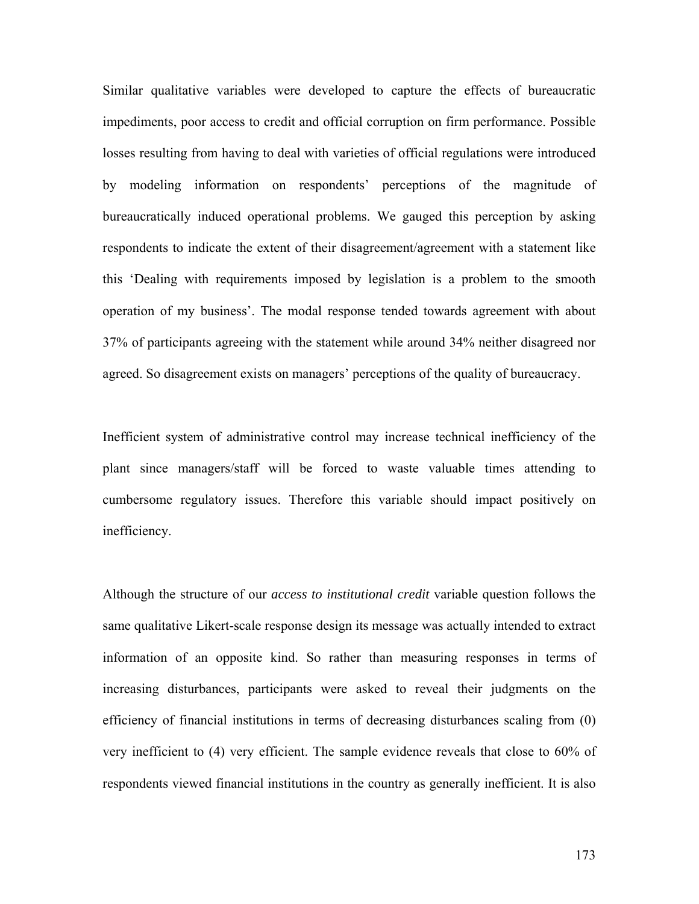Similar qualitative variables were developed to capture the effects of bureaucratic impediments, poor access to credit and official corruption on firm performance. Possible losses resulting from having to deal with varieties of official regulations were introduced by modeling information on respondents' perceptions of the magnitude of bureaucratically induced operational problems. We gauged this perception by asking respondents to indicate the extent of their disagreement/agreement with a statement like this 'Dealing with requirements imposed by legislation is a problem to the smooth operation of my business'. The modal response tended towards agreement with about 37% of participants agreeing with the statement while around 34% neither disagreed nor agreed. So disagreement exists on managers' perceptions of the quality of bureaucracy.

Inefficient system of administrative control may increase technical inefficiency of the plant since managers/staff will be forced to waste valuable times attending to cumbersome regulatory issues. Therefore this variable should impact positively on inefficiency.

Although the structure of our *access to institutional credit* variable question follows the same qualitative Likert-scale response design its message was actually intended to extract information of an opposite kind. So rather than measuring responses in terms of increasing disturbances, participants were asked to reveal their judgments on the efficiency of financial institutions in terms of decreasing disturbances scaling from (0) very inefficient to (4) very efficient. The sample evidence reveals that close to 60% of respondents viewed financial institutions in the country as generally inefficient. It is also

173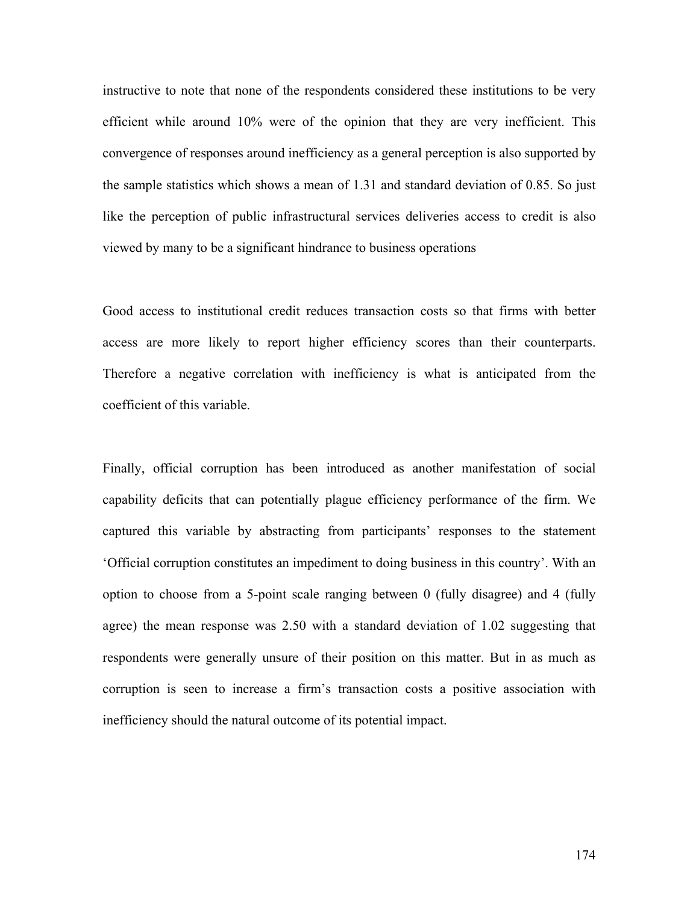instructive to note that none of the respondents considered these institutions to be very efficient while around 10% were of the opinion that they are very inefficient. This convergence of responses around inefficiency as a general perception is also supported by the sample statistics which shows a mean of 1.31 and standard deviation of 0.85. So just like the perception of public infrastructural services deliveries access to credit is also viewed by many to be a significant hindrance to business operations

Good access to institutional credit reduces transaction costs so that firms with better access are more likely to report higher efficiency scores than their counterparts. Therefore a negative correlation with inefficiency is what is anticipated from the coefficient of this variable.

Finally, official corruption has been introduced as another manifestation of social capability deficits that can potentially plague efficiency performance of the firm. We captured this variable by abstracting from participants' responses to the statement 'Official corruption constitutes an impediment to doing business in this country'. With an option to choose from a 5-point scale ranging between 0 (fully disagree) and 4 (fully agree) the mean response was 2.50 with a standard deviation of 1.02 suggesting that respondents were generally unsure of their position on this matter. But in as much as corruption is seen to increase a firm's transaction costs a positive association with inefficiency should the natural outcome of its potential impact.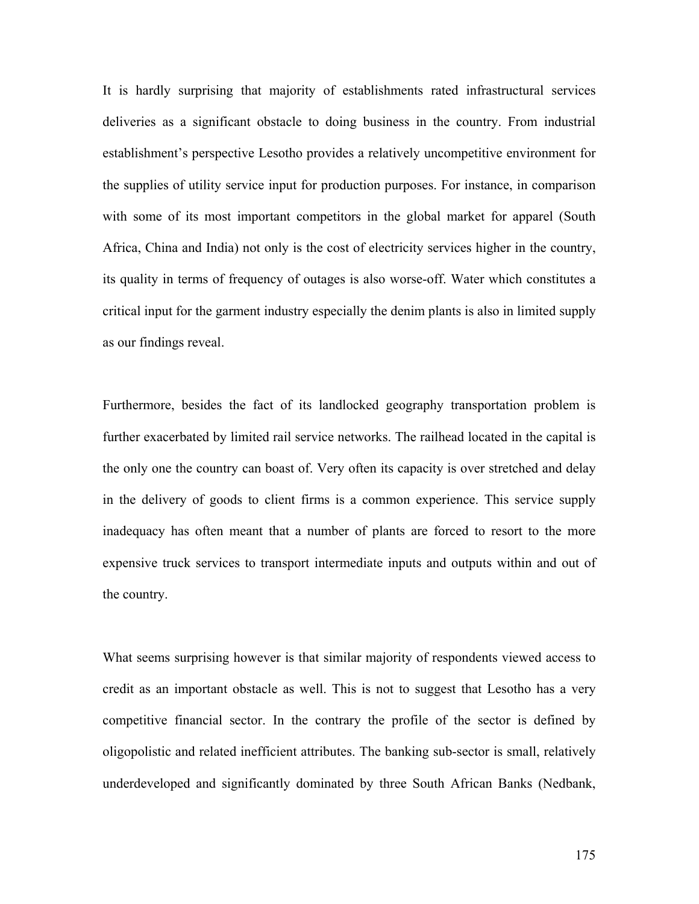It is hardly surprising that majority of establishments rated infrastructural services deliveries as a significant obstacle to doing business in the country. From industrial establishment's perspective Lesotho provides a relatively uncompetitive environment for the supplies of utility service input for production purposes. For instance, in comparison with some of its most important competitors in the global market for apparel (South Africa, China and India) not only is the cost of electricity services higher in the country, its quality in terms of frequency of outages is also worse-off. Water which constitutes a critical input for the garment industry especially the denim plants is also in limited supply as our findings reveal.

Furthermore, besides the fact of its landlocked geography transportation problem is further exacerbated by limited rail service networks. The railhead located in the capital is the only one the country can boast of. Very often its capacity is over stretched and delay in the delivery of goods to client firms is a common experience. This service supply inadequacy has often meant that a number of plants are forced to resort to the more expensive truck services to transport intermediate inputs and outputs within and out of the country.

What seems surprising however is that similar majority of respondents viewed access to credit as an important obstacle as well. This is not to suggest that Lesotho has a very competitive financial sector. In the contrary the profile of the sector is defined by oligopolistic and related inefficient attributes. The banking sub-sector is small, relatively underdeveloped and significantly dominated by three South African Banks (Nedbank,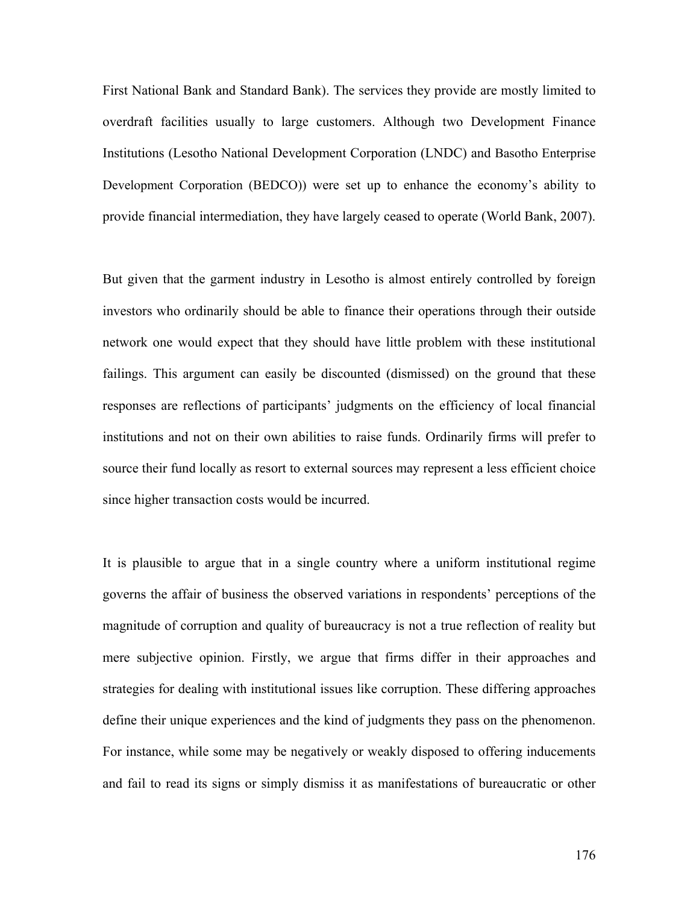First National Bank and Standard Bank). The services they provide are mostly limited to overdraft facilities usually to large customers. Although two Development Finance Institutions (Lesotho National Development Corporation (LNDC) and Basotho Enterprise Development Corporation (BEDCO)) were set up to enhance the economy's ability to provide financial intermediation, they have largely ceased to operate (World Bank, 2007).

But given that the garment industry in Lesotho is almost entirely controlled by foreign investors who ordinarily should be able to finance their operations through their outside network one would expect that they should have little problem with these institutional failings. This argument can easily be discounted (dismissed) on the ground that these responses are reflections of participants' judgments on the efficiency of local financial institutions and not on their own abilities to raise funds. Ordinarily firms will prefer to source their fund locally as resort to external sources may represent a less efficient choice since higher transaction costs would be incurred.

It is plausible to argue that in a single country where a uniform institutional regime governs the affair of business the observed variations in respondents' perceptions of the magnitude of corruption and quality of bureaucracy is not a true reflection of reality but mere subjective opinion. Firstly, we argue that firms differ in their approaches and strategies for dealing with institutional issues like corruption. These differing approaches define their unique experiences and the kind of judgments they pass on the phenomenon. For instance, while some may be negatively or weakly disposed to offering inducements and fail to read its signs or simply dismiss it as manifestations of bureaucratic or other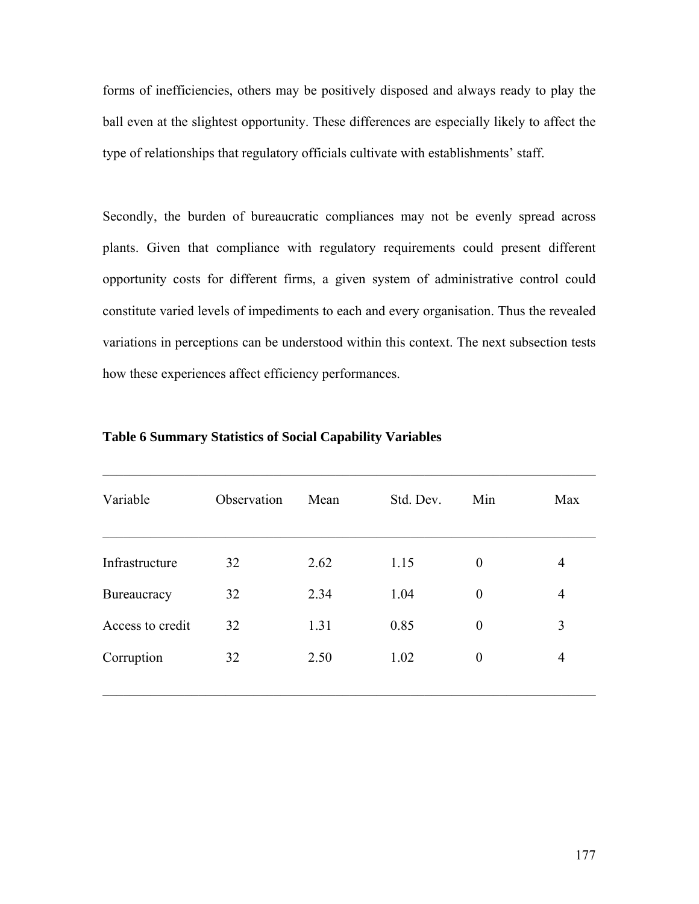forms of inefficiencies, others may be positively disposed and always ready to play the ball even at the slightest opportunity. These differences are especially likely to affect the type of relationships that regulatory officials cultivate with establishments' staff.

Secondly, the burden of bureaucratic compliances may not be evenly spread across plants. Given that compliance with regulatory requirements could present different opportunity costs for different firms, a given system of administrative control could constitute varied levels of impediments to each and every organisation. Thus the revealed variations in perceptions can be understood within this context. The next subsection tests how these experiences affect efficiency performances.

| Observation | Mean | Std. Dev. | Min              | Max            |
|-------------|------|-----------|------------------|----------------|
| 32          | 2.62 | 1.15      | $\boldsymbol{0}$ | 4              |
| 32          | 2.34 | 1.04      | $\theta$         | 4              |
| 32          | 1.31 | 0.85      | $\theta$         | 3              |
| 32          | 2.50 | 1.02      | $\boldsymbol{0}$ | $\overline{4}$ |
|             |      |           |                  |                |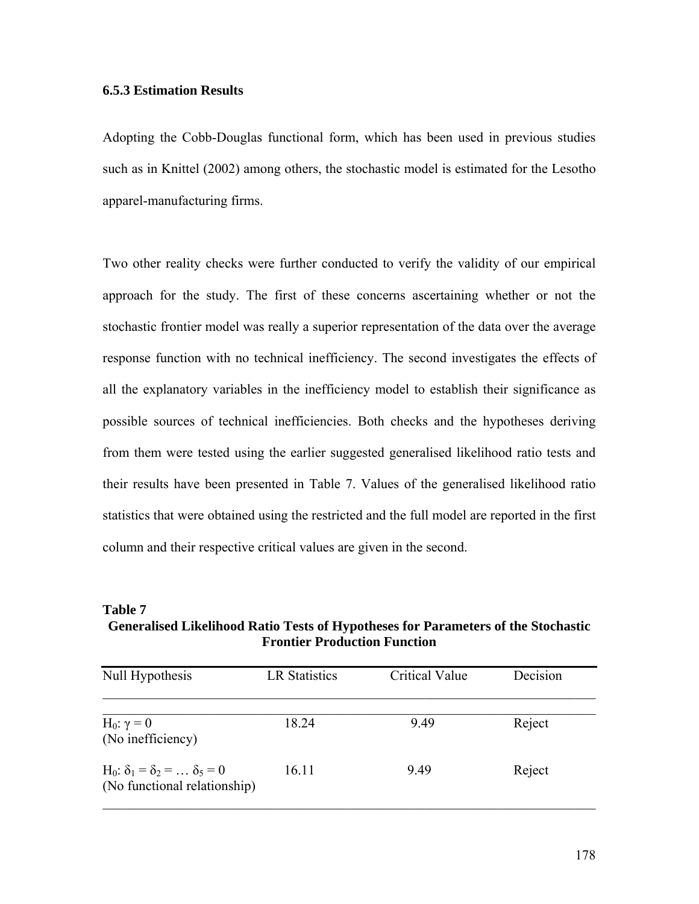#### **6.5.3 Estimation Results**

Adopting the Cobb-Douglas functional form, which has been used in previous studies such as in Knittel (2002) among others, the stochastic model is estimated for the Lesotho apparel-manufacturing firms.

Two other reality checks were further conducted to verify the validity of our empirical approach for the study. The first of these concerns ascertaining whether or not the stochastic frontier model was really a superior representation of the data over the average response function with no technical inefficiency. The second investigates the effects of all the explanatory variables in the inefficiency model to establish their significance as possible sources of technical inefficiencies. Both checks and the hypotheses deriving from them were tested using the earlier suggested generalised likelihood ratio tests and their results have been presented in Table 7. Values of the generalised likelihood ratio statistics that were obtained using the restricted and the full model are reported in the first column and their respective critical values are given in the second.

**Table 7 Generalised Likelihood Ratio Tests of Hypotheses for Parameters of the Stochastic Frontier Production Function** 

| Null Hypothesis                                                                        | <b>LR Statistics</b> | <b>Critical Value</b> | Decision |
|----------------------------------------------------------------------------------------|----------------------|-----------------------|----------|
| H <sub>0</sub> : $\gamma = 0$<br>(No inefficiency)                                     | 18.24                | 9.49                  | Reject   |
| H <sub>0</sub> : $\delta_1 = \delta_2 =  \delta_5 = 0$<br>(No functional relationship) | 16.11                | 9.49                  | Reject   |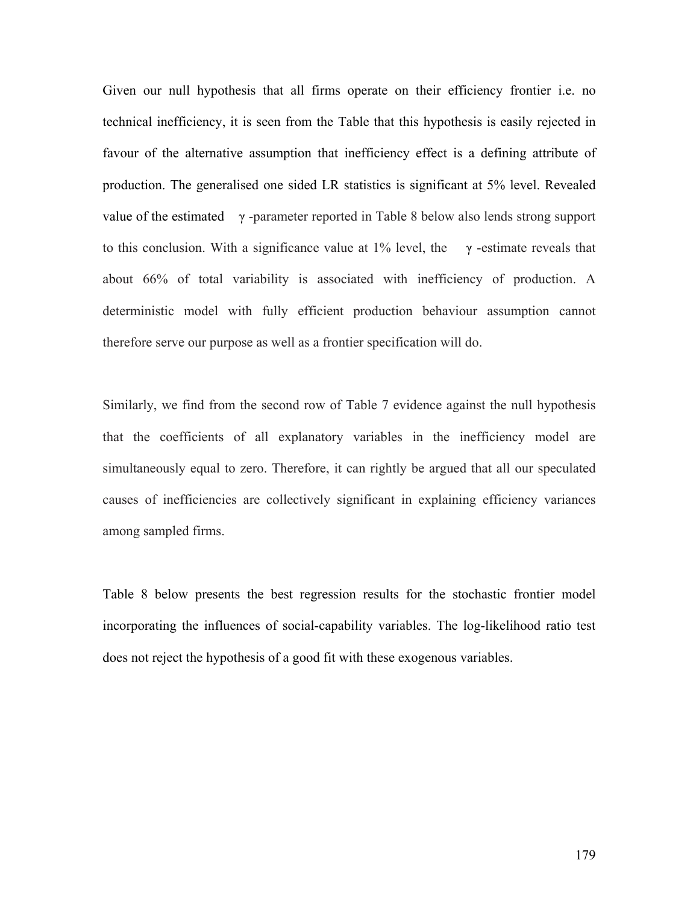Given our null hypothesis that all firms operate on their efficiency frontier i.e. no technical inefficiency, it is seen from the Table that this hypothesis is easily rejected in favour of the alternative assumption that inefficiency effect is a defining attribute of production. The generalised one sided LR statistics is significant at 5% level. Revealed value of the estimated  $\gamma$ -parameter reported in Table 8 below also lends strong support to this conclusion. With a significance value at 1% level, the  $\gamma$ -estimate reveals that about 66% of total variability is associated with inefficiency of production. A deterministic model with fully efficient production behaviour assumption cannot therefore serve our purpose as well as a frontier specification will do.

Similarly, we find from the second row of Table 7 evidence against the null hypothesis that the coefficients of all explanatory variables in the inefficiency model are simultaneously equal to zero. Therefore, it can rightly be argued that all our speculated causes of inefficiencies are collectively significant in explaining efficiency variances among sampled firms.

Table 8 below presents the best regression results for the stochastic frontier model incorporating the influences of social-capability variables. The log-likelihood ratio test does not reject the hypothesis of a good fit with these exogenous variables.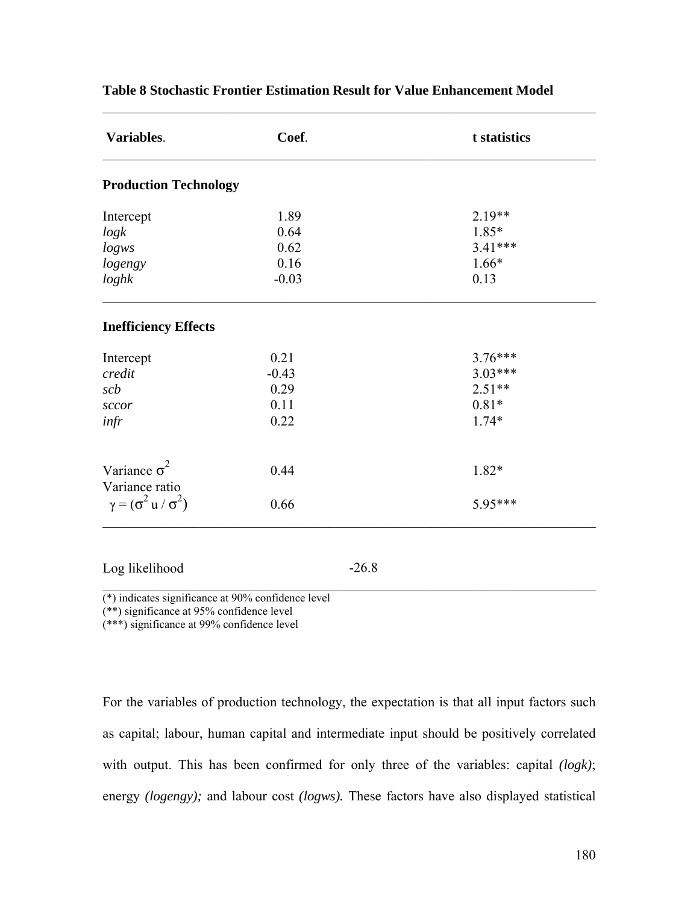| 1.89<br>0.64<br>0.62<br>0.16<br>$-0.03$<br>0.21 | $2.19**$<br>$1.85*$<br>3.41***<br>$1.66*$<br>0.13 |
|-------------------------------------------------|---------------------------------------------------|
|                                                 |                                                   |
|                                                 |                                                   |
|                                                 |                                                   |
|                                                 |                                                   |
|                                                 |                                                   |
|                                                 |                                                   |
|                                                 |                                                   |
|                                                 | $3.76***$                                         |
| $-0.43$                                         | $3.03***$                                         |
| 0.29                                            | $2.51**$                                          |
| 0.11                                            | $0.81*$                                           |
| 0.22                                            | $1.74*$                                           |
| 0.44                                            | 1.82*                                             |
|                                                 |                                                   |
|                                                 | 5.95***                                           |
|                                                 | 0.66<br>$-26.8$                                   |

## **Table 8 Stochastic Frontier Estimation Result for Value Enhancement Model**

 $\mathcal{L}_\text{max}$  , and the contribution of the contribution of the contribution of the contribution of the contribution of the contribution of the contribution of the contribution of the contribution of the contribution of t

 $\mathcal{L}_\text{max}$  , and the contribution of the contribution of the contribution of the contribution of the contribution of the contribution of the contribution of the contribution of the contribution of the contribution of t (\*) indicates significance at 90% confidence level

(\*\*) significance at 95% confidence level

(\*\*\*) significance at 99% confidence level

For the variables of production technology, the expectation is that all input factors such as capital; labour, human capital and intermediate input should be positively correlated with output. This has been confirmed for only three of the variables: capital *(logk)*; energy *(logengy);* and labour cost *(logws).* These factors have also displayed statistical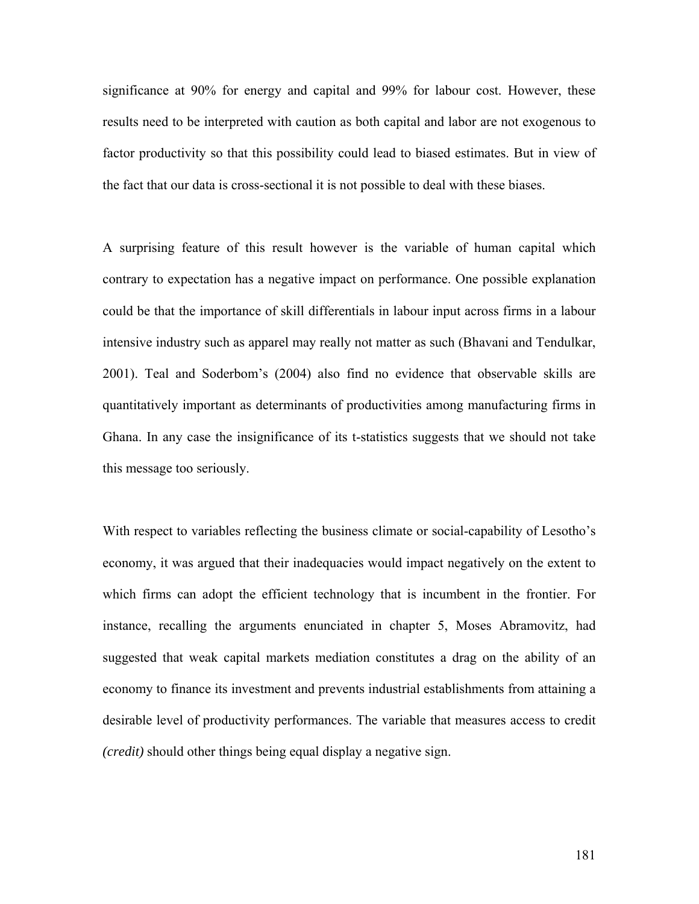significance at 90% for energy and capital and 99% for labour cost. However, these results need to be interpreted with caution as both capital and labor are not exogenous to factor productivity so that this possibility could lead to biased estimates. But in view of the fact that our data is cross-sectional it is not possible to deal with these biases.

A surprising feature of this result however is the variable of human capital which contrary to expectation has a negative impact on performance. One possible explanation could be that the importance of skill differentials in labour input across firms in a labour intensive industry such as apparel may really not matter as such (Bhavani and Tendulkar, 2001). Teal and Soderbom's (2004) also find no evidence that observable skills are quantitatively important as determinants of productivities among manufacturing firms in Ghana. In any case the insignificance of its t-statistics suggests that we should not take this message too seriously.

With respect to variables reflecting the business climate or social-capability of Lesotho's economy, it was argued that their inadequacies would impact negatively on the extent to which firms can adopt the efficient technology that is incumbent in the frontier. For instance, recalling the arguments enunciated in chapter 5, Moses Abramovitz, had suggested that weak capital markets mediation constitutes a drag on the ability of an economy to finance its investment and prevents industrial establishments from attaining a desirable level of productivity performances. The variable that measures access to credit *(credit)* should other things being equal display a negative sign.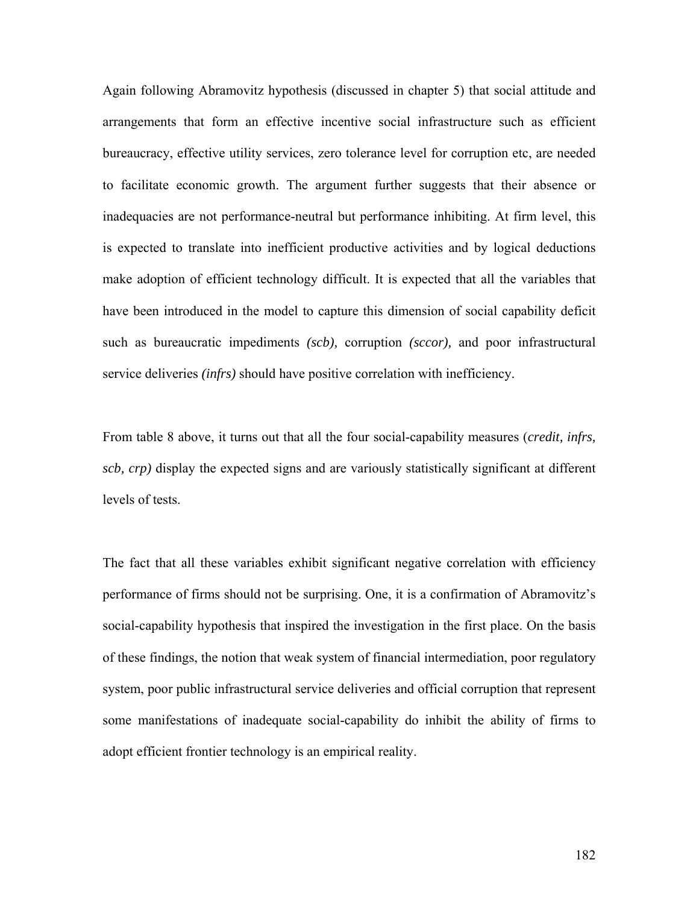Again following Abramovitz hypothesis (discussed in chapter 5) that social attitude and arrangements that form an effective incentive social infrastructure such as efficient bureaucracy, effective utility services, zero tolerance level for corruption etc, are needed to facilitate economic growth. The argument further suggests that their absence or inadequacies are not performance-neutral but performance inhibiting. At firm level, this is expected to translate into inefficient productive activities and by logical deductions make adoption of efficient technology difficult. It is expected that all the variables that have been introduced in the model to capture this dimension of social capability deficit such as bureaucratic impediments *(scb),* corruption *(sccor),* and poor infrastructural service deliveries *(infrs)* should have positive correlation with inefficiency.

From table 8 above, it turns out that all the four social-capability measures (*credit, infrs, scb, crp)* display the expected signs and are variously statistically significant at different levels of tests.

The fact that all these variables exhibit significant negative correlation with efficiency performance of firms should not be surprising. One, it is a confirmation of Abramovitz's social-capability hypothesis that inspired the investigation in the first place. On the basis of these findings, the notion that weak system of financial intermediation, poor regulatory system, poor public infrastructural service deliveries and official corruption that represent some manifestations of inadequate social-capability do inhibit the ability of firms to adopt efficient frontier technology is an empirical reality.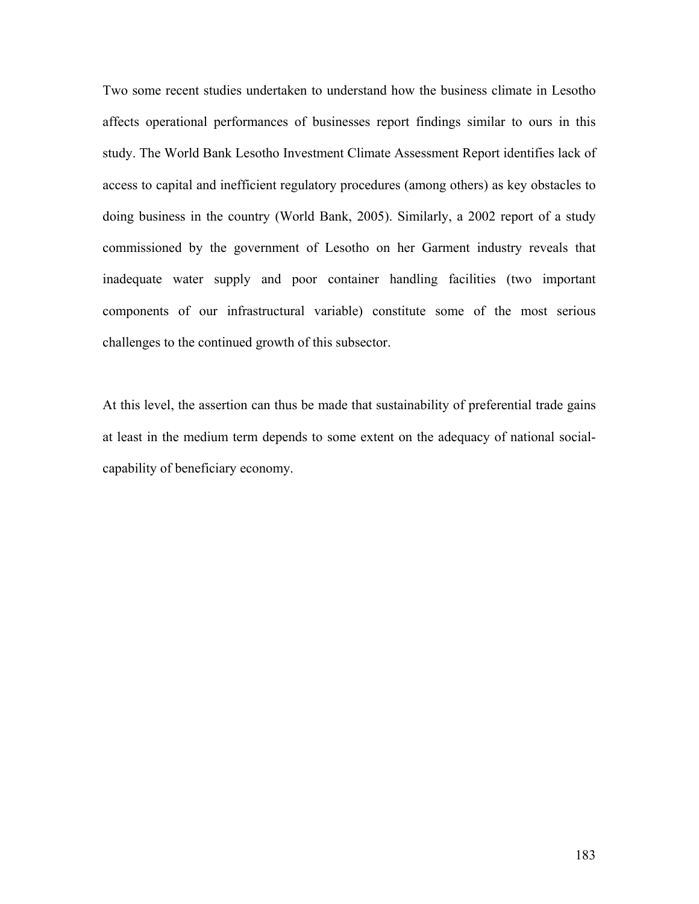Two some recent studies undertaken to understand how the business climate in Lesotho affects operational performances of businesses report findings similar to ours in this study. The World Bank Lesotho Investment Climate Assessment Report identifies lack of access to capital and inefficient regulatory procedures (among others) as key obstacles to doing business in the country (World Bank, 2005). Similarly, a 2002 report of a study commissioned by the government of Lesotho on her Garment industry reveals that inadequate water supply and poor container handling facilities (two important components of our infrastructural variable) constitute some of the most serious challenges to the continued growth of this subsector.

At this level, the assertion can thus be made that sustainability of preferential trade gains at least in the medium term depends to some extent on the adequacy of national socialcapability of beneficiary economy.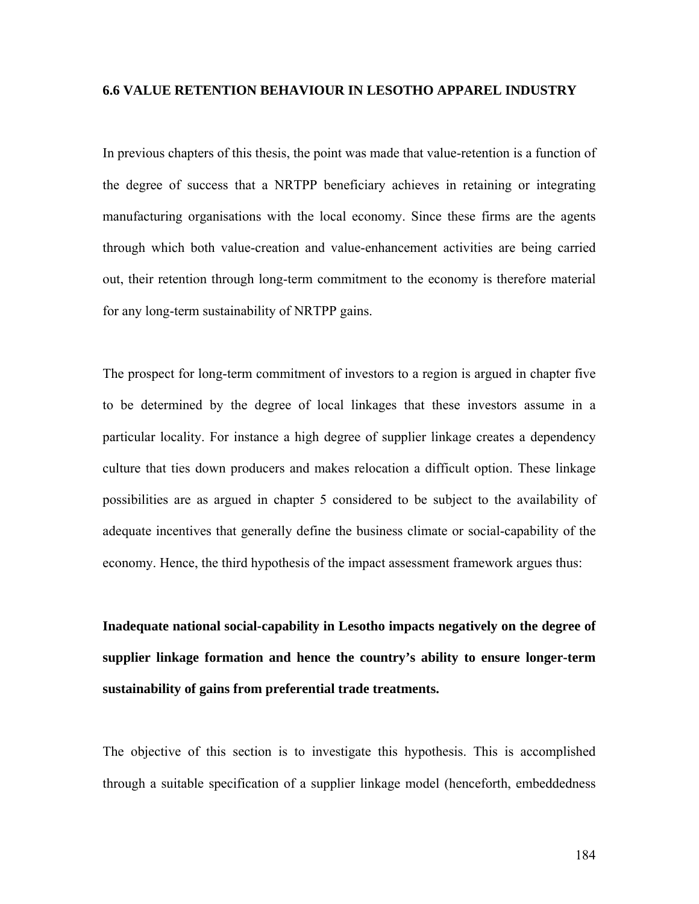#### **6.6 VALUE RETENTION BEHAVIOUR IN LESOTHO APPAREL INDUSTRY**

In previous chapters of this thesis, the point was made that value-retention is a function of the degree of success that a NRTPP beneficiary achieves in retaining or integrating manufacturing organisations with the local economy. Since these firms are the agents through which both value-creation and value-enhancement activities are being carried out, their retention through long-term commitment to the economy is therefore material for any long-term sustainability of NRTPP gains.

The prospect for long-term commitment of investors to a region is argued in chapter five to be determined by the degree of local linkages that these investors assume in a particular locality. For instance a high degree of supplier linkage creates a dependency culture that ties down producers and makes relocation a difficult option. These linkage possibilities are as argued in chapter 5 considered to be subject to the availability of adequate incentives that generally define the business climate or social-capability of the economy. Hence, the third hypothesis of the impact assessment framework argues thus:

**Inadequate national social-capability in Lesotho impacts negatively on the degree of supplier linkage formation and hence the country's ability to ensure longer-term sustainability of gains from preferential trade treatments.**

The objective of this section is to investigate this hypothesis. This is accomplished through a suitable specification of a supplier linkage model (henceforth, embeddedness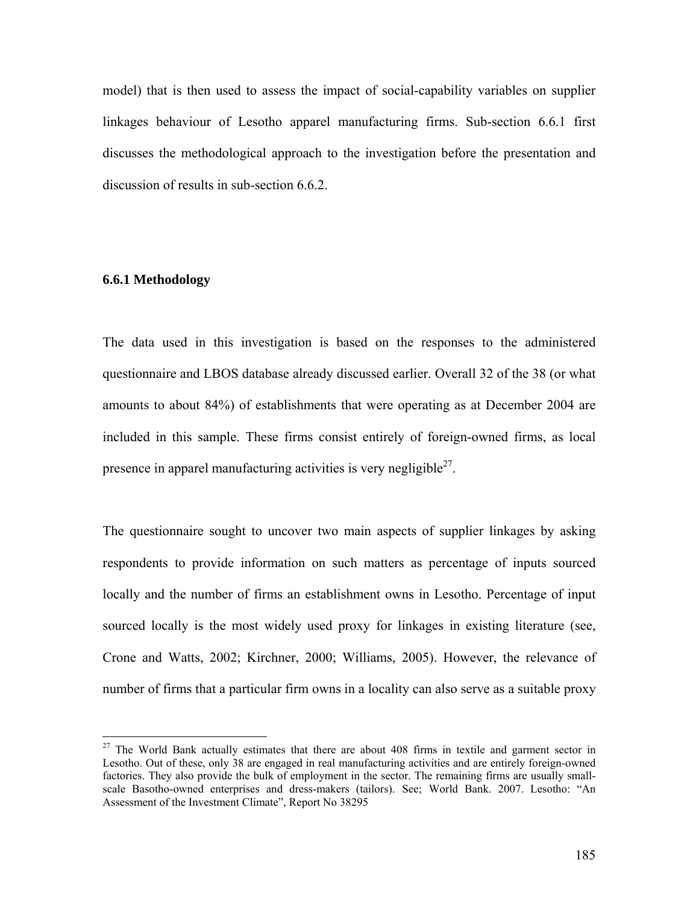model) that is then used to assess the impact of social-capability variables on supplier linkages behaviour of Lesotho apparel manufacturing firms. Sub-section 6.6.1 first discusses the methodological approach to the investigation before the presentation and discussion of results in sub-section 6.6.2.

### **6.6.1 Methodology**

 $\overline{a}$ 

The data used in this investigation is based on the responses to the administered questionnaire and LBOS database already discussed earlier. Overall 32 of the 38 (or what amounts to about 84%) of establishments that were operating as at December 2004 are included in this sample. These firms consist entirely of foreign-owned firms, as local presence in apparel manufacturing activities is very negligible $^{27}$ .

The questionnaire sought to uncover two main aspects of supplier linkages by asking respondents to provide information on such matters as percentage of inputs sourced locally and the number of firms an establishment owns in Lesotho. Percentage of input sourced locally is the most widely used proxy for linkages in existing literature (see, Crone and Watts, 2002; Kirchner, 2000; Williams, 2005). However, the relevance of number of firms that a particular firm owns in a locality can also serve as a suitable proxy

 $27$  The World Bank actually estimates that there are about 408 firms in textile and garment sector in Lesotho. Out of these, only 38 are engaged in real manufacturing activities and are entirely foreign-owned factories. They also provide the bulk of employment in the sector. The remaining firms are usually smallscale Basotho-owned enterprises and dress-makers (tailors). See; World Bank. 2007. Lesotho: "An Assessment of the Investment Climate", Report No 38295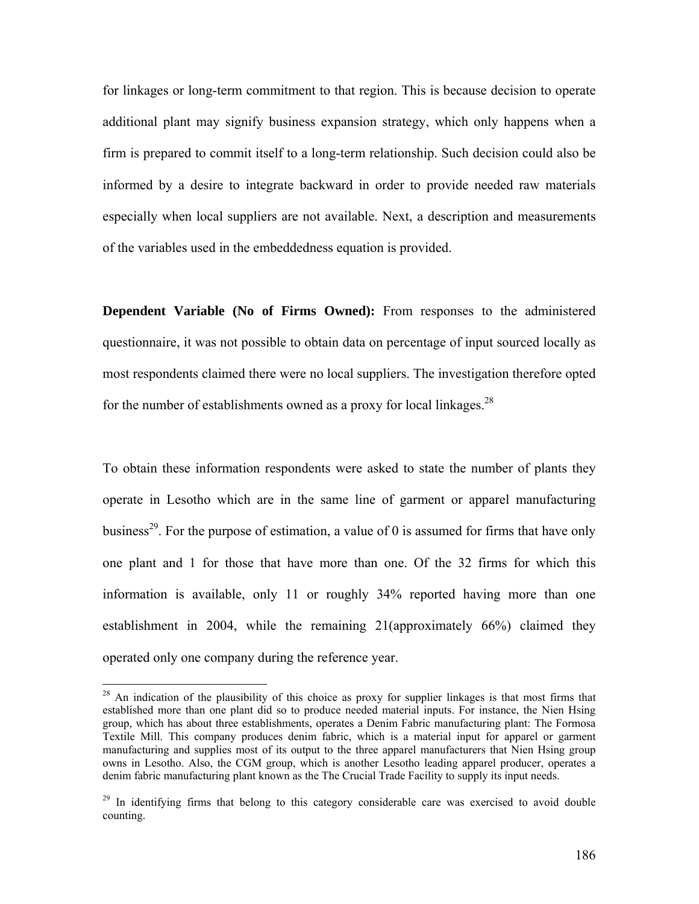for linkages or long-term commitment to that region. This is because decision to operate additional plant may signify business expansion strategy, which only happens when a firm is prepared to commit itself to a long-term relationship. Such decision could also be informed by a desire to integrate backward in order to provide needed raw materials especially when local suppliers are not available. Next, a description and measurements of the variables used in the embeddedness equation is provided.

**Dependent Variable (No of Firms Owned):** From responses to the administered questionnaire, it was not possible to obtain data on percentage of input sourced locally as most respondents claimed there were no local suppliers. The investigation therefore opted for the number of establishments owned as a proxy for local linkages. $^{28}$ 

To obtain these information respondents were asked to state the number of plants they operate in Lesotho which are in the same line of garment or apparel manufacturing business<sup>29</sup>. For the purpose of estimation, a value of 0 is assumed for firms that have only one plant and 1 for those that have more than one. Of the 32 firms for which this information is available, only 11 or roughly 34% reported having more than one establishment in 2004, while the remaining 21(approximately 66%) claimed they operated only one company during the reference year.

1

<sup>&</sup>lt;sup>28</sup> An indication of the plausibility of this choice as proxy for supplier linkages is that most firms that established more than one plant did so to produce needed material inputs. For instance, the Nien Hsing group, which has about three establishments, operates a Denim Fabric manufacturing plant: The Formosa Textile Mill. This company produces denim fabric, which is a material input for apparel or garment manufacturing and supplies most of its output to the three apparel manufacturers that Nien Hsing group owns in Lesotho. Also, the CGM group, which is another Lesotho leading apparel producer, operates a denim fabric manufacturing plant known as the The Crucial Trade Facility to supply its input needs.

<sup>&</sup>lt;sup>29</sup> In identifying firms that belong to this category considerable care was exercised to avoid double counting.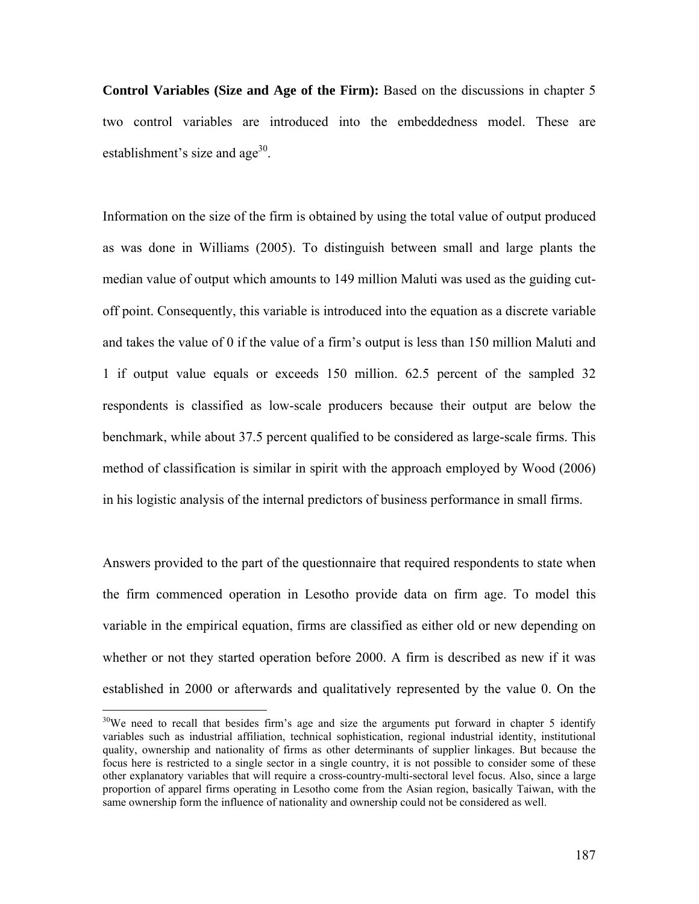**Control Variables (Size and Age of the Firm):** Based on the discussions in chapter 5 two control variables are introduced into the embeddedness model. These are establishment's size and age $30$ .

Information on the size of the firm is obtained by using the total value of output produced as was done in Williams (2005). To distinguish between small and large plants the median value of output which amounts to 149 million Maluti was used as the guiding cutoff point. Consequently, this variable is introduced into the equation as a discrete variable and takes the value of 0 if the value of a firm's output is less than 150 million Maluti and 1 if output value equals or exceeds 150 million. 62.5 percent of the sampled 32 respondents is classified as low-scale producers because their output are below the benchmark, while about 37.5 percent qualified to be considered as large-scale firms. This method of classification is similar in spirit with the approach employed by Wood (2006) in his logistic analysis of the internal predictors of business performance in small firms.

Answers provided to the part of the questionnaire that required respondents to state when the firm commenced operation in Lesotho provide data on firm age. To model this variable in the empirical equation, firms are classified as either old or new depending on whether or not they started operation before 2000. A firm is described as new if it was established in 2000 or afterwards and qualitatively represented by the value 0. On the

1

 $30\text{We need to recall that besides firm's age and size the arguments put forward in chapter 5 identity.}$ variables such as industrial affiliation, technical sophistication, regional industrial identity, institutional quality, ownership and nationality of firms as other determinants of supplier linkages. But because the focus here is restricted to a single sector in a single country, it is not possible to consider some of these other explanatory variables that will require a cross-country-multi-sectoral level focus. Also, since a large proportion of apparel firms operating in Lesotho come from the Asian region, basically Taiwan, with the same ownership form the influence of nationality and ownership could not be considered as well.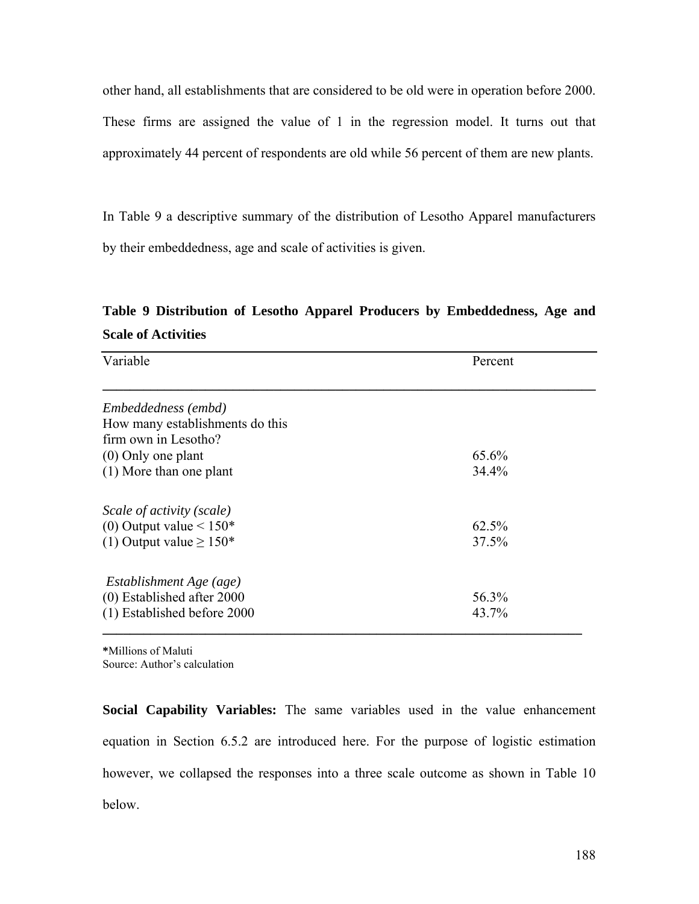other hand, all establishments that are considered to be old were in operation before 2000. These firms are assigned the value of 1 in the regression model. It turns out that approximately 44 percent of respondents are old while 56 percent of them are new plants.

In Table 9 a descriptive summary of the distribution of Lesotho Apparel manufacturers by their embeddedness, age and scale of activities is given.

# **Table 9 Distribution of Lesotho Apparel Producers by Embeddedness, Age and Scale of Activities**

| Variable                        | Percent |
|---------------------------------|---------|
| Embeddedness (embd)             |         |
| How many establishments do this |         |
| firm own in Lesotho?            |         |
| $(0)$ Only one plant            | 65.6%   |
| $(1)$ More than one plant       | 34.4%   |
| Scale of activity (scale)       |         |
| (0) Output value $< 150*$       | 62.5%   |
| (1) Output value $\geq 150^*$   | 37.5%   |
| Establishment Age (age)         |         |
| $(0)$ Established after 2000    | 56.3%   |
| (1) Established before 2000     | 43.7%   |

**\***Millions of Maluti Source: Author's calculation

**Social Capability Variables:** The same variables used in the value enhancement equation in Section 6.5.2 are introduced here. For the purpose of logistic estimation however, we collapsed the responses into a three scale outcome as shown in Table 10 below.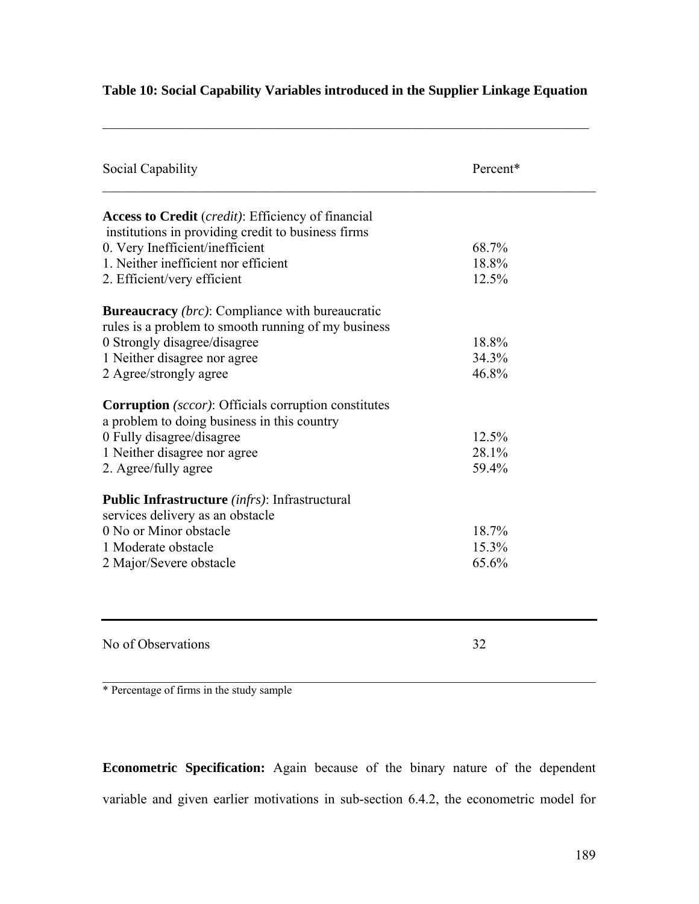| Social Capability                                                                                             | Percent* |  |
|---------------------------------------------------------------------------------------------------------------|----------|--|
| <b>Access to Credit</b> ( <i>credit</i> ): Efficiency of financial                                            |          |  |
| institutions in providing credit to business firms                                                            | 68.7%    |  |
| 0. Very Inefficient/inefficient<br>1. Neither inefficient nor efficient                                       | 18.8%    |  |
|                                                                                                               | 12.5%    |  |
| 2. Efficient/very efficient                                                                                   |          |  |
| <b>Bureaucracy</b> (brc): Compliance with bureaucratic<br>rules is a problem to smooth running of my business |          |  |
|                                                                                                               | 18.8%    |  |
| 0 Strongly disagree/disagree<br>1 Neither disagree nor agree                                                  | 34.3%    |  |
| 2 Agree/strongly agree                                                                                        | 46.8%    |  |
|                                                                                                               |          |  |
| <b>Corruption</b> (sccor): Officials corruption constitutes                                                   |          |  |
| a problem to doing business in this country                                                                   |          |  |
| 0 Fully disagree/disagree                                                                                     | 12.5%    |  |
| 1 Neither disagree nor agree                                                                                  | 28.1%    |  |
| 2. Agree/fully agree                                                                                          | 59.4%    |  |
|                                                                                                               |          |  |
| <b>Public Infrastructure</b> <i>(infrs)</i> : Infrastructural                                                 |          |  |
| services delivery as an obstacle                                                                              |          |  |
| 0 No or Minor obstacle                                                                                        | 18.7%    |  |
| 1 Moderate obstacle                                                                                           | 15.3%    |  |
| 2 Major/Severe obstacle                                                                                       | 65.6%    |  |
|                                                                                                               |          |  |
|                                                                                                               |          |  |
|                                                                                                               |          |  |
| No of Observations                                                                                            | 32       |  |

# **Table 10: Social Capability Variables introduced in the Supplier Linkage Equation**

 $\mathcal{L}_\mathcal{L} = \mathcal{L}_\mathcal{L} = \mathcal{L}_\mathcal{L} = \mathcal{L}_\mathcal{L} = \mathcal{L}_\mathcal{L} = \mathcal{L}_\mathcal{L} = \mathcal{L}_\mathcal{L} = \mathcal{L}_\mathcal{L} = \mathcal{L}_\mathcal{L} = \mathcal{L}_\mathcal{L} = \mathcal{L}_\mathcal{L} = \mathcal{L}_\mathcal{L} = \mathcal{L}_\mathcal{L} = \mathcal{L}_\mathcal{L} = \mathcal{L}_\mathcal{L} = \mathcal{L}_\mathcal{L} = \mathcal{L}_\mathcal{L}$ 

 $\mathcal{L}_\text{max} = \mathcal{L}_\text{max} = \mathcal{L}_\text{max} = \mathcal{L}_\text{max} = \mathcal{L}_\text{max} = \mathcal{L}_\text{max} = \mathcal{L}_\text{max} = \mathcal{L}_\text{max} = \mathcal{L}_\text{max} = \mathcal{L}_\text{max} = \mathcal{L}_\text{max} = \mathcal{L}_\text{max} = \mathcal{L}_\text{max} = \mathcal{L}_\text{max} = \mathcal{L}_\text{max} = \mathcal{L}_\text{max} = \mathcal{L}_\text{max} = \mathcal{L}_\text{max} = \mathcal{$ \* Percentage of firms in the study sample

**Econometric Specification:** Again because of the binary nature of the dependent variable and given earlier motivations in sub-section 6.4.2, the econometric model for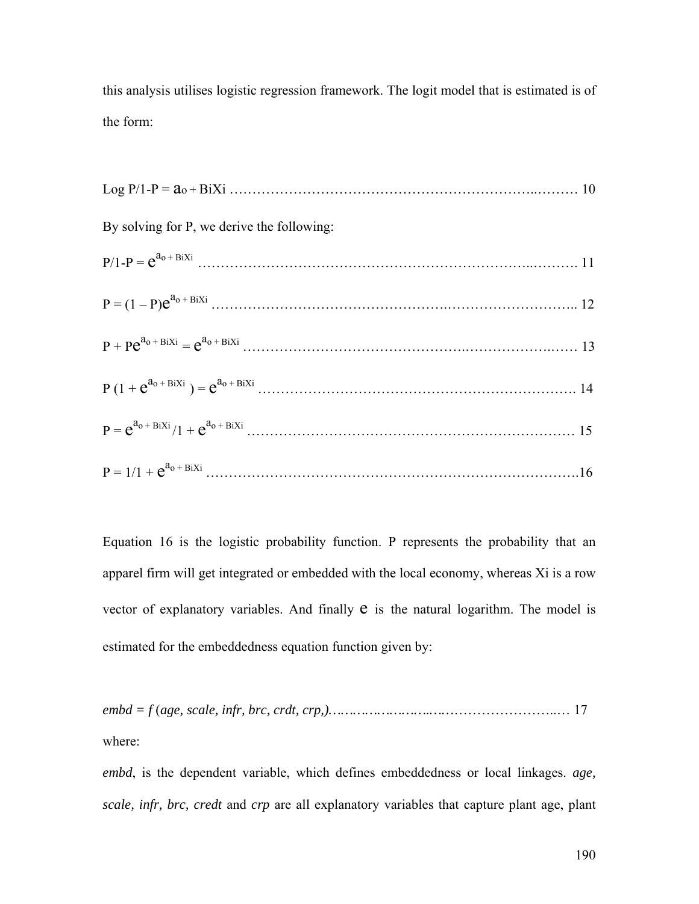this analysis utilises logistic regression framework. The logit model that is estimated is of the form:

| By solving for P, we derive the following: |  |
|--------------------------------------------|--|
|                                            |  |
|                                            |  |
|                                            |  |
|                                            |  |
|                                            |  |
|                                            |  |

Equation 16 is the logistic probability function. P represents the probability that an apparel firm will get integrated or embedded with the local economy, whereas Xi is a row vector of explanatory variables. And finally  $e$  is the natural logarithm. The model is estimated for the embeddedness equation function given by:

*embd = f* (*age, scale, infr, brc, crdt, crp,)…………………….……*…………………..… 17 where:

*embd*, is the dependent variable, which defines embeddedness or local linkages. *age, scale, infr, brc, credt* and *crp* are all explanatory variables that capture plant age, plant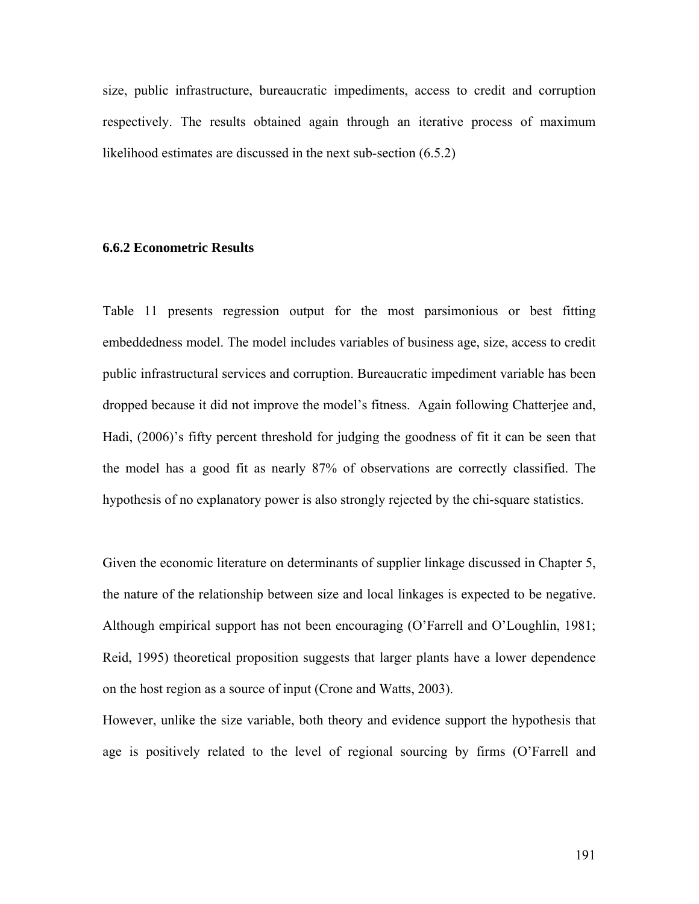size, public infrastructure, bureaucratic impediments, access to credit and corruption respectively. The results obtained again through an iterative process of maximum likelihood estimates are discussed in the next sub-section (6.5.2)

#### **6.6.2 Econometric Results**

Table 11 presents regression output for the most parsimonious or best fitting embeddedness model. The model includes variables of business age, size, access to credit public infrastructural services and corruption. Bureaucratic impediment variable has been dropped because it did not improve the model's fitness. Again following Chatterjee and, Hadi, (2006)'s fifty percent threshold for judging the goodness of fit it can be seen that the model has a good fit as nearly 87% of observations are correctly classified. The hypothesis of no explanatory power is also strongly rejected by the chi-square statistics.

Given the economic literature on determinants of supplier linkage discussed in Chapter 5, the nature of the relationship between size and local linkages is expected to be negative. Although empirical support has not been encouraging (O'Farrell and O'Loughlin, 1981; Reid, 1995) theoretical proposition suggests that larger plants have a lower dependence on the host region as a source of input (Crone and Watts, 2003).

However, unlike the size variable, both theory and evidence support the hypothesis that age is positively related to the level of regional sourcing by firms (O'Farrell and

191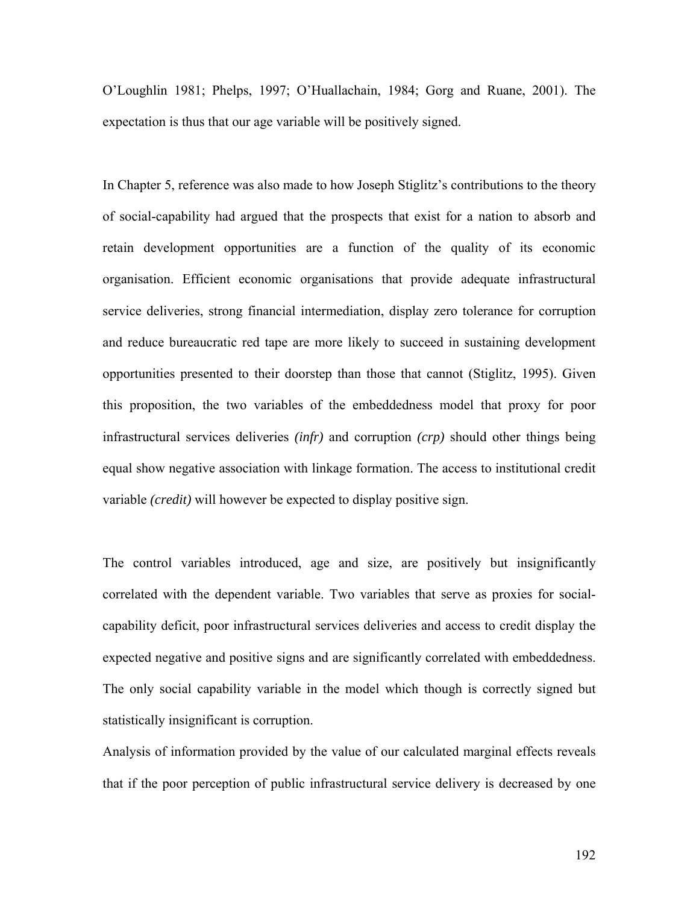O'Loughlin 1981; Phelps, 1997; O'Huallachain, 1984; Gorg and Ruane, 2001). The expectation is thus that our age variable will be positively signed.

In Chapter 5, reference was also made to how Joseph Stiglitz's contributions to the theory of social-capability had argued that the prospects that exist for a nation to absorb and retain development opportunities are a function of the quality of its economic organisation. Efficient economic organisations that provide adequate infrastructural service deliveries, strong financial intermediation, display zero tolerance for corruption and reduce bureaucratic red tape are more likely to succeed in sustaining development opportunities presented to their doorstep than those that cannot (Stiglitz, 1995). Given this proposition, the two variables of the embeddedness model that proxy for poor infrastructural services deliveries *(infr)* and corruption *(crp)* should other things being equal show negative association with linkage formation. The access to institutional credit variable *(credit)* will however be expected to display positive sign.

The control variables introduced, age and size, are positively but insignificantly correlated with the dependent variable. Two variables that serve as proxies for socialcapability deficit, poor infrastructural services deliveries and access to credit display the expected negative and positive signs and are significantly correlated with embeddedness. The only social capability variable in the model which though is correctly signed but statistically insignificant is corruption.

Analysis of information provided by the value of our calculated marginal effects reveals that if the poor perception of public infrastructural service delivery is decreased by one

192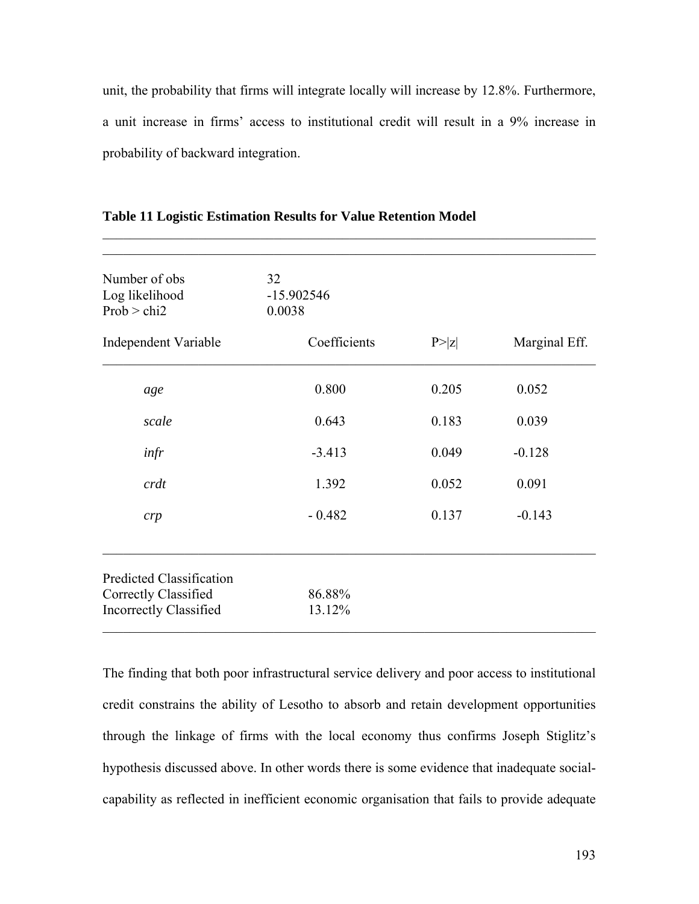unit, the probability that firms will integrate locally will increase by 12.8%. Furthermore, a unit increase in firms' access to institutional credit will result in a 9% increase in probability of backward integration.

 $\mathcal{L}_\text{max} = \mathcal{L}_\text{max} = \mathcal{L}_\text{max} = \mathcal{L}_\text{max} = \mathcal{L}_\text{max} = \mathcal{L}_\text{max} = \mathcal{L}_\text{max} = \mathcal{L}_\text{max} = \mathcal{L}_\text{max} = \mathcal{L}_\text{max} = \mathcal{L}_\text{max} = \mathcal{L}_\text{max} = \mathcal{L}_\text{max} = \mathcal{L}_\text{max} = \mathcal{L}_\text{max} = \mathcal{L}_\text{max} = \mathcal{L}_\text{max} = \mathcal{L}_\text{max} = \mathcal{$ 

| Number of obs<br>Log likelihood<br>Prob > chi2        | 32<br>$-15.902546$<br>0.0038 |        |               |
|-------------------------------------------------------|------------------------------|--------|---------------|
| Independent Variable                                  | Coefficients                 | P >  z | Marginal Eff. |
| age                                                   | 0.800                        | 0.205  | 0.052         |
| scale                                                 | 0.643                        | 0.183  | 0.039         |
| infr                                                  | $-3.413$                     | 0.049  | $-0.128$      |
| crdt                                                  | 1.392                        | 0.052  | 0.091         |
| crp                                                   | $-0.482$                     | 0.137  | $-0.143$      |
| Predicted Classification                              |                              |        |               |
| Correctly Classified<br><b>Incorrectly Classified</b> | 86.88%<br>13.12%             |        |               |

**Table 11 Logistic Estimation Results for Value Retention Model** 

The finding that both poor infrastructural service delivery and poor access to institutional credit constrains the ability of Lesotho to absorb and retain development opportunities through the linkage of firms with the local economy thus confirms Joseph Stiglitz's hypothesis discussed above. In other words there is some evidence that inadequate socialcapability as reflected in inefficient economic organisation that fails to provide adequate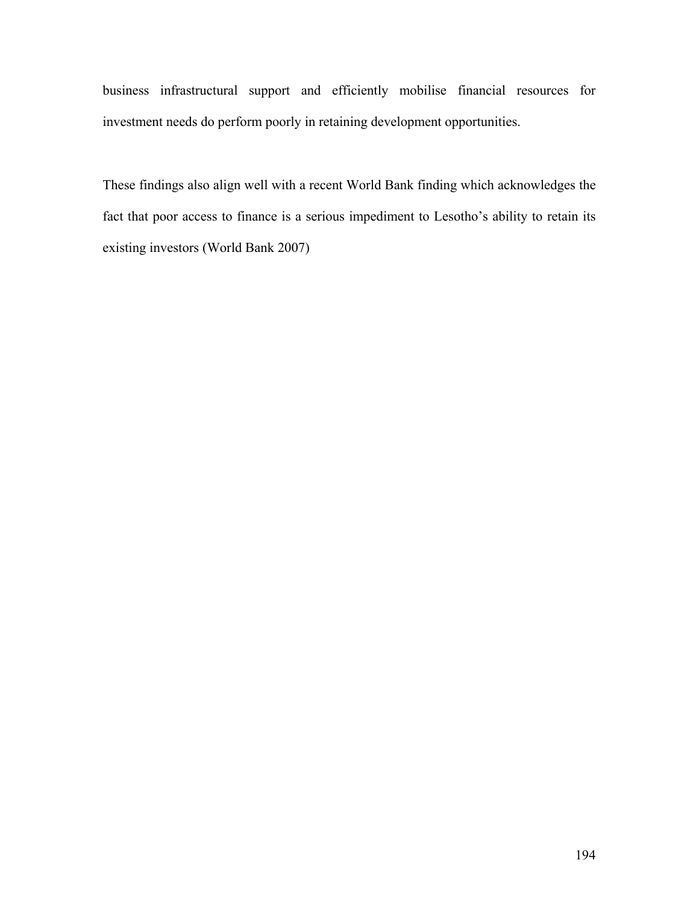business infrastructural support and efficiently mobilise financial resources for investment needs do perform poorly in retaining development opportunities.

These findings also align well with a recent World Bank finding which acknowledges the fact that poor access to finance is a serious impediment to Lesotho's ability to retain its existing investors (World Bank 2007)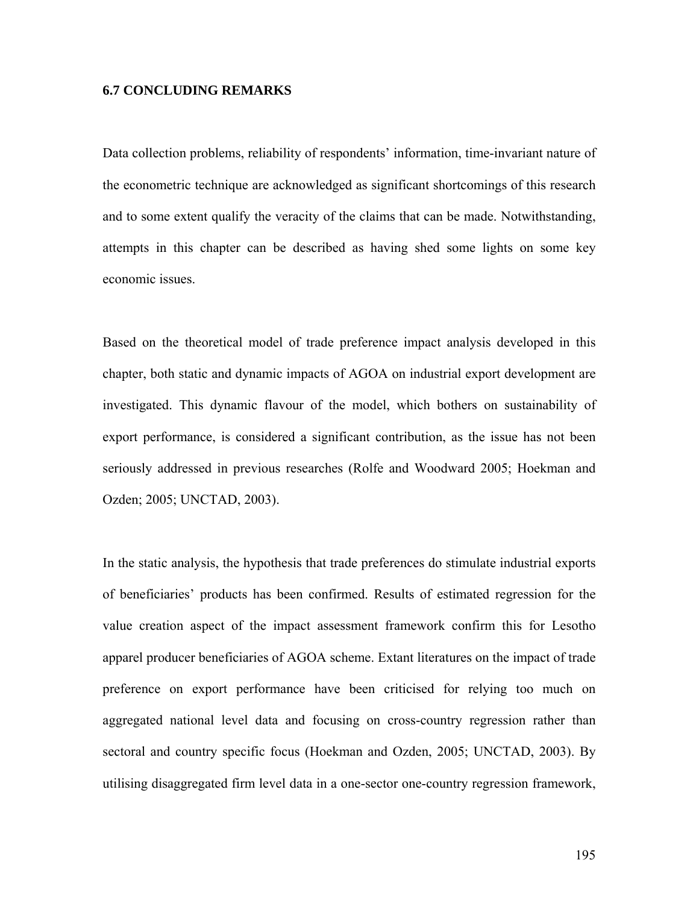#### **6.7 CONCLUDING REMARKS**

Data collection problems, reliability of respondents' information, time-invariant nature of the econometric technique are acknowledged as significant shortcomings of this research and to some extent qualify the veracity of the claims that can be made. Notwithstanding, attempts in this chapter can be described as having shed some lights on some key economic issues.

Based on the theoretical model of trade preference impact analysis developed in this chapter, both static and dynamic impacts of AGOA on industrial export development are investigated. This dynamic flavour of the model, which bothers on sustainability of export performance, is considered a significant contribution, as the issue has not been seriously addressed in previous researches (Rolfe and Woodward 2005; Hoekman and Ozden; 2005; UNCTAD, 2003).

In the static analysis, the hypothesis that trade preferences do stimulate industrial exports of beneficiaries' products has been confirmed. Results of estimated regression for the value creation aspect of the impact assessment framework confirm this for Lesotho apparel producer beneficiaries of AGOA scheme. Extant literatures on the impact of trade preference on export performance have been criticised for relying too much on aggregated national level data and focusing on cross-country regression rather than sectoral and country specific focus (Hoekman and Ozden, 2005; UNCTAD, 2003). By utilising disaggregated firm level data in a one-sector one-country regression framework,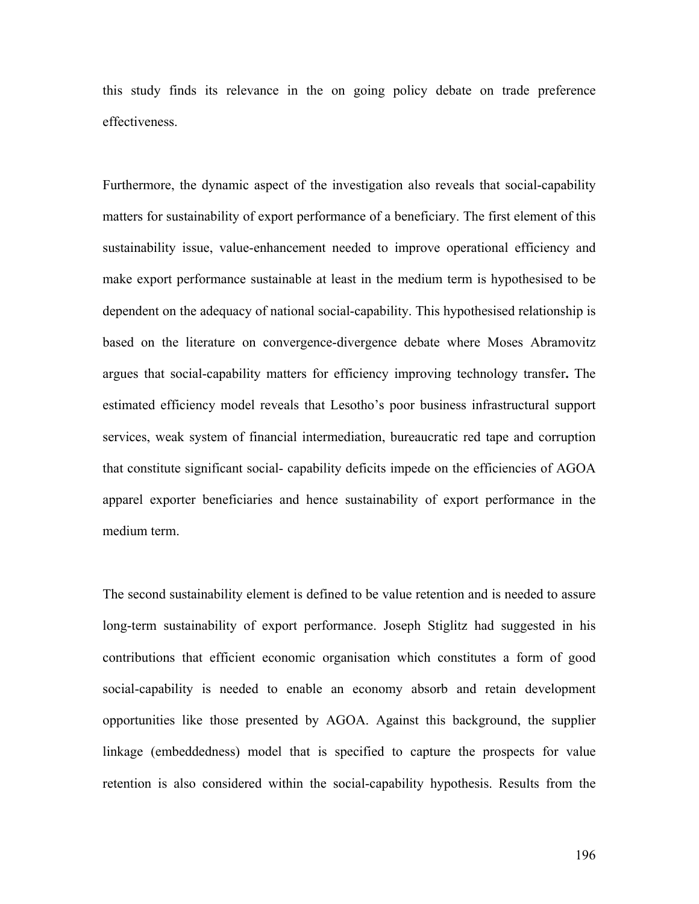this study finds its relevance in the on going policy debate on trade preference effectiveness.

Furthermore, the dynamic aspect of the investigation also reveals that social-capability matters for sustainability of export performance of a beneficiary. The first element of this sustainability issue, value-enhancement needed to improve operational efficiency and make export performance sustainable at least in the medium term is hypothesised to be dependent on the adequacy of national social-capability. This hypothesised relationship is based on the literature on convergence-divergence debate where Moses Abramovitz argues that social-capability matters for efficiency improving technology transfer**.** The estimated efficiency model reveals that Lesotho's poor business infrastructural support services, weak system of financial intermediation, bureaucratic red tape and corruption that constitute significant social- capability deficits impede on the efficiencies of AGOA apparel exporter beneficiaries and hence sustainability of export performance in the medium term.

The second sustainability element is defined to be value retention and is needed to assure long-term sustainability of export performance. Joseph Stiglitz had suggested in his contributions that efficient economic organisation which constitutes a form of good social-capability is needed to enable an economy absorb and retain development opportunities like those presented by AGOA. Against this background, the supplier linkage (embeddedness) model that is specified to capture the prospects for value retention is also considered within the social-capability hypothesis. Results from the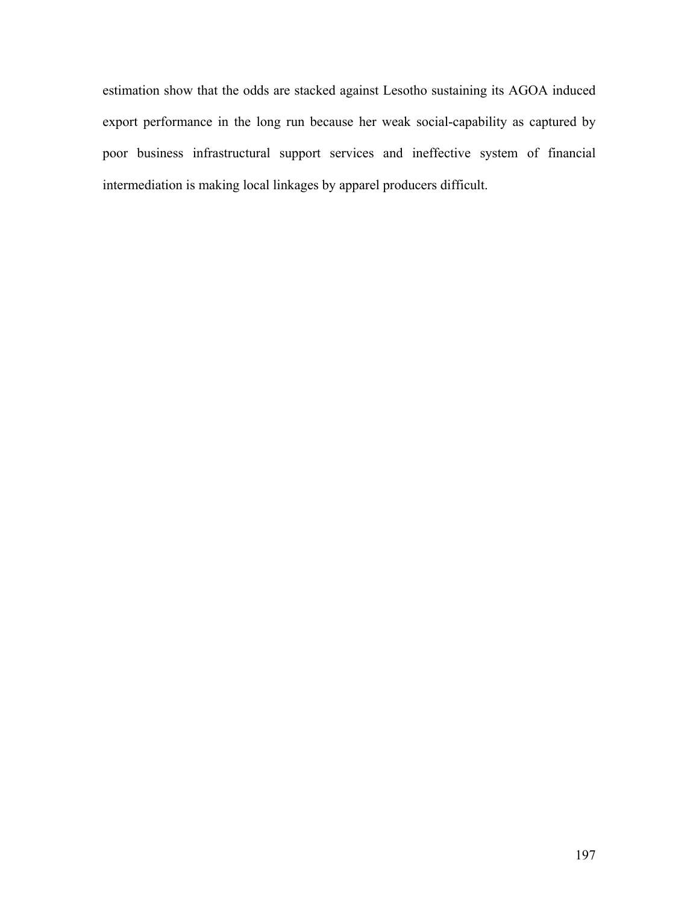estimation show that the odds are stacked against Lesotho sustaining its AGOA induced export performance in the long run because her weak social-capability as captured by poor business infrastructural support services and ineffective system of financial intermediation is making local linkages by apparel producers difficult.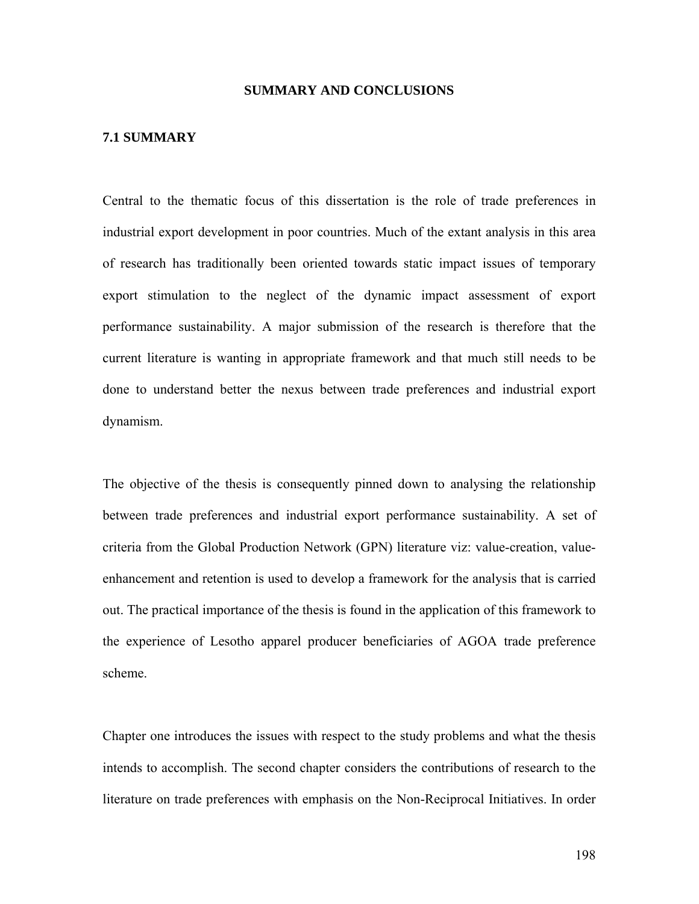#### **SUMMARY AND CONCLUSIONS**

## **7.1 SUMMARY**

Central to the thematic focus of this dissertation is the role of trade preferences in industrial export development in poor countries. Much of the extant analysis in this area of research has traditionally been oriented towards static impact issues of temporary export stimulation to the neglect of the dynamic impact assessment of export performance sustainability. A major submission of the research is therefore that the current literature is wanting in appropriate framework and that much still needs to be done to understand better the nexus between trade preferences and industrial export dynamism.

The objective of the thesis is consequently pinned down to analysing the relationship between trade preferences and industrial export performance sustainability. A set of criteria from the Global Production Network (GPN) literature viz: value-creation, valueenhancement and retention is used to develop a framework for the analysis that is carried out. The practical importance of the thesis is found in the application of this framework to the experience of Lesotho apparel producer beneficiaries of AGOA trade preference scheme.

Chapter one introduces the issues with respect to the study problems and what the thesis intends to accomplish. The second chapter considers the contributions of research to the literature on trade preferences with emphasis on the Non-Reciprocal Initiatives. In order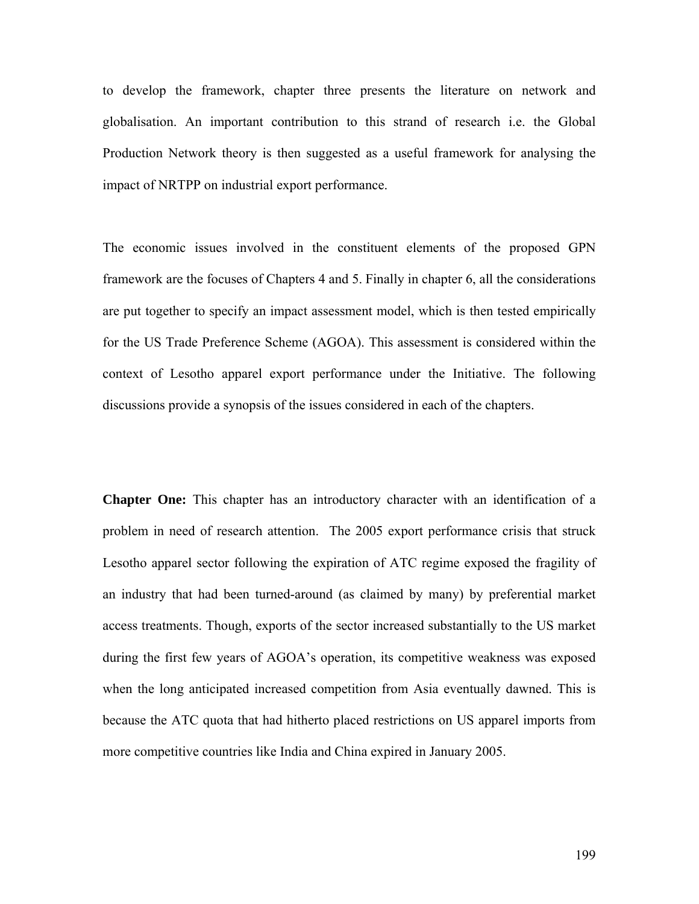to develop the framework, chapter three presents the literature on network and globalisation. An important contribution to this strand of research i.e. the Global Production Network theory is then suggested as a useful framework for analysing the impact of NRTPP on industrial export performance.

The economic issues involved in the constituent elements of the proposed GPN framework are the focuses of Chapters 4 and 5. Finally in chapter 6, all the considerations are put together to specify an impact assessment model, which is then tested empirically for the US Trade Preference Scheme (AGOA). This assessment is considered within the context of Lesotho apparel export performance under the Initiative. The following discussions provide a synopsis of the issues considered in each of the chapters.

**Chapter One:** This chapter has an introductory character with an identification of a problem in need of research attention. The 2005 export performance crisis that struck Lesotho apparel sector following the expiration of ATC regime exposed the fragility of an industry that had been turned-around (as claimed by many) by preferential market access treatments. Though, exports of the sector increased substantially to the US market during the first few years of AGOA's operation, its competitive weakness was exposed when the long anticipated increased competition from Asia eventually dawned. This is because the ATC quota that had hitherto placed restrictions on US apparel imports from more competitive countries like India and China expired in January 2005.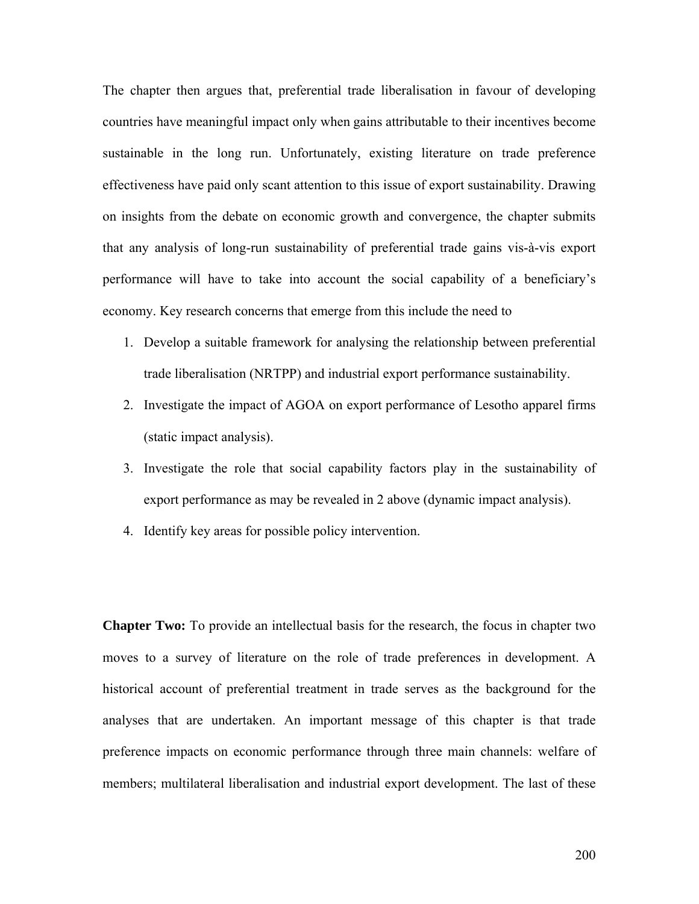The chapter then argues that, preferential trade liberalisation in favour of developing countries have meaningful impact only when gains attributable to their incentives become sustainable in the long run. Unfortunately, existing literature on trade preference effectiveness have paid only scant attention to this issue of export sustainability. Drawing on insights from the debate on economic growth and convergence, the chapter submits that any analysis of long-run sustainability of preferential trade gains vis-à-vis export performance will have to take into account the social capability of a beneficiary's economy. Key research concerns that emerge from this include the need to

- 1. Develop a suitable framework for analysing the relationship between preferential trade liberalisation (NRTPP) and industrial export performance sustainability.
- 2. Investigate the impact of AGOA on export performance of Lesotho apparel firms (static impact analysis).
- 3. Investigate the role that social capability factors play in the sustainability of export performance as may be revealed in 2 above (dynamic impact analysis).
- 4. Identify key areas for possible policy intervention.

**Chapter Two:** To provide an intellectual basis for the research, the focus in chapter two moves to a survey of literature on the role of trade preferences in development. A historical account of preferential treatment in trade serves as the background for the analyses that are undertaken. An important message of this chapter is that trade preference impacts on economic performance through three main channels: welfare of members; multilateral liberalisation and industrial export development. The last of these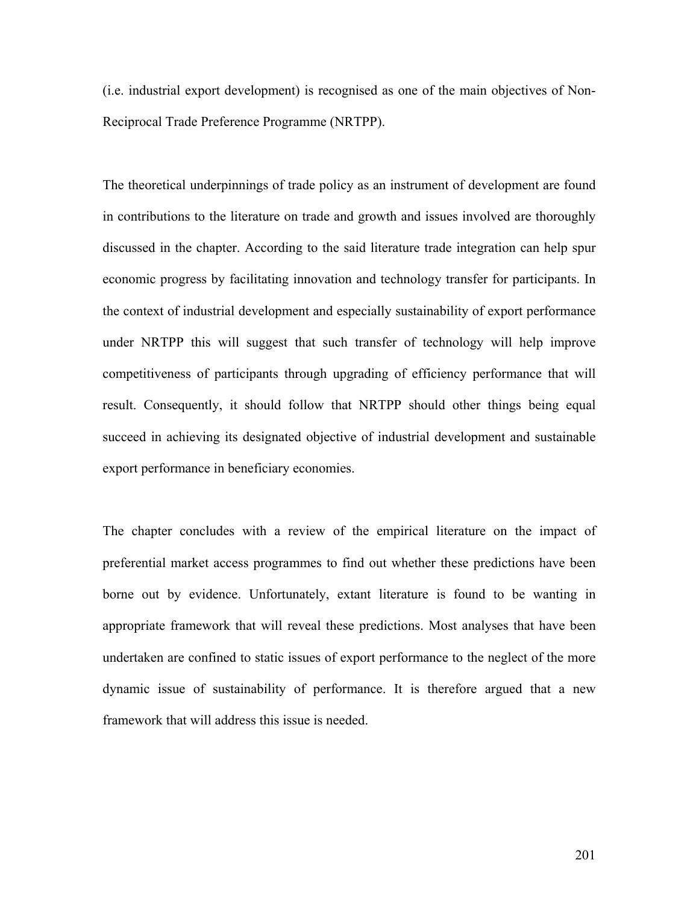(i.e. industrial export development) is recognised as one of the main objectives of Non-Reciprocal Trade Preference Programme (NRTPP).

The theoretical underpinnings of trade policy as an instrument of development are found in contributions to the literature on trade and growth and issues involved are thoroughly discussed in the chapter. According to the said literature trade integration can help spur economic progress by facilitating innovation and technology transfer for participants. In the context of industrial development and especially sustainability of export performance under NRTPP this will suggest that such transfer of technology will help improve competitiveness of participants through upgrading of efficiency performance that will result. Consequently, it should follow that NRTPP should other things being equal succeed in achieving its designated objective of industrial development and sustainable export performance in beneficiary economies.

The chapter concludes with a review of the empirical literature on the impact of preferential market access programmes to find out whether these predictions have been borne out by evidence. Unfortunately, extant literature is found to be wanting in appropriate framework that will reveal these predictions. Most analyses that have been undertaken are confined to static issues of export performance to the neglect of the more dynamic issue of sustainability of performance. It is therefore argued that a new framework that will address this issue is needed.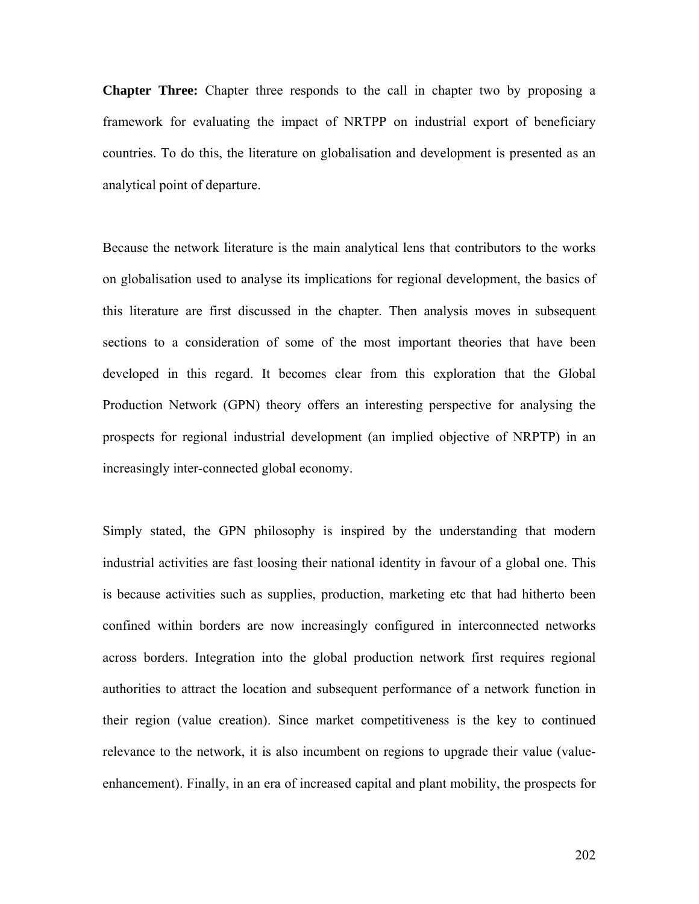**Chapter Three:** Chapter three responds to the call in chapter two by proposing a framework for evaluating the impact of NRTPP on industrial export of beneficiary countries. To do this, the literature on globalisation and development is presented as an analytical point of departure.

Because the network literature is the main analytical lens that contributors to the works on globalisation used to analyse its implications for regional development, the basics of this literature are first discussed in the chapter. Then analysis moves in subsequent sections to a consideration of some of the most important theories that have been developed in this regard. It becomes clear from this exploration that the Global Production Network (GPN) theory offers an interesting perspective for analysing the prospects for regional industrial development (an implied objective of NRPTP) in an increasingly inter-connected global economy.

Simply stated, the GPN philosophy is inspired by the understanding that modern industrial activities are fast loosing their national identity in favour of a global one. This is because activities such as supplies, production, marketing etc that had hitherto been confined within borders are now increasingly configured in interconnected networks across borders. Integration into the global production network first requires regional authorities to attract the location and subsequent performance of a network function in their region (value creation). Since market competitiveness is the key to continued relevance to the network, it is also incumbent on regions to upgrade their value (valueenhancement). Finally, in an era of increased capital and plant mobility, the prospects for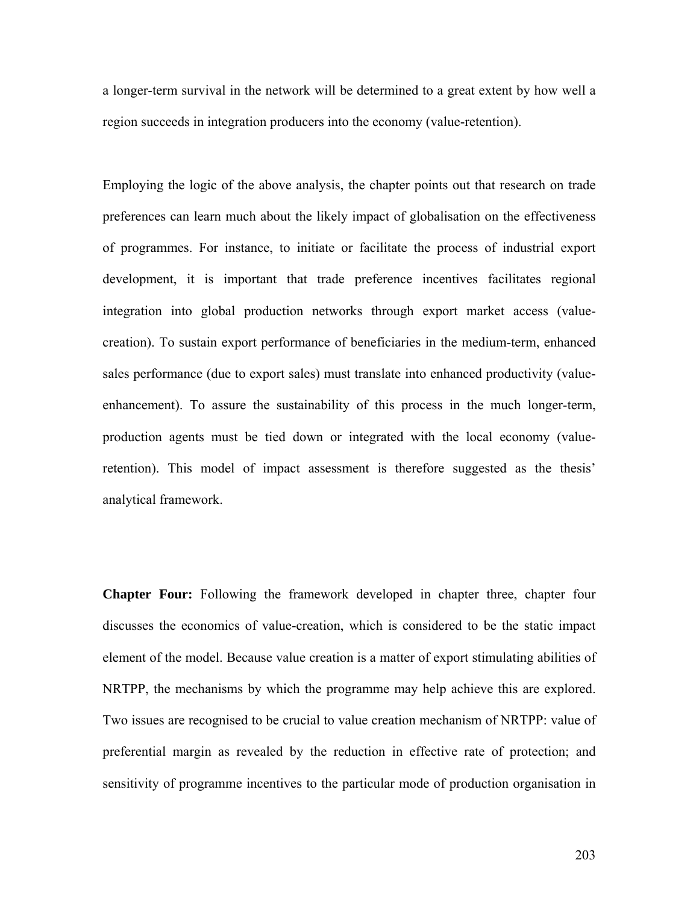a longer-term survival in the network will be determined to a great extent by how well a region succeeds in integration producers into the economy (value-retention).

Employing the logic of the above analysis, the chapter points out that research on trade preferences can learn much about the likely impact of globalisation on the effectiveness of programmes. For instance, to initiate or facilitate the process of industrial export development, it is important that trade preference incentives facilitates regional integration into global production networks through export market access (valuecreation). To sustain export performance of beneficiaries in the medium-term, enhanced sales performance (due to export sales) must translate into enhanced productivity (valueenhancement). To assure the sustainability of this process in the much longer-term, production agents must be tied down or integrated with the local economy (valueretention). This model of impact assessment is therefore suggested as the thesis' analytical framework.

**Chapter Four:** Following the framework developed in chapter three, chapter four discusses the economics of value-creation, which is considered to be the static impact element of the model. Because value creation is a matter of export stimulating abilities of NRTPP, the mechanisms by which the programme may help achieve this are explored. Two issues are recognised to be crucial to value creation mechanism of NRTPP: value of preferential margin as revealed by the reduction in effective rate of protection; and sensitivity of programme incentives to the particular mode of production organisation in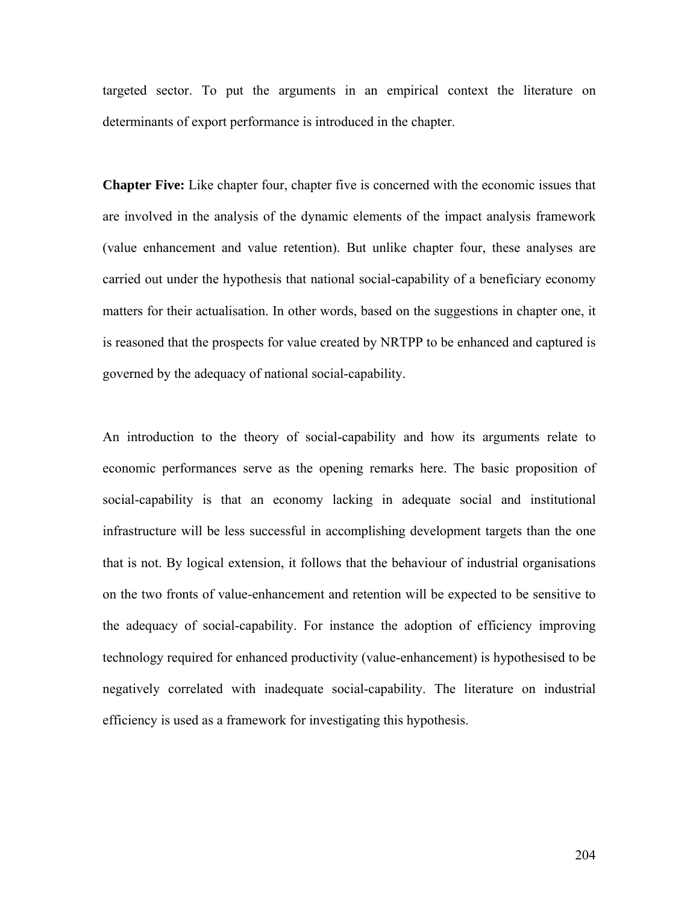targeted sector. To put the arguments in an empirical context the literature on determinants of export performance is introduced in the chapter.

**Chapter Five:** Like chapter four, chapter five is concerned with the economic issues that are involved in the analysis of the dynamic elements of the impact analysis framework (value enhancement and value retention). But unlike chapter four, these analyses are carried out under the hypothesis that national social-capability of a beneficiary economy matters for their actualisation. In other words, based on the suggestions in chapter one, it is reasoned that the prospects for value created by NRTPP to be enhanced and captured is governed by the adequacy of national social-capability.

An introduction to the theory of social-capability and how its arguments relate to economic performances serve as the opening remarks here. The basic proposition of social-capability is that an economy lacking in adequate social and institutional infrastructure will be less successful in accomplishing development targets than the one that is not. By logical extension, it follows that the behaviour of industrial organisations on the two fronts of value-enhancement and retention will be expected to be sensitive to the adequacy of social-capability. For instance the adoption of efficiency improving technology required for enhanced productivity (value-enhancement) is hypothesised to be negatively correlated with inadequate social-capability. The literature on industrial efficiency is used as a framework for investigating this hypothesis.

204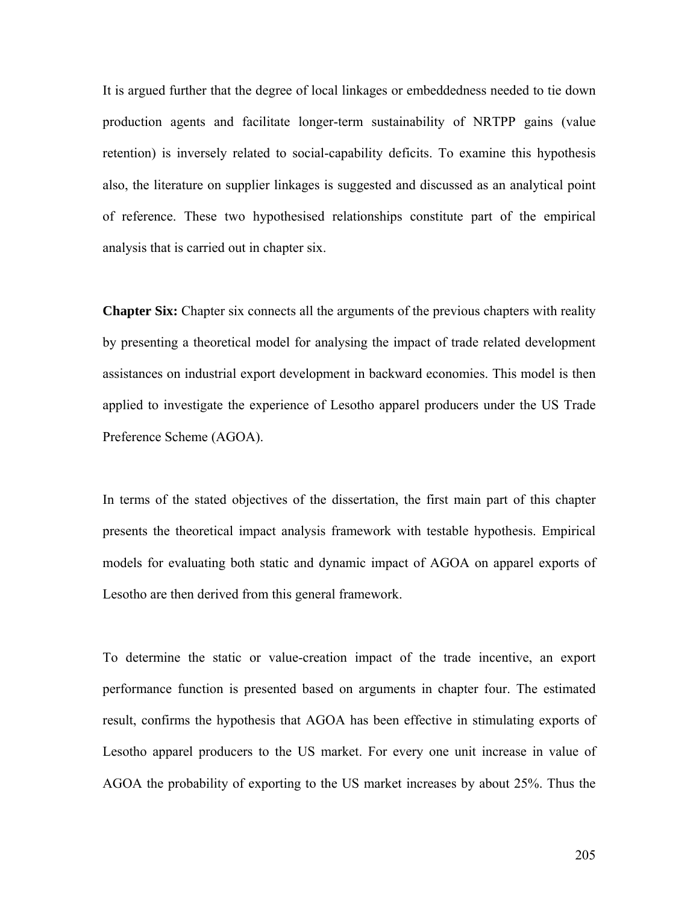It is argued further that the degree of local linkages or embeddedness needed to tie down production agents and facilitate longer-term sustainability of NRTPP gains (value retention) is inversely related to social-capability deficits. To examine this hypothesis also, the literature on supplier linkages is suggested and discussed as an analytical point of reference. These two hypothesised relationships constitute part of the empirical analysis that is carried out in chapter six.

**Chapter Six:** Chapter six connects all the arguments of the previous chapters with reality by presenting a theoretical model for analysing the impact of trade related development assistances on industrial export development in backward economies. This model is then applied to investigate the experience of Lesotho apparel producers under the US Trade Preference Scheme (AGOA).

In terms of the stated objectives of the dissertation, the first main part of this chapter presents the theoretical impact analysis framework with testable hypothesis. Empirical models for evaluating both static and dynamic impact of AGOA on apparel exports of Lesotho are then derived from this general framework.

To determine the static or value-creation impact of the trade incentive, an export performance function is presented based on arguments in chapter four. The estimated result, confirms the hypothesis that AGOA has been effective in stimulating exports of Lesotho apparel producers to the US market. For every one unit increase in value of AGOA the probability of exporting to the US market increases by about 25%. Thus the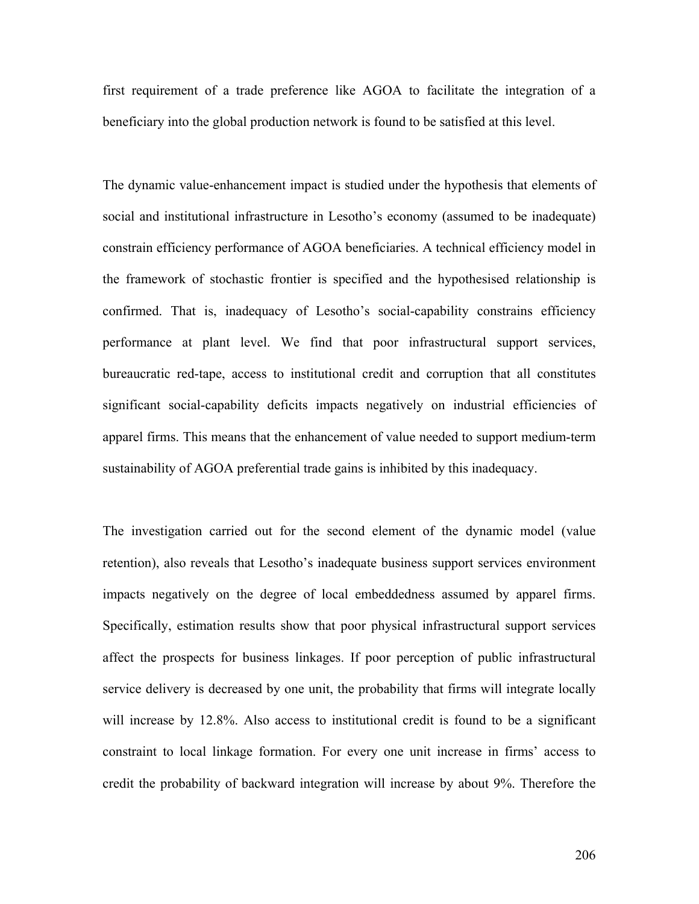first requirement of a trade preference like AGOA to facilitate the integration of a beneficiary into the global production network is found to be satisfied at this level.

The dynamic value-enhancement impact is studied under the hypothesis that elements of social and institutional infrastructure in Lesotho's economy (assumed to be inadequate) constrain efficiency performance of AGOA beneficiaries. A technical efficiency model in the framework of stochastic frontier is specified and the hypothesised relationship is confirmed. That is, inadequacy of Lesotho's social-capability constrains efficiency performance at plant level. We find that poor infrastructural support services, bureaucratic red-tape, access to institutional credit and corruption that all constitutes significant social-capability deficits impacts negatively on industrial efficiencies of apparel firms. This means that the enhancement of value needed to support medium-term sustainability of AGOA preferential trade gains is inhibited by this inadequacy.

The investigation carried out for the second element of the dynamic model (value retention), also reveals that Lesotho's inadequate business support services environment impacts negatively on the degree of local embeddedness assumed by apparel firms. Specifically, estimation results show that poor physical infrastructural support services affect the prospects for business linkages. If poor perception of public infrastructural service delivery is decreased by one unit, the probability that firms will integrate locally will increase by 12.8%. Also access to institutional credit is found to be a significant constraint to local linkage formation. For every one unit increase in firms' access to credit the probability of backward integration will increase by about 9%. Therefore the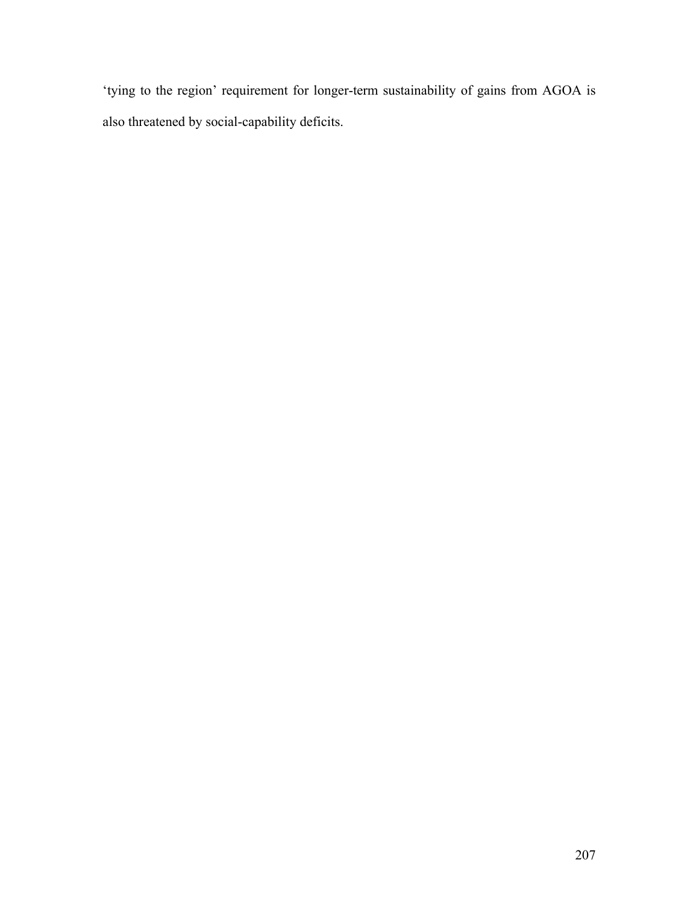'tying to the region' requirement for longer-term sustainability of gains from AGOA is also threatened by social-capability deficits.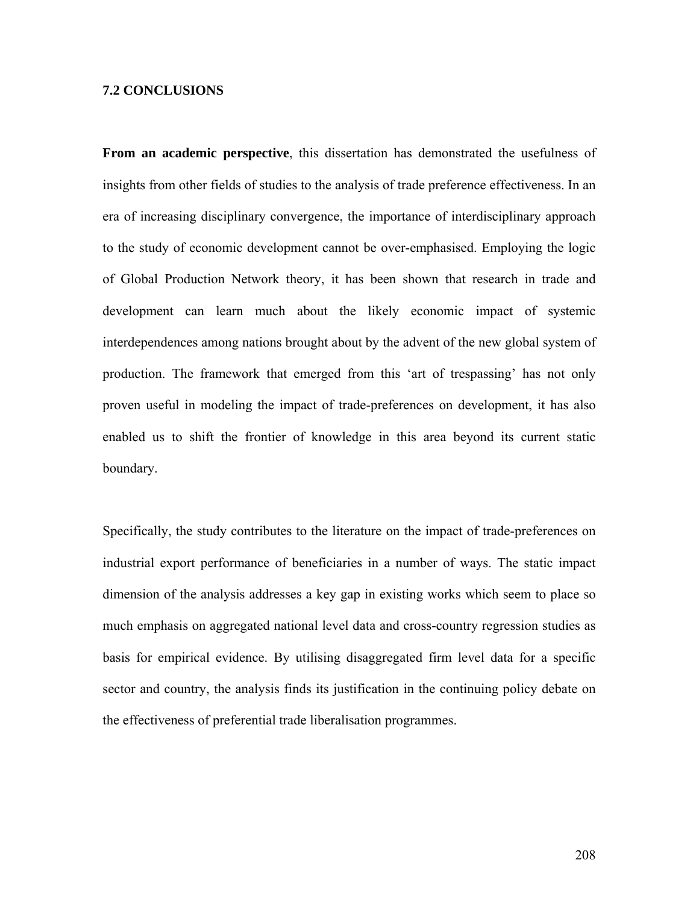## **7.2 CONCLUSIONS**

**From an academic perspective**, this dissertation has demonstrated the usefulness of insights from other fields of studies to the analysis of trade preference effectiveness. In an era of increasing disciplinary convergence, the importance of interdisciplinary approach to the study of economic development cannot be over-emphasised. Employing the logic of Global Production Network theory, it has been shown that research in trade and development can learn much about the likely economic impact of systemic interdependences among nations brought about by the advent of the new global system of production. The framework that emerged from this 'art of trespassing' has not only proven useful in modeling the impact of trade-preferences on development, it has also enabled us to shift the frontier of knowledge in this area beyond its current static boundary.

Specifically, the study contributes to the literature on the impact of trade-preferences on industrial export performance of beneficiaries in a number of ways. The static impact dimension of the analysis addresses a key gap in existing works which seem to place so much emphasis on aggregated national level data and cross-country regression studies as basis for empirical evidence. By utilising disaggregated firm level data for a specific sector and country, the analysis finds its justification in the continuing policy debate on the effectiveness of preferential trade liberalisation programmes.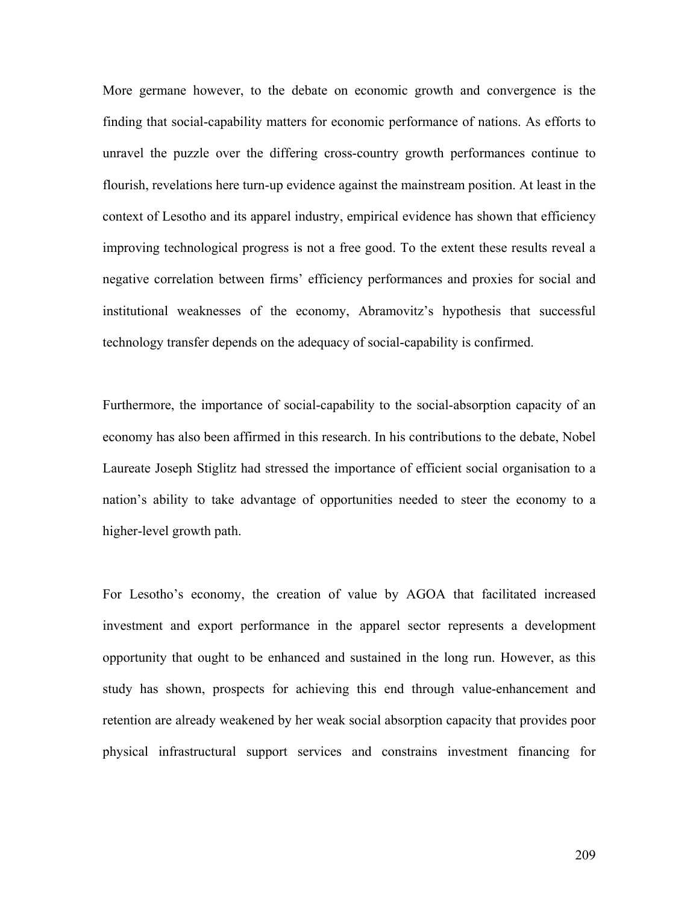More germane however, to the debate on economic growth and convergence is the finding that social-capability matters for economic performance of nations. As efforts to unravel the puzzle over the differing cross-country growth performances continue to flourish, revelations here turn-up evidence against the mainstream position. At least in the context of Lesotho and its apparel industry, empirical evidence has shown that efficiency improving technological progress is not a free good. To the extent these results reveal a negative correlation between firms' efficiency performances and proxies for social and institutional weaknesses of the economy, Abramovitz's hypothesis that successful technology transfer depends on the adequacy of social-capability is confirmed.

Furthermore, the importance of social-capability to the social-absorption capacity of an economy has also been affirmed in this research. In his contributions to the debate, Nobel Laureate Joseph Stiglitz had stressed the importance of efficient social organisation to a nation's ability to take advantage of opportunities needed to steer the economy to a higher-level growth path.

For Lesotho's economy, the creation of value by AGOA that facilitated increased investment and export performance in the apparel sector represents a development opportunity that ought to be enhanced and sustained in the long run. However, as this study has shown, prospects for achieving this end through value-enhancement and retention are already weakened by her weak social absorption capacity that provides poor physical infrastructural support services and constrains investment financing for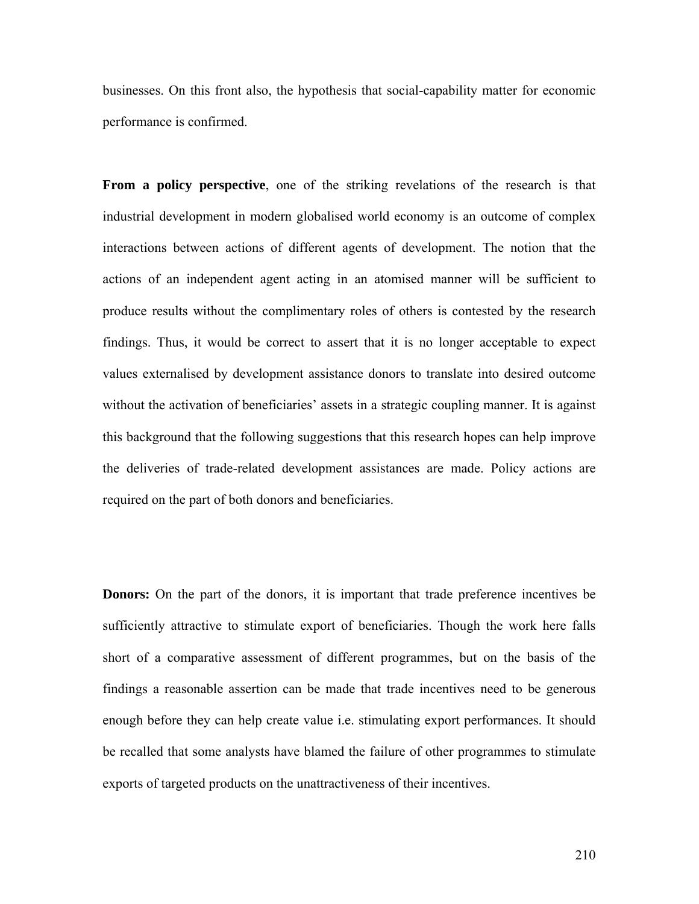businesses. On this front also, the hypothesis that social-capability matter for economic performance is confirmed.

**From a policy perspective**, one of the striking revelations of the research is that industrial development in modern globalised world economy is an outcome of complex interactions between actions of different agents of development. The notion that the actions of an independent agent acting in an atomised manner will be sufficient to produce results without the complimentary roles of others is contested by the research findings. Thus, it would be correct to assert that it is no longer acceptable to expect values externalised by development assistance donors to translate into desired outcome without the activation of beneficiaries' assets in a strategic coupling manner. It is against this background that the following suggestions that this research hopes can help improve the deliveries of trade-related development assistances are made. Policy actions are required on the part of both donors and beneficiaries.

**Donors:** On the part of the donors, it is important that trade preference incentives be sufficiently attractive to stimulate export of beneficiaries. Though the work here falls short of a comparative assessment of different programmes, but on the basis of the findings a reasonable assertion can be made that trade incentives need to be generous enough before they can help create value i.e. stimulating export performances. It should be recalled that some analysts have blamed the failure of other programmes to stimulate exports of targeted products on the unattractiveness of their incentives.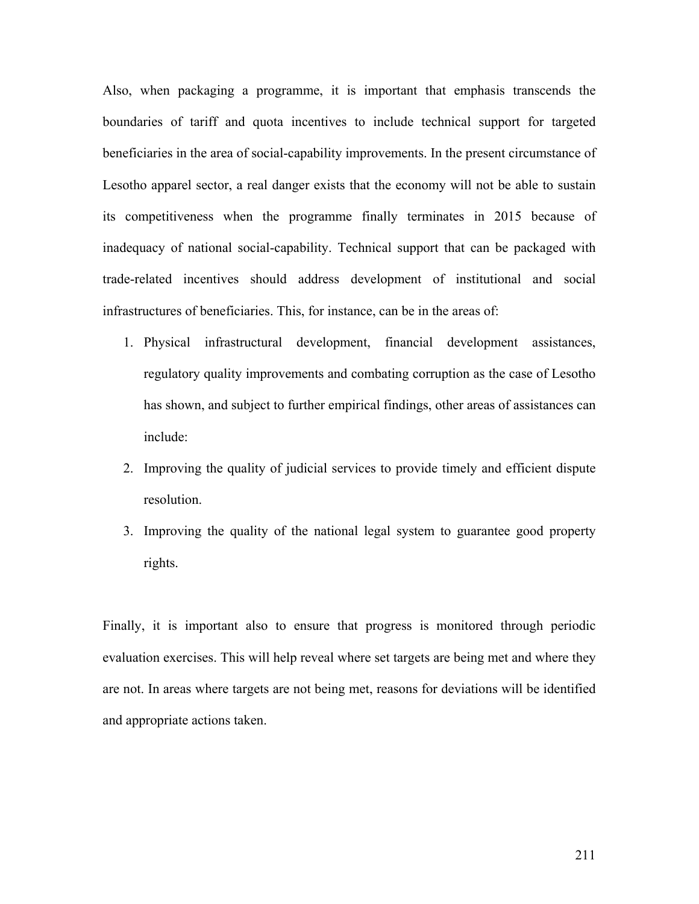Also, when packaging a programme, it is important that emphasis transcends the boundaries of tariff and quota incentives to include technical support for targeted beneficiaries in the area of social-capability improvements. In the present circumstance of Lesotho apparel sector, a real danger exists that the economy will not be able to sustain its competitiveness when the programme finally terminates in 2015 because of inadequacy of national social-capability. Technical support that can be packaged with trade-related incentives should address development of institutional and social infrastructures of beneficiaries. This, for instance, can be in the areas of:

- 1. Physical infrastructural development, financial development assistances, regulatory quality improvements and combating corruption as the case of Lesotho has shown, and subject to further empirical findings, other areas of assistances can include:
- 2. Improving the quality of judicial services to provide timely and efficient dispute resolution.
- 3. Improving the quality of the national legal system to guarantee good property rights.

Finally, it is important also to ensure that progress is monitored through periodic evaluation exercises. This will help reveal where set targets are being met and where they are not. In areas where targets are not being met, reasons for deviations will be identified and appropriate actions taken.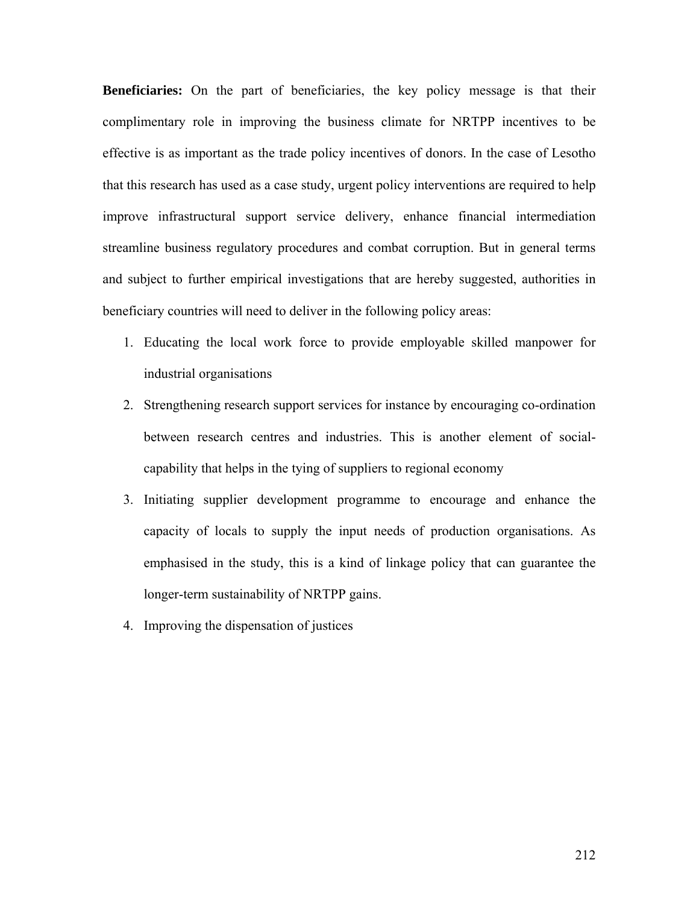**Beneficiaries:** On the part of beneficiaries, the key policy message is that their complimentary role in improving the business climate for NRTPP incentives to be effective is as important as the trade policy incentives of donors. In the case of Lesotho that this research has used as a case study, urgent policy interventions are required to help improve infrastructural support service delivery, enhance financial intermediation streamline business regulatory procedures and combat corruption. But in general terms and subject to further empirical investigations that are hereby suggested, authorities in beneficiary countries will need to deliver in the following policy areas:

- 1. Educating the local work force to provide employable skilled manpower for industrial organisations
- 2. Strengthening research support services for instance by encouraging co-ordination between research centres and industries. This is another element of socialcapability that helps in the tying of suppliers to regional economy
- 3. Initiating supplier development programme to encourage and enhance the capacity of locals to supply the input needs of production organisations. As emphasised in the study, this is a kind of linkage policy that can guarantee the longer-term sustainability of NRTPP gains.
- 4. Improving the dispensation of justices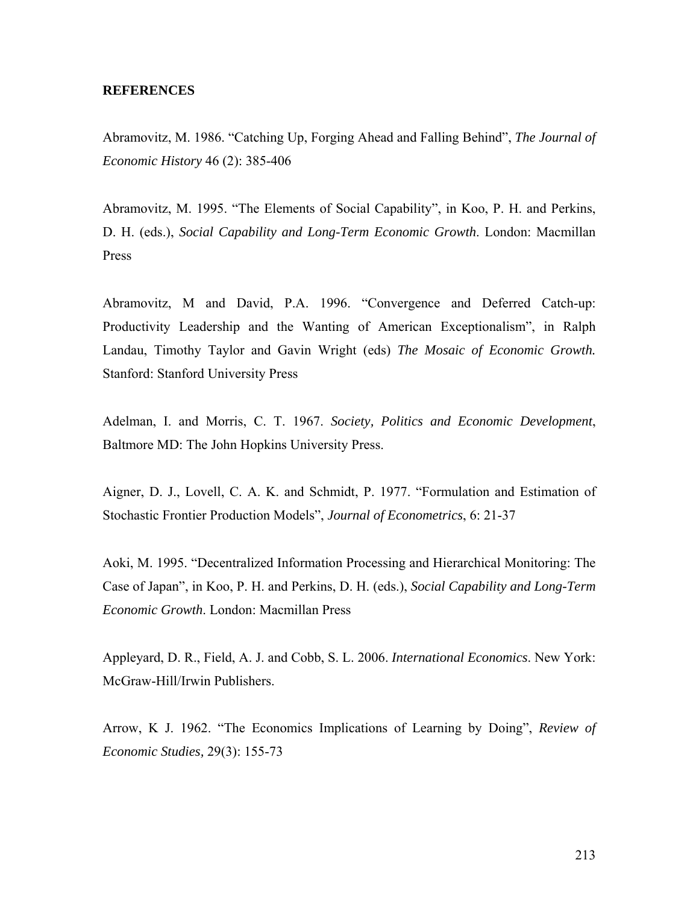## **REFERENCES**

Abramovitz, M. 1986. "Catching Up, Forging Ahead and Falling Behind", *The Journal of Economic History* 46 (2): 385-406

Abramovitz, M. 1995. "The Elements of Social Capability", in Koo, P. H. and Perkins, D. H. (eds.), *Social Capability and Long-Term Economic Growth*. London: Macmillan Press

Abramovitz, M and David, P.A. 1996. "Convergence and Deferred Catch-up: Productivity Leadership and the Wanting of American Exceptionalism", in Ralph Landau, Timothy Taylor and Gavin Wright (eds) *The Mosaic of Economic Growth.*  Stanford: Stanford University Press

Adelman, I. and Morris, C. T. 1967. *Society, Politics and Economic Development*, Baltmore MD: The John Hopkins University Press.

Aigner, D. J., Lovell, C. A. K. and Schmidt, P. 1977. "Formulation and Estimation of Stochastic Frontier Production Models", *Journal of Econometrics*, 6: 21-37

Aoki, M. 1995. "Decentralized Information Processing and Hierarchical Monitoring: The Case of Japan", in Koo, P. H. and Perkins, D. H. (eds.), *Social Capability and Long-Term Economic Growth*. London: Macmillan Press

Appleyard, D. R., Field, A. J. and Cobb, S. L. 2006. *International Economics*. New York: McGraw-Hill/Irwin Publishers.

Arrow, K J. 1962. "The Economics Implications of Learning by Doing", *Review of Economic Studies,* 29(3): 155-73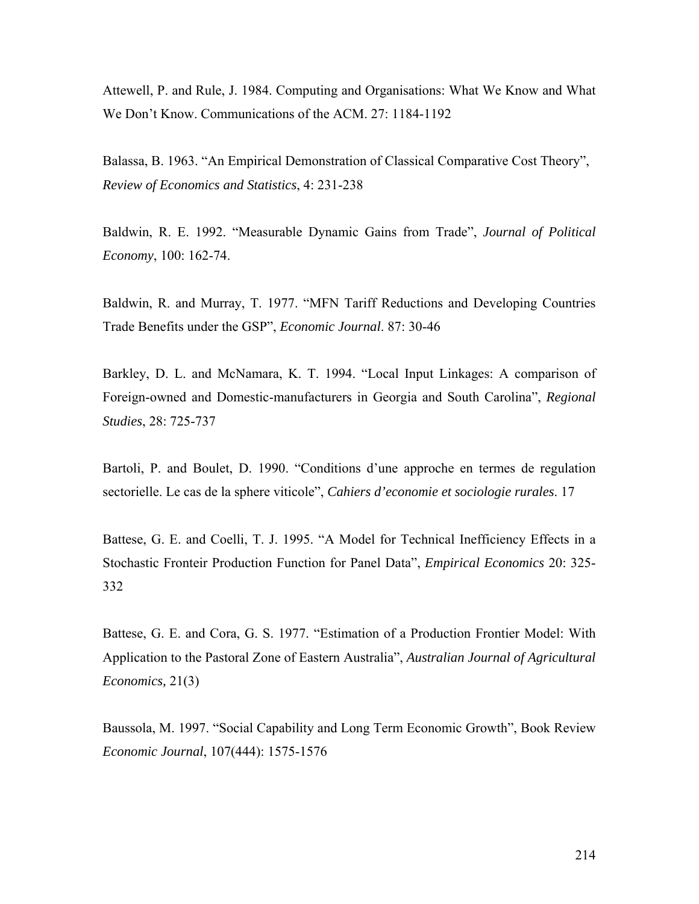Attewell, P. and Rule, J. 1984. Computing and Organisations: What We Know and What We Don't Know. Communications of the ACM. 27: 1184-1192

Balassa, B. 1963. "An Empirical Demonstration of Classical Comparative Cost Theory", *Review of Economics and Statistics*, 4: 231-238

Baldwin, R. E. 1992. "Measurable Dynamic Gains from Trade", *Journal of Political Economy*, 100: 162-74.

Baldwin, R. and Murray, T. 1977. "MFN Tariff Reductions and Developing Countries Trade Benefits under the GSP", *Economic Journal*. 87: 30-46

Barkley, D. L. and McNamara, K. T. 1994. "Local Input Linkages: A comparison of Foreign-owned and Domestic-manufacturers in Georgia and South Carolina", *Regional Studies*, 28: 725-737

Bartoli, P. and Boulet, D. 1990. "Conditions d'une approche en termes de regulation sectorielle. Le cas de la sphere viticole", *Cahiers d'economie et sociologie rurales*. 17

Battese, G. E. and Coelli, T. J. 1995. "A Model for Technical Inefficiency Effects in a Stochastic Fronteir Production Function for Panel Data", *Empirical Economics* 20: 325- 332

Battese, G. E. and Cora, G. S. 1977. "Estimation of a Production Frontier Model: With Application to the Pastoral Zone of Eastern Australia", *Australian Journal of Agricultural Economics,* 21(3)

Baussola, M. 1997. "Social Capability and Long Term Economic Growth", Book Review *Economic Journal*, 107(444): 1575-1576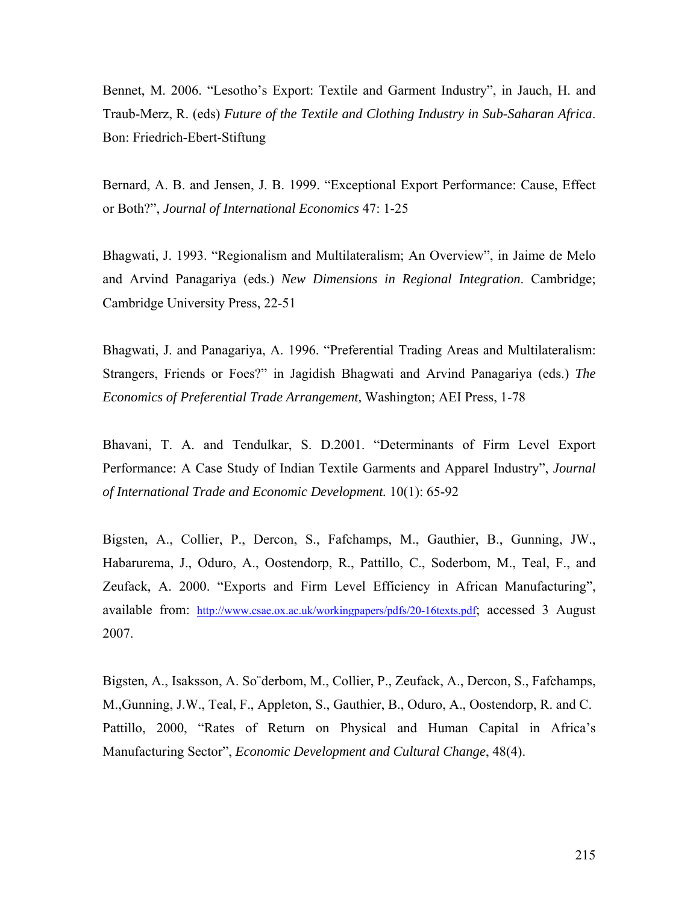Bennet, M. 2006. "Lesotho's Export: Textile and Garment Industry", in Jauch, H. and Traub-Merz, R. (eds) *Future of the Textile and Clothing Industry in Sub-Saharan Africa*. Bon: Friedrich-Ebert-Stiftung

Bernard, A. B. and Jensen, J. B. 1999. "Exceptional Export Performance: Cause, Effect or Both?", *Journal of International Economics* 47: 1-25

Bhagwati, J. 1993. "Regionalism and Multilateralism; An Overview", in Jaime de Melo and Arvind Panagariya (eds.) *New Dimensions in Regional Integration*. Cambridge; Cambridge University Press, 22-51

Bhagwati, J. and Panagariya, A. 1996. "Preferential Trading Areas and Multilateralism: Strangers, Friends or Foes?" in Jagidish Bhagwati and Arvind Panagariya (eds.) *The Economics of Preferential Trade Arrangement,* Washington; AEI Press, 1-78

Bhavani, T. A. and Tendulkar, S. D.2001. "Determinants of Firm Level Export Performance: A Case Study of Indian Textile Garments and Apparel Industry", *Journal of International Trade and Economic Development.* 10(1): 65-92

Bigsten, A., Collier, P., Dercon, S., Fafchamps, M., Gauthier, B., Gunning, JW., Habarurema, J., Oduro, A., Oostendorp, R., Pattillo, C., Soderbom, M., Teal, F., and Zeufack, A. 2000. "Exports and Firm Level Efficiency in African Manufacturing", available from: http://www.csae.ox.ac.uk/workingpapers/pdfs/20-16texts.pdf; accessed 3 August 2007.

Bigsten, A., Isaksson, A. So¨derbom, M., Collier, P., Zeufack, A., Dercon, S., Fafchamps, M.,Gunning, J.W., Teal, F., Appleton, S., Gauthier, B., Oduro, A., Oostendorp, R. and C. Pattillo, 2000, "Rates of Return on Physical and Human Capital in Africa's Manufacturing Sector", *Economic Development and Cultural Change*, 48(4).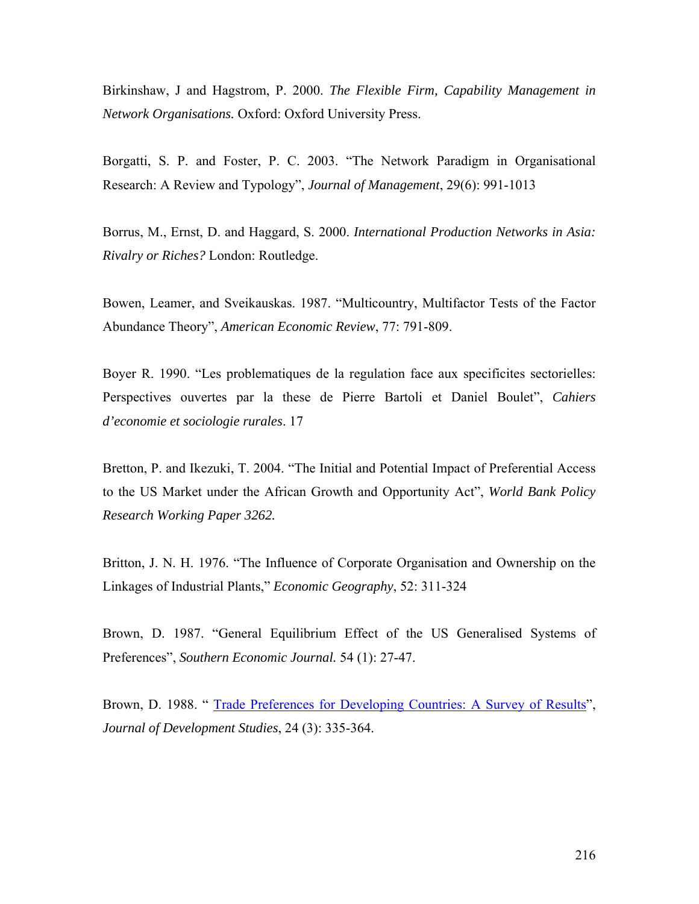Birkinshaw, J and Hagstrom, P. 2000. *The Flexible Firm, Capability Management in Network Organisations.* Oxford: Oxford University Press.

Borgatti, S. P. and Foster, P. C. 2003. "The Network Paradigm in Organisational Research: A Review and Typology", *Journal of Management*, 29(6): 991-1013

Borrus, M., Ernst, D. and Haggard, S. 2000. *International Production Networks in Asia: Rivalry or Riches?* London: Routledge.

Bowen, Leamer, and Sveikauskas. 1987. "Multicountry, Multifactor Tests of the Factor Abundance Theory", *American Economic Review*, 77: 791-809.

Boyer R. 1990. "Les problematiques de la regulation face aux specificites sectorielles: Perspectives ouvertes par la these de Pierre Bartoli et Daniel Boulet", *Cahiers d'economie et sociologie rurales*. 17

Bretton, P. and Ikezuki, T. 2004. "The Initial and Potential Impact of Preferential Access to the US Market under the African Growth and Opportunity Act", *World Bank Policy Research Working Paper 3262.* 

Britton, J. N. H. 1976. "The Influence of Corporate Organisation and Ownership on the Linkages of Industrial Plants," *Economic Geography*, 52: 311-324

Brown, D. 1987. "General Equilibrium Effect of the US Generalised Systems of Preferences", *Southern Economic Journal.* 54 (1): 27-47.

Brown, D. 1988. " Trade Preferences for Developing Countries: A Survey of Results", *Journal of Development Studies*, 24 (3): 335-364.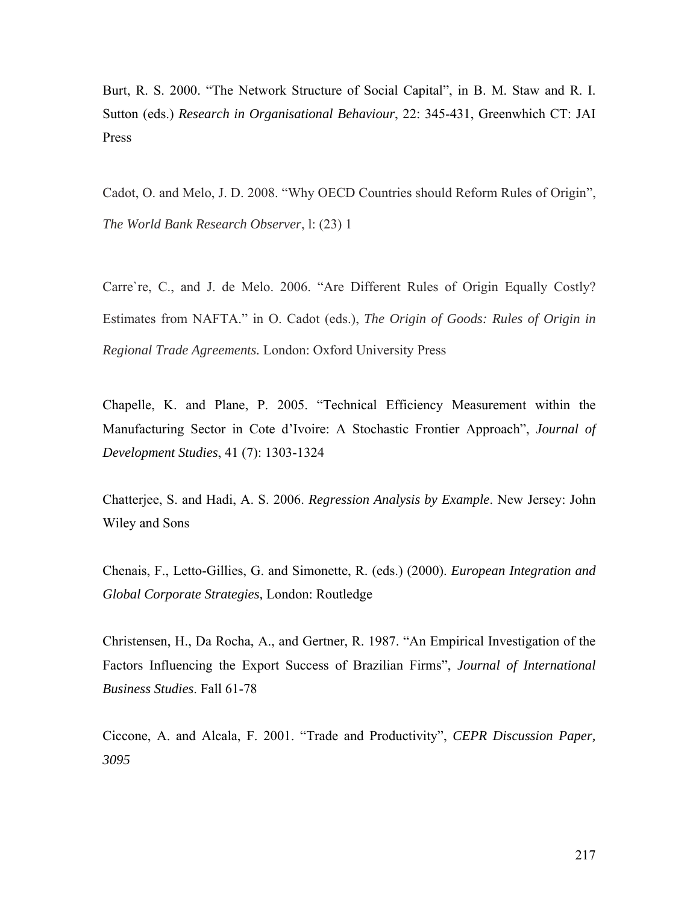Burt, R. S. 2000. "The Network Structure of Social Capital", in B. M. Staw and R. I. Sutton (eds.) *Research in Organisational Behaviour*, 22: 345-431, Greenwhich CT: JAI Press

Cadot, O. and Melo, J. D. 2008. "Why OECD Countries should Reform Rules of Origin", *The World Bank Research Observer*, l: (23) 1

Carre`re, C., and J. de Melo. 2006. "Are Different Rules of Origin Equally Costly? Estimates from NAFTA." in O. Cadot (eds.), *The Origin of Goods: Rules of Origin in Regional Trade Agreements.* London: Oxford University Press

Chapelle, K. and Plane, P. 2005. "Technical Efficiency Measurement within the Manufacturing Sector in Cote d'Ivoire: A Stochastic Frontier Approach", *Journal of Development Studies*, 41 (7): 1303-1324

Chatterjee, S. and Hadi, A. S. 2006. *Regression Analysis by Example*. New Jersey: John Wiley and Sons

Chenais, F., Letto-Gillies, G. and Simonette, R. (eds.) (2000). *European Integration and Global Corporate Strategies,* London: Routledge

Christensen, H., Da Rocha, A., and Gertner, R. 1987. "An Empirical Investigation of the Factors Influencing the Export Success of Brazilian Firms", *Journal of International Business Studies*. Fall 61-78

Ciccone, A. and Alcala, F. 2001. "Trade and Productivity", *CEPR Discussion Paper, 3095*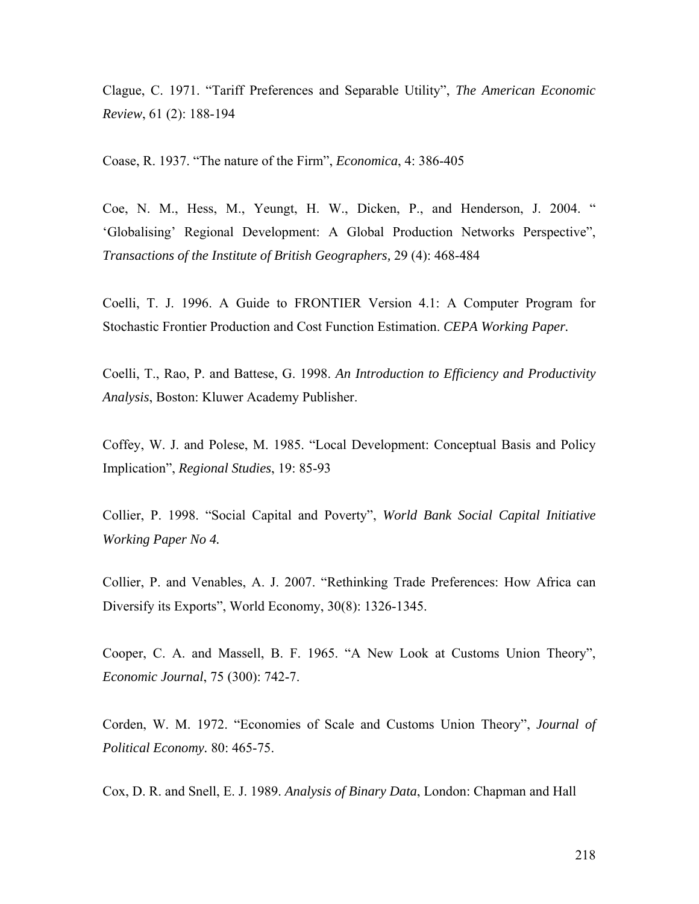Clague, C. 1971. "Tariff Preferences and Separable Utility", *The American Economic Review*, 61 (2): 188-194

Coase, R. 1937. "The nature of the Firm", *Economica*, 4: 386-405

Coe, N. M., Hess, M., Yeungt, H. W., Dicken, P., and Henderson, J. 2004. " 'Globalising' Regional Development: A Global Production Networks Perspective", *Transactions of the Institute of British Geographers,* 29 (4): 468-484

Coelli, T. J. 1996. A Guide to FRONTIER Version 4.1: A Computer Program for Stochastic Frontier Production and Cost Function Estimation. *CEPA Working Paper.*

Coelli, T., Rao, P. and Battese, G. 1998. *An Introduction to Efficiency and Productivity Analysis*, Boston: Kluwer Academy Publisher.

Coffey, W. J. and Polese, M. 1985. "Local Development: Conceptual Basis and Policy Implication", *Regional Studies*, 19: 85-93

Collier, P. 1998. "Social Capital and Poverty", *World Bank Social Capital Initiative Working Paper No 4.* 

Collier, P. and Venables, A. J. 2007. "Rethinking Trade Preferences: How Africa can Diversify its Exports", World Economy, 30(8): 1326-1345.

Cooper, C. A. and Massell, B. F. 1965. "A New Look at Customs Union Theory", *Economic Journal*, 75 (300): 742-7.

Corden, W. M. 1972. "Economies of Scale and Customs Union Theory", *Journal of Political Economy.* 80: 465-75.

Cox, D. R. and Snell, E. J. 1989. *Analysis of Binary Data*, London: Chapman and Hall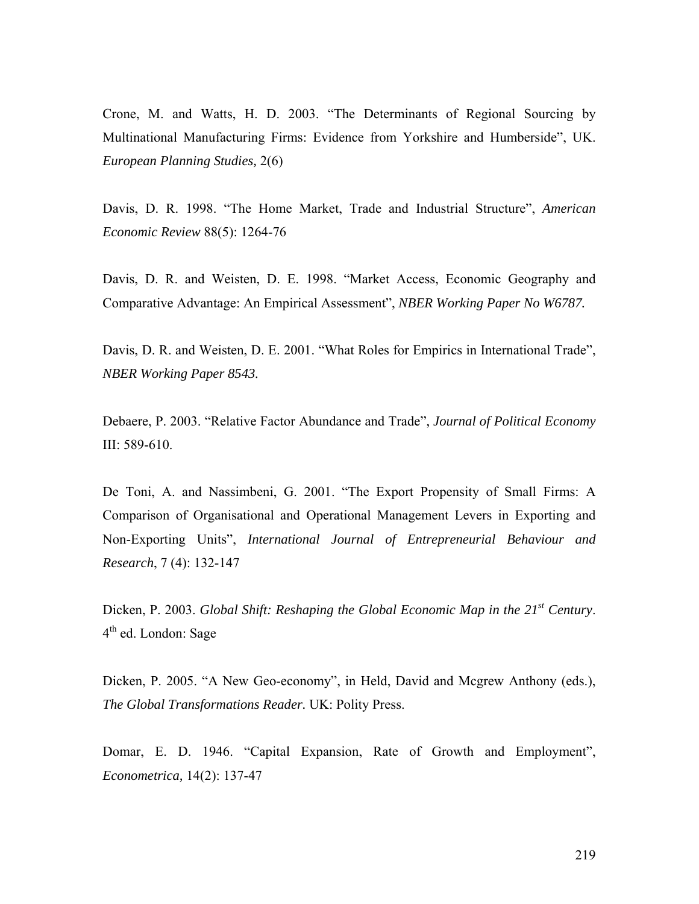Crone, M. and Watts, H. D. 2003. "The Determinants of Regional Sourcing by Multinational Manufacturing Firms: Evidence from Yorkshire and Humberside", UK. *European Planning Studies,* 2(6)

Davis, D. R. 1998. "The Home Market, Trade and Industrial Structure", *American Economic Review* 88(5): 1264-76

Davis, D. R. and Weisten, D. E. 1998. "Market Access, Economic Geography and Comparative Advantage: An Empirical Assessment", *NBER Working Paper No W6787.* 

Davis, D. R. and Weisten, D. E. 2001. "What Roles for Empirics in International Trade", *NBER Working Paper 8543.* 

Debaere, P. 2003. "Relative Factor Abundance and Trade", *Journal of Political Economy* III: 589-610.

De Toni, A. and Nassimbeni, G. 2001. "The Export Propensity of Small Firms: A Comparison of Organisational and Operational Management Levers in Exporting and Non-Exporting Units", *International Journal of Entrepreneurial Behaviour and Research*, 7 (4): 132-147

Dicken, P. 2003. *Global Shift: Reshaping the Global Economic Map in the 21<sup>st</sup> Century*. 4th ed. London: Sage

Dicken, P. 2005. "A New Geo-economy", in Held, David and Mcgrew Anthony (eds.), *The Global Transformations Reader.* UK: Polity Press.

Domar, E. D. 1946. "Capital Expansion, Rate of Growth and Employment", *Econometrica,* 14(2): 137-47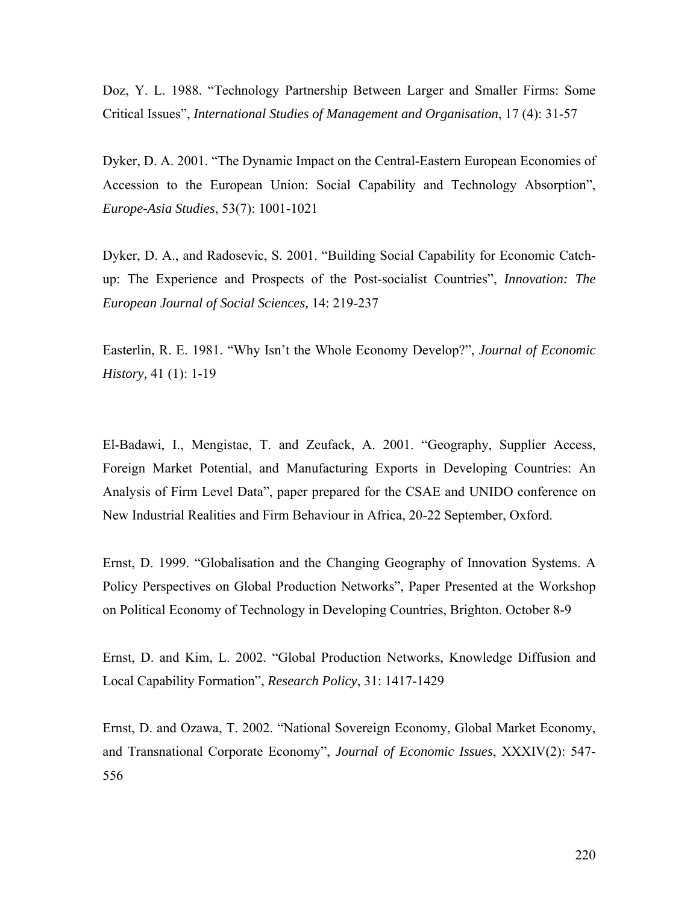Doz, Y. L. 1988. "Technology Partnership Between Larger and Smaller Firms: Some Critical Issues", *International Studies of Management and Organisation*, 17 (4): 31-57

Dyker, D. A. 2001. "The Dynamic Impact on the Central-Eastern European Economies of Accession to the European Union: Social Capability and Technology Absorption", *Europe-Asia Studies*, 53(7): 1001-1021

Dyker, D. A., and Radosevic, S. 2001. "Building Social Capability for Economic Catchup: The Experience and Prospects of the Post-socialist Countries", *Innovation: The European Journal of Social Sciences,* 14: 219-237

Easterlin, R. E. 1981. "Why Isn't the Whole Economy Develop?", *Journal of Economic History,* 41 (1): 1-19

El-Badawi, I., Mengistae, T. and Zeufack, A. 2001. "Geography, Supplier Access, Foreign Market Potential, and Manufacturing Exports in Developing Countries: An Analysis of Firm Level Data", paper prepared for the CSAE and UNIDO conference on New Industrial Realities and Firm Behaviour in Africa, 20-22 September, Oxford.

Ernst, D. 1999. "Globalisation and the Changing Geography of Innovation Systems. A Policy Perspectives on Global Production Networks", Paper Presented at the Workshop on Political Economy of Technology in Developing Countries, Brighton. October 8-9

Ernst, D. and Kim, L. 2002. "Global Production Networks, Knowledge Diffusion and Local Capability Formation", *Research Policy*, 31: 1417-1429

Ernst, D. and Ozawa, T. 2002. "National Sovereign Economy, Global Market Economy, and Transnational Corporate Economy", *Journal of Economic Issues*, XXXIV(2): 547- 556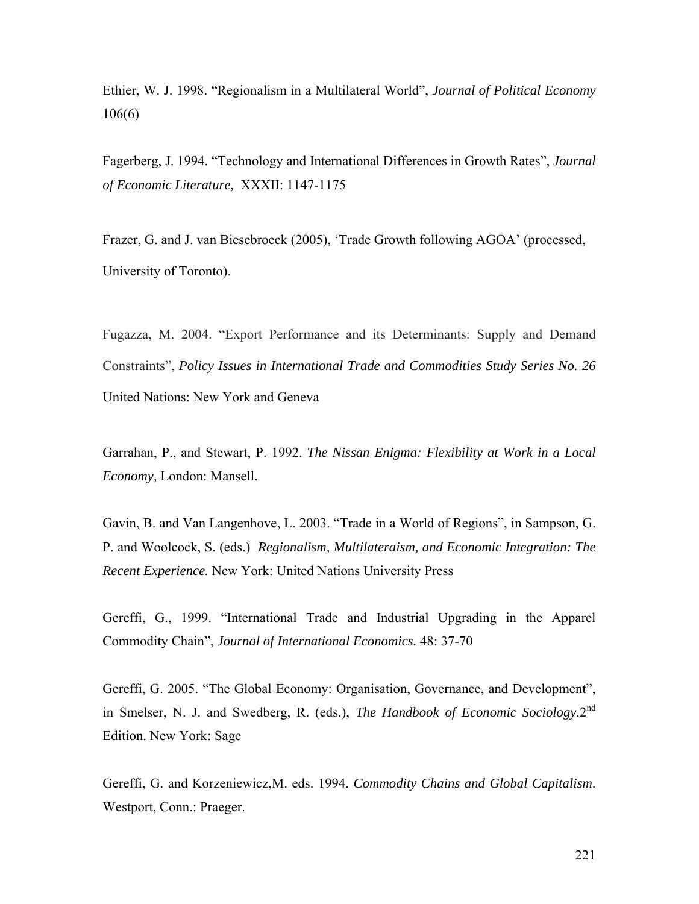Ethier, W. J. 1998. "Regionalism in a Multilateral World", *Journal of Political Economy* 106(6)

Fagerberg, J. 1994. "Technology and International Differences in Growth Rates", *Journal of Economic Literature,* XXXII: 1147-1175

Frazer, G. and J. van Biesebroeck (2005), 'Trade Growth following AGOA' (processed, University of Toronto).

Fugazza, M. 2004. "Export Performance and its Determinants: Supply and Demand Constraints", *Policy Issues in International Trade and Commodities Study Series No. 26*  United Nations: New York and Geneva

Garrahan, P., and Stewart, P. 1992. *The Nissan Enigma: Flexibility at Work in a Local Economy,* London: Mansell.

Gavin, B. and Van Langenhove, L. 2003. "Trade in a World of Regions", in Sampson, G. P. and Woolcock, S. (eds.) *Regionalism, Multilateraism, and Economic Integration: The Recent Experience.* New York: United Nations University Press

Gereffi, G., 1999. "International Trade and Industrial Upgrading in the Apparel Commodity Chain", *Journal of International Economics.* 48: 37-70

Gereffi, G. 2005. "The Global Economy: Organisation, Governance, and Development", in Smelser, N. J. and Swedberg, R. (eds.), *The Handbook of Economic Sociology*.2nd Edition. New York: Sage

Gereffi, G. and Korzeniewicz,M. eds. 1994. *Commodity Chains and Global Capitalism*. Westport, Conn.: Praeger.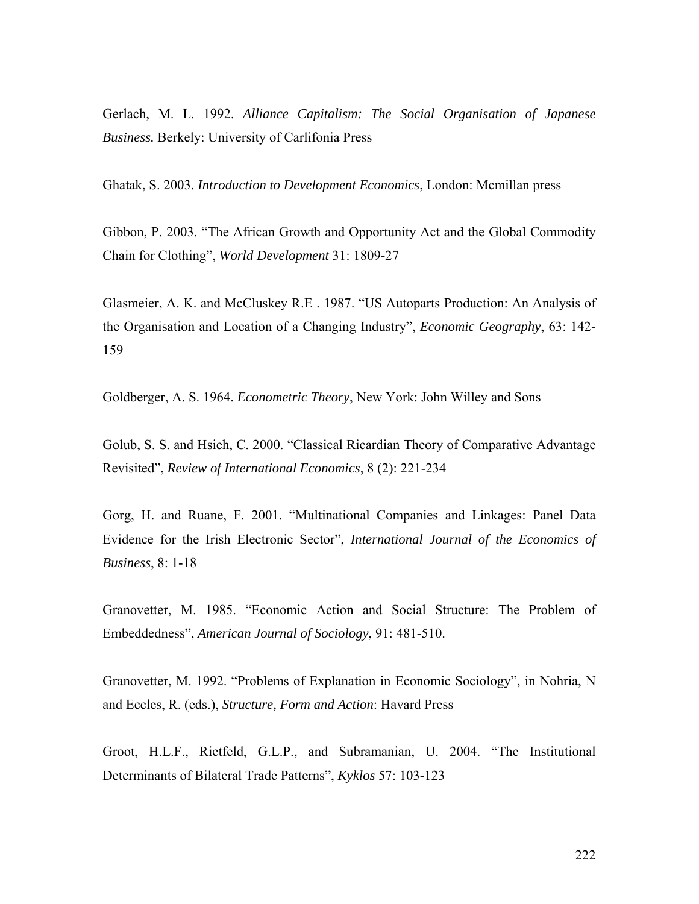Gerlach, M. L. 1992. *Alliance Capitalism: The Social Organisation of Japanese Business.* Berkely: University of Carlifonia Press

Ghatak, S. 2003. *Introduction to Development Economics*, London: Mcmillan press

Gibbon, P. 2003. "The African Growth and Opportunity Act and the Global Commodity Chain for Clothing", *World Development* 31: 1809-27

Glasmeier, A. K. and McCluskey R.E . 1987. "US Autoparts Production: An Analysis of the Organisation and Location of a Changing Industry", *Economic Geography*, 63: 142- 159

Goldberger, A. S. 1964. *Econometric Theory*, New York: John Willey and Sons

Golub, S. S. and Hsieh, C. 2000. "Classical Ricardian Theory of Comparative Advantage Revisited", *Review of International Economics*, 8 (2): 221-234

Gorg, H. and Ruane, F. 2001. "Multinational Companies and Linkages: Panel Data Evidence for the Irish Electronic Sector", *International Journal of the Economics of Business*, 8: 1-18

Granovetter, M. 1985. "Economic Action and Social Structure: The Problem of Embeddedness", *American Journal of Sociology*, 91: 481-510.

Granovetter, M. 1992. "Problems of Explanation in Economic Sociology", in Nohria, N and Eccles, R. (eds.), *Structure, Form and Action*: Havard Press

Groot, H.L.F., Rietfeld, G.L.P., and Subramanian, U. 2004. "The Institutional Determinants of Bilateral Trade Patterns", *Kyklos* 57: 103-123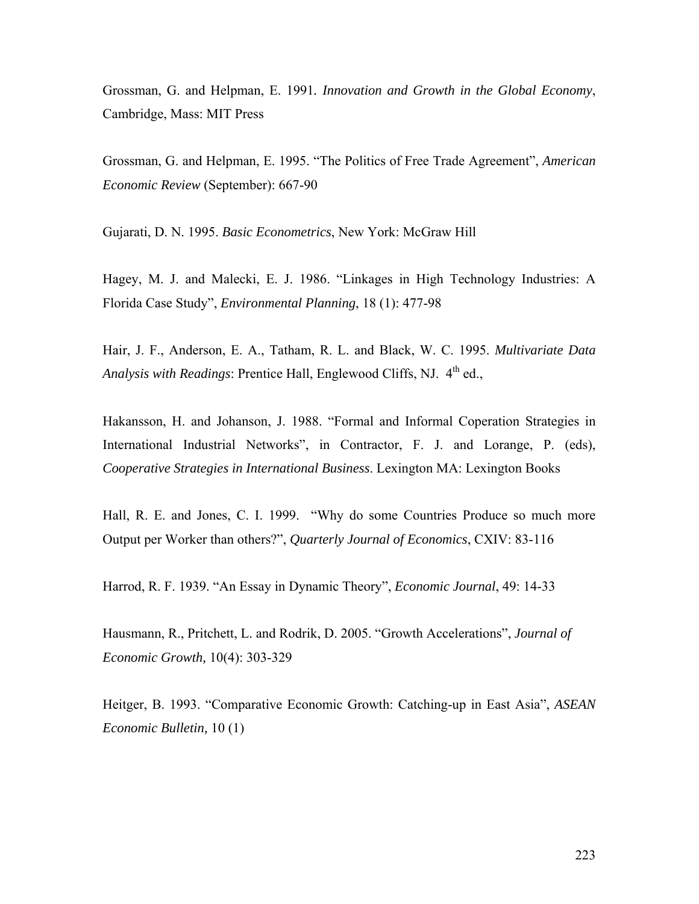Grossman, G. and Helpman, E. 1991*. Innovation and Growth in the Global Economy*, Cambridge, Mass: MIT Press

Grossman, G. and Helpman, E. 1995. "The Politics of Free Trade Agreement", *American Economic Review* (September): 667-90

Gujarati, D. N. 1995. *Basic Econometrics*, New York: McGraw Hill

Hagey, M. J. and Malecki, E. J. 1986. "Linkages in High Technology Industries: A Florida Case Study", *Environmental Planning*, 18 (1): 477-98

Hair, J. F., Anderson, E. A., Tatham, R. L. and Black, W. C. 1995. *Multivariate Data Analysis with Readings*: Prentice Hall, Englewood Cliffs, NJ. 4<sup>th</sup> ed.,

Hakansson, H. and Johanson, J. 1988. "Formal and Informal Coperation Strategies in International Industrial Networks", in Contractor, F. J. and Lorange, P. (eds), *Cooperative Strategies in International Business*. Lexington MA: Lexington Books

Hall, R. E. and Jones, C. I. 1999. "Why do some Countries Produce so much more Output per Worker than others?", *Quarterly Journal of Economics*, CXIV: 83-116

Harrod, R. F. 1939. "An Essay in Dynamic Theory", *Economic Journal*, 49: 14-33

Hausmann, R., Pritchett, L. and Rodrik, D. 2005. "Growth Accelerations", *Journal of Economic Growth,* 10(4): 303-329

Heitger, B. 1993. "Comparative Economic Growth: Catching-up in East Asia", *ASEAN Economic Bulletin,* 10 (1)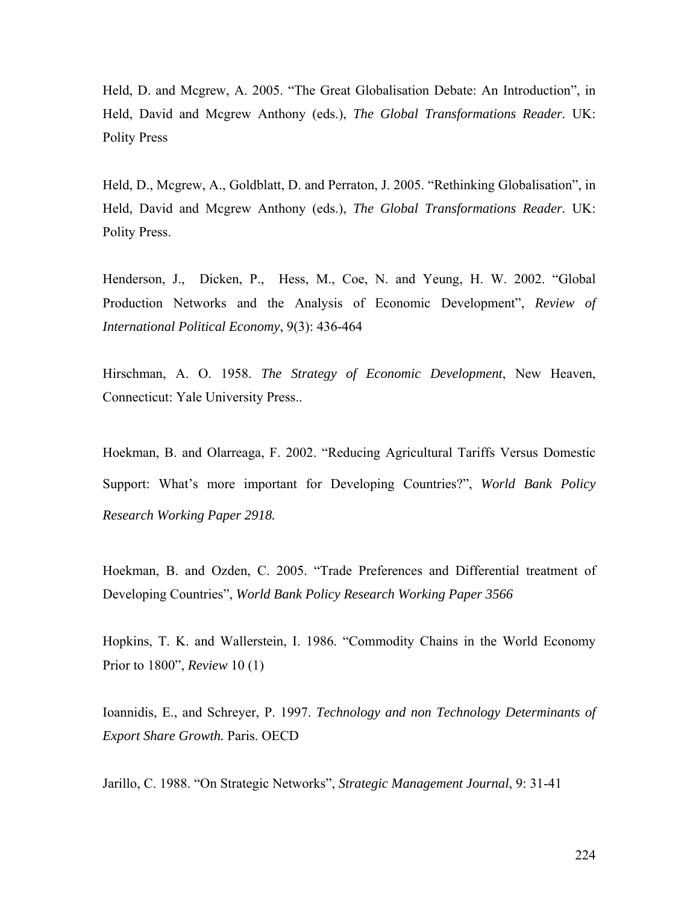Held, D. and Mcgrew, A. 2005. "The Great Globalisation Debate: An Introduction", in Held, David and Mcgrew Anthony (eds.), *The Global Transformations Reader.* UK: Polity Press

Held, D., Mcgrew, A., Goldblatt, D. and Perraton, J. 2005. "Rethinking Globalisation", in Held, David and Mcgrew Anthony (eds.), *The Global Transformations Reader.* UK: Polity Press.

Henderson, J., Dicken, P., Hess, M., Coe, N. and Yeung, H. W. 2002. "Global Production Networks and the Analysis of Economic Development", *Review of International Political Economy*, 9(3): 436-464

Hirschman, A. O. 1958. *The Strategy of Economic Development*, New Heaven, Connecticut: Yale University Press..

Hoekman, B. and Olarreaga, F. 2002. "Reducing Agricultural Tariffs Versus Domestic Support: What's more important for Developing Countries?", *World Bank Policy Research Working Paper 2918.*

Hoekman, B. and Ozden, C. 2005. "Trade Preferences and Differential treatment of Developing Countries", *World Bank Policy Research Working Paper 3566* 

Hopkins, T. K. and Wallerstein, I. 1986. "Commodity Chains in the World Economy Prior to 1800", *Review* 10 (1)

Ioannidis, E., and Schreyer, P. 1997. *Technology and non Technology Determinants of Export Share Growth.* Paris. OECD

Jarillo, C. 1988. "On Strategic Networks", *Strategic Management Journal*, 9: 31-41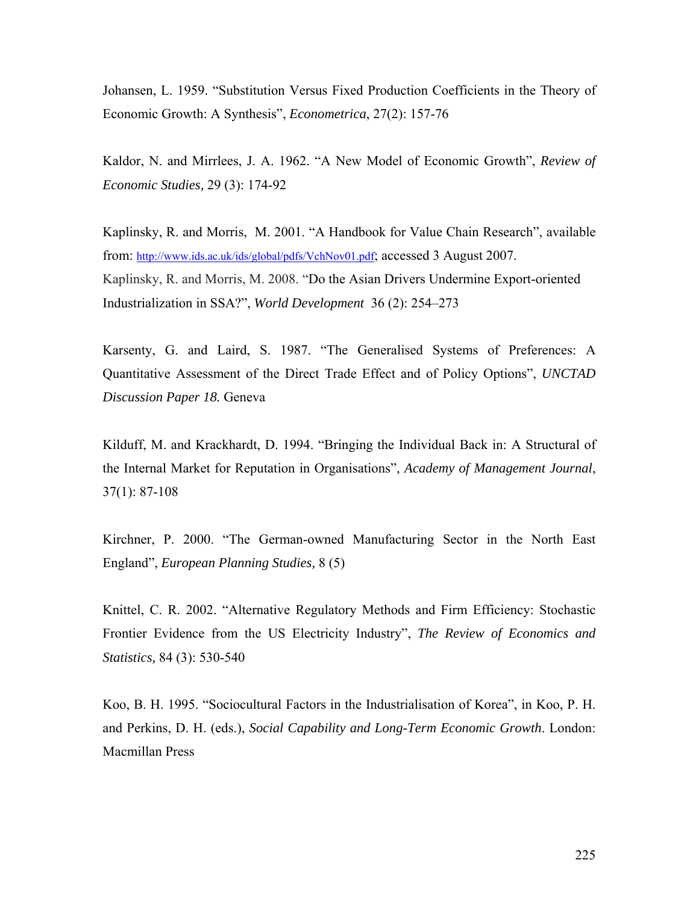Johansen, L. 1959. "Substitution Versus Fixed Production Coefficients in the Theory of Economic Growth: A Synthesis", *Econometrica*, 27(2): 157-76

Kaldor, N. and Mirrlees, J. A. 1962. "A New Model of Economic Growth", *Review of Economic Studies,* 29 (3): 174-92

Kaplinsky, R. and Morris, M. 2001. "A Handbook for Value Chain Research", available from: http://www.ids.ac.uk/ids/global/pdfs/VchNov01.pdf; accessed 3 August 2007. Kaplinsky, R. and Morris, M. 2008. "Do the Asian Drivers Undermine Export-oriented Industrialization in SSA?", *World Development* 36 (2): 254–273

Karsenty, G. and Laird, S. 1987. "The Generalised Systems of Preferences: A Quantitative Assessment of the Direct Trade Effect and of Policy Options", *UNCTAD Discussion Paper 18.* Geneva

Kilduff, M. and Krackhardt, D. 1994. "Bringing the Individual Back in: A Structural of the Internal Market for Reputation in Organisations", *Academy of Management Journal*, 37(1): 87-108

Kirchner, P. 2000. "The German-owned Manufacturing Sector in the North East England", *European Planning Studies,* 8 (5)

Knittel, C. R. 2002. "Alternative Regulatory Methods and Firm Efficiency: Stochastic Frontier Evidence from the US Electricity Industry", *The Review of Economics and Statistics,* 84 (3): 530-540

Koo, B. H. 1995. "Sociocultural Factors in the Industrialisation of Korea", in Koo, P. H. and Perkins, D. H. (eds.), *Social Capability and Long-Term Economic Growth*. London: Macmillan Press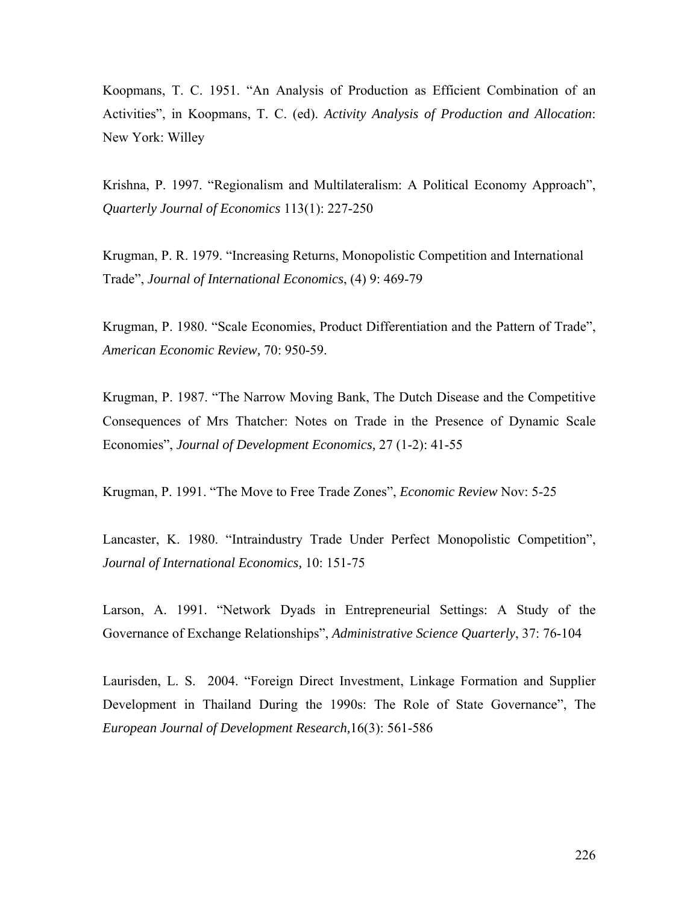Koopmans, T. C. 1951. "An Analysis of Production as Efficient Combination of an Activities", in Koopmans, T. C. (ed). *Activity Analysis of Production and Allocation*: New York: Willey

Krishna, P. 1997. "Regionalism and Multilateralism: A Political Economy Approach", *Quarterly Journal of Economics* 113(1): 227-250

Krugman, P. R. 1979. "Increasing Returns, Monopolistic Competition and International Trade", *Journal of International Economics*, (4) 9: 469-79

Krugman, P. 1980. "Scale Economies, Product Differentiation and the Pattern of Trade", *American Economic Review,* 70: 950-59.

Krugman, P. 1987. "The Narrow Moving Bank, The Dutch Disease and the Competitive Consequences of Mrs Thatcher: Notes on Trade in the Presence of Dynamic Scale Economies", *Journal of Development Economics,* 27 (1-2): 41-55

Krugman, P. 1991. "The Move to Free Trade Zones", *Economic Review* Nov: 5-25

Lancaster, K. 1980. "Intraindustry Trade Under Perfect Monopolistic Competition", *Journal of International Economics,* 10: 151-75

Larson, A. 1991. "Network Dyads in Entrepreneurial Settings: A Study of the Governance of Exchange Relationships", *Administrative Science Quarterly*, 37: 76-104

Laurisden, L. S. 2004. "Foreign Direct Investment, Linkage Formation and Supplier Development in Thailand During the 1990s: The Role of State Governance", The *European Journal of Development Research,*16(3): 561-586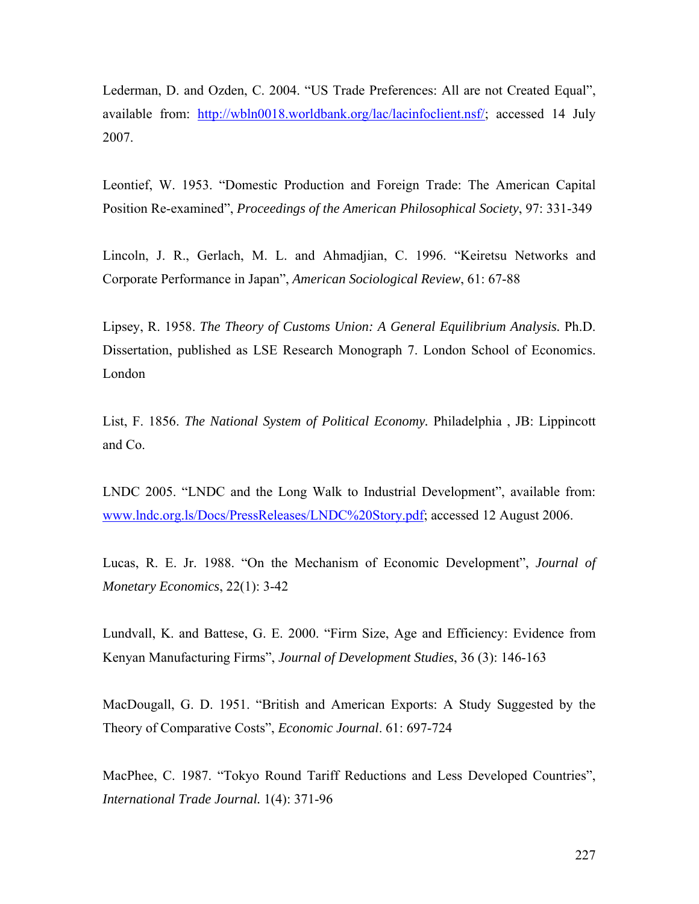Lederman, D. and Ozden, C. 2004. "US Trade Preferences: All are not Created Equal", available from: http://wbln0018.worldbank.org/lac/lacinfoclient.nsf/; accessed 14 July 2007.

Leontief, W. 1953. "Domestic Production and Foreign Trade: The American Capital Position Re-examined", *Proceedings of the American Philosophical Society*, 97: 331-349

Lincoln, J. R., Gerlach, M. L. and Ahmadjian, C. 1996. "Keiretsu Networks and Corporate Performance in Japan", *American Sociological Review*, 61: 67-88

Lipsey, R. 1958. *The Theory of Customs Union: A General Equilibrium Analysis.* Ph.D. Dissertation, published as LSE Research Monograph 7. London School of Economics. London

List, F. 1856. *The National System of Political Economy.* Philadelphia , JB: Lippincott and Co.

LNDC 2005. "LNDC and the Long Walk to Industrial Development", available from: www.lndc.org.ls/Docs/PressReleases/LNDC%20Story.pdf; accessed 12 August 2006.

Lucas, R. E. Jr. 1988. "On the Mechanism of Economic Development", *Journal of Monetary Economics*, 22(1): 3-42

Lundvall, K. and Battese, G. E. 2000. "Firm Size, Age and Efficiency: Evidence from Kenyan Manufacturing Firms", *Journal of Development Studies*, 36 (3): 146-163

MacDougall, G. D. 1951. "British and American Exports: A Study Suggested by the Theory of Comparative Costs", *Economic Journal*. 61: 697-724

MacPhee, C. 1987. "Tokyo Round Tariff Reductions and Less Developed Countries", *International Trade Journal.* 1(4): 371-96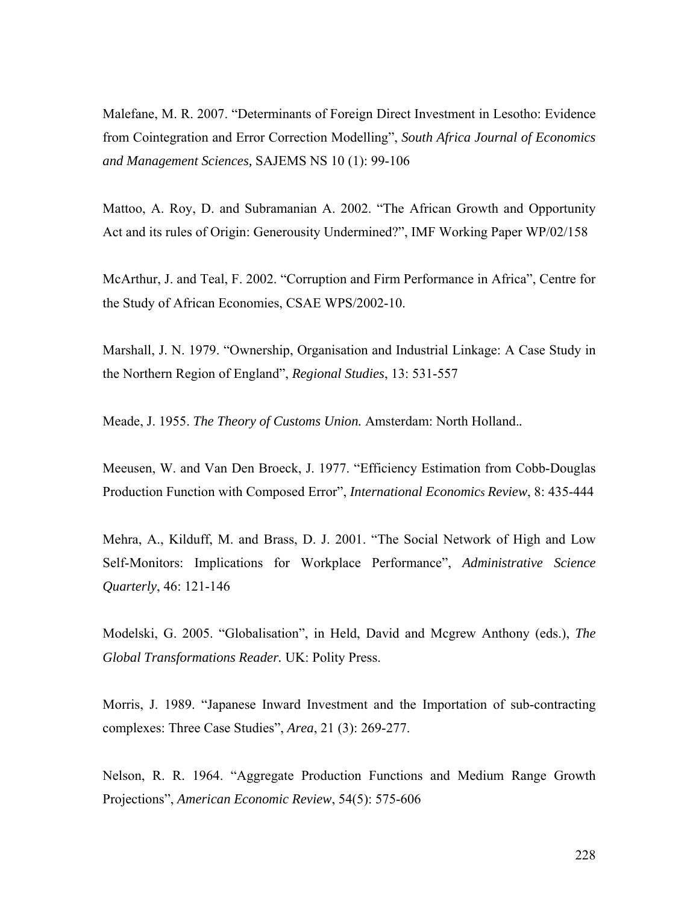Malefane, M. R. 2007. "Determinants of Foreign Direct Investment in Lesotho: Evidence from Cointegration and Error Correction Modelling", *South Africa Journal of Economics and Management Sciences,* SAJEMS NS 10 (1): 99-106

Mattoo, A. Roy, D. and Subramanian A. 2002. "The African Growth and Opportunity Act and its rules of Origin: Generousity Undermined?", IMF Working Paper WP/02/158

McArthur, J. and Teal, F. 2002. "Corruption and Firm Performance in Africa", Centre for the Study of African Economies, CSAE WPS/2002-10.

Marshall, J. N. 1979. "Ownership, Organisation and Industrial Linkage: A Case Study in the Northern Region of England", *Regional Studies*, 13: 531-557

Meade, J. 1955. *The Theory of Customs Union.* Amsterdam: North Holland.*.*

Meeusen, W. and Van Den Broeck, J. 1977. "Efficiency Estimation from Cobb-Douglas Production Function with Composed Error", *International Economics Review*, 8: 435-444

Mehra, A., Kilduff, M. and Brass, D. J. 2001. "The Social Network of High and Low Self-Monitors: Implications for Workplace Performance", *Administrative Science Quarterly*, 46: 121-146

Modelski, G. 2005. "Globalisation", in Held, David and Mcgrew Anthony (eds.), *The Global Transformations Reader.* UK: Polity Press.

Morris, J. 1989. "Japanese Inward Investment and the Importation of sub-contracting complexes: Three Case Studies", *Area*, 21 (3): 269-277.

Nelson, R. R. 1964. "Aggregate Production Functions and Medium Range Growth Projections", *American Economic Review*, 54(5): 575-606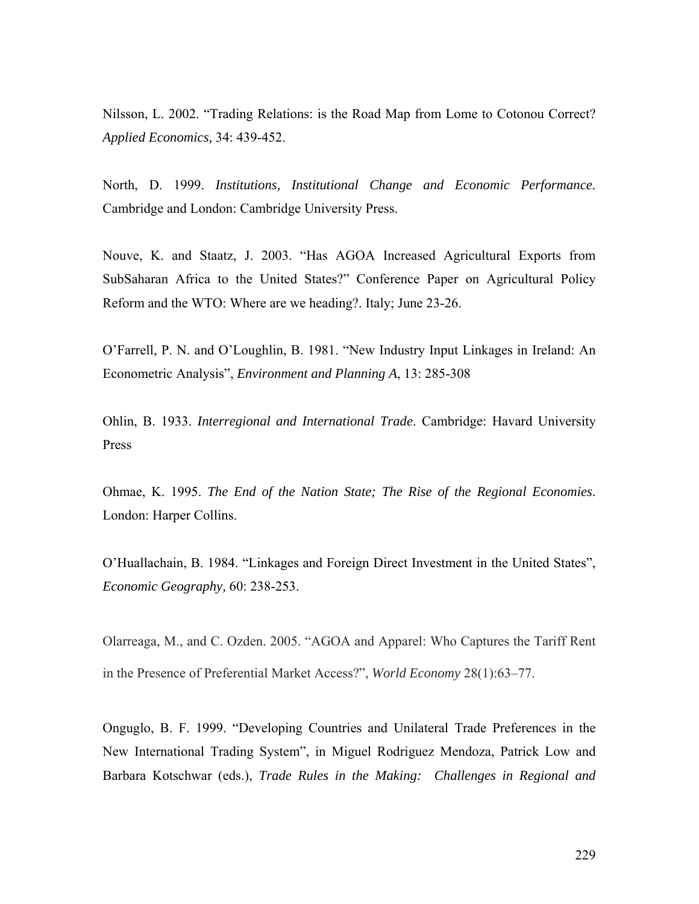Nilsson, L. 2002. "Trading Relations: is the Road Map from Lome to Cotonou Correct? *Applied Economics,* 34: 439-452.

North, D. 1999. *Institutions, Institutional Change and Economic Performance.*  Cambridge and London: Cambridge University Press.

Nouve, K. and Staatz, J. 2003. "Has AGOA Increased Agricultural Exports from SubSaharan Africa to the United States?" Conference Paper on Agricultural Policy Reform and the WTO: Where are we heading?. Italy; June 23-26.

O'Farrell, P. N. and O'Loughlin, B. 1981. "New Industry Input Linkages in Ireland: An Econometric Analysis", *Environment and Planning A*, 13: 285-308

Ohlin, B. 1933. *Interregional and International Trade*. Cambridge: Havard University Press

Ohmae, K. 1995. *The End of the Nation State; The Rise of the Regional Economies*. London: Harper Collins.

O'Huallachain, B. 1984. "Linkages and Foreign Direct Investment in the United States", *Economic Geography,* 60: 238-253.

Olarreaga, M., and C. Ozden. 2005. "AGOA and Apparel: Who Captures the Tariff Rent in the Presence of Preferential Market Access?", *World Economy* 28(1):63–77.

Onguglo, B. F. 1999. "Developing Countries and Unilateral Trade Preferences in the New International Trading System", in Miguel Rodriguez Mendoza, Patrick Low and Barbara Kotschwar (eds.), *Trade Rules in the Making: Challenges in Regional and*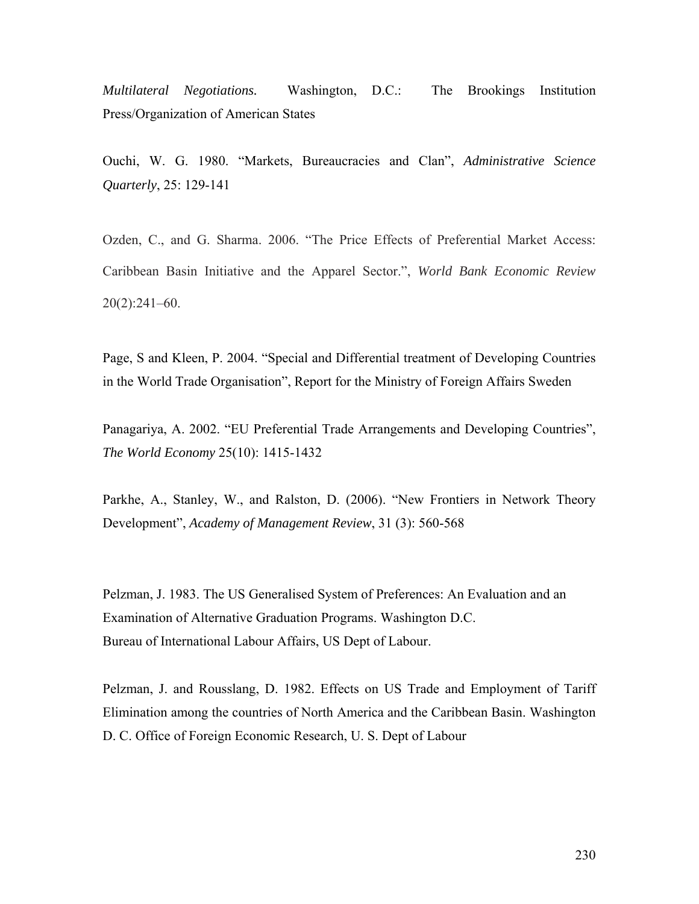*Multilateral Negotiations.* Washington, D.C.: The Brookings Institution Press/Organization of American States

Ouchi, W. G. 1980. "Markets, Bureaucracies and Clan", *Administrative Science Quarterly*, 25: 129-141

Ozden, C., and G. Sharma. 2006. "The Price Effects of Preferential Market Access: Caribbean Basin Initiative and the Apparel Sector.", *World Bank Economic Review* 20(2):241–60.

Page, S and Kleen, P. 2004. "Special and Differential treatment of Developing Countries in the World Trade Organisation", Report for the Ministry of Foreign Affairs Sweden

Panagariya, A. 2002. "EU Preferential Trade Arrangements and Developing Countries", *The World Economy* 25(10): 1415-1432

Parkhe, A., Stanley, W., and Ralston, D. (2006). "New Frontiers in Network Theory Development", *Academy of Management Review*, 31 (3): 560-568

Pelzman, J. 1983. The US Generalised System of Preferences: An Evaluation and an Examination of Alternative Graduation Programs. Washington D.C. Bureau of International Labour Affairs, US Dept of Labour.

Pelzman, J. and Rousslang, D. 1982. Effects on US Trade and Employment of Tariff Elimination among the countries of North America and the Caribbean Basin. Washington D. C. Office of Foreign Economic Research, U. S. Dept of Labour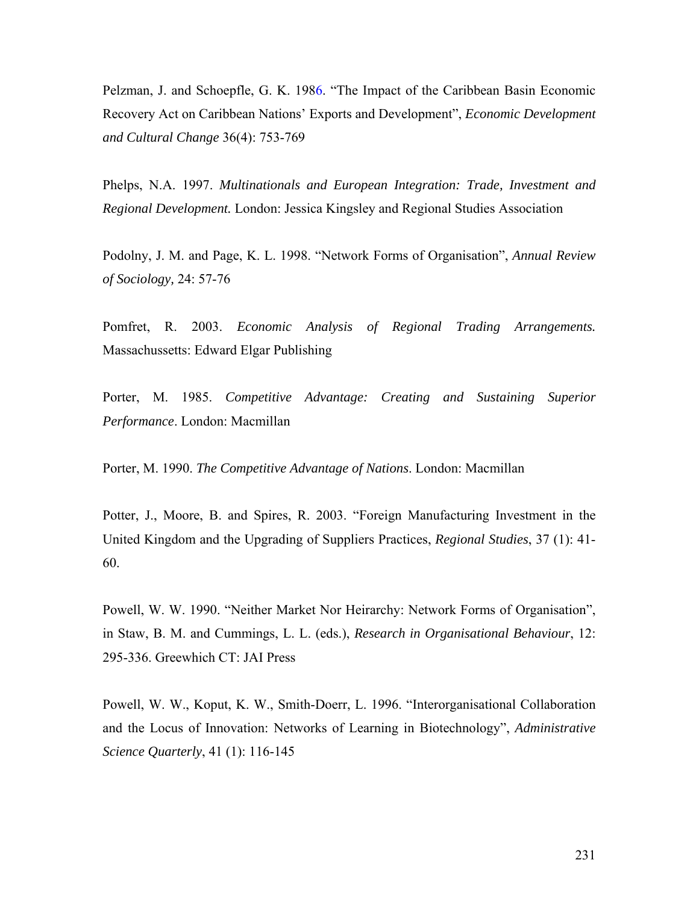Pelzman, J. and Schoepfle, G. K. 1986. "The Impact of the Caribbean Basin Economic Recovery Act on Caribbean Nations' Exports and Development", *Economic Development and Cultural Change* 36(4): 753-769

Phelps, N.A. 1997. *Multinationals and European Integration: Trade, Investment and Regional Development.* London: Jessica Kingsley and Regional Studies Association

Podolny, J. M. and Page, K. L. 1998. "Network Forms of Organisation", *Annual Review of Sociology,* 24: 57-76

Pomfret, R. 2003. *Economic Analysis of Regional Trading Arrangements.* Massachussetts: Edward Elgar Publishing

Porter, M. 1985. *Competitive Advantage: Creating and Sustaining Superior Performance*. London: Macmillan

Porter, M. 1990. *The Competitive Advantage of Nations*. London: Macmillan

Potter, J., Moore, B. and Spires, R. 2003. "Foreign Manufacturing Investment in the United Kingdom and the Upgrading of Suppliers Practices, *Regional Studies*, 37 (1): 41- 60.

Powell, W. W. 1990. "Neither Market Nor Heirarchy: Network Forms of Organisation", in Staw, B. M. and Cummings, L. L. (eds.), *Research in Organisational Behaviour*, 12: 295-336. Greewhich CT: JAI Press

Powell, W. W., Koput, K. W., Smith-Doerr, L. 1996. "Interorganisational Collaboration and the Locus of Innovation: Networks of Learning in Biotechnology", *Administrative Science Quarterly*, 41 (1): 116-145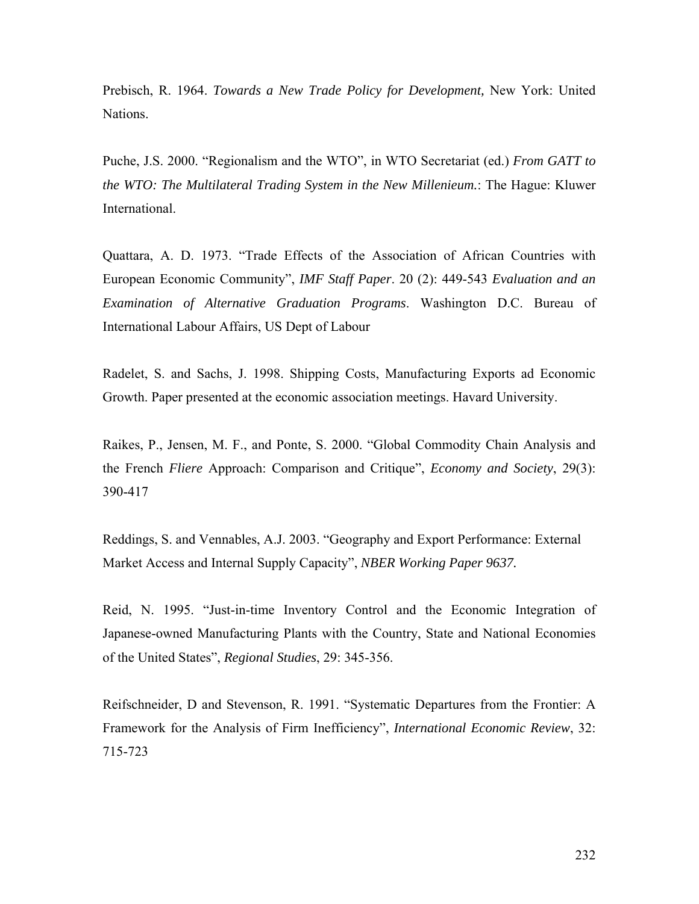Prebisch, R. 1964. *Towards a New Trade Policy for Development,* New York: United Nations.

Puche, J.S. 2000. "Regionalism and the WTO", in WTO Secretariat (ed.) *From GATT to the WTO: The Multilateral Trading System in the New Millenieum.*: The Hague: Kluwer International.

Quattara, A. D. 1973. "Trade Effects of the Association of African Countries with European Economic Community", *IMF Staff Paper*. 20 (2): 449-543 *Evaluation and an Examination of Alternative Graduation Programs*. Washington D.C. Bureau of International Labour Affairs, US Dept of Labour

Radelet, S. and Sachs, J. 1998. Shipping Costs, Manufacturing Exports ad Economic Growth. Paper presented at the economic association meetings. Havard University.

Raikes, P., Jensen, M. F., and Ponte, S. 2000. "Global Commodity Chain Analysis and the French *Fliere* Approach: Comparison and Critique", *Economy and Society*, 29(3): 390-417

Reddings, S. and Vennables, A.J. 2003. "Geography and Export Performance: External Market Access and Internal Supply Capacity", *NBER Working Paper 9637.*

Reid, N. 1995. "Just-in-time Inventory Control and the Economic Integration of Japanese-owned Manufacturing Plants with the Country, State and National Economies of the United States", *Regional Studies*, 29: 345-356.

Reifschneider, D and Stevenson, R. 1991. "Systematic Departures from the Frontier: A Framework for the Analysis of Firm Inefficiency", *International Economic Review*, 32: 715-723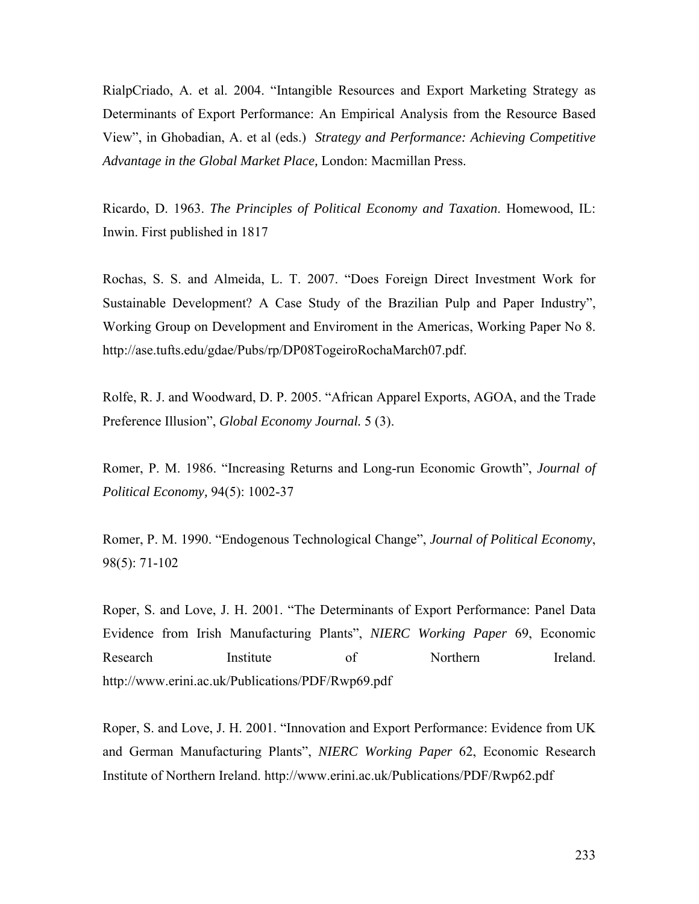RialpCriado, A. et al. 2004. "Intangible Resources and Export Marketing Strategy as Determinants of Export Performance: An Empirical Analysis from the Resource Based View", in Ghobadian, A. et al (eds.) *Strategy and Performance: Achieving Competitive Advantage in the Global Market Place,* London: Macmillan Press.

Ricardo, D. 1963. *The Principles of Political Economy and Taxation*. Homewood, IL: Inwin. First published in 1817

Rochas, S. S. and Almeida, L. T. 2007. "Does Foreign Direct Investment Work for Sustainable Development? A Case Study of the Brazilian Pulp and Paper Industry", Working Group on Development and Enviroment in the Americas, Working Paper No 8. http://ase.tufts.edu/gdae/Pubs/rp/DP08TogeiroRochaMarch07.pdf.

Rolfe, R. J. and Woodward, D. P. 2005. "African Apparel Exports, AGOA, and the Trade Preference Illusion", *Global Economy Journal.* 5 (3).

Romer, P. M. 1986. "Increasing Returns and Long-run Economic Growth", *Journal of Political Economy,* 94(5): 1002-37

Romer, P. M. 1990. "Endogenous Technological Change", *Journal of Political Economy*, 98(5): 71-102

Roper, S. and Love, J. H. 2001. "The Determinants of Export Performance: Panel Data Evidence from Irish Manufacturing Plants", *NIERC Working Paper* 69, Economic Research Institute of Northern Ireland. http://www.erini.ac.uk/Publications/PDF/Rwp69.pdf

Roper, S. and Love, J. H. 2001. "Innovation and Export Performance: Evidence from UK and German Manufacturing Plants", *NIERC Working Paper* 62, Economic Research Institute of Northern Ireland. http://www.erini.ac.uk/Publications/PDF/Rwp62.pdf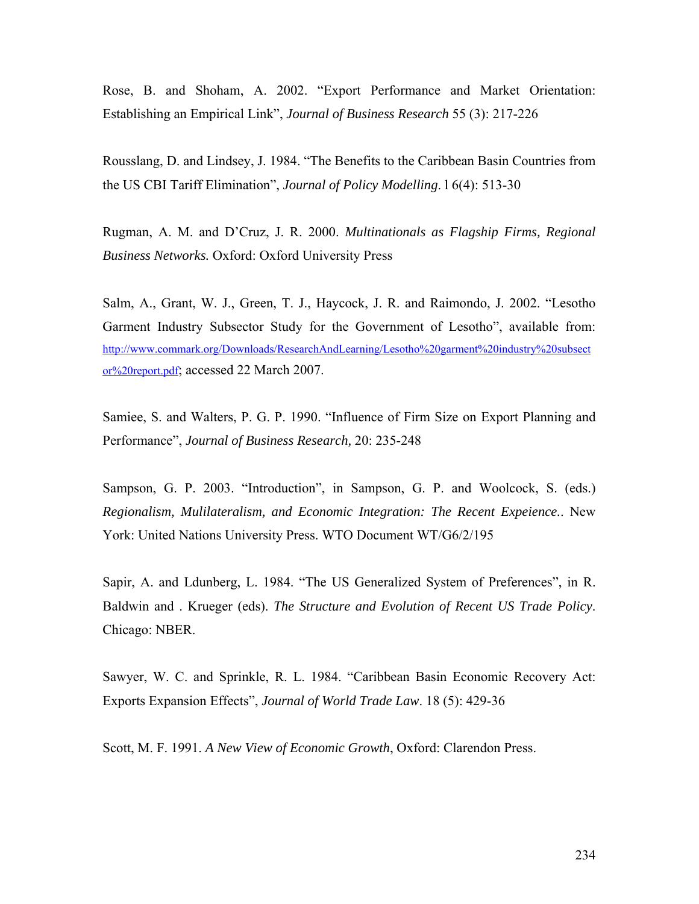Rose, B. and Shoham, A. 2002. "Export Performance and Market Orientation: Establishing an Empirical Link", *Journal of Business Research* 55 (3): 217-226

Rousslang, D. and Lindsey, J. 1984. "The Benefits to the Caribbean Basin Countries from the US CBI Tariff Elimination", *Journal of Policy Modelling*. l 6(4): 513-30

Rugman, A. M. and D'Cruz, J. R. 2000. *Multinationals as Flagship Firms, Regional Business Networks.* Oxford: Oxford University Press

Salm, A., Grant, W. J., Green, T. J., Haycock, J. R. and Raimondo, J. 2002. "Lesotho Garment Industry Subsector Study for the Government of Lesotho", available from: http://www.commark.org/Downloads/ResearchAndLearning/Lesotho%20garment%20industry%20subsect or%20report.pdf; accessed 22 March 2007.

Samiee, S. and Walters, P. G. P. 1990. "Influence of Firm Size on Export Planning and Performance", *Journal of Business Research,* 20: 235-248

Sampson, G. P. 2003. "Introduction", in Sampson, G. P. and Woolcock, S. (eds.) *Regionalism, Mulilateralism, and Economic Integration: The Recent Expeience.*. New York: United Nations University Press. WTO Document WT/G6/2/195

Sapir, A. and Ldunberg, L. 1984. "The US Generalized System of Preferences", in R. Baldwin and . Krueger (eds). *The Structure and Evolution of Recent US Trade Policy*. Chicago: NBER.

Sawyer, W. C. and Sprinkle, R. L. 1984. "Caribbean Basin Economic Recovery Act: Exports Expansion Effects", *Journal of World Trade Law*. 18 (5): 429-36

Scott, M. F. 1991. *A New View of Economic Growth*, Oxford: Clarendon Press.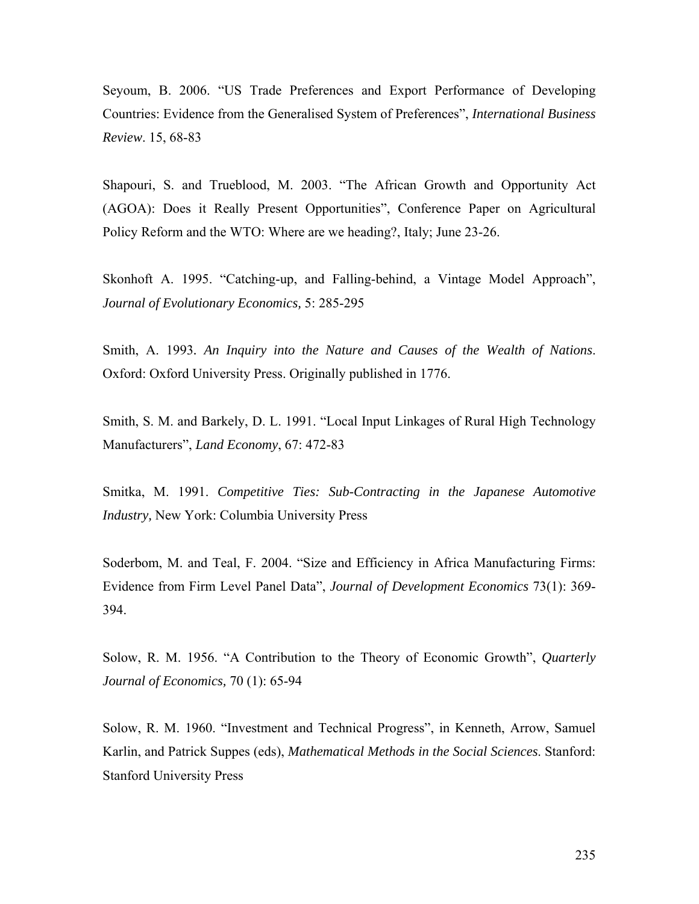Seyoum, B. 2006. "US Trade Preferences and Export Performance of Developing Countries: Evidence from the Generalised System of Preferences", *International Business Review*. 15, 68-83

Shapouri, S. and Trueblood, M. 2003. "The African Growth and Opportunity Act (AGOA): Does it Really Present Opportunities", Conference Paper on Agricultural Policy Reform and the WTO: Where are we heading?, Italy; June 23-26.

Skonhoft A. 1995. "Catching-up, and Falling-behind, a Vintage Model Approach", *Journal of Evolutionary Economics,* 5: 285-295

Smith, A. 1993*. An Inquiry into the Nature and Causes of the Wealth of Nations*. Oxford: Oxford University Press. Originally published in 1776.

Smith, S. M. and Barkely, D. L. 1991. "Local Input Linkages of Rural High Technology Manufacturers", *Land Economy*, 67: 472-83

Smitka, M. 1991. *Competitive Ties: Sub-Contracting in the Japanese Automotive Industry,* New York: Columbia University Press

Soderbom, M. and Teal, F. 2004. "Size and Efficiency in Africa Manufacturing Firms: Evidence from Firm Level Panel Data", *Journal of Development Economics* 73(1): 369- 394.

Solow, R. M. 1956. "A Contribution to the Theory of Economic Growth", *Quarterly Journal of Economics,* 70 (1): 65-94

Solow, R. M. 1960. "Investment and Technical Progress", in Kenneth, Arrow, Samuel Karlin, and Patrick Suppes (eds), *Mathematical Methods in the Social Sciences*. Stanford: Stanford University Press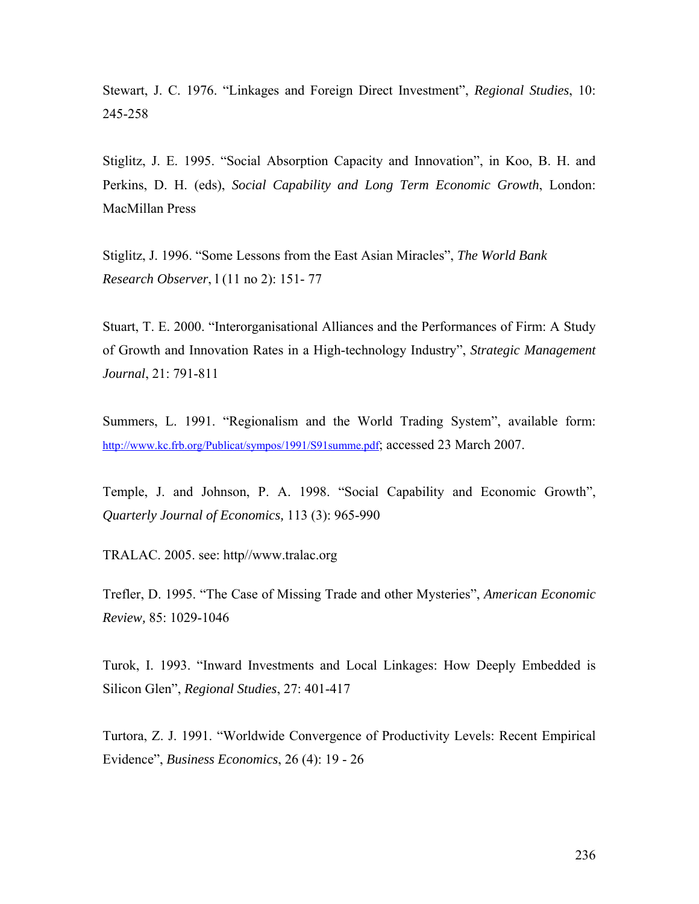Stewart, J. C. 1976. "Linkages and Foreign Direct Investment", *Regional Studies*, 10: 245-258

Stiglitz, J. E. 1995. "Social Absorption Capacity and Innovation", in Koo, B. H. and Perkins, D. H. (eds), *Social Capability and Long Term Economic Growth*, London: MacMillan Press

Stiglitz, J. 1996. "Some Lessons from the East Asian Miracles", *The World Bank Research Observer*, l (11 no 2): 151- 77

Stuart, T. E. 2000. "Interorganisational Alliances and the Performances of Firm: A Study of Growth and Innovation Rates in a High-technology Industry", *Strategic Management Journal*, 21: 791-811

Summers, L. 1991. "Regionalism and the World Trading System", available form: http://www.kc.frb.org/Publicat/sympos/1991/S91summe.pdf; accessed 23 March 2007.

Temple, J. and Johnson, P. A. 1998. "Social Capability and Economic Growth", *Quarterly Journal of Economics,* 113 (3): 965-990

TRALAC. 2005. see: http//www.tralac.org

Trefler, D. 1995. "The Case of Missing Trade and other Mysteries", *American Economic Review,* 85: 1029-1046

Turok, I. 1993. "Inward Investments and Local Linkages: How Deeply Embedded is Silicon Glen", *Regional Studies*, 27: 401-417

Turtora, Z. J. 1991. "Worldwide Convergence of Productivity Levels: Recent Empirical Evidence", *Business Economics*, 26 (4): 19 - 26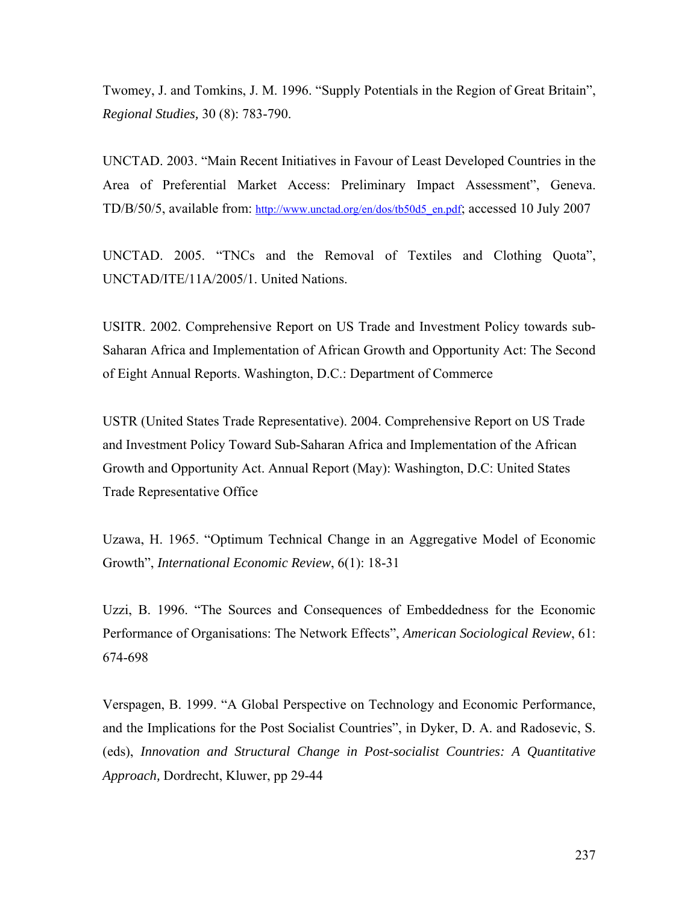Twomey, J. and Tomkins, J. M. 1996. "Supply Potentials in the Region of Great Britain", *Regional Studies,* 30 (8): 783-790.

UNCTAD. 2003. "Main Recent Initiatives in Favour of Least Developed Countries in the Area of Preferential Market Access: Preliminary Impact Assessment", Geneva. TD/B/50/5, available from: http://www.unctad.org/en/dos/tb50d5\_en.pdf; accessed 10 July 2007

UNCTAD. 2005. "TNCs and the Removal of Textiles and Clothing Quota", UNCTAD/ITE/11A/2005/1. United Nations.

USITR. 2002. Comprehensive Report on US Trade and Investment Policy towards sub-Saharan Africa and Implementation of African Growth and Opportunity Act: The Second of Eight Annual Reports. Washington, D.C.: Department of Commerce

USTR (United States Trade Representative). 2004. Comprehensive Report on US Trade and Investment Policy Toward Sub-Saharan Africa and Implementation of the African Growth and Opportunity Act. Annual Report (May): Washington, D.C: United States Trade Representative Office

Uzawa, H. 1965. "Optimum Technical Change in an Aggregative Model of Economic Growth", *International Economic Review*, 6(1): 18-31

Uzzi, B. 1996. "The Sources and Consequences of Embeddedness for the Economic Performance of Organisations: The Network Effects", *American Sociological Review*, 61: 674-698

Verspagen, B. 1999. "A Global Perspective on Technology and Economic Performance, and the Implications for the Post Socialist Countries", in Dyker, D. A. and Radosevic, S. (eds), *Innovation and Structural Change in Post-socialist Countries: A Quantitative Approach,* Dordrecht, Kluwer, pp 29-44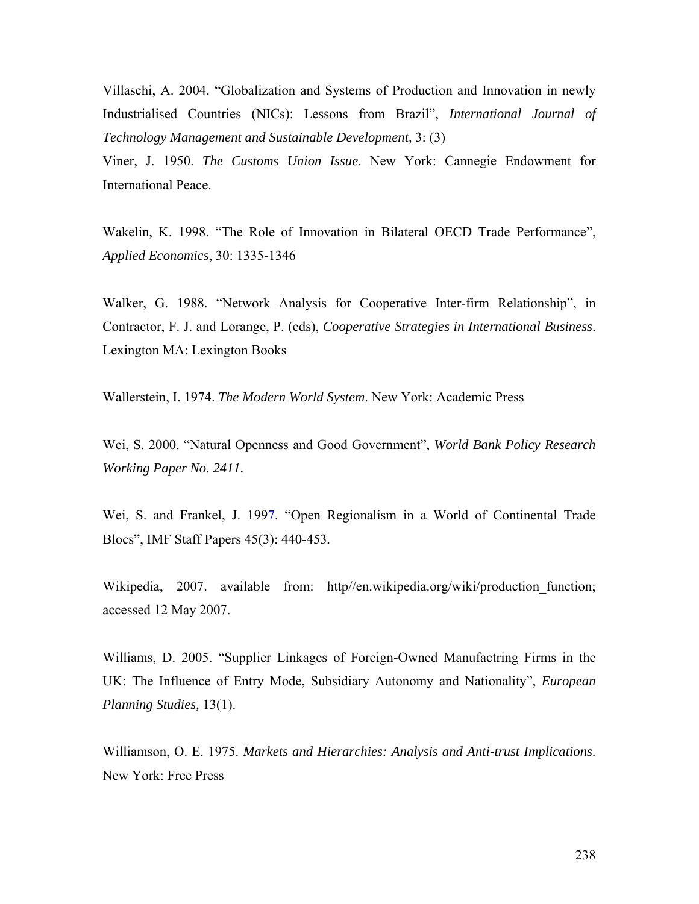Villaschi, A. 2004. "Globalization and Systems of Production and Innovation in newly Industrialised Countries (NICs): Lessons from Brazil", *International Journal of Technology Management and Sustainable Development,* 3: (3)

Viner, J. 1950. *The Customs Union Issue*. New York: Cannegie Endowment for International Peace.

Wakelin, K. 1998. "The Role of Innovation in Bilateral OECD Trade Performance", *Applied Economics*, 30: 1335-1346

Walker, G. 1988. "Network Analysis for Cooperative Inter-firm Relationship", in Contractor, F. J. and Lorange, P. (eds), *Cooperative Strategies in International Business*. Lexington MA: Lexington Books

Wallerstein, I. 1974. *The Modern World System*. New York: Academic Press

Wei, S. 2000. "Natural Openness and Good Government", *World Bank Policy Research Working Paper No. 2411.* 

Wei, S. and Frankel, J. 1997. "Open Regionalism in a World of Continental Trade Blocs", IMF Staff Papers 45(3): 440-453*.*

Wikipedia, 2007. available from: http//en.wikipedia.org/wiki/production function; accessed 12 May 2007.

Williams, D. 2005. "Supplier Linkages of Foreign-Owned Manufactring Firms in the UK: The Influence of Entry Mode, Subsidiary Autonomy and Nationality", *European Planning Studies,* 13(1).

Williamson, O. E. 1975. *Markets and Hierarchies: Analysis and Anti-trust Implications*. New York: Free Press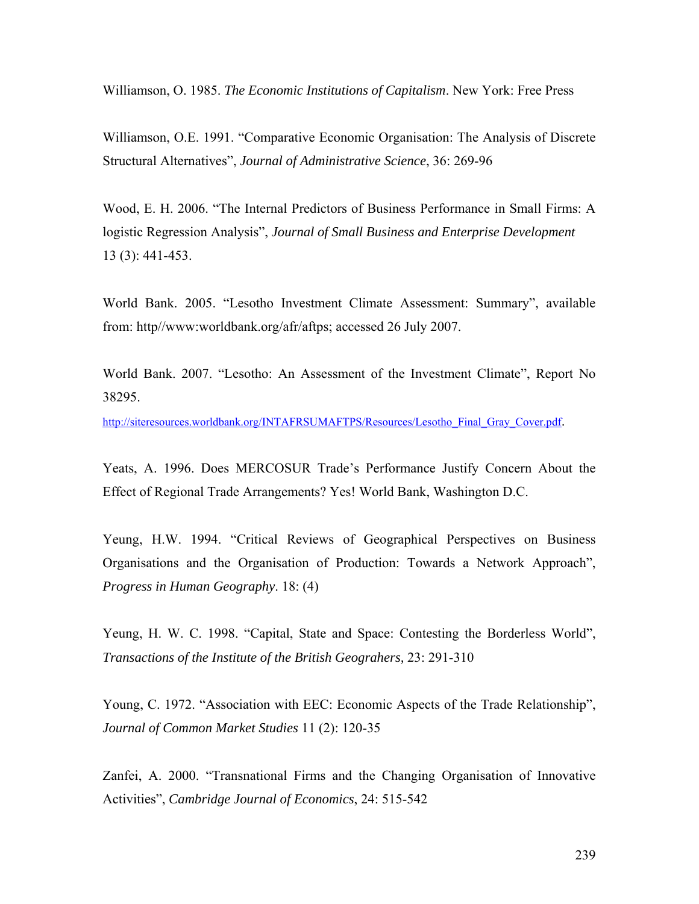Williamson, O. 1985. *The Economic Institutions of Capitalism*. New York: Free Press

Williamson, O.E. 1991. "Comparative Economic Organisation: The Analysis of Discrete Structural Alternatives", *Journal of Administrative Science*, 36: 269-96

Wood, E. H. 2006. "The Internal Predictors of Business Performance in Small Firms: A logistic Regression Analysis", *Journal of Small Business and Enterprise Development* 13 (3): 441-453.

World Bank. 2005. "Lesotho Investment Climate Assessment: Summary", available from: http//www:worldbank.org/afr/aftps; accessed 26 July 2007.

World Bank. 2007. "Lesotho: An Assessment of the Investment Climate", Report No 38295.

http://siteresources.worldbank.org/INTAFRSUMAFTPS/Resources/Lesotho\_Final\_Gray\_Cover.pdf.

Yeats, A. 1996. Does MERCOSUR Trade's Performance Justify Concern About the Effect of Regional Trade Arrangements? Yes! World Bank, Washington D.C.

Yeung, H.W. 1994. "Critical Reviews of Geographical Perspectives on Business Organisations and the Organisation of Production: Towards a Network Approach", *Progress in Human Geography*. 18: (4)

Yeung, H. W. C. 1998. "Capital, State and Space: Contesting the Borderless World", *Transactions of the Institute of the British Geograhers,* 23: 291-310

Young, C. 1972. "Association with EEC: Economic Aspects of the Trade Relationship", *Journal of Common Market Studies* 11 (2): 120-35

Zanfei, A. 2000. "Transnational Firms and the Changing Organisation of Innovative Activities", *Cambridge Journal of Economics*, 24: 515-542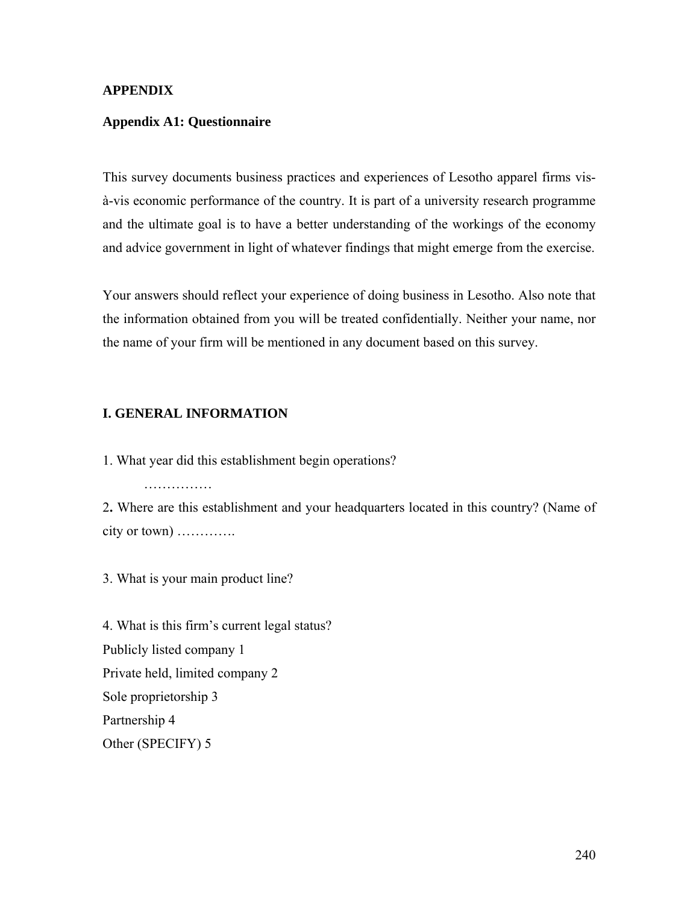## **APPENDIX**

### **Appendix A1: Questionnaire**

This survey documents business practices and experiences of Lesotho apparel firms visà-vis economic performance of the country. It is part of a university research programme and the ultimate goal is to have a better understanding of the workings of the economy and advice government in light of whatever findings that might emerge from the exercise.

Your answers should reflect your experience of doing business in Lesotho. Also note that the information obtained from you will be treated confidentially. Neither your name, nor the name of your firm will be mentioned in any document based on this survey.

## **I. GENERAL INFORMATION**

1. What year did this establishment begin operations?

……………

2**.** Where are this establishment and your headquarters located in this country? (Name of city or town) ………….

3. What is your main product line?

4. What is this firm's current legal status? Publicly listed company 1 Private held, limited company 2 Sole proprietorship 3 Partnership 4 Other (SPECIFY) 5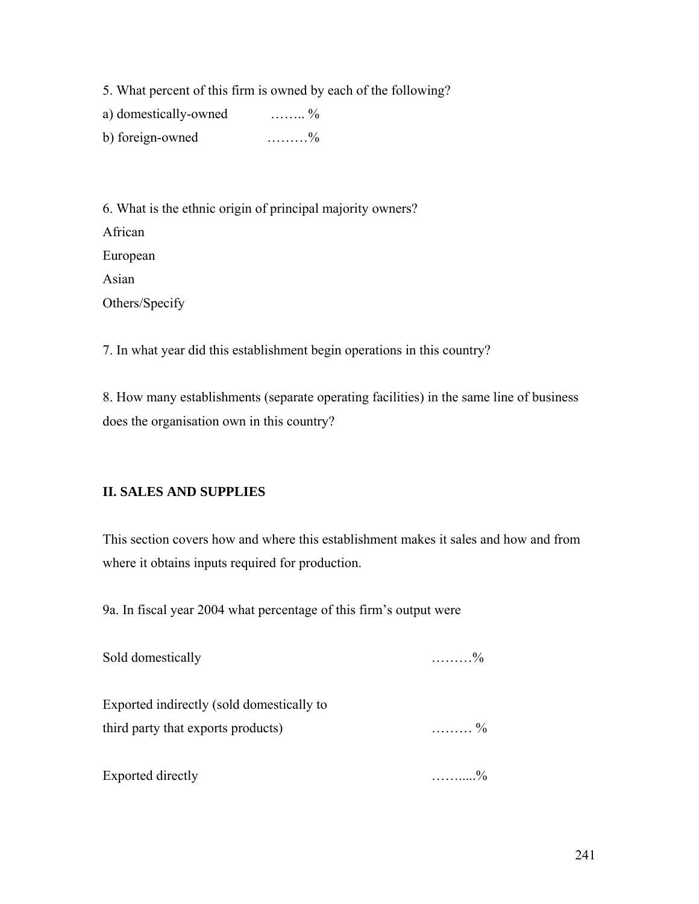5. What percent of this firm is owned by each of the following?

a) domestically-owned …….. %

b) foreign-owned …………%

6. What is the ethnic origin of principal majority owners? African European Asian Others/Specify

7. In what year did this establishment begin operations in this country?

8. How many establishments (separate operating facilities) in the same line of business does the organisation own in this country?

# **II. SALES AND SUPPLIES**

This section covers how and where this establishment makes it sales and how and from where it obtains inputs required for production.

9a. In fiscal year 2004 what percentage of this firm's output were

| Sold domestically                         | $\ldots \ldots \ldots \frac{0}{0}$ |
|-------------------------------------------|------------------------------------|
| Exported indirectly (sold domestically to |                                    |
| third party that exports products)        | $\ldots \ldots \frac{0}{0}$        |
| Exported directly                         | $\frac{0}{2}$                      |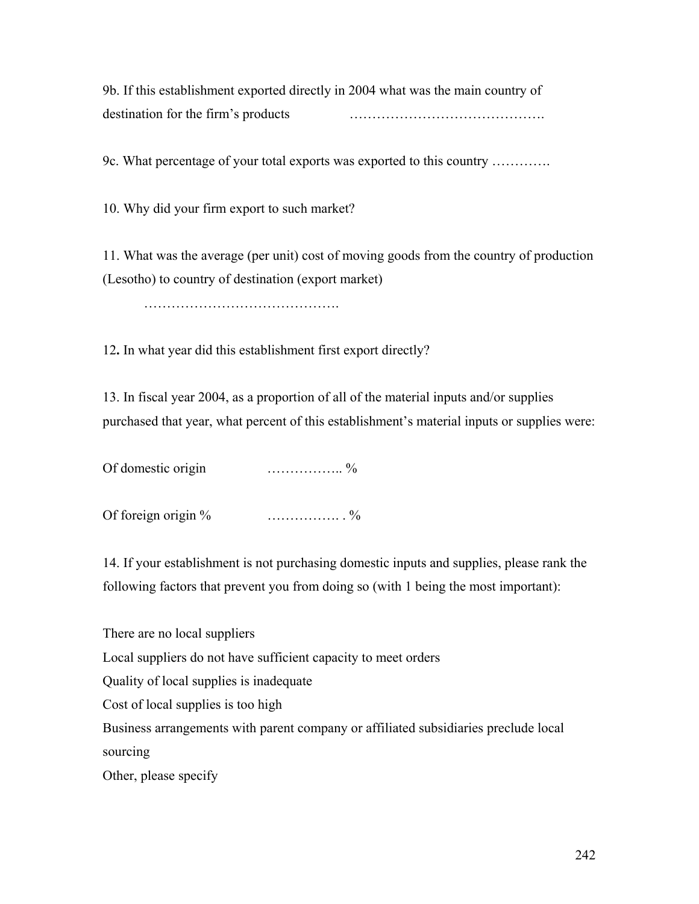9b. If this establishment exported directly in 2004 what was the main country of destination for the firm's products …………………………………….

9c. What percentage of your total exports was exported to this country ………….

10. Why did your firm export to such market?

11. What was the average (per unit) cost of moving goods from the country of production (Lesotho) to country of destination (export market)

…………………………………….

12**.** In what year did this establishment first export directly?

13. In fiscal year 2004, as a proportion of all of the material inputs and/or supplies purchased that year, what percent of this establishment's material inputs or supplies were:

Of domestic origin …………….. %

Of foreign origin  $\%$   $\dots$   $\%$ 

14. If your establishment is not purchasing domestic inputs and supplies, please rank the following factors that prevent you from doing so (with 1 being the most important):

There are no local suppliers Local suppliers do not have sufficient capacity to meet orders Quality of local supplies is inadequate Cost of local supplies is too high Business arrangements with parent company or affiliated subsidiaries preclude local sourcing Other, please specify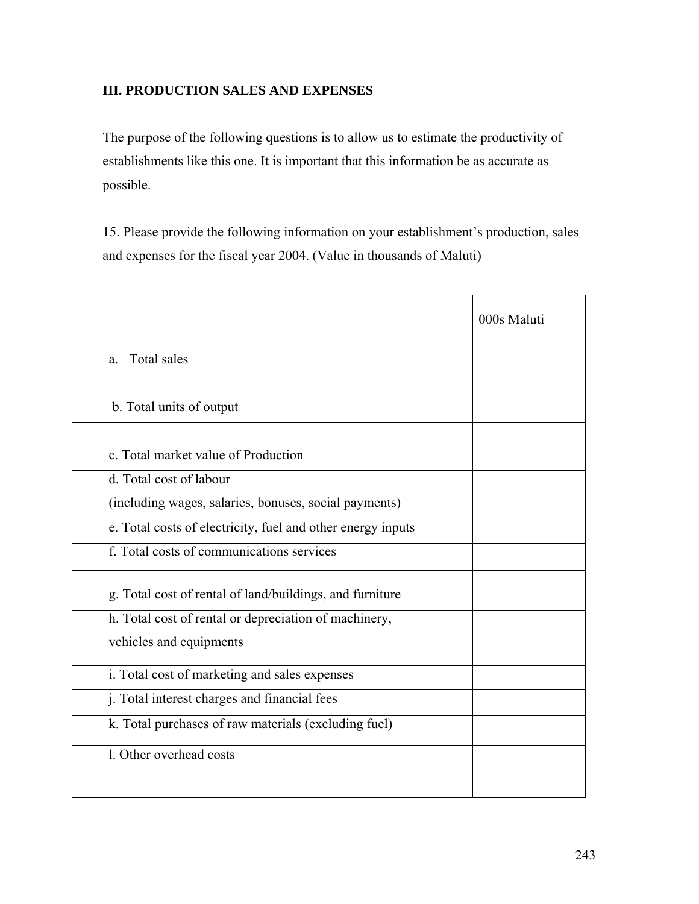## **III. PRODUCTION SALES AND EXPENSES**

The purpose of the following questions is to allow us to estimate the productivity of establishments like this one. It is important that this information be as accurate as possible.

15. Please provide the following information on your establishment's production, sales and expenses for the fiscal year 2004. (Value in thousands of Maluti)

|                                                             | 000s Maluti |
|-------------------------------------------------------------|-------------|
| Total sales<br>a.                                           |             |
| b. Total units of output                                    |             |
| c. Total market value of Production                         |             |
| d. Total cost of labour                                     |             |
| (including wages, salaries, bonuses, social payments)       |             |
| e. Total costs of electricity, fuel and other energy inputs |             |
| f. Total costs of communications services                   |             |
| g. Total cost of rental of land/buildings, and furniture    |             |
| h. Total cost of rental or depreciation of machinery,       |             |
| vehicles and equipments                                     |             |
| i. Total cost of marketing and sales expenses               |             |
| j. Total interest charges and financial fees                |             |
| k. Total purchases of raw materials (excluding fuel)        |             |
| 1. Other overhead costs                                     |             |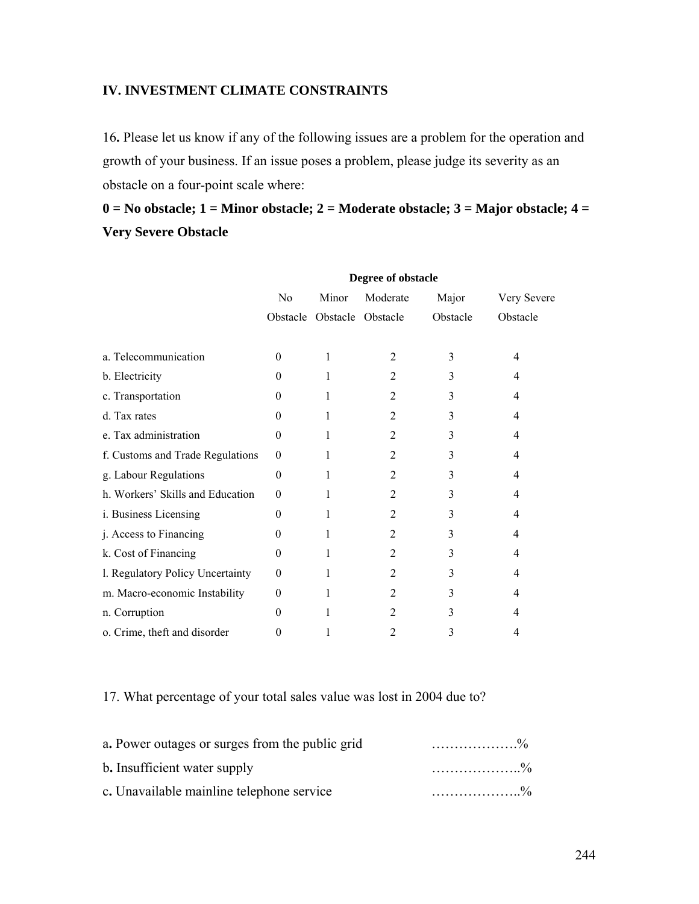## **IV. INVESTMENT CLIMATE CONSTRAINTS**

16**.** Please let us know if any of the following issues are a problem for the operation and growth of your business. If an issue poses a problem, please judge its severity as an obstacle on a four-point scale where:

# **0 = No obstacle; 1 = Minor obstacle; 2 = Moderate obstacle; 3 = Major obstacle; 4 = Very Severe Obstacle**

|                                  | Degree of obstacle |       |                   |          |             |
|----------------------------------|--------------------|-------|-------------------|----------|-------------|
|                                  | N <sub>0</sub>     | Minor | Moderate          | Major    | Very Severe |
|                                  | Obstacle           |       | Obstacle Obstacle | Obstacle | Obstacle    |
|                                  |                    |       |                   |          |             |
| a. Telecommunication             | $\theta$           | 1     | $\overline{2}$    | 3        | 4           |
| b. Electricity                   | $\theta$           | 1     | $\overline{2}$    | 3        | 4           |
| c. Transportation                | $\Omega$           | 1     | $\overline{2}$    | 3        | 4           |
| d. Tax rates                     | $\Omega$           | 1     | $\overline{2}$    | 3        | 4           |
| e. Tax administration            | $\Omega$           | 1     | $\overline{2}$    | 3        | 4           |
| f. Customs and Trade Regulations | $\Omega$           | 1     | $\overline{2}$    | 3        | 4           |
| g. Labour Regulations            | $\Omega$           | 1     | $\overline{2}$    | 3        | 4           |
| h. Workers' Skills and Education | $\Omega$           | 1     | $\overline{2}$    | 3        | 4           |
| i. Business Licensing            | $\theta$           | 1     | $\overline{2}$    | 3        | 4           |
| j. Access to Financing           | $\Omega$           | 1     | $\overline{2}$    | 3        | 4           |
| k. Cost of Financing             | $\Omega$           | 1     | $\overline{2}$    | 3        | 4           |
| l. Regulatory Policy Uncertainty | $\theta$           | 1     | $\overline{2}$    | 3        | 4           |
| m. Macro-economic Instability    | $\Omega$           | 1     | $\overline{2}$    | 3        | 4           |
| n. Corruption                    | $\Omega$           |       | $\overline{2}$    | 3        | 4           |
| o. Crime, theft and disorder     | 0                  |       | 2                 | 3        | 4           |

## 17. What percentage of your total sales value was lost in 2004 due to?

| a. Power outages or surges from the public grid |  |
|-------------------------------------------------|--|
| b. Insufficient water supply                    |  |
| c. Unavailable mainline telephone service       |  |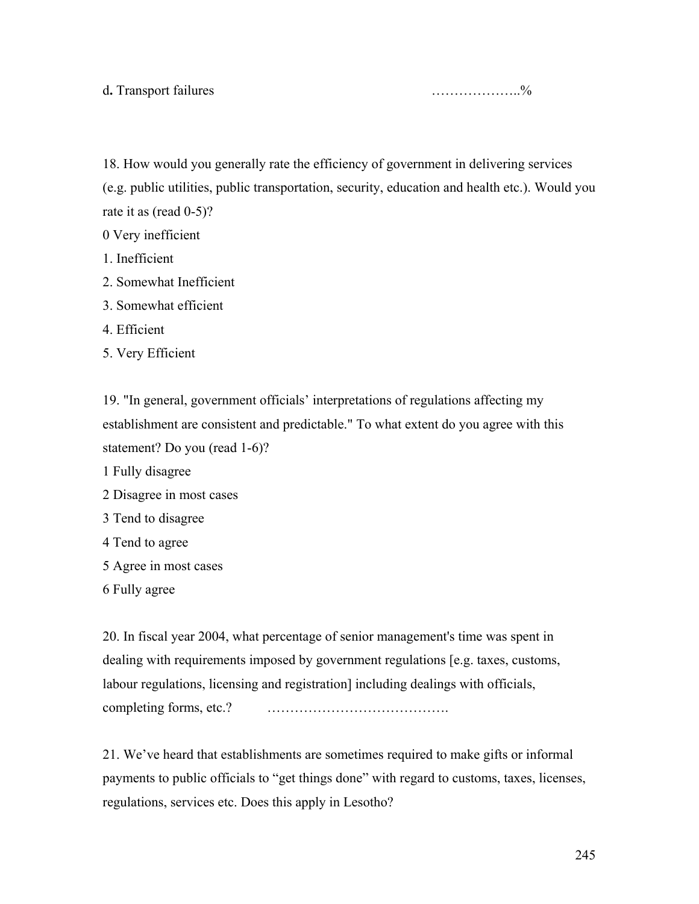18. How would you generally rate the efficiency of government in delivering services (e.g. public utilities, public transportation, security, education and health etc.). Would you rate it as (read 0-5)?

0 Very inefficient

- 1. Inefficient
- 2. Somewhat Inefficient
- 3. Somewhat efficient
- 4. Efficient
- 5. Very Efficient

19. "In general, government officials' interpretations of regulations affecting my establishment are consistent and predictable." To what extent do you agree with this statement? Do you (read 1-6)?

- 1 Fully disagree
- 2 Disagree in most cases
- 3 Tend to disagree
- 4 Tend to agree
- 5 Agree in most cases
- 6 Fully agree

20. In fiscal year 2004, what percentage of senior management's time was spent in dealing with requirements imposed by government regulations [e.g. taxes, customs, labour regulations, licensing and registration] including dealings with officials, completing forms, etc.? ………………………………….

21. We've heard that establishments are sometimes required to make gifts or informal payments to public officials to "get things done" with regard to customs, taxes, licenses, regulations, services etc. Does this apply in Lesotho?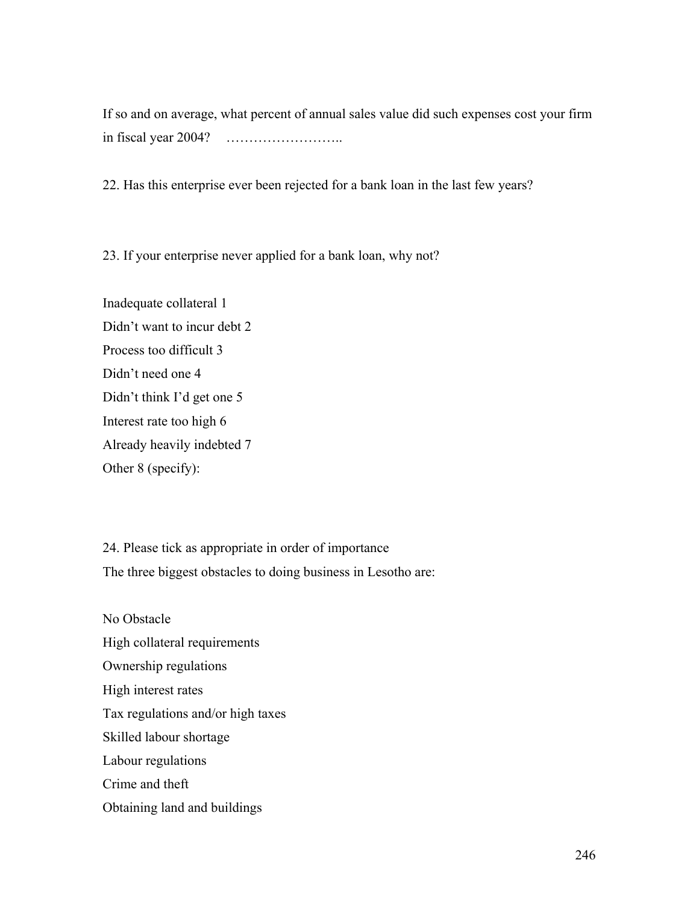If so and on average, what percent of annual sales value did such expenses cost your firm in fiscal year 2004? ……………………..

22. Has this enterprise ever been rejected for a bank loan in the last few years?

23. If your enterprise never applied for a bank loan, why not?

Inadequate collateral 1 Didn't want to incur debt 2 Process too difficult 3 Didn't need one 4 Didn't think I'd get one 5 Interest rate too high 6 Already heavily indebted 7 Other 8 (specify):

24. Please tick as appropriate in order of importance The three biggest obstacles to doing business in Lesotho are:

No Obstacle High collateral requirements Ownership regulations High interest rates Tax regulations and/or high taxes Skilled labour shortage Labour regulations Crime and theft Obtaining land and buildings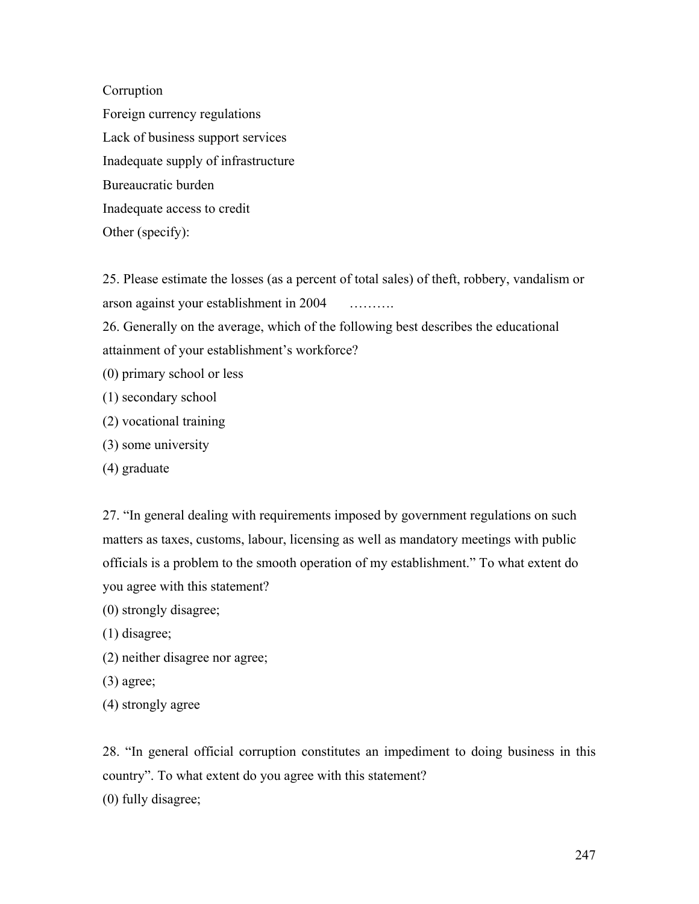Corruption

Foreign currency regulations Lack of business support services Inadequate supply of infrastructure Bureaucratic burden Inadequate access to credit Other (specify):

25. Please estimate the losses (as a percent of total sales) of theft, robbery, vandalism or arson against your establishment in 2004 ……….

26. Generally on the average, which of the following best describes the educational attainment of your establishment's workforce?

- (0) primary school or less
- (1) secondary school
- (2) vocational training
- (3) some university
- (4) graduate

27. "In general dealing with requirements imposed by government regulations on such matters as taxes, customs, labour, licensing as well as mandatory meetings with public officials is a problem to the smooth operation of my establishment." To what extent do you agree with this statement?

- (0) strongly disagree;
- (1) disagree;
- (2) neither disagree nor agree;
- (3) agree;
- (4) strongly agree

28. "In general official corruption constitutes an impediment to doing business in this country". To what extent do you agree with this statement? (0) fully disagree;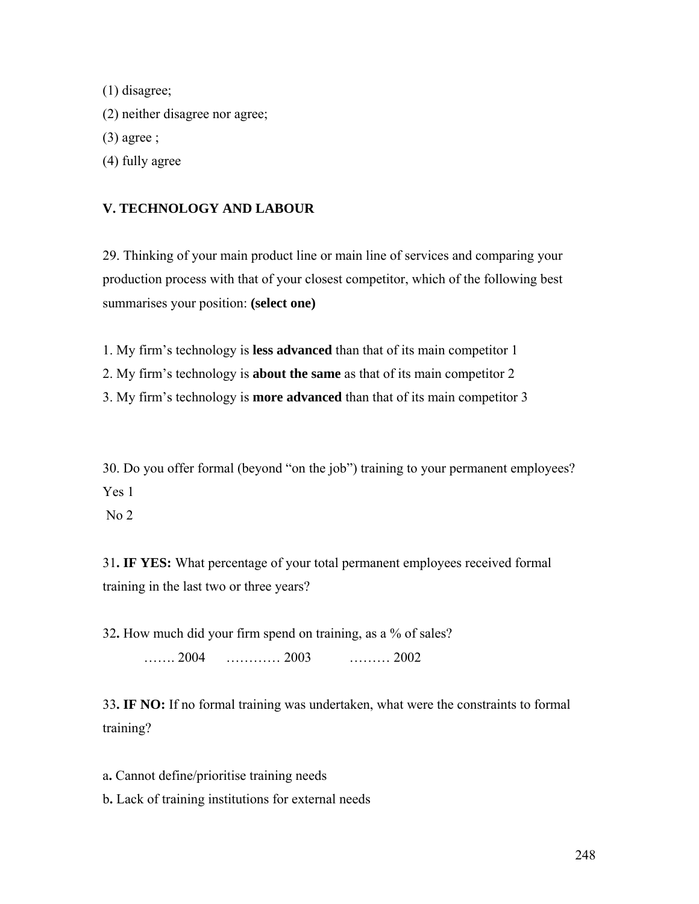(1) disagree; (2) neither disagree nor agree;  $(3)$  agree ; (4) fully agree

# **V. TECHNOLOGY AND LABOUR**

29. Thinking of your main product line or main line of services and comparing your production process with that of your closest competitor, which of the following best summarises your position: **(select one)** 

1. My firm's technology is **less advanced** than that of its main competitor 1

2. My firm's technology is **about the same** as that of its main competitor 2

3. My firm's technology is **more advanced** than that of its main competitor 3

30. Do you offer formal (beyond "on the job") training to your permanent employees? Yes 1

No 2

31**. IF YES:** What percentage of your total permanent employees received formal training in the last two or three years?

32**.** How much did your firm spend on training, as a % of sales? ……. 2004 ………… 2003 ……… 2002

33**. IF NO:** If no formal training was undertaken, what were the constraints to formal training?

a**.** Cannot define/prioritise training needs b**.** Lack of training institutions for external needs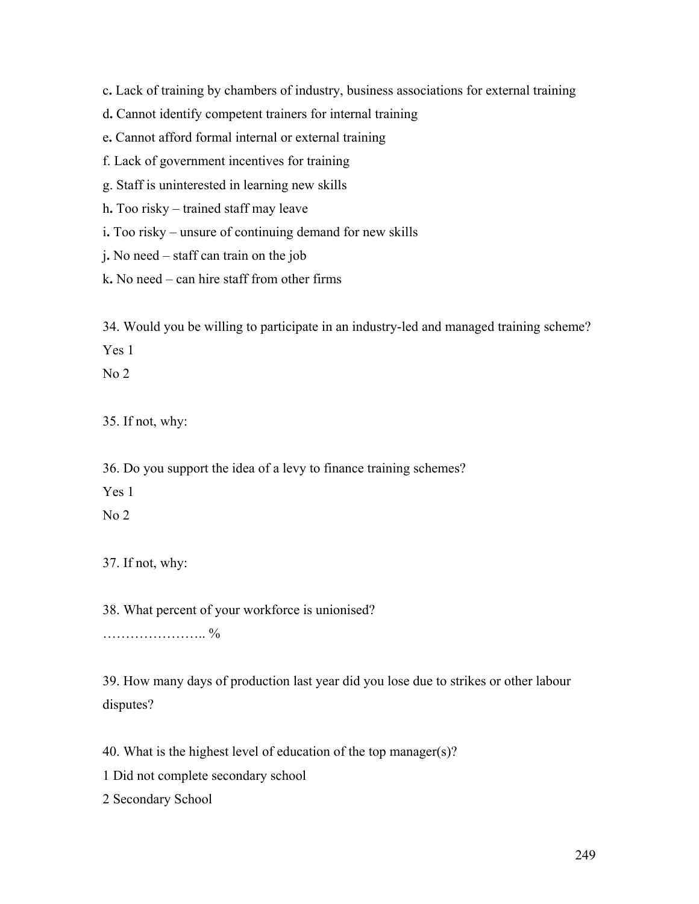c**.** Lack of training by chambers of industry, business associations for external training

d**.** Cannot identify competent trainers for internal training

e**.** Cannot afford formal internal or external training

f. Lack of government incentives for training

g. Staff is uninterested in learning new skills

h**.** Too risky – trained staff may leave

i**.** Too risky – unsure of continuing demand for new skills

j**.** No need – staff can train on the job

k**.** No need – can hire staff from other firms

34. Would you be willing to participate in an industry-led and managed training scheme? Yes 1

 $No<sub>2</sub>$ 

35. If not, why:

36. Do you support the idea of a levy to finance training schemes?

Yes 1

No 2

37. If not, why:

38. What percent of your workforce is unionised?

………………….. %

39. How many days of production last year did you lose due to strikes or other labour disputes?

40. What is the highest level of education of the top manager(s)?

1 Did not complete secondary school

2 Secondary School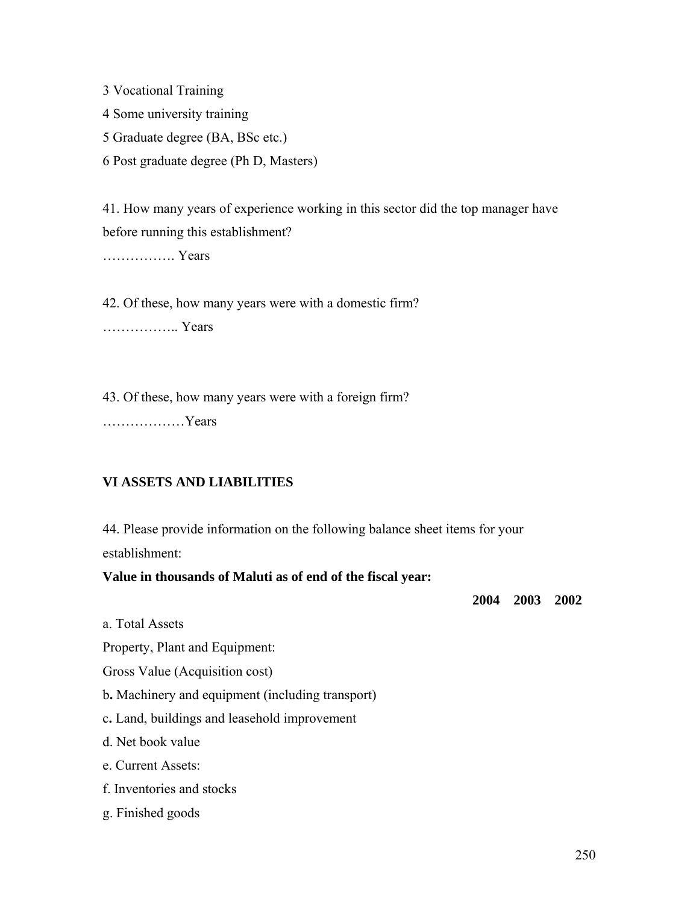3 Vocational Training

4 Some university training

- 5 Graduate degree (BA, BSc etc.)
- 6 Post graduate degree (Ph D, Masters)

41. How many years of experience working in this sector did the top manager have before running this establishment?

……………. Years

42. Of these, how many years were with a domestic firm?

…………….. Years

43. Of these, how many years were with a foreign firm? ………………Years

## **VI ASSETS AND LIABILITIES**

44. Please provide information on the following balance sheet items for your establishment:

## **Value in thousands of Maluti as of end of the fiscal year:**

**2004 2003 2002** 

a. Total Assets

Property, Plant and Equipment:

Gross Value (Acquisition cost)

b**.** Machinery and equipment (including transport)

c**.** Land, buildings and leasehold improvement

d. Net book value

e. Current Assets:

- f. Inventories and stocks
- g. Finished goods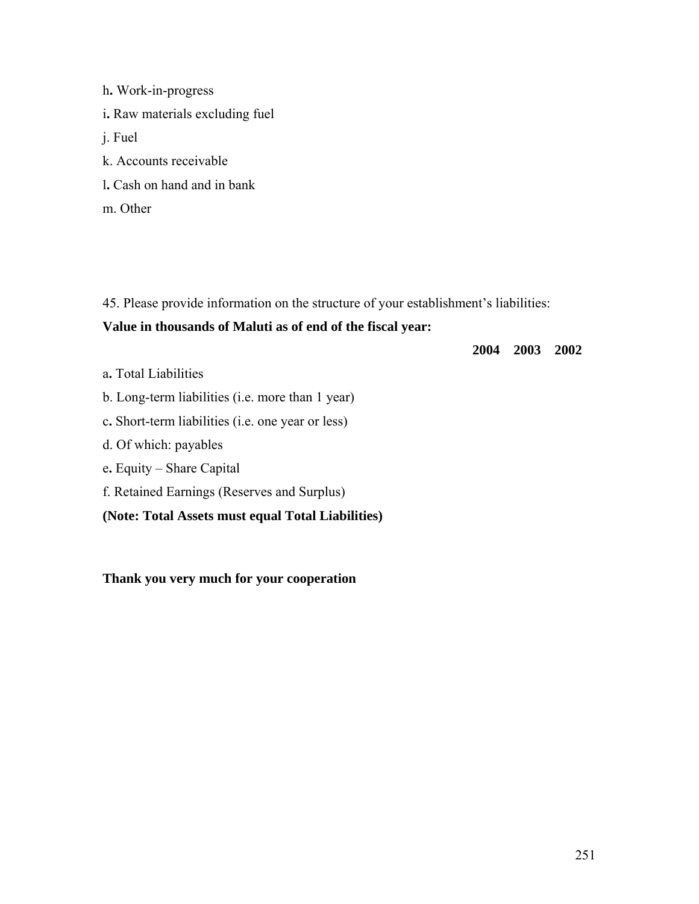h**.** Work-in-progress i**.** Raw materials excluding fuel j. Fuel k. Accounts receivable l**.** Cash on hand and in bank m. Other

45. Please provide information on the structure of your establishment's liabilities:

## **Value in thousands of Maluti as of end of the fiscal year:**

**2004 2003 2002** 

- a**.** Total Liabilities
- b. Long-term liabilities (i.e. more than 1 year)
- c**.** Short-term liabilities (i.e. one year or less)
- d. Of which: payables
- e**.** Equity Share Capital
- f. Retained Earnings (Reserves and Surplus)

## **(Note: Total Assets must equal Total Liabilities)**

**Thank you very much for your cooperation**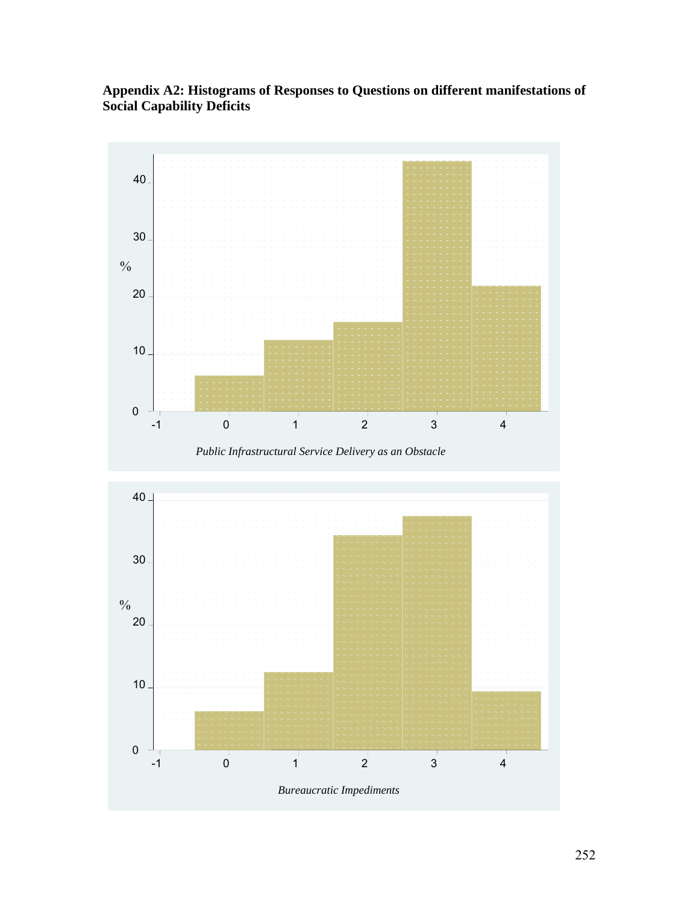**Appendix A2: Histograms of Responses to Questions on different manifestations of Social Capability Deficits** 



*Public Infrastructural Service Delivery as an Obstacle*